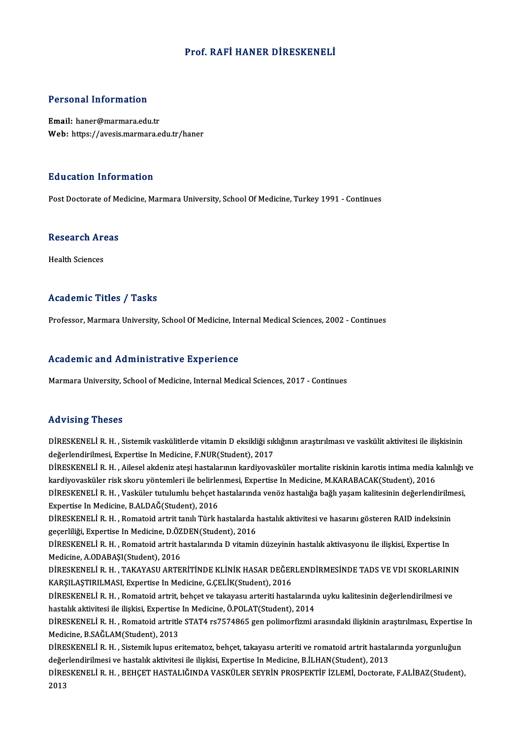#### Prof. RAFİ HANER DİRESKENELİ

#### Personal Information

Email: haner@marmara.edu.tr Web: https://avesis.marmara.edu.tr/haner

#### Education Information

Post Doctorate of Medicine, Marmara University, School Of Medicine, Turkey 1991 - Continues

## Post Doctorate of Me<br>Research Areas R<mark>esearch Ar</mark><br>Health Sciences

# Academic Titles / Tasks

Professor, Marmara University, School Of Medicine, Internal Medical Sciences, 2002 - Continues

#### Academic and Administrative Experience

Marmara University, School of Medicine, Internal Medical Sciences, 2017 - Continues

#### Advising Theses

Advising Theses<br>DİRESKENELİ R. H. , Sistemik vaskülitlerde vitamin D eksikliği sıklığının araştırılması ve vaskülit aktivitesi ile ilişkisinin<br>değarlandirilmesi, Ernertise In Medisine, E NUP(Student), 2017 raa viering i riceces<br>DİRESKENELİ R. H. , Sistemik vaskülitlerde vitamin D eksikliği sık<br>değerlendirilmesi, Expertise In Medicine, F.NUR(Student), 2017<br>DİRESKENELİ R. H. , Ailosol okdoniz atosi bastalarının kardiyovca DİRESKENELİ R. H. , Sistemik vaskülitlerde vitamin D eksikliği sıklığının araştırılması ve vaskülit aktivitesi ile ilişkisinin<br>değerlendirilmesi, Expertise In Medicine, F.NUR(Student), 2017<br>DİRESKENELİ R. H. , Ailesel akde değerlendirilmesi, Expertise In Medicine, F.NUR(Student), 2017<br>DİRESKENELİ R. H. , Ailesel akdeniz ateşi hastalarının kardiyovasküler mortalite riskinin karotis intima media<br>kardiyovasküler risk skoru yöntemleri ile belirl DİRESKENELİ R. H. , Ailesel akdeniz ateşi hastalarının kardiyovasküler mortalite riskinin karotis intima media kalınlığı ve hardiyovasküler risk skoru yöntemleri ile belirlenmesi, Expertise In Medicine, M.KARABACAK(Student kardiyovasküler risk skoru yöntemleri ile belirle:<br>DİRESKENELİ R. H. , Vasküler tutulumlu behçet h<br>Expertise In Medicine, B.ALDAĞ(Student), 2016<br>DİRESKENELİ R. H. - Romatoid artait tanılı Türli b DİRESKENELİ R. H. , Vasküler tutulumlu behçet hastalarında venöz hastalığa bağlı yaşam kalitesinin değerlendirilm<br>Expertise In Medicine, B.ALDAĞ(Student), 2016<br>DİRESKENELİ R. H. , Romatoid artrit tanılı Türk hastalarda has Expertise In Medicine, B.ALDAĞ(Student), 2016<br>DİRESKENELİ R. H. , Romatoid artrit tanılı Türk hastalarda l<br>geçerliliği, Expertise In Medicine, D.ÖZDEN(Student), 2016<br>DİRESKENELİ R. H. - Romatoid artrit hastalarında D. vita DİRESKENELİ R. H. , Romatoid artrit tanılı Türk hastalarda hastalık aktivitesi ve hasarını gösteren RAID indeksinin<br>geçerliliği, Expertise In Medicine, D.ÖZDEN(Student), 2016<br>DİRESKENELİ R. H. , Romatoid artrit hastalarınd geçerliliği, Expertise In Medicine, D.ÖZDEN(Student), 2016<br>DİRESKENELİ R. H. , Romatoid artrit hastalarında D vitamin düzeyinin hastalık aktivasyonu ile ilişkisi, Expertise In<br>Medicine, A.ODABAŞI(Student), 2016 DİRESKENELİ R. H. , Romatoid artrit hastalarında D vitamin düzeyinin hastalık aktivasyonu ile ilişkisi, Expertise In<br>Medicine, A.ODABAŞI(Student), 2016<br>DİRESKENELİ R. H. , TAKAYASU ARTERİTİNDE KLİNİK HASAR DEĞERLENDİRMESİN Medicine, A.ODABAŞI(Student), 2016<br>DİRESKENELİ R. H. , TAKAYASU ARTERİTİNDE KLİNİK HASAR DEĞER<br>KARŞILAŞTIRILMASI, Expertise In Medicine, G.ÇELİK(Student), 2016<br>DİRESKENELİ R. H. - Romatoid artrit, bobset ve takayasu arteri DİRESKENELİ R. H. , TAKAYASU ARTERİTİNDE KLİNİK HASAR DEĞERLENDİRMESİNDE TADS VE VDI SKORLARINI!<br>KARŞILAŞTIRILMASI, Expertise In Medicine, G.ÇELİK(Student), 2016<br>DİRESKENELİ R. H. , Romatoid artrit, behçet ve takayasu arte KARŞILAŞTIRILMASI, Expertise In Medicine, G.ÇELİK(Student), 2016<br>DİRESKENELİ R. H. , Romatoid artrit, behçet ve takayasu arteriti hastalarınd:<br>hastalık aktivitesi ile ilişkisi, Expertise In Medicine, Ö.POLAT(Student), 2014 DİRESKENELİ R. H. , Romatoid artrit, behçet ve takayasu arteriti hastalarında uyku kalitesinin değerlendirilmesi ve<br>hastalık aktivitesi ile ilişkisi, Expertise In Medicine, Ö.POLAT(Student), 2014<br>DİRESKENELİ R. H. , Romato hastalık aktivitesi ile ilişkisi, Expertise<br>DİRESKENELİ R. H. , Romatoid artritle<br>Medicine, B.SAĞLAM(Student), 2013<br>DİRESKENELİ R. H. Sistemik lunus er DİRESKENELİ R. H. , Romatoid artritle STAT4 rs7574865 gen polimorfizmi arasındaki ilişkinin araştırılması, Expertise<br>Medicine, B.SAĞLAM(Student), 2013<br>DİRESKENELİ R. H. , Sistemik lupus eritematoz, behçet, takayasu arterit Medicine, B.SAĞLAM(Student), 2013<br>DİRESKENELİ R. H. , Sistemik lupus eritematoz, behçet, takayasu arteriti ve romatoid artrit hastalarında yorgunluğun<br>değerlendirilmesi ve hastalık aktivitesi ile ilişkisi, Expertise In Med DİRESKENELİ R. H. , Sistemik lupus eritematoz, behçet, takayasu arteriti ve romatoid artrit hastalarında yorgunluğun<br>değerlendirilmesi ve hastalık aktivitesi ile ilişkisi, Expertise In Medicine, B.İLHAN(Student), 2013<br>DİRE değeı<br>DİRE<br>2013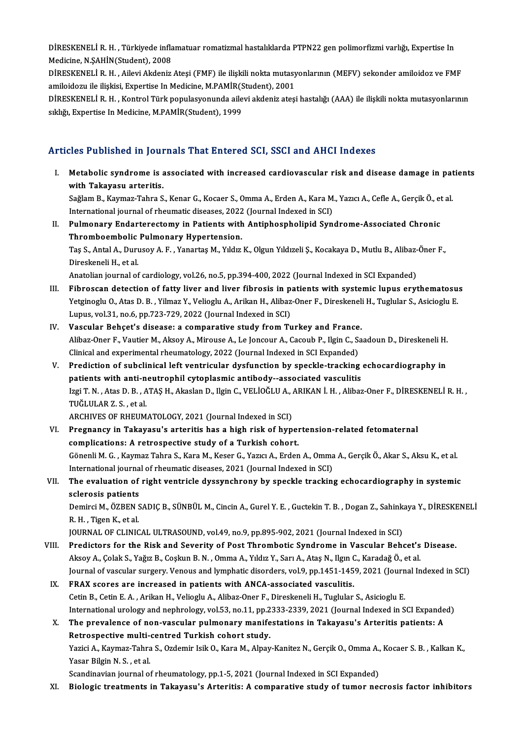DİRESKENELİ R. H. , Türkiyede inflamatuar romatizmal hastalıklarda PTPN22 gen polimorfizmi varlığı, Expertise In<br>Modisine N SAHİN(Student), 2009 DİRESKENELİ R. H. , Türkiyede infla<br>Medicine, N.ŞAHİN(Student), 2008<br>DİRESKENELİ R. H. , Aileri Akdeniz DİRESKENELİ R. H. , Türkiyede inflamatuar romatizmal hastalıklarda PTPN22 gen polimorfizmi varlığı, Expertise In<br>Medicine, N.ŞAHİN(Student), 2008<br>DİRESKENELİ R. H. , Ailevi Akdeniz Ateşi (FMF) ile ilişkili nokta mutasyonla

Medicine, N.ŞAHİN(Student), 2008<br>DİRESKENELİ R. H. , Ailevi Akdeniz Ateşi (FMF) ile ilişkili nokta mutasy<br>amiloidozu ile ilişkisi, Expertise In Medicine, M.PAMİR(Student), 2001<br>DİRESKENELİ R. H., Kontrol Türk populasyonund

DİRESKENELİ R. H. , Ailevi Akdeniz Ateşi (FMF) ile ilişkili nokta mutasyonlarının (MEFV) sekonder amiloidoz ve FMF amiloidozu ile ilişkisi, Expertise In Medicine, M.PAMİR(Student), 2001<br>DİRESKENELİ R. H. , Kontrol Türk pop amiloidozu ile ilişkisi, Expertise In Medicine, M.PAMİR(S<br>DİRESKENELİ R. H. , Kontrol Türk populasyonunda aile<br>sıklığı, Expertise In Medicine, M.PAMİR(Student), 1999

#### Articles Published in Journals That Entered SCI, SSCI and AHCI Indexes

rticles Published in Journals That Entered SCI, SSCI and AHCI Indexes<br>I. Metabolic syndrome is associated with increased cardiovascular risk and disease damage in patients<br>with Takayaay artenitic with Tabhonou in jour<br>Metabolic syndrome is a<br>with Takayasu arteritis.<br>Seğlem B. Keymaz Tabre S Metabolic syndrome is associated with increased cardiovascular risk and disease damage in pat<br>with Takayasu arteritis.<br>Sağlam B., Kaymaz-Tahra S., Kenar G., Kocaer S., Omma A., Erden A., Kara M., Yazıcı A., Cefle A., Gerçi wit<mark>h Takayasu arteritis.</mark><br>Sağlam B., Kaymaz-Tahra S., Kenar G., Kocaer S., Omma A., Erden A., Kara M<br>International journal of rheumatic diseases, 2022 (Journal Indexed in SCI)<br>Pulmanary Endanterestemy in Petients with Ant

International journal of rheumatic diseases, 2022 (Journal Indexed in SCI)

II. Pulmonary Endarterectomy in Patients with Antiphospholipid Syndrome-Associated Chronic<br>Thromboembolic Pulmonary Hypertension. Pulmonary Endarterectomy in Patients with Antiphospholipid Syndrome-Associated Chronic<br>Thromboembolic Pulmonary Hypertension.<br>Taş S., Antal A., Durusoy A. F. , Yanartaş M., Yıldız K., Olgun Yıldızeli Ş., Kocakaya D., Mutlu Thromboembolic<br>Taş S., Antal A., Duru<br>Direskeneli H., et al.<br>Anatalian iournal af Taş S., Antal A., Durusoy A. F. , Yanartaş M., Yıldız K., Olgun Yıldızeli Ş., Kocakaya D., Mutlu B., Alibaz-<br>Direskeneli H., et al.<br>Anatolian journal of cardiology, vol.26, no.5, pp.394-400, 2022 (Journal Indexed in SCI Ex

- Direskeneli H., et al.<br>Anatolian journal of cardiology, vol.26, no.5, pp.394-400, 2022 (Journal Indexed in SCI Expanded)<br>III. Fibroscan detection of fatty liver and liver fibrosis in patients with systemic lupus erythemato Anatolian journal of cardiology, vol.26, no.5, pp.394-400, 2022 (Journal Indexed in SCI Expanded)<br>Fibroscan detection of fatty liver and liver fibrosis in patients with systemic lupus erythematosu<br>Yetginoglu O., Atas D. B. Fibroscan detection of fatty liver and liver fibrosis in p.<br>Yetginoglu O., Atas D. B. , Yilmaz Y., Velioglu A., Arikan H., Alibaz<br>Lupus, vol.31, no.6, pp.723-729, 2022 (Journal Indexed in SCI)<br>Vessular Peheat's disease: a Yetginoglu O., Atas D. B., Yilmaz Y., Velioglu A., Arikan H., Alibaz-Oner F., Direskenel:<br>Lupus, vol.31, no.6, pp.723-729, 2022 (Journal Indexed in SCI)<br>IV. Vascular Behçet's disease: a comparative study from Turkey and Fr
- Lupus, vol.31, no.6, pp.723-729, 2022 (Journal Indexed in SCI)<br>Vascular Behçet's disease: a comparative study from Turkey and France.<br>Alibaz-Oner F., Vautier M., Aksoy A., Mirouse A., Le Joncour A., Cacoub P., Ilgin C., Sa Vascular Behçet's disease: a comparative study from Turkey and France<br>Alibaz-Oner F., Vautier M., Aksoy A., Mirouse A., Le Joncour A., Cacoub P., Ilgin C., S.<br>Clinical and experimental rheumatology, 2022 (Journal Indexed i Alibaz-Oner F., Vautier M., Aksoy A., Mirouse A., Le Joncour A., Cacoub P., Ilgin C., Saadoun D., Direskeneli H.<br>Clinical and experimental rheumatology, 2022 (Journal Indexed in SCI Expanded)<br>V. Prediction of subclinical l
- Clinical and experimental rheumatology, 2022 (Journal Indexed in SCI Expanded)<br>Prediction of subclinical left ventricular dysfunction by speckle-tracking<br>patients with anti-neutrophil cytoplasmic antibody--associated vascu Prediction of subclinical left ventricular dysfunction by speckle-tracking echocardiography in<br>patients with anti-neutrophil cytoplasmic antibody--associated vasculitis<br>Izgi T. N. , Atas D. B. , ATAŞ H., Akaslan D., Ilgin patients with anti-neutrophil cytoplasmic antibody--associated vasculitis<br>Izgi T. N. , Atas D. B. , ATAŞ H., Akaslan D., Ilgin C., VELİOĞLU A., ARIKAN İ. H. , Alibaz-Oner F., DİRESKENELİ R. H. ,<br>TUĞLULAR Z. S. , et al. Izgi T. N. , Atas D. B. , ATAŞ H., Akaslan D., Ilgin C., VELİOĞLU A., .<br>TUĞLULAR Z. S. , et al.<br>ARCHIVES OF RHEUMATOLOGY, 2021 (Journal Indexed in SCI)<br>Presponav in Teksysev's arteritis bas a birb risk of bun

- VI. Pregnancy in Takayasu's arteritis has a high risk of hypertension-related fetomaternal ARCHIVES OF RHEUMATOLOGY, 2021 (Journal Indexed in SCI)<br>Pregnancy in Takayasu's arteritis has a high risk of hyper<br>complications: A retrospective study of a Turkish cohort.<br>Cênonii M.C. Kayman Tahra S. Kara M. Kasar C. Yaw Pregnancy in Takayasu's arteritis has a high risk of hypertension-related fetomaternal<br>complications: A retrospective study of a Turkish cohort.<br>Gönenli M. G. , Kaymaz Tahra S., Kara M., Keser G., Yazıcı A., Erden A., Omma complications: A retrospective study of a Turkish cohort.<br>Gönenli M. G. , Kaymaz Tahra S., Kara M., Keser G., Yazıcı A., Erden A., Omma<br>International journal of rheumatic diseases, 2021 (Journal Indexed in SCI)<br>The evaluat Gönenli M. G. , Kaymaz Tahra S., Kara M., Keser G., Yazıcı A., Erden A., Omma A., Gerçik Ö., Akar S., Aksu K., et al.<br>International journal of rheumatic diseases, 2021 (Journal Indexed in SCI)<br>VII. The evaluation of right
- International journa<br>The evaluation of<br>sclerosis patients<br>Domirci M. ÖZPEN S sclerosis patients

Demirci M., ÖZBEN SADIÇ B., SÜNBÜL M., Cincin A., Gurel Y. E. , Guctekin T. B. , Dogan Z., Sahinkaya Y., DİRESKENELİ<br>R. H. , Tigen K., et al. Demirci M., ÖZBEN SADIÇ B., SÜNBÜL M., Cincin A., Gurel Y. E. , Guctekin T. B. , Dogan Z., Sahink:<br>R. H. , Tigen K., et al.<br>JOURNAL OF CLINICAL ULTRASOUND, vol.49, no.9, pp.895-902, 2021 (Journal Indexed in SCI)<br>Predistars

- VIII. Predictors for the Risk and Severity of Post Thrombotic Syndrome in Vascular Behcet's Disease. JOURNAL OF CLINICAL ULTRASOUND, vol.49, no.9, pp.895-902, 2021 (Journal Indexed in SCI)<br>Predictors for the Risk and Severity of Post Thrombotic Syndrome in Vascular Behcet's<br>Aksoy A., Çolak S., Yağız B., Coşkun B. N. , Omm Predictors for the Risk and Severity of Post Thrombotic Syndrome in Vascular Behcet's Disease.<br>Aksoy A., Çolak S., Yağız B., Coşkun B. N. , Omma A., Yıldız Y., Sarı A., Ataş N., Ilgın C., Karadağ Ö., et al<br>Journal of vascu Aksoy A., Çolak S., Yağız B., Coşkun B. N. , Omma A., Yıldız Y., Sarı A., Ataş N., Ilgın C., Karadağ Ö., et al.<br>Journal of vascular surgery. Venous and lymphatic disorders, vol.9, pp.1451-1459, 2021 (Journal In<br>IX. FRAX sc
- Journal of vascular surgery. Venous and lymphatic disorders, vol.9, pp.1451-1459, 2021 (Journ<br>FRAX scores are increased in patients with ANCA-associated vasculitis.<br>Cetin B., Cetin E. A. , Arikan H., Velioglu A., Alibaz-On FRAX scores are increased in patients with ANCA-associated vasculitis.<br>Cetin B., Cetin E. A. , Arikan H., Velioglu A., Alibaz-Oner F., Direskeneli H., Tuglular S., Asicioglu E.<br>International urology and nephrology, vol.53, Cetin B., Cetin E. A. , Arikan H., Velioglu A., Alibaz-Oner F., Direskeneli H., Tuglular S., Asicioglu E.<br>International urology and nephrology, vol.53, no.11, pp.2333-2339, 2021 (Journal Indexed in SCI Expande<br>X. The preva

### International urology and nephrology, vol.53, no.11, pp.2<br>The prevalence of non-vascular pulmonary manife<br>Retrospective multi-centred Turkish cohort study.<br>Verisi A. Kaymar Tabre S. Ordamin Jaik O. Kara M. Alpay The prevalence of non-vascular pulmonary manifestations in Takayasu's Arteritis patients: A<br>Retrospective multi-centred Turkish cohort study.<br>Yazici A., Kaymaz-Tahra S., Ozdemir Isik O., Kara M., Alpay-Kanitez N., Gerçik O Retrospective multi-centred Turkish cohort study.<br>Yazici A., Kaymaz-Tahra S., Ozdemir Isik O., Kara M., Alpay-Kanitez N., Gerçik O., Omma A.<br>Yasar Bilgin N. S. , et al.<br>Scandinavian journal of rheumatology, pp.1-5, 2021 (J Yazici A., Kaymaz-Tahra S., Ozdemir Isik O., Kara M., Alpay-Kanitez N., Gerçik O., Omma A.,<br>Yasar Bilgin N. S. , et al.<br>Scandinavian journal of rheumatology, pp.1-5, 2021 (Journal Indexed in SCI Expanded)<br>Biologia treatmen

XI. Biologic treatments in Takayasu's Arteritis: A comparative study of tumor necrosis factor inhibitors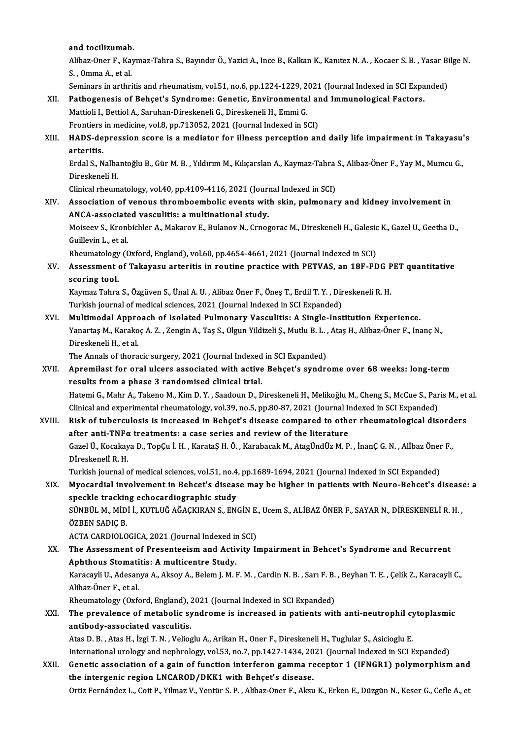#### and tocilizumab.

and tocilizumab.<br>Alibaz-Oner F., Kaymaz-Tahra S., Bayındır Ö., Yazici A., Ince B., Kalkan K., Kanıtez N. A. , Kocaer S. B. , Yasar Bilge N.<br>S. Omma A. et al. and tocilizumab<br>Alibaz-Oner F., Kay<br>S. , Omma A., et al.<br>Seminare in erthri Alibaz-Oner F., Kaymaz-Tahra S., Bayındır Ö., Yazici A., Ince B., Kalkan K., Kanıtez N. A. , Kocaer S. B. , Yasar Bi<br>S. , Omma A., et al.<br>Seminars in arthritis and rheumatism, vol.51, no.6, pp.1224-1229, 2021 (Journal Inde

- S. , Omma A., et al.<br>Seminars in arthritis and rheumatism, vol.51, no.6, pp.1224-1229, 2021 (Journal Indexed in SCI Expa<br>XII. Pathogenesis of Behçet's Syndrome: Genetic, Environmental and Immunological Factors.<br>Mattioli L. Seminars in arthritis and rheumatism, vol.51, no.6, pp.1224-1229, 2021 (Journal Indexed in SCI Expanded)<br>Pathogenesis of Behçet's Syndrome: Genetic, Environmental and Immunological Factors.<br>Mattioli I., Bettiol A., Saruhan Pathogenesis of Behçet's Syndrome: Genetic, Environmental an<br>Mattioli I., Bettiol A., Saruhan-Direskeneli G., Direskeneli H., Emmi G.<br>Frontiers in medicine, vol.8, pp.713052, 2021 (Journal Indexed in SCI)<br>HADS depression s
- Mattioli I., Bettiol A., Saruhan-Direskeneli G., Direskeneli H., Emmi G.<br>Frontiers in medicine, vol.8, pp.713052, 2021 (Journal Indexed in SCI)<br>XIII. HADS-depression score is a mediator for illness perception and daily lif Frontiers in medicine, vol.8, pp.713052, 2021 (Journal Indexed in SCI)<br>HADS-depression score is a mediator for illness perception and arteritis. HADS-depression score is a mediator for illness perception and daily life impairment in Takayasu'<br>arteritis.<br>Erdal S., Nalbantoğlu B., Gür M. B. , Yıldırım M., Kılıçarslan A., Kaymaz-Tahra S., Alibaz-Öner F., Yay M., Mumcu

<mark>arteritis.</mark><br>Erdal S., Nalba<br>Direskeneli H.<br>Clinical rhoum Erdal S., Nalbantoğlu B., Gür M. B. , Yıldırım M., Kılıçarslan A., Kaymaz-Tahra<br>Direskeneli H.<br>Clinical rheumatology, vol.40, pp.4109-4116, 2021 (Journal Indexed in SCI)<br>Association of vonous thromboembolis svents with ski

Direskeneli H.<br>Clinical rheumatology, vol.40, pp.4109-4116, 2021 (Journal Indexed in SCI)<br>XIV. Association of venous thromboembolic events with skin, pulmonary and kidney involvement in Clinical rheumatology, vol.40, pp.4109-4116, 2021 (Journ<br>Association of venous thromboembolic events wit<br>ANCA-associated vasculitis: a multinational study.<br>Meiseeu S. Kronbichler A. Meiseeu E. Pulaneu N. Graec Association of venous thromboembolic events with skin, pulmonary and kidney involvement in<br>ANCA-associated vasculitis: a multinational study.<br>Moiseev S., Kronbichler A., Makarov E., Bulanov N., Crnogorac M., Direskeneli H.

ANCA-associate<br>Moiseev S., Kronl<br>Guillevin L., et al.<br>Phoumatology (C Moiseev S., Kronbichler A., Makarov E., Bulanov N., Crnogorac M., Direskeneli H., Galesic<br>Guillevin L., et al.<br>Rheumatology (Oxford, England), vol.60, pp.4654-4661, 2021 (Journal Indexed in SCI)<br>Assessment of Televasu, ent

Guillevin L., et al.<br>Rheumatology (Oxford, England), vol.60, pp.4654-4661, 2021 (Journal Indexed in SCI)<br>XV. Assessment of Takayasu arteritis in routine practice with PETVAS, an 18F-FDG PET quantitative Rheumatology<br>Assessment<br>scoring tool.<br>Kaymar Tahna Assessment of Takayasu arteritis in routine practice with PETVAS, an 18F-FDG P<br>scoring tool.<br>Kaymaz Tahra S., Özgüven S., Ünal A.U. , Alibaz Öner F., Öneş T., Erdil T. Y. , Direskeneli R. H.<br>Turkish journal of modisel scie

scoring tool.<br>Kaymaz Tahra S., Özgüven S., Ünal A. U. , Alibaz Öner F., Öneş T., Erdil T. Y. , Dir<br>Turkish journal of medical sciences, 2021 (Journal Indexed in SCI Expanded)<br>Multimodal, Annroach of Isolated Pulmonary Vasc

Turkish journal of medical sciences, 2021 (Journal Indexed in SCI Expanded)<br>XVI. Multimodal Approach of Isolated Pulmonary Vasculitis: A Single-Institution Experience. Turkish journal of medical sciences, 2021 (Journal Indexed in SCI Expanded)<br>Multimodal Approach of Isolated Pulmonary Vasculitis: A Single-Institution Experience.<br>Yanartaş M., Karakoç A. Z. , Zengin A., Taş S., Olgun Yildi Multi<mark>modal Appro</mark><br>Yanartaş M., Karako<br>Direskeneli H., et al.<br>The Annals of thora Yanartaş M., Karakoç A. Z. , Zengin A., Taş S., Olgun Yildizeli Ş., Mutlu B. L. ,<br>Direskeneli H., et al.<br>The Annals of thoracic surgery, 2021 (Journal Indexed in SCI Expanded)<br>Annamilast for anal ulsers associated with act

The Annals of thoracic surgery, 2021 (Journal Indexed in SCI Expanded)

- Direskeneli H., et al.<br>The Annals of thoracic surgery, 2021 (Journal Indexed in SCI Expanded)<br>XVII. Apremilast for oral ulcers associated with active Behçet's syndrome over 68 weeks: long-term<br>results from a phase 3 random Apremilast for oral ulcers associated with active Behçet's syndrome over 68 weeks: long-term<br>results from a phase 3 randomised clinical trial.<br>Hatemi G., Mahr A., Takeno M., Kim D. Y. , Saadoun D., Direskeneli H., Melikoğl results from a phase 3 randomised clinical trial.<br>Hatemi G., Mahr A., Takeno M., Kim D. Y. , Saadoun D., Direskeneli H., Melikoğlu M., Cheng S., McCue S., Par<br>Clinical and experimental rheumatology, vol.39, no.5, pp.80-87, Hatemi G., Mahr A., Takeno M., Kim D. Y. , Saadoun D., Direskeneli H., Melikoğlu M., Cheng S., McCue S., Paris M., et<br>Clinical and experimental rheumatology, vol.39, no.5, pp.80-87, 2021 (Journal Indexed in SCI Expanded)<br>X
- Clinical and experimental rheumatology, vol.39, no.5, pp.80-87, 2021 (Journal Indexed in SCI Expanded)<br>Risk of tuberculosis is increased in Behçet's disease compared to other rheumatological disorders<br>after anti-TNFα trea Risk of tuberculosis is increased in Behçet's disease compared to other rheumatological disord<br>after anti-TNFα treatments: a case series and review of the literature<br>Gazel Ü., Kocakaya D., TopÇu İ. H. , KarataŞ H. Ö. , Ka after anti-TNFo<br>Gazel Ü., Kocakay<br>Dİreskenelİ R. H.<br>Turkish iaunnal e Gazel Ü., Kocakaya D., TopÇu İ. H. , KarataŞ H. Ö. , Karabacak M., AtagÜndÜz M. P. , İnanÇ G. N. , Alİbaz Öner<br>Dİreskenelİ R. H.<br>Turkish journal of medical sciences, vol.51, no.4, pp.1689-1694, 2021 (Journal Indexed in SCI Direskeneli R. H.<br>Turkish journal of medical sciences, vol.51, no.4, pp.1689-1694, 2021 (Journal Indexed in SCI Expanded)<br>XIX. Myocardial involvement in Behcet's disease may be higher in patients with Neuro-Behcet's diseas Turkish journal of medical sciences, vol.51, no.4, pp.1689-1694, 2021 (Journal Indexed in SCI Expanded)

Myocardial involvement in Behcet's disease may be higher in patients with Neuro-Behcet's disease<br>speckle tracking echocardiographic study<br>SÜNBÜL M., MİDİ İ., KUTLUĞ AĞAÇKIRAN S., ENGİN E., Ucem S., ALİBAZ ÖNER F., SAYAR N. speckle tracking echocardiographic study<br>SÜNBÜL M., MİDİ İ., KUTLUĞ AĞAÇKIRAN S., EN<br>ÖZBEN SADIÇ B. SÜNBÜL M., MİDİ İ., KUTLUĞ AĞAÇKIRAN S., ENGİN E., Ucem S., ALİBAZ ÖNER F., SAYAR N., DİRESKENELİ R. H.,

ACTA CARDIOLOGICA, 2021 (Journal Indexed in SCI)

- XX. The Assessment of Presenteeism and Activity Impairment in Behcet's Syndrome and Recurrent<br>Aphthous Stomatitis: A multicentre Study. The Assessment of Presenteeism and Activity Impairment in Behcet's Syndrome and Recurrent<br>Aphthous Stomatitis: A multicentre Study.<br>Karacayli U., Adesanya A., Aksoy A., Belem J. M. F. M. , Cardin N. B. , Sarı F. B. , Beyha Aphthous Stomati<br>Karacayli U., Adesan<br>Alibaz-Öner F., et al.<br>Phoumatology (Ovf Karacayli U., Adesanya A., Aksoy A., Belem J. M. F. M. , Cardin N. B. , Sarı F. B.<br>Alibaz-Öner F., et al.<br>Rheumatology (Oxford, England), 2021 (Journal Indexed in SCI Expanded)<br>The prevelence of metabolis syndrome is incre Alibaz-Öner F., et al.<br>Rheumatology (Oxford, England), 2021 (Journal Indexed in SCI Expanded)<br>XXI. The prevalence of metabolic syndrome is increased in patients with anti-neutrophil cytoplasmic<br>antihody associated yeog
- Rheumatology (Oxford, England), 2<br>The prevalence of metabolic sy<br>antibody-associated vasculitis. The prevalence of metabolic syndrome is increased in patients with anti-neutrophil cy<br>antibody-associated vasculitis.<br>Atas D. B. , Atas H., İzgi T. N. , Velioglu A., Arikan H., Oner F., Direskeneli H., Tuglular S., Asiciog

antibody-associated vasculitis.<br>Atas D. B. , Atas H., İzgi T. N. , Velioglu A., Arikan H., Oner F., Direskeneli H., Tuglular S., Asicioglu E.<br>International urology and nephrology, vol.53, no.7, pp.1427-1434, 2021 (Journal Atas D. B. , Atas H., İzgi T. N. , Velioglu A., Arikan H., Oner F., Direskeneli H., Tuglular S., Asicioglu E.<br>International urology and nephrology, vol.53, no.7, pp.1427-1434, 2021 (Journal Indexed in SCI Expanded)<br>XXII. G

International urology and nephrology, vol.53, no.7, pp.1427-1434, 20<br>Genetic association of a gain of function interferon gamma re<br>the intergenic region LNCAROD/DKK1 with Behçet's disease.<br>Ortiz Fernández L. Coit B. Vilmaz Genetic association of a gain of function interferon gamma receptor 1 (IFNGR1) polymorphism and<br>the intergenic region LNCAROD/DKK1 with Behçet's disease.<br>Ortiz Fernández L., Coit P., Yilmaz V., Yentür S. P. , Alibaz-Oner F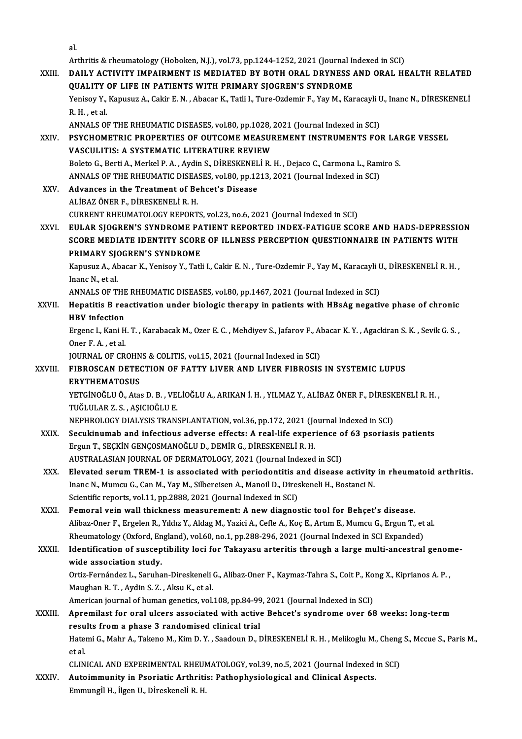al.

|         | al.                                                                                                                                                              |
|---------|------------------------------------------------------------------------------------------------------------------------------------------------------------------|
|         | Arthritis & rheumatology (Hoboken, N.J.), vol.73, pp.1244-1252, 2021 (Journal Indexed in SCI)                                                                    |
| XXIII.  | DAILY ACTIVITY IMPAIRMENT IS MEDIATED BY BOTH ORAL DRYNESS AND ORAL HEALTH RELATED                                                                               |
|         | QUALITY OF LIFE IN PATIENTS WITH PRIMARY SJOGREN'S SYNDROME                                                                                                      |
|         | Yenisoy Y., Kapusuz A., Cakir E. N., Abacar K., Tatli I., Ture-Ozdemir F., Yay M., Karacayli U., Inanc N., DİRESKENELİ                                           |
|         | R.H., et al.                                                                                                                                                     |
|         | ANNALS OF THE RHEUMATIC DISEASES, vol.80, pp.1028, 2021 (Journal Indexed in SCI)<br>PSYCHOMETRIC PROPERTIES OF OUTCOME MEASUREMENT INSTRUMENTS FOR LARGE VESSEL  |
| XXIV.   | <b>VASCULITIS: A SYSTEMATIC LITERATURE REVIEW</b>                                                                                                                |
|         | Boleto G., Berti A., Merkel P. A., Aydin S., DİRESKENELİ R. H., Dejaco C., Carmona L., Ramiro S.                                                                 |
|         | ANNALS OF THE RHEUMATIC DISEASES, vol.80, pp.1213, 2021 (Journal Indexed in SCI)                                                                                 |
| XXV.    | Advances in the Treatment of Behcet's Disease                                                                                                                    |
|         | ALİBAZ ÖNER F., DİRESKENELİ R.H.                                                                                                                                 |
|         | CURRENT RHEUMATOLOGY REPORTS, vol.23, no.6, 2021 (Journal Indexed in SCI)                                                                                        |
| XXVI.   | EULAR SJOGREN'S SYNDROME PATIENT REPORTED INDEX-FATIGUE SCORE AND HADS-DEPRESSION                                                                                |
|         | SCORE MEDIATE IDENTITY SCORE OF ILLNESS PERCEPTION QUESTIONNAIRE IN PATIENTS WITH                                                                                |
|         | PRIMARY SJOGREN'S SYNDROME                                                                                                                                       |
|         | Kapusuz A., Abacar K., Yenisoy Y., Tatli I., Cakir E. N., Ture-Ozdemir F., Yay M., Karacayli U., DİRESKENELİ R.H.,                                               |
|         | Inanc N, et al.                                                                                                                                                  |
|         | ANNALS OF THE RHEUMATIC DISEASES, vol.80, pp.1467, 2021 (Journal Indexed in SCI)                                                                                 |
| XXVII.  | Hepatitis B reactivation under biologic therapy in patients with HBsAg negative phase of chronic                                                                 |
|         | <b>HBV</b> infection                                                                                                                                             |
|         | Ergenc I., Kani H. T., Karabacak M., Ozer E. C., Mehdiyev S., Jafarov F., Abacar K. Y., Agackiran S. K., Sevik G. S.,                                            |
|         | Oner F.A., et al.                                                                                                                                                |
|         | JOURNAL OF CROHNS & COLITIS, vol.15, 2021 (Journal Indexed in SCI)                                                                                               |
| XXVIII. | FIBROSCAN DETECTION OF FATTY LIVER AND LIVER FIBROSIS IN SYSTEMIC LUPUS                                                                                          |
|         | <b>ERYTHEMATOSUS</b>                                                                                                                                             |
|         | YETGİNOĞLU Ö., Atas D. B., VELİOĞLU A., ARIKAN İ. H., YILMAZ Y., ALİBAZ ÖNER F., DİRESKENELİ R. H.,                                                              |
|         | TUĞLULAR Z. S., AŞICIOĞLU E.                                                                                                                                     |
|         | NEPHROLOGY DIALYSIS TRANSPLANTATION, vol.36, pp.172, 2021 (Journal Indexed in SCI)                                                                               |
| XXIX.   | Secukinumab and infectious adverse effects: A real-life experience of 63 psoriasis patients                                                                      |
|         | Ergun T., SEÇKİN GENÇOSMANOĞLU D., DEMİR G., DİRESKENELİ R. H.                                                                                                   |
|         | AUSTRALASIAN JOURNAL OF DERMATOLOGY, 2021 (Journal Indexed in SCI)                                                                                               |
| XXX.    | Elevated serum TREM-1 is associated with periodontitis and disease activity in rheumatoid arthritis.                                                             |
|         | Inanc N., Mumcu G., Can M., Yay M., Silbereisen A., Manoil D., Direskeneli H., Bostanci N.<br>Scientific reports, vol.11, pp.2888, 2021 (Journal Indexed in SCI) |
| XXXI.   | Femoral vein wall thickness measurement: A new diagnostic tool for Behçet's disease.                                                                             |
|         | Alibaz-Oner F., Ergelen R., Yıldız Y., Aldag M., Yazici A., Cefle A., Koç E., Artım E., Mumcu G., Ergun T., et al.                                               |
|         | Rheumatology (Oxford, England), vol.60, no.1, pp.288-296, 2021 (Journal Indexed in SCI Expanded)                                                                 |
| XXXII.  | Identification of susceptibility loci for Takayasu arteritis through a large multi-ancestral genome-                                                             |
|         | wide association study.                                                                                                                                          |
|         | Ortiz-Fernández L., Saruhan-Direskeneli G., Alibaz-Oner F., Kaymaz-Tahra S., Coit P., Kong X., Kiprianos A. P.,                                                  |
|         | Maughan R. T., Aydin S. Z., Aksu K., et al.                                                                                                                      |
|         | American journal of human genetics, vol.108, pp.84-99, 2021 (Journal Indexed in SCI)                                                                             |
| XXXIII. | Apremilast for oral ulcers associated with active Behcet's syndrome over 68 weeks: long-term                                                                     |
|         | results from a phase 3 randomised clinical trial                                                                                                                 |
|         | Hatemi G., Mahr A., Takeno M., Kim D.Y., Saadoun D., DİRESKENELİ R.H., Melikoglu M., Cheng S., Mccue S., Paris M.,                                               |
|         | et al                                                                                                                                                            |
|         | CLINICAL AND EXPERIMENTAL RHEUMATOLOGY, vol.39, no.5, 2021 (Journal Indexed in SCI)                                                                              |
| XXXIV   | Autoimmunity in Psoriatic Arthritis: Pathophysiological and Clinical Aspects.                                                                                    |
|         | Emmungİl H., İlgen U., Dİreskenelİ R. H.                                                                                                                         |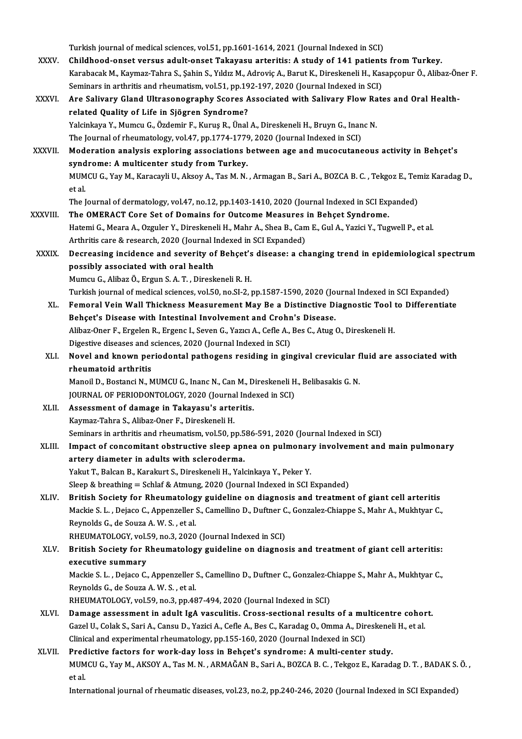Turkish journal of medical sciences, vol.51, pp.1601-1614, 2021 (Journal Indexed in SCI) XXXV. Childhood-onset versus adult-onset Takayasu arteritis: A study of 141 patients fromTurkey. KarabacakM.,Kaymaz-Tahra S.,ŞahinS.,YıldızM.,AdroviçA.,BarutK.,DireskeneliH.,KasapçopurÖ.,Alibaz-Öner F. Childhood-onset versus adult-onset Takayasu arteritis: A study of 141 patient<br>Karabacak M., Kaymaz-Tahra S., Șahin S., Yıldız M., Adroviç A., Barut K., Direskeneli H., Kas<br>Seminars in arthritis and rheumatism, vol.51, pp.1 XXXVI. Are Salivary Gland Ultrasonography Scores Associated with Salivary Flow Rates and Oral Health-<br>related Quality of Life in Sjögren Syndrome? Seminars in arthritis and rheumatism, vol.51, pp.19<br>Are Salivary Gland Ultrasonography Scores A<br>related Quality of Life in Sjögren Syndrome?<br>Vakinkaya V. Mumey C. Özdemir E. Kurus B. Ünal Are Salivary Gland Ultrasonography Scores Associated with Salivary Flow Ra<br>related Quality of Life in Sjögren Syndrome?<br>Yalcinkaya Y., Mumcu G., Özdemir F., Kuruş R., Ünal A., Direskeneli H., Bruyn G., Inanc N.<br>The Journal related Quality of Life in Sjögren Syndrome?<br>Yalcinkaya Y., Mumcu G., Özdemir F., Kuruş R., Ünal A., Direskeneli H., Bruyn G., Inan<br>The Journal of rheumatology, vol.47, pp.1774-1779, 2020 (Journal Indexed in SCI)<br>Moderatio Yalcinkaya Y., Mumcu G., Özdemir F., Kuruş R., Ünal A., Direskeneli H., Bruyn G., Inanc N.<br>The Journal of rheumatology, vol.47, pp.1774-1779, 2020 (Journal Indexed in SCI)<br>XXXVII. Moderation analysis exploring associations The Journal of rheumatology, vol.47, pp.1774-1779<br>Moderation analysis exploring associations **b**<br>syndrome: A multicenter study from Turkey.<br>MUMCU.C. You M. Karasayi U. Alsoy A. Tas M. N. Moderation analysis exploring associations between age and mucocutaneous activity in Behçet's<br>syndrome: A multicenter study from Turkey.<br>MUMCU G., Yay M., Karacayli U., Aksoy A., Tas M. N. , Armagan B., Sari A., BOZCA B. C syndrome: A multicenter study from Turkey.<br>MUMCU G., Yay M., Karacayli U., Aksoy A., Tas M. N. , Armagan B., Sari A., BOZCA B. C. , Tekgoz E., Tei<br>et al.<br>The Journal of dermatology, vol.47, no.12, pp.1403-1410, 2020 (Journ MUMCU G., Yay M., Karacayli U., Aksoy A., Tas M. N. , Armagan B., Sari A., BOZCA B. C. , Tekgoz E., Tere<br>et al.<br>The Journal of dermatology, vol.47, no.12, pp.1403-1410, 2020 (Journal Indexed in SCI Expanded)<br>The OMERACT Ce et al.<br>The Journal of dermatology, vol.47, no.12, pp.1403-1410, 2020 (Journal Indexed in SCI Exp<br>XXXVIII. The OMERACT Core Set of Domains for Outcome Measures in Behçet Syndrome. Hatemi G., Meara A., Ozguler Y., Direskeneli H., Mahr A., Shea B., Cam E., Gul A., Yazici Y., Tugwell P., et al.<br>Arthritis care & research, 2020 (Journal Indexed in SCI Expanded) The OMERACT Core Set of Domains for Outcome Measures<br>Hatemi G., Meara A., Ozguler Y., Direskeneli H., Mahr A., Shea B., Can<br>Arthritis care & research, 2020 (Journal Indexed in SCI Expanded)<br>Despeccing insidence and sevenit Hatemi G., Meara A., Ozguler Y., Direskeneli H., Mahr A., Shea B., Cam E., Gul A., Yazici Y., Tugwell P., et al.<br>Arthritis care & research, 2020 (Journal Indexed in SCI Expanded)<br>XXXIX. Decreasing incidence and severity of Arthritis care & research, 2020 (Journal I<br>Decreasing incidence and severity of<br>possibly associated with oral health<br>Mumay C. Alibag Ö. Fraun S.A.T. Direct Decreasing incidence and severity of Behçet's<br>possibly associated with oral health<br>Mumcu G., Alibaz Ö., Ergun S. A. T. , Direskeneli R. H.<br>Turkish iournal of medical sciences wel 50 no SL 2 . possibly associated with oral health<br>Mumcu G., Alibaz Ö., Ergun S. A. T. , Direskeneli R. H.<br>Turkish journal of medical sciences, vol.50, no.SI-2, pp.1587-1590, 2020 (Journal Indexed in SCI Expanded)<br>Femeral Vein Well Thie Mumcu G., Alibaz Ö., Ergun S. A. T. , Direskeneli R. H.<br>Turkish journal of medical sciences, vol.50, no.SI-2, pp.1587-1590, 2020 (Journal Indexed in SCI Expanded)<br>XL. Femoral Vein Wall Thickness Measurement May Be a Distin Turkish journal of medical sciences, vol.50, no.SI-2, pp.1587-1590, 2020 (Jo<br>Femoral Vein Wall Thickness Measurement May Be a Distinctive Di<br>Behçet's Disease with Intestinal Involvement and Crohn's Disease.<br>Alibaz Oper E. Femoral Vein Wall Thickness Measurement May Be a Distinctive Diagnostic Tool t<br>Behçet's Disease with Intestinal Involvement and Crohn's Disease.<br>Alibaz-Oner F., Ergelen R., Ergenc I., Seven G., Yazıcı A., Cefle A., Bes C., Behçet's Disease with Intestinal Involvement and Crohn<br>Alibaz-Oner F., Ergelen R., Ergenc I., Seven G., Yazıcı A., Cefle A.,<br>Digestive diseases and sciences, 2020 (Journal Indexed in SCI)<br>Navel and known periodental pathes Alibaz-Oner F., Ergelen R., Ergenc I., Seven G., Yazıcı A., Cefle A., Bes C., Atug O., Direskeneli H.<br>Digestive diseases and sciences, 2020 (Journal Indexed in SCI)<br>XLI. Novel and known periodontal pathogens residing in gi Digestive diseases and sciences, 2020 (Journal Indexed in SCI)<br>Novel and known periodontal pathogens residing in gir<br>rheumatoid arthritis Novel and known periodontal pathogens residing in gingival crevicular f<br>rheumatoid arthritis<br>Manoil D., Bostanci N., MUMCU G., Inanc N., Can M., Direskeneli H., Belibasakis G. N.<br>JOUPMAL OF PERJODONTOLOCY, 2020 (Journal In Manoil D., Bostanci N., MUMCU G., Inanc N., Can M., Direskeneli H., Belibasakis G. N.<br>JOURNAL OF PERIODONTOLOGY, 2020 (Journal Indexed in SCI) Manoil D., Bostanci N., MUMCU G., Inanc N., Can M., D<br>JOURNAL OF PERIODONTOLOGY, 2020 (Journal Inde<br>XLII. Assessment of damage in Takayasu's arteritis.<br>Koumer Tabre S. Aliber Oper E. Direckenski H JOURNAL OF PERIODONTOLOGY, 2020 (Journa<br>Assessment of damage in Takayasu's arte<br>Kaymaz-Tahra S., Alibaz-Oner F., Direskeneli H.<br>Seminars in arthritis and rhoumatism vol 50, n Kaymaz-Tahra S., Alibaz-Oner F., Direskeneli H.<br>Seminars in arthritis and rheumatism, vol.50, pp.586-591, 2020 (Journal Indexed in SCI) Kaymaz-Tahra S., Alibaz-Oner F., Direskeneli H.<br>Seminars in arthritis and rheumatism, vol.50, pp.586-591, 2020 (Journal Indexed in SCI)<br>XLIII. Impact of concomitant obstructive sleep apnea on pulmonary involvement and main Seminars in arthritis and rheumatism, vol.50, pp.5<br>Impact of concomitant obstructive sleep apr<br>artery diameter in adults with scleroderma.<br>Velut T. Balsan B. Karakut S. Dinaskanali H. Vak Impact of concomitant obstructive sleep apnea on pulmonar<br>artery diameter in adults with scleroderma.<br>Yakut T., Balcan B., Karakurt S., Direskeneli H., Yalcinkaya Y., Peker Y.<br>Sleep & breething – Schlef & Atmung 2020 (Jeur artery diameter in adults with scleroderma.<br>Yakut T., Balcan B., Karakurt S., Direskeneli H., Yalcinkaya Y., Peker Y.<br>Sleep & breathing = Schlaf & Atmung, 2020 (Journal Indexed in SCI Expanded) XLIV. British Society for Rheumatology guideline on diagnosis and treatment of giant cel arteritis Sleep & breathing = Schlaf & Atmung, 2020 (Journal Indexed in SCI Expanded)<br>British Society for Rheumatology guideline on diagnosis and treatment of giant cell arteritis<br>Mackie S. L. , Dejaco C., Appenzeller S., Camellino ReynoldsG.,de SouzaA.W.S. ,etal. Mackie S. L. , Dejaco C., Appenzeller S., Camellino D., Duftner C<br>Reynolds G., de Souza A. W. S. , et al.<br>RHEUMATOLOGY, vol.59, no.3, 2020 (Journal Indexed in SCI)<br>Pritish Sosiety for Phoumatology guideline on diagnos XLV. British Society for Rheumatology guideline on diagnosis and treatment of giant cell arteritis:<br>executive summary RHEUMATOLOGY, vol.59, no.3, 2020 (Journal Indexed in SCI) British Society for Rheumatology guideline on diagnosis and treatment of giant cell arteritis:<br>executive summary<br>Mackie S. L. , Dejaco C., Appenzeller S., Camellino D., Duftner C., Gonzalez-Chiappe S., Mahr A., Mukhtyar C. executive summary<br>Mackie S. L. , Dejaco C., Appenzeller :<br>Reynolds G., de Souza A. W. S. , et al.<br>PHEUMATOLOCY, vol 59, no 3, nn 49 Mackie S. L. , Dejaco C., Appenzeller S., Camellino D., Duftner C., Gonzalez-C.<br>Reynolds G., de Souza A. W. S. , et al.<br>RHEUMATOLOGY, vol.59, no.3, pp.487-494, 2020 (Journal Indexed in SCI)<br>Damage assessment in adult JaA y Reynolds G., de Souza A. W. S. , et al.<br>RHEUMATOLOGY, vol.59, no.3, pp.487-494, 2020 (Journal Indexed in SCI)<br>XLVI. Damage assessment in adult IgA vasculitis. Cross-sectional results of a multicentre cohort. RHEUMATOLOGY, vol.59, no.3, pp.487-494, 2020 (Journal Indexed in SCI)<br>Damage assessment in adult IgA vasculitis. Cross-sectional results of a multicentre cohor<br>Gazel U., Colak S., Sari A., Cansu D., Yazici A., Cefle A., Be Damage assessment in adult IgA vasculitis. Cross-sectional results of a mu<br>Gazel U., Colak S., Sari A., Cansu D., Yazici A., Cefle A., Bes C., Karadag O., Omma A., Dir<br>Clinical and experimental rheumatology, pp.155-160, 20 Gazel U., Colak S., Sari A., Cansu D., Yazici A., Cefle A., Bes C., Karadag O., Omma A., Direskenel<br>Clinical and experimental rheumatology, pp.155-160, 2020 (Journal Indexed in SCI)<br>XLVII. Predictive factors for work-day l Clinical and experimental rheumatology, pp.155-160, 2020 (Journal Indexed in SCI)<br>Predictive factors for work-day loss in Behçet's syndrome: A multi-center study.<br>MUMCU G., Yay M., AKSOY A., Tas M. N. , ARMAĞAN B., Sari A. Pred<br>MUM<br>et al.<br>Inten International journal of rheumatic diseases, vol.23, no.2, pp.240-246, 2020 (Journal Indexed in SCI Expanded)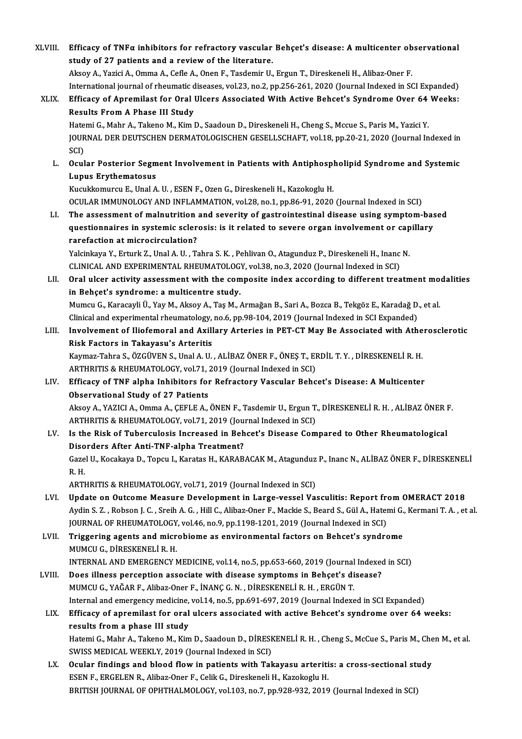XLVIII. Efficacy of TNFα inhibitors for refractory vascular Behçet's disease: A multicenter observational<br>Atudy of 27 patients and a neview of the literature Efficacy of TNF $\alpha$  inhibitors for refractory vascular<br>study of 27 patients and a review of the literature. Efficacy of TNFα inhibitors for refractory vascular Behçet's disease: A multicenter ob<br>study of 27 patients and a review of the literature.<br>Aksoy A., Yazici A., Omma A., Cefle A., Onen F., Tasdemir U., Ergun T., Direskene study of 27 patients and a review of the literature.<br>Aksoy A., Yazici A., Omma A., Cefle A., Onen F., Tasdemir U., Ergun T., Direskeneli H., Alibaz-Oner F.<br>International journal of rheumatic diseases, vol.23, no.2, pp.256-Aksoy A., Yazici A., Omma A., Cefle A., Onen F., Tasdemir U., Ergun T., Direskeneli H., Alibaz-Oner F.<br>International journal of rheumatic diseases, vol.23, no.2, pp.256-261, 2020 (Journal Indexed in SCI Expanded)<br>XLIX. Eff International journal of rheumatic d<br>Efficacy of Apremilast for Oral<br>Results From A Phase III Study<br>Hatomi C. Mahr A. Takana M. Kim I Efficacy of Apremilast for Oral Ulcers Associated With Active Behcet's Syndrome Over 64<br>Results From A Phase III Study<br>Hatemi G., Mahr A., Takeno M., Kim D., Saadoun D., Direskeneli H., Cheng S., Mccue S., Paris M., Yazici Results From A Phase III Study<br>Hatemi G., Mahr A., Takeno M., Kim D., Saadoun D., Direskeneli H., Cheng S., Mccue S., Paris M., Yazici Y.<br>JOURNAL DER DEUTSCHEN DERMATOLOGISCHEN GESELLSCHAFT, vol.18, pp.20-21, 2020 (Journal Hatemi G., Mahr A., Takeno M., Kim D., Saadoun D., Direskeneli H., Cheng S., Mccue S., Paris M., Yazici Y. JOURNAL DER DEUTSCHEN DERMATOLOGISCHEN GESELLSCHAFT, vol.18, pp.20-21, 2020 (Journal Indexed in SCI)<br>SCI)<br>L. Ocular Posterior Segment Involvement in Patients with Antiphospholipid Syndrome and Systemic<br>L. U.D.W. Environmen SCI)<br>Ocular Posterior Segm<br>Lupus Erythematosus<br>Kugukkomurgu E. Unal A Ocular Posterior Segment Involvement in Patients with Antiphospl<br>Lupus Erythematosus<br>Kucukkomurcu E., Unal A. U. , ESEN F., Ozen G., Direskeneli H., Kazokoglu H.<br>OCULAR IMMUNOLOCY AND INELAMMATION vol 29 no 1 nn 96 91 2020 Lupus Erythematosus<br>Kucukkomurcu E., Unal A. U. , ESEN F., Ozen G., Direskeneli H., Kazokoglu H.<br>OCULAR IMMUNOLOGY AND INFLAMMATION, vol.28, no.1, pp.86-91, 2020 (Journal Indexed in SCI) Kucukkomurcu E., Unal A. U. , ESEN F., Ozen G., Direskeneli H., Kazokoglu H.<br>OCULAR IMMUNOLOGY AND INFLAMMATION, vol.28, no.1, pp.86-91, 2020 (Journal Indexed in SCI)<br>LI. The assessment of malnutrition and severity of gast OCULAR IMMUNOLOGY AND INFLAMMATION, vol.28, no.1, pp.86-91, 2020 (Journal Indexed in SCI)<br>The assessment of malnutrition and severity of gastrointestinal disease using symptom-bas<br>questionnaires in systemic sclerosis: is i The assessment of malnutrition<br>questionnaires in systemic scler<br>rarefaction at microcirculation?<br>Vekinkaye V. Exturk 7, Unal A, U. T. questionnaires in systemic sclerosis: is it related to severe organ involvement or capillary<br>rarefaction at microcirculation?<br>Yalcinkaya Y., Erturk Z., Unal A.U. , Tahra S.K. , Pehlivan O., Atagunduz P., Direskeneli H., In Yalcinkaya Y., Erturk Z., Unal A. U., Tahra S. K., Pehlivan O., Atagunduz P., Direskeneli H., Inanc N. Yalcinkaya Y., Erturk Z., Unal A. U. , Tahra S. K. , Pehlivan O., Atagunduz P., Direskeneli H., Inanc N.<br>CLINICAL AND EXPERIMENTAL RHEUMATOLOGY, vol.38, no.3, 2020 (Journal Indexed in SCI)<br>LII. Oral ulcer activity assessme CLINICAL AND EXPERIMENTAL RHEUMATOLOG<br>Oral ulcer activity assessment with the com<br>in Behçet's syndrome: a multicentre study.<br>Mumay C. Karagayli Ü. Yay M. Algay A. Tas M. Oral ulcer activity assessment with the composite index according to different treatment mo<br>in Behçet's syndrome: a multicentre study.<br>Mumcu G., Karacayli Ü., Yay M., Aksoy A., Taş M., Armağan B., Sari A., Bozca B., Tekgöz in Behçet's syndrome: a multicentre study.<br>Mumcu G., Karacayli Ü., Yay M., Aksoy A., Taş M., Armağan B., Sari A., Bozca B., Tekgöz E., Karadağ D., et al.<br>Clinical and experimental rheumatology, no.6, pp.98-104, 2019 (Journ Mumcu G., Karacayli Ü., Yay M., Aksoy A., Taş M., Armağan B., Sari A., Bozca B., Tekgöz E., Karadağ D., et al.<br>Clinical and experimental rheumatology, no.6, pp.98-104, 2019 (Journal Indexed in SCI Expanded)<br>LIII. Involveme Clinical and experimental rheumatology,<br>Involvement of Iliofemoral and Axill<br>Risk Factors in Takayasu's Arteritis<br>Kaymag Tabra S. ÖZCÜVEN S. Upal A. U Involvement of Iliofemoral and Axillary Arteries in PET-CT May Be Associated with Athe<br>Risk Factors in Takayasu's Arteritis<br>Kaymaz-Tahra S., ÖZGÜVEN S., Unal A.U. , ALİBAZ ÖNER F., ÖNEŞ T., ERDİL T.Y. , DİRESKENELİ R. H.<br>A Risk Factors in Takayasu's Arteritis<br>Kaymaz-Tahra S., ÖZGÜVEN S., Unal A. U. , ALİBAZ ÖNER F., ÖNEŞ T., EI<br>ARTHRITIS & RHEUMATOLOGY, vol.71, 2019 (Journal Indexed in SCI)<br>Efficesy of TNE alpha Inhibitors for Bofrastory Vos Kaymaz-Tahra S., ÖZGÜVEN S., Unal A. U. , ALİBAZ ÖNER F., ÖNEŞ T., ERDİL T. Y. , DİRESKENELİ R. H.<br>ARTHRITIS & RHEUMATOLOGY, vol.71, 2019 (Journal Indexed in SCI)<br>LIV. Efficacy of TNF alpha Inhibitors for Refractory Vascul ARTHRITIS & RHEUMATOLOGY, vol.71, 2019 (Journal Indexed in SCI)<br>LIV. Efficacy of TNF alpha Inhibitors for Refractory Vascular Behcet's Disease: A Multicenter<br>Observational Study of 27 Patients Efficacy of TNF alpha Inhibitors for Refractory Vascular Behcet's Disease: A Multicenter<br>Observational Study of 27 Patients<br>Aksoy A., YAZICI A., Omma A., ÇEFLE A., ÖNEN F., Tasdemir U., Ergun T., DİRESKENELİ R. H. , ALİBAZ Observational Study of 27 Patients<br>Aksoy A., YAZICI A., Omma A., ÇEFLE A., ÖNEN F., Tasdemir U., Ergun T.<br>ARTHRITIS & RHEUMATOLOGY, vol.71, 2019 (Journal Indexed in SCI)<br>Is the Bisk of Tubersulasis Inspessed in Behest's Di Aksoy A., YAZICI A., Omma A., ÇEFLE A., ÖNEN F., Tasdemir U., Ergun T., DİRESKENELİ R. H. , ALİBAZ ÖNER I<br>ARTHRITIS & RHEUMATOLOGY, vol.71, 2019 (Journal Indexed in SCI)<br>LV. Is the Risk of Tuberculosis Increased in Behcet' ARTHRITIS & RHEUMATOLOGY, vol.71, 2019 (Journal Indexed in SCI)<br>LV. Is the Risk of Tuberculosis Increased in Behcet's Disease Compared to Other Rheumatological<br>Disorders After Anti-TNF-alpha Treatment? Is the Risk of Tuberculosis Increased in Behcet's Disease Compared to Other Rheumatological<br>Disorders After Anti-TNF-alpha Treatment?<br>Gazel U., Kocakaya D., Topcu I., Karatas H., KARABACAK M., Atagunduz P., Inanc N., ALİBA Diso<br>Gaze<br>R.H. Gazel U., Kocakaya D., Topcu I., Karatas H., KARABACAK M., Atagunduz<br>R. H.<br>ARTHRITIS & RHEUMATOLOGY, vol.71, 2019 (Journal Indexed in SCI)<br>Undets en Outseme Measure Develenment in Large vessel Ves R. H.<br>ARTHRITIS & RHEUMATOLOGY, vol.71, 2019 (Journal Indexed in SCI)<br>LVI. Update on Outcome Measure Development in Large-vessel Vasculitis: Report from OMERACT 2018 Aydin S. Z., Robson J. C., Sreih A. G., Hill C., Alibaz-Oner F., Mackie S., Beard S., Gül A., Hatemi G., Kermani T. A., et al. Update on Outcome Measure Development in Large-vessel Vasculitis: Report frequent Aydin S. Z. , Robson J. C. , Sreih A. G. , Hill C., Alibaz-Oner F., Mackie S., Beard S., Gül A., Hater<br>JOURNAL OF RHEUMATOLOGY, vol.46, no.9 LVII. Triggering agents and microbiome as environmental factors on Behcet's syndrome<br>MUMCU G., DİRESKENELİ R. H. **JOURNAL OF RHEUMATOLOGY<br>Triggering agents and micr<br>MUMCU G., DİRESKENELİ R. H.<br>INTERNAL AND EMERCENCY N** INTERNALANDEMERGENCYMEDICINE,vol.14,no.5,pp.653-660,2019 (Journal Indexed inSCI) MUMCU G., DIRESKENELI R. H.<br>INTERNAL AND EMERGENCY MEDICINE, vol.14, no.5, pp.653-660, 2019 (Journal Indexed<br>LVIII. Does illness perception associate with disease symptoms in Behçet's disease?<br>MUMCU C. YAČAR E. Aliber Oper INTERNAL AND EMERGENCY MEDICINE, vol.14, no.5, pp.653-660, 2019 (Journal<br>Does illness perception associate with disease symptoms in Behçet's di<br>MUMCU G., YAĞAR F., Alibaz-Oner F., İNANÇ G.N. , DİRESKENELİ R. H. , ERGÜN T.<br> Does illness perception associate with disease symptoms in Behçet's disease?<br>MUMCU G., YAĞAR F., Alibaz-Oner F., İNANÇ G. N. , DİRESKENELİ R. H. , ERGÜN T.<br>Internal and emergency medicine, vol.14, no.5, pp.691-697, 2019 (J MUMCU G., YAĞAR F., Alibaz-Oner F., İNANÇ G. N. , DİRESKENELİ R. H. , ERGÜN T.<br>Internal and emergency medicine, vol.14, no.5, pp.691-697, 2019 (Journal Indexed in SCI Expanded)<br>LIX. Efficacy of apremilast for oral ulcers a Internal and emergency medicine, vol.14, no.5, pp.691-697, 2019 (Journal Indexed in SCI Expanded) Efficacy of apremilast for oral ulcers associated with active Behcet's syndrome over 64 weeks:<br>results from a phase III study<br>Hatemi G., Mahr A., Takeno M., Kim D., Saadoun D., DİRESKENELİ R. H. , Cheng S., McCue S., Paris results from a phase III study<br>Hatemi G., Mahr A., Takeno M., Kim D., Saadoun D., DİRESI<br>SWISS MEDICAL WEEKLY, 2019 (Journal Indexed in SCI)<br>Qaylar findings and blood flow in patients with Tel Hatemi G., Mahr A., Takeno M., Kim D., Saadoun D., DİRESKENELİ R. H. , Cheng S., McCue S., Paris M., Che<br>SWISS MEDICAL WEEKLY, 2019 (Journal Indexed in SCI)<br>LX. Ocular findings and blood flow in patients with Takayasu arte SWISS MEDICAL WEEKLY, 2019 (Journal Indexed in SCI)<br>LX. Ocular findings and blood flow in patients with Takayasu arteritis: a cross-sectional study<br>ESEN F., ERGELEN R., Alibaz-Oner F., Celik G., Direskeneli H., Kazokoglu H

BRITISH JOURNAL OF OPHTHALMOLOGY, vol.103, no.7, pp.928-932, 2019 (Journal Indexed in SCI)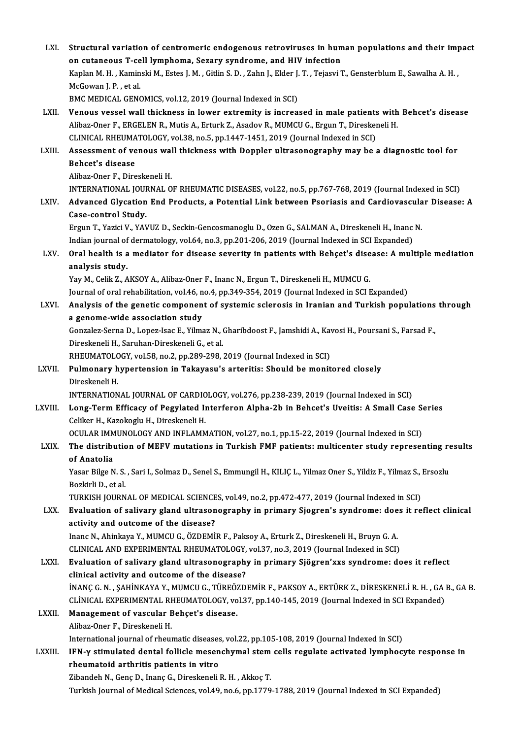| LXI.    | Structural variation of centromeric endogenous retroviruses in human populations and their impact                                               |
|---------|-------------------------------------------------------------------------------------------------------------------------------------------------|
|         | on cutaneous T-cell lymphoma, Sezary syndrome, and HIV infection                                                                                |
|         | Kaplan M. H., Kaminski M., Estes J. M., Gitlin S. D., Zahn J., Elder J. T., Tejasvi T., Gensterblum E., Sawalha A. H.,<br>McGowan J. P., et al. |
|         | BMC MEDICAL GENOMICS, vol.12, 2019 (Journal Indexed in SCI)                                                                                     |
| LXII.   | Venous vessel wall thickness in lower extremity is increased in male patients with Behcet's disease                                             |
|         | Alibaz-Oner F., ERGELEN R., Mutis A., Erturk Z., Asadov R., MUMCU G., Ergun T., Direskeneli H.                                                  |
|         | CLINICAL RHEUMATOLOGY, vol.38, no.5, pp.1447-1451, 2019 (Journal Indexed in SCI)                                                                |
| LXIII.  | Assessment of venous wall thickness with Doppler ultrasonography may be a diagnostic tool for                                                   |
|         | Behcet's disease                                                                                                                                |
|         | Alibaz-Oner F., Direskeneli H.                                                                                                                  |
| LXIV.   | INTERNATIONAL JOURNAL OF RHEUMATIC DISEASES, vol.22, no.5, pp.767-768, 2019 (Journal Indexed in SCI)                                            |
|         | Advanced Glycation End Products, a Potential Link between Psoriasis and Cardiovascular Disease: A<br>Case-control Study.                        |
|         | Ergun T., Yazici V., YAVUZ D., Seckin-Gencosmanoglu D., Ozen G., SALMAN A., Direskeneli H., Inanc N.                                            |
|         | Indian journal of dermatology, vol.64, no.3, pp.201-206, 2019 (Journal Indexed in SCI Expanded)                                                 |
| LXV.    | Oral health is a mediator for disease severity in patients with Behçet's disease: A multiple mediation<br>analysis study.                       |
|         | Yay M., Celik Z., AKSOY A., Alibaz-Oner F., Inanc N., Ergun T., Direskeneli H., MUMCU G.                                                        |
|         | Journal of oral rehabilitation, vol.46, no.4, pp.349-354, 2019 (Journal Indexed in SCI Expanded)                                                |
| LXVI.   | Analysis of the genetic component of systemic sclerosis in Iranian and Turkish populations through                                              |
|         | a genome-wide association study                                                                                                                 |
|         | Gonzalez-Serna D., Lopez-Isac E., Yilmaz N., Gharibdoost F., Jamshidi A., Kavosi H., Poursani S., Farsad F.,                                    |
|         | Direskeneli H., Saruhan-Direskeneli G., et al.                                                                                                  |
|         | RHEUMATOLOGY, vol.58, no.2, pp.289-298, 2019 (Journal Indexed in SCI)                                                                           |
| LXVII.  | Pulmonary hypertension in Takayasu's arteritis: Should be monitored closely                                                                     |
|         | Direskeneli H                                                                                                                                   |
|         | INTERNATIONAL JOURNAL OF CARDIOLOGY, vol.276, pp.238-239, 2019 (Journal Indexed in SCI)                                                         |
| LXVIII. | Long-Term Efficacy of Pegylated Interferon Alpha-2b in Behcet's Uveitis: A Small Case Series                                                    |
|         | Celiker H., Kazokoglu H., Direskeneli H.                                                                                                        |
|         | OCULAR IMMUNOLOGY AND INFLAMMATION, vol.27, no.1, pp.15-22, 2019 (Journal Indexed in SCI)                                                       |
| LXIX.   | The distribution of MEFV mutations in Turkish FMF patients: multicenter study representing results                                              |
|         | of Anatolia<br>Yasar Bilge N. S., Sari I., Solmaz D., Senel S., Emmungil H., KILIÇ L., Yilmaz Oner S., Yildiz F., Yilmaz S., Ersozlu            |
|         | Bozkirli D, et al.                                                                                                                              |
|         | TURKISH JOURNAL OF MEDICAL SCIENCES, vol.49, no.2, pp.472-477, 2019 (Journal Indexed in SCI)                                                    |
| LXX.    | Evaluation of salivary gland ultrasonography in primary Sjogren's syndrome: does it reflect clinical                                            |
|         | activity and outcome of the disease?                                                                                                            |
|         | Inanc N., Ahinkaya Y., MUMCU G., ÖZDEMİR F., Paksoy A., Erturk Z., Direskeneli H., Bruyn G. A.                                                  |
|         | CLINICAL AND EXPERIMENTAL RHEUMATOLOGY, vol.37, no.3, 2019 (Journal Indexed in SCI)                                                             |
| LXXI.   | Evaluation of salivary gland ultrasonography in primary Sjögren'xxs syndrome: does it reflect                                                   |
|         | clinical activity and outcome of the disease?                                                                                                   |
|         | İNANÇ G. N., ŞAHİNKAYA Y., MUMCU G., TÜREÖZDEMİR F., PAKSOY A., ERTÜRK Z., DİRESKENELİ R. H., GA B., GA B.                                      |
|         | CLINICAL EXPERIMENTAL RHEUMATOLOGY, vol.37, pp.140-145, 2019 (Journal Indexed in SCI Expanded)                                                  |
| LXXII.  | Management of vascular Behçet's disease.                                                                                                        |
|         | Alibaz-Oner F., Direskeneli H.                                                                                                                  |
|         | International journal of rheumatic diseases, vol.22, pp.105-108, 2019 (Journal Indexed in SCI)                                                  |
| LXXIII. | IFN-y stimulated dental follicle mesenchymal stem cells regulate activated lymphocyte response in                                               |
|         | rheumatoid arthritis patients in vitro                                                                                                          |
|         | Zibandeh N., Genç D., Inanç G., Direskeneli R. H., Akkoç T.                                                                                     |
|         | Turkish Journal of Medical Sciences, vol.49, no.6, pp.1779-1788, 2019 (Journal Indexed in SCI Expanded)                                         |
|         |                                                                                                                                                 |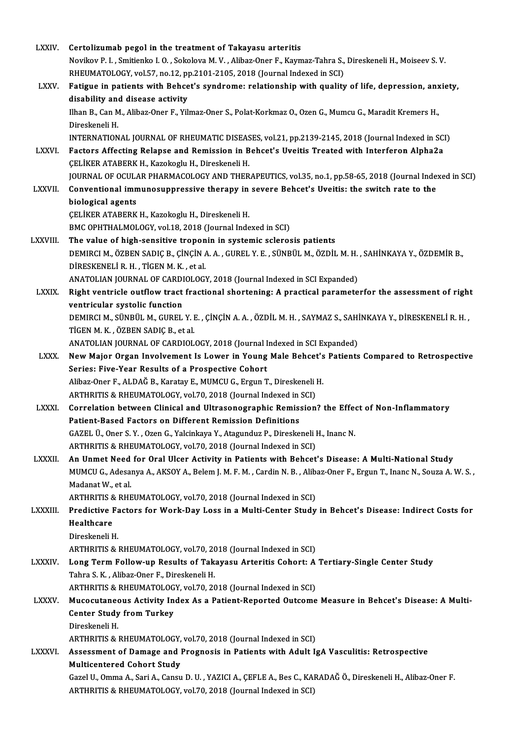| <b>LXXIV</b>  | Certolizumab pegol in the treatment of Takayasu arteritis                                                                                                          |
|---------------|--------------------------------------------------------------------------------------------------------------------------------------------------------------------|
|               | Novikov P. I., Smitienko I. O., Sokolova M. V., Alibaz-Oner F., Kaymaz-Tahra S., Direskeneli H., Moiseev S. V.                                                     |
|               | RHEUMATOLOGY, vol.57, no.12, pp.2101-2105, 2018 (Journal Indexed in SCI)                                                                                           |
| <b>LXXV</b>   | Fatigue in patients with Behcet's syndrome: relationship with quality of life, depression, anxiety,                                                                |
|               | disability and disease activity                                                                                                                                    |
|               | Ilhan B., Can M., Alibaz-Oner F., Yilmaz-Oner S., Polat-Korkmaz O., Ozen G., Mumcu G., Maradit Kremers H.,                                                         |
|               | Direskeneli H.                                                                                                                                                     |
|               | INTERNATIONAL JOURNAL OF RHEUMATIC DISEASES, vol.21, pp.2139-2145, 2018 (Journal Indexed in SCI)                                                                   |
| <b>LXXVI</b>  | Factors Affecting Relapse and Remission in Behcet's Uveitis Treated with Interferon Alpha2a                                                                        |
|               | ÇELİKER ATABERK H., Kazokoglu H., Direskeneli H.                                                                                                                   |
|               | JOURNAL OF OCULAR PHARMACOLOGY AND THERAPEUTICS, vol.35, no.1, pp.58-65, 2018 (Journal Indexed in SCI)                                                             |
| LXXVII.       | Conventional immunosuppressive therapy in severe Behcet's Uveitis: the switch rate to the                                                                          |
|               | biological agents<br>ÇELİKER ATABERK H., Kazokoglu H., Direskeneli H.                                                                                              |
|               | BMC OPHTHALMOLOGY, vol.18, 2018 (Journal Indexed in SCI)                                                                                                           |
| LXXVIII.      | The value of high-sensitive troponin in systemic sclerosis patients                                                                                                |
|               | DEMIRCI M., ÖZBEN SADIÇ B., ÇİNÇİN A. A., GUREL Y. E., SÜNBÜL M., ÖZDİL M. H., SAHİNKAYA Y., ÖZDEMİR B.,                                                           |
|               | DIRESKENELI R. H., TIGEN M. K., et al.                                                                                                                             |
|               | ANATOLIAN JOURNAL OF CARDIOLOGY, 2018 (Journal Indexed in SCI Expanded)                                                                                            |
| <b>LXXIX</b>  | Right ventricle outflow tract fractional shortening: A practical parameterfor the assessment of right                                                              |
|               | ventricular systolic function                                                                                                                                      |
|               | DEMIRCI M., SÜNBÜL M., GUREL Y. E. , ÇİNÇİN A. A. , ÖZDİL M. H. , SAYMAZ S., SAHİNKAYA Y., DİRESKENELİ R. H. ,                                                     |
|               | TİGEN M. K., ÖZBEN SADIÇ B., et al.                                                                                                                                |
|               | ANATOLIAN JOURNAL OF CARDIOLOGY, 2018 (Journal Indexed in SCI Expanded)                                                                                            |
| <b>LXXX</b>   | New Major Organ Involvement Is Lower in Young Male Behcet's Patients Compared to Retrospective                                                                     |
|               | Series: Five-Year Results of a Prospective Cohort                                                                                                                  |
|               | Alibaz-Oner F., ALDAĞ B., Karatay E., MUMCU G., Ergun T., Direskeneli H.                                                                                           |
|               | ARTHRITIS & RHEUMATOLOGY, vol.70, 2018 (Journal Indexed in SCI)                                                                                                    |
| <b>LXXXI</b>  | Correlation between Clinical and Ultrasonographic Remission? the Effect of Non-Inflammatory                                                                        |
|               | Patient-Based Factors on Different Remission Definitions                                                                                                           |
|               | GAZEL Ü., Oner S.Y., Ozen G., Yalcinkaya Y., Atagunduz P., Direskeneli H., Inanc N.                                                                                |
| LXXXII.       | ARTHRITIS & RHEUMATOLOGY, vol.70, 2018 (Journal Indexed in SCI)<br>An Unmet Need for Oral Ulcer Activity in Patients with Behcet's Disease: A Multi-National Study |
|               | MUMCU G., Adesanya A., AKSOY A., Belem J. M. F. M., Cardin N. B., Alibaz-Oner F., Ergun T., Inanc N., Souza A. W. S.,                                              |
|               | Madanat W, et al.                                                                                                                                                  |
|               | ARTHRITIS & RHEUMATOLOGY, vol.70, 2018 (Journal Indexed in SCI)                                                                                                    |
| LXXXIII.      | Predictive Factors for Work-Day Loss in a Multi-Center Study in Behcet's Disease: Indirect Costs for                                                               |
|               | Healthcare                                                                                                                                                         |
|               | Direskeneli H.                                                                                                                                                     |
|               | ARTHRITIS & RHEUMATOLOGY, vol.70, 2018 (Journal Indexed in SCI)                                                                                                    |
| <b>LXXXIV</b> | Long Term Follow-up Results of Takayasu Arteritis Cohort: A Tertiary-Single Center Study                                                                           |
|               | Tahra S. K., Alibaz-Oner F., Direskeneli H.                                                                                                                        |
|               | ARTHRITIS & RHEUMATOLOGY, vol.70, 2018 (Journal Indexed in SCI)                                                                                                    |
| <b>LXXXV</b>  | Mucocutaneous Activity Index As a Patient-Reported Outcome Measure in Behcet's Disease: A Multi-                                                                   |
|               | <b>Center Study from Turkey</b>                                                                                                                                    |
|               | Direskeneli H.                                                                                                                                                     |
|               | ARTHRITIS & RHEUMATOLOGY, vol.70, 2018 (Journal Indexed in SCI)                                                                                                    |
| <b>LXXXVI</b> | Assessment of Damage and Prognosis in Patients with Adult IgA Vasculitis: Retrospective                                                                            |
|               | <b>Multicentered Cohort Study</b>                                                                                                                                  |
|               | Gazel U., Omma A., Sari A., Cansu D. U., YAZICI A., ÇEFLE A., Bes C., KARADAĞ Ö., Direskeneli H., Alibaz-Oner F.                                                   |
|               | ARTHRITIS & RHEUMATOLOGY, vol.70, 2018 (Journal Indexed in SCI)                                                                                                    |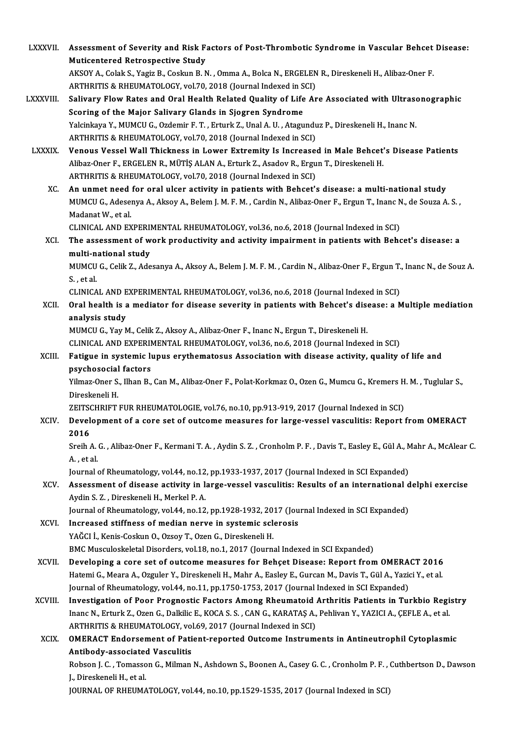| <b>LXXXVII.</b> | Assessment of Severity and Risk Factors of Post-Thrombotic Syndrome in Vascular Behcet Disease:<br><b>Muticentered Retrospective Study</b>                                                                    |
|-----------------|---------------------------------------------------------------------------------------------------------------------------------------------------------------------------------------------------------------|
|                 | AKSOY A., Colak S., Yagiz B., Coskun B. N., Omma A., Bolca N., ERGELEN R., Direskeneli H., Alibaz-Oner F.<br>ARTHRITIS & RHEUMATOLOGY, vol.70, 2018 (Journal Indexed in SCI)                                  |
| LXXXVIII.       | Salivary Flow Rates and Oral Health Related Quality of Life Are Associated with Ultrasonographic                                                                                                              |
|                 | Scoring of the Major Salivary Glands in Sjogren Syndrome                                                                                                                                                      |
|                 | Yalcinkaya Y., MUMCU G., Ozdemir F. T., Erturk Z., Unal A. U., Atagunduz P., Direskeneli H., Inanc N.<br>ARTHRITIS & RHEUMATOLOGY, vol.70, 2018 (Journal Indexed in SCI)                                      |
| <b>LXXXIX</b>   | Venous Vessel Wall Thickness in Lower Extremity Is Increased in Male Behcet's Disease Patients                                                                                                                |
|                 | Alibaz-Oner F., ERGELEN R., MÜTİŞ ALAN A., Erturk Z., Asadov R., Ergun T., Direskeneli H.<br>ARTHRITIS & RHEUMATOLOGY, vol.70, 2018 (Journal Indexed in SCI)                                                  |
| XC.             | An unmet need for oral ulcer activity in patients with Behcet's disease: a multi-national study                                                                                                               |
|                 | MUMCU G., Adesenya A., Aksoy A., Belem J. M. F. M., Cardin N., Alibaz-Oner F., Ergun T., Inanc N., de Souza A. S.,<br>Madanat W, et al.                                                                       |
|                 | CLINICAL AND EXPERIMENTAL RHEUMATOLOGY, vol.36, no.6, 2018 (Journal Indexed in SCI)                                                                                                                           |
| <b>XCI</b>      | The assessment of work productivity and activity impairment in patients with Behcet's disease: a<br>multi-national study                                                                                      |
|                 | MUMCU G., Celik Z., Adesanya A., Aksoy A., Belem J. M. F. M., Cardin N., Alibaz-Oner F., Ergun T., Inanc N., de Souz A.<br>S, et al.                                                                          |
|                 | CLINICAL AND EXPERIMENTAL RHEUMATOLOGY, vol.36, no.6, 2018 (Journal Indexed in SCI)                                                                                                                           |
| XCII.           | Oral health is a mediator for disease severity in patients with Behcet's disease: a Multiple mediation                                                                                                        |
|                 | analysis study                                                                                                                                                                                                |
|                 | MUMCU G., Yay M., Celik Z., Aksoy A., Alibaz-Oner F., Inanc N., Ergun T., Direskeneli H.                                                                                                                      |
|                 | CLINICAL AND EXPERIMENTAL RHEUMATOLOGY, vol.36, no.6, 2018 (Journal Indexed in SCI)                                                                                                                           |
| XCIII.          | Fatigue in systemic lupus erythematosus Association with disease activity, quality of life and<br>psychosocial factors                                                                                        |
|                 | Yilmaz-Oner S., Ilhan B., Can M., Alibaz-Oner F., Polat-Korkmaz O., Ozen G., Mumcu G., Kremers H. M., Tuglular S.,                                                                                            |
|                 | Direskeneli H.                                                                                                                                                                                                |
|                 | ZEITSCHRIFT FUR RHEUMATOLOGIE, vol.76, no.10, pp.913-919, 2017 (Journal Indexed in SCI)                                                                                                                       |
| XCIV.           | Development of a core set of outcome measures for large-vessel vasculitis: Report from OMERACT<br>2016                                                                                                        |
|                 | Sreih A. G., Alibaz-Oner F., Kermani T. A., Aydin S. Z., Cronholm P. F., Davis T., Easley E., Gül A., Mahr A., McAlear C.<br>A, et al.                                                                        |
|                 | Journal of Rheumatology, vol.44, no.12, pp.1933-1937, 2017 (Journal Indexed in SCI Expanded)                                                                                                                  |
| XCV.            | Assessment of disease activity in large-vessel vasculitis: Results of an international delphi exercise<br>Aydin S. Z., Direskeneli H., Merkel P. A.                                                           |
|                 | Journal of Rheumatology, vol.44, no.12, pp.1928-1932, 2017 (Journal Indexed in SCI Expanded)                                                                                                                  |
| XCVI.           | Increased stiffness of median nerve in systemic sclerosis                                                                                                                                                     |
|                 | YAĞCI İ., Kenis-Coskun O., Ozsoy T., Ozen G., Direskeneli H.                                                                                                                                                  |
|                 | BMC Musculoskeletal Disorders, vol.18, no.1, 2017 (Journal Indexed in SCI Expanded)                                                                                                                           |
| XCVII.          | Developing a core set of outcome measures for Behçet Disease: Report from OMERACT 2016<br>Hatemi G., Meara A., Ozguler Y., Direskeneli H., Mahr A., Easley E., Gurcan M., Davis T., Gül A., Yazici Y., et al. |
|                 | Journal of Rheumatology, vol.44, no.11, pp.1750-1753, 2017 (Journal Indexed in SCI Expanded)                                                                                                                  |
| XCVIII.         | Investigation of Poor Prognostic Factors Among Rheumatoid Arthritis Patients in Turkbio Registry                                                                                                              |
|                 | Inanc N., Erturk Z., Ozen G., Dalkilic E., KOCA S. S., CAN G., KARATAŞ A., Pehlivan Y., YAZICI A., ÇEFLE A., et al.                                                                                           |
|                 | ARTHRITIS & RHEUMATOLOGY, vol.69, 2017 (Journal Indexed in SCI)                                                                                                                                               |
| <b>XCIX</b>     | <b>OMERACT Endorsement of Patient-reported Outcome Instruments in Antineutrophil Cytoplasmic</b>                                                                                                              |
|                 | Antibody-associated Vasculitis                                                                                                                                                                                |
|                 | Robson J. C., Tomasson G., Milman N., Ashdown S., Boonen A., Casey G. C., Cronholm P. F., Cuthbertson D., Dawson                                                                                              |
|                 | J., Direskeneli H., et al.<br>JOURNAL OF RHEUMATOLOGY, vol.44, no.10, pp.1529-1535, 2017 (Journal Indexed in SCI)                                                                                             |
|                 |                                                                                                                                                                                                               |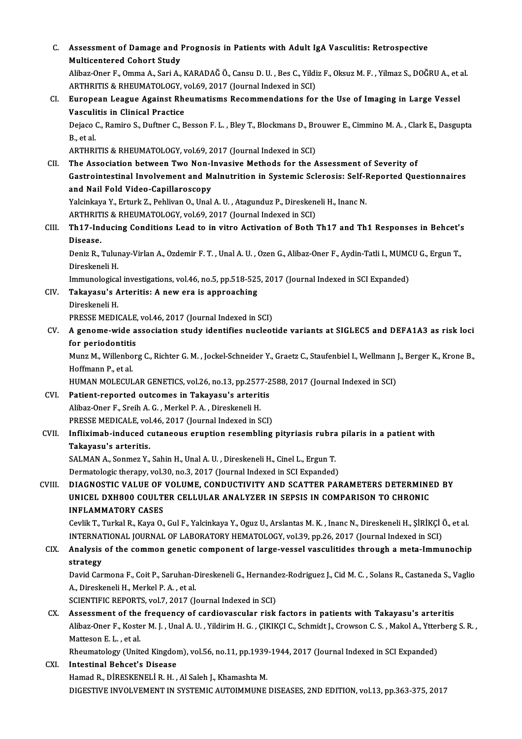| $\mathsf{C}$ | Assessment of Damage and Prognosis in Patients with Adult IgA Vasculitis: Retrospective                                      |
|--------------|------------------------------------------------------------------------------------------------------------------------------|
|              | <b>Multicentered Cohort Study</b>                                                                                            |
|              | Alibaz-Oner F., Omma A., Sari A., KARADAĞ Ö., Cansu D. U. , Bes C., Yildiz F., Oksuz M. F. , Yilmaz S., DOĞRU A., et al.     |
|              | ARTHRITIS & RHEUMATOLOGY, vol.69, 2017 (Journal Indexed in SCI)                                                              |
| CI.          | European League Against Rheumatisms Recommendations for the Use of Imaging in Large Vessel                                   |
|              | <b>Vasculitis in Clinical Practice</b>                                                                                       |
|              | Dejaco C., Ramiro S., Duftner C., Besson F. L., Bley T., Blockmans D., Brouwer E., Cimmino M. A., Clark E., Dasgupta         |
|              | B, et al.                                                                                                                    |
|              | ARTHRITIS & RHEUMATOLOGY, vol.69, 2017 (Journal Indexed in SCI)                                                              |
| CII.         | The Association between Two Non-Invasive Methods for the Assessment of Severity of                                           |
|              | Gastrointestinal Involvement and Malnutrition in Systemic Sclerosis: Self-Reported Questionnaires                            |
|              | and Nail Fold Video-Capillaroscopy                                                                                           |
|              | Yalcinkaya Y., Erturk Z., Pehlivan O., Unal A. U., Atagunduz P., Direskeneli H., Inanc N.                                    |
|              | ARTHRITIS & RHEUMATOLOGY, vol.69, 2017 (Journal Indexed in SCI)                                                              |
| CIII.        | Th17-Inducing Conditions Lead to in vitro Activation of Both Th17 and Th1 Responses in Behcet's                              |
|              | Disease.                                                                                                                     |
|              | Deniz R., Tulunay-Virlan A., Ozdemir F. T., Unal A. U., Ozen G., Alibaz-Oner F., Aydin-Tatli I., MUMCU G., Ergun T.,         |
|              | Direskeneli H.                                                                                                               |
|              | Immunological investigations, vol.46, no.5, pp.518-525, 2017 (Journal Indexed in SCI Expanded)                               |
| CIV.         | Takayasu's Arteritis: A new era is approaching                                                                               |
|              | Direskeneli H.                                                                                                               |
|              | PRESSE MEDICALE, vol.46, 2017 (Journal Indexed in SCI)                                                                       |
| CV.          | A genome-wide association study identifies nucleotide variants at SIGLEC5 and DEFA1A3 as risk loci                           |
|              | for periodontitis                                                                                                            |
|              | Munz M., Willenborg C., Richter G. M., Jockel-Schneider Y., Graetz C., Staufenbiel I., Wellmann J., Berger K., Krone B.,     |
|              | Hoffmann P., et al.                                                                                                          |
|              | HUMAN MOLECULAR GENETICS, vol.26, no.13, pp.2577-2588, 2017 (Journal Indexed in SCI)                                         |
| CVI.         | Patient-reported outcomes in Takayasu's arteritis                                                                            |
|              | Alibaz Oner F. Sreih A. G. . Merkel P. A. . Direskeneli H.                                                                   |
|              | PRESSE MEDICALE, vol.46, 2017 (Journal Indexed in SCI)                                                                       |
| CVII.        | Infliximab-induced cutaneous eruption resembling pityriasis rubra pilaris in a patient with                                  |
|              | Takayasu's arteritis.                                                                                                        |
|              | SALMAN A., Sonmez Y., Sahin H., Unal A. U., Direskeneli H., Cinel L., Ergun T.                                               |
|              | Dermatologic therapy, vol.30, no.3, 2017 (Journal Indexed in SCI Expanded)                                                   |
| CVIII.       | DIAGNOSTIC VALUE OF VOLUME, CONDUCTIVITY AND SCATTER PARAMETERS DETERMINED BY                                                |
|              | UNICEL DXH800 COULTER CELLULAR ANALYZER IN SEPSIS IN COMPARISON TO CHRONIC                                                   |
|              | <b>INFLAMMATORY CASES</b>                                                                                                    |
|              | Cevlik T., Turkal R., Kaya O., Gul F., Yalcinkaya Y., Oguz U., Arslantas M. K., Inanc N., Direskeneli H., ŞİRİKÇİ Ö., et al. |
|              | INTERNATIONAL JOURNAL OF LABORATORY HEMATOLOGY, vol.39, pp.26, 2017 (Journal Indexed in SCI)                                 |
| CIX.         | Analysis of the common genetic component of large-vessel vasculitides through a meta-Immunochip                              |
|              | strategy                                                                                                                     |
|              | David Carmona F., Coit P., Saruhan-Direskeneli G., Hernandez-Rodriguez J., Cid M. C., Solans R., Castaneda S., Vaglio        |
|              | A., Direskeneli H., Merkel P.A., et al.                                                                                      |
|              | SCIENTIFIC REPORTS, vol.7, 2017 (Journal Indexed in SCI)                                                                     |
| CX.          | Assessment of the frequency of cardiovascular risk factors in patients with Takayasu's arteritis                             |
|              | Alibaz-Oner F., Koster M. J., Unal A. U., Yildirim H. G., ÇIKIKÇI C., Schmidt J., Crowson C. S., Makol A., Ytterberg S. R.,  |
|              | Matteson E L, et al.                                                                                                         |
|              | Rheumatology (United Kingdom), vol.56, no.11, pp.1939-1944, 2017 (Journal Indexed in SCI Expanded)                           |
| CXI.         | <b>Intestinal Behcet's Disease</b>                                                                                           |
|              | Hamad R., DİRESKENELİ R. H., Al Saleh J., Khamashta M.                                                                       |
|              | DIGESTIVE INVOLVEMENT IN SYSTEMIC AUTOIMMUNE DISEASES, 2ND EDITION, vol.13, pp.363-375, 2017                                 |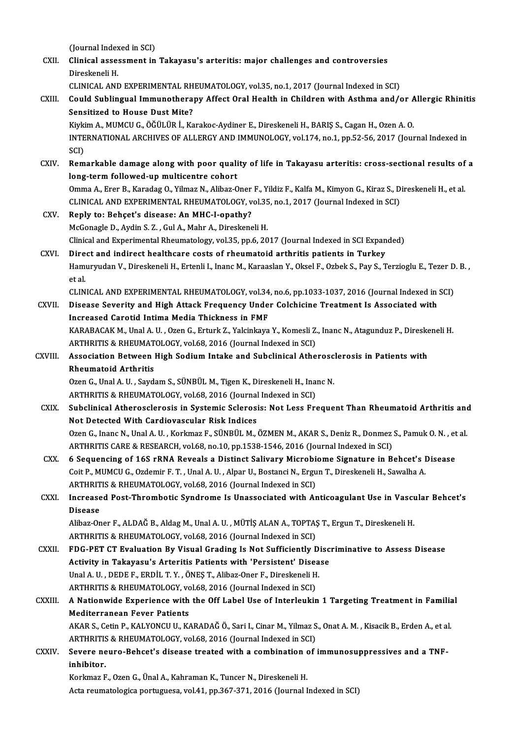(Journal Indexed in SCI)<br>Clinical assessment in

|               | (Journal Indexed in SCI)                                                                                                                                              |
|---------------|-----------------------------------------------------------------------------------------------------------------------------------------------------------------------|
| CXII.         | Clinical assessment in Takayasu's arteritis: major challenges and controversies<br>Direskeneli H.                                                                     |
|               | CLINICAL AND EXPERIMENTAL RHEUMATOLOGY, vol.35, no.1, 2017 (Journal Indexed in SCI)                                                                                   |
| CXIII.        | Could Sublingual Immunotherapy Affect Oral Health in Children with Asthma and/or Allergic Rhinitis                                                                    |
|               | <b>Sensitized to House Dust Mite?</b>                                                                                                                                 |
|               | Kiykim A., MUMCU G., ÖĞÜLÜR İ., Karakoc-Aydiner E., Direskeneli H., BARIŞ S., Cagan H., Ozen A. O.                                                                    |
|               | INTERNATIONAL ARCHIVES OF ALLERGY AND IMMUNOLOGY, vol.174, no.1, pp.52-56, 2017 (Journal Indexed in                                                                   |
|               | SCI)                                                                                                                                                                  |
| CXIV.         | Remarkable damage along with poor quality of life in Takayasu arteritis: cross-sectional results of a                                                                 |
|               | long-term followed-up multicentre cohort                                                                                                                              |
|               | Omma A., Erer B., Karadag O., Yilmaz N., Alibaz-Oner F., Yildiz F., Kalfa M., Kimyon G., Kiraz S., Direskeneli H., et al.                                             |
|               | CLINICAL AND EXPERIMENTAL RHEUMATOLOGY, vol.35, no.1, 2017 (Journal Indexed in SCI)                                                                                   |
| CXV.          | Reply to: Behçet's disease: An MHC-I-opathy?                                                                                                                          |
|               | McGonagle D., Aydin S. Z., Gul A., Mahr A., Direskeneli H.                                                                                                            |
|               | Clinical and Experimental Rheumatology, vol.35, pp.6, 2017 (Journal Indexed in SCI Expanded)                                                                          |
| CXVI.         | Direct and indirect healthcare costs of rheumatoid arthritis patients in Turkey                                                                                       |
|               | Hamuryudan V., Direskeneli H., Ertenli I., Inanc M., Karaaslan Y., Oksel F., Ozbek S., Pay S., Terzioglu E., Tezer D. B.,                                             |
|               | et al.                                                                                                                                                                |
|               | CLINICAL AND EXPERIMENTAL RHEUMATOLOGY, vol.34, no.6, pp.1033-1037, 2016 (Journal Indexed in SCI)                                                                     |
| CXVII.        | Disease Severity and High Attack Frequency Under Colchicine Treatment Is Associated with<br>Increased Carotid Intima Media Thickness in FMF                           |
|               | KARABACAK M., Unal A. U., Ozen G., Erturk Z., Yalcinkaya Y., Komesli Z., Inanc N., Atagunduz P., Direskeneli H                                                        |
|               | ARTHRITIS & RHEUMATOLOGY, vol.68, 2016 (Journal Indexed in SCI)                                                                                                       |
| CXVIII.       | Association Between High Sodium Intake and Subclinical Atherosclerosis in Patients with                                                                               |
|               | <b>Rheumatoid Arthritis</b>                                                                                                                                           |
|               | Ozen G., Unal A. U., Saydam S., SÜNBÜL M., Tigen K., Direskeneli H., Inanc N.                                                                                         |
|               | ARTHRITIS & RHEUMATOLOGY, vol.68, 2016 (Journal Indexed in SCI)                                                                                                       |
| CXIX.         | Subclinical Atherosclerosis in Systemic Sclerosis: Not Less Frequent Than Rheumatoid Arthritis and                                                                    |
|               | Not Detected With Cardiovascular Risk Indices                                                                                                                         |
|               | Ozen G., Inanc N., Unal A. U., Korkmaz F., SÜNBÜL M., ÖZMEN M., AKAR S., Deniz R., Donmez S., Pamuk O. N., et al.                                                     |
|               | ARTHRITIS CARE & RESEARCH, vol.68, no.10, pp.1538-1546, 2016 (Journal Indexed in SCI)                                                                                 |
| CXX.          | 6 Sequencing of 16S rRNA Reveals a Distinct Salivary Microbiome Signature in Behcet's Disease                                                                         |
|               | Coit P., MUMCU G., Ozdemir F. T., Unal A. U., Alpar U., Bostanci N., Ergun T., Direskeneli H., Sawalha A.                                                             |
|               | ARTHRITIS & RHEUMATOLOGY, vol.68, 2016 (Journal Indexed in SCI)                                                                                                       |
| CXXI.         | Increased Post-Thrombotic Syndrome Is Unassociated with Anticoagulant Use in Vascular Behcet's                                                                        |
|               | <b>Disease</b>                                                                                                                                                        |
|               | Alibaz-Oner F., ALDAĞ B., Aldag M., Unal A. U., MÜTİŞ ALAN A., TOPTAŞ T., Ergun T., Direskeneli H.<br>ARTHRITIS & RHEUMATOLOGY, vol.68, 2016 (Journal Indexed in SCI) |
| <b>CXXII</b>  | FDG-PET CT Evaluation By Visual Grading Is Not Sufficiently Discriminative to Assess Disease                                                                          |
|               | Activity in Takayasu's Arteritis Patients with 'Persistent' Disease                                                                                                   |
|               | Unal A. U., DEDE F., ERDİL T. Y., ÖNEŞ T., Alibaz-Oner F., Direskeneli H.                                                                                             |
|               | ARTHRITIS & RHEUMATOLOGY, vol.68, 2016 (Journal Indexed in SCI)                                                                                                       |
| <b>CXXIII</b> | A Nationwide Experience with the Off Label Use of Interleukin 1 Targeting Treatment in Familial                                                                       |
|               | <b>Mediterranean Fever Patients</b>                                                                                                                                   |
|               | AKAR S., Cetin P., KALYONCU U., KARADAĞ Ö., Sari I., Cinar M., Yilmaz S., Onat A. M., Kisacik B., Erden A., et al.                                                    |
|               | ARTHRITIS & RHEUMATOLOGY, vol.68, 2016 (Journal Indexed in SCI)                                                                                                       |
| <b>CXXIV</b>  | Severe neuro-Behcet's disease treated with a combination of immunosuppressives and a TNF-                                                                             |
|               | inhibitor.                                                                                                                                                            |
|               | Korkmaz F., Ozen G., Ünal A., Kahraman K., Tuncer N., Direskeneli H.                                                                                                  |
|               | Acta reumatologica portuguesa, vol.41, pp.367-371, 2016 (Journal Indexed in SCI)                                                                                      |
|               |                                                                                                                                                                       |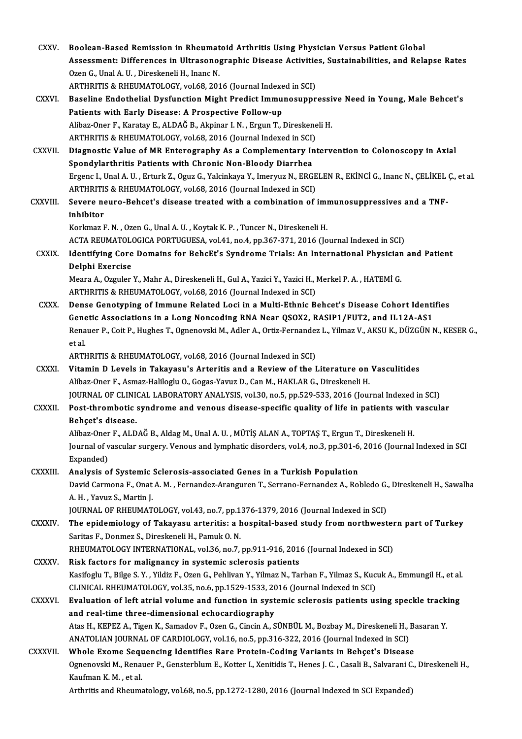| <b>CXXV</b>   | Boolean-Based Remission in Rheumatoid Arthritis Using Physician Versus Patient Global<br>Assessment: Differences in Ultrasonographic Disease Activities, Sustainabilities, and Relapse Rates |
|---------------|----------------------------------------------------------------------------------------------------------------------------------------------------------------------------------------------|
|               | Ozen G., Unal A. U., Direskeneli H., Inanc N.<br>ARTHRITIS & RHEUMATOLOGY, vol.68, 2016 (Journal Indexed in SCI)                                                                             |
| CXXVI.        | Baseline Endothelial Dysfunction Might Predict Immunosuppressive Need in Young, Male Behcet's                                                                                                |
|               | Patients with Early Disease: A Prospective Follow-up                                                                                                                                         |
|               | Alibaz-Oner F., Karatay E., ALDAĞ B., Akpinar I. N., Ergun T., Direskeneli H.                                                                                                                |
|               | ARTHRITIS & RHEUMATOLOGY, vol.68, 2016 (Journal Indexed in SCI)                                                                                                                              |
| <b>CXXVII</b> | Diagnostic Value of MR Enterography As a Complementary Intervention to Colonoscopy in Axial                                                                                                  |
|               | Spondylarthritis Patients with Chronic Non-Bloody Diarrhea                                                                                                                                   |
|               | Ergenc I., Unal A. U., Erturk Z., Oguz G., Yalcinkaya Y., Imeryuz N., ERGELEN R., EKİNCİ G., Inanc N., ÇELİKEL Ç., et al.                                                                    |
|               | ARTHRITIS & RHEUMATOLOGY, vol.68, 2016 (Journal Indexed in SCI)                                                                                                                              |
| CXXVIII.      | Severe neuro-Behcet's disease treated with a combination of immunosuppressives and a TNF-                                                                                                    |
|               | inhibitor                                                                                                                                                                                    |
|               | Korkmaz F. N., Ozen G., Unal A. U., Koytak K. P., Tuncer N., Direskeneli H.                                                                                                                  |
|               | ACTA REUMATOLOGICA PORTUGUESA, vol.41, no.4, pp.367-371, 2016 (Journal Indexed in SCI)                                                                                                       |
| <b>CXXIX</b>  | Identifying Core Domains for BehcEt's Syndrome Trials: An International Physician and Patient<br>Delphi Exercise                                                                             |
|               | Meara A., Ozguler Y., Mahr A., Direskeneli H., Gul A., Yazici Y., Yazici H., Merkel P. A., HATEMI G.                                                                                         |
|               | ARTHRITIS & RHEUMATOLOGY, vol.68, 2016 (Journal Indexed in SCI)                                                                                                                              |
| <b>CXXX</b>   | Dense Genotyping of Immune Related Loci in a Multi-Ethnic Behcet's Disease Cohort Identifies                                                                                                 |
|               | Genetic Associations in a Long Noncoding RNA Near QSOX2, RASIP1/FUT2, and IL12A-AS1                                                                                                          |
|               | Renauer P., Coit P., Hughes T., Ognenovski M., Adler A., Ortiz-Fernandez L., Yilmaz V., AKSU K., DÜZGÜN N., KESER G.,<br>et al.                                                              |
|               | ARTHRITIS & RHEUMATOLOGY, vol.68, 2016 (Journal Indexed in SCI)                                                                                                                              |
| <b>CXXXI</b>  | Vitamin D Levels in Takayasu's Arteritis and a Review of the Literature on Vasculitides                                                                                                      |
|               | Alibaz-Oner F., Asmaz-Haliloglu O., Gogas-Yavuz D., Can M., HAKLAR G., Direskeneli H.                                                                                                        |
|               | JOURNAL OF CLINICAL LABORATORY ANALYSIS, vol.30, no.5, pp.529-533, 2016 (Journal Indexed in SCI)                                                                                             |
| <b>CXXXII</b> | Post-thrombotic syndrome and venous disease-specific quality of life in patients with vascular                                                                                               |
|               | Behçet's disease.                                                                                                                                                                            |
|               | Alibaz-Oner F., ALDAĞ B., Aldag M., Unal A. U., MÜTİŞ ALAN A., TOPTAŞ T., Ergun T., Direskeneli H.                                                                                           |
|               | Journal of vascular surgery. Venous and lymphatic disorders, vol.4, no.3, pp.301-6, 2016 (Journal Indexed in SCI                                                                             |
|               | Expanded)                                                                                                                                                                                    |
| CXXXIII.      | Analysis of Systemic Sclerosis-associated Genes in a Turkish Population                                                                                                                      |
|               | David Carmona F., Onat A. M., Fernandez-Aranguren T., Serrano-Fernandez A., Robledo G., Direskeneli H., Sawalha                                                                              |
|               | A. H., Yavuz S., Martin J.                                                                                                                                                                   |
|               | JOURNAL OF RHEUMATOLOGY, vol.43, no.7, pp.1376-1379, 2016 (Journal Indexed in SCI)                                                                                                           |
| CXXXIV.       | The epidemiology of Takayasu arteritis: a hospital-based study from northwestern part of Turkey                                                                                              |
|               | Saritas F., Donmez S., Direskeneli H., Pamuk O. N.                                                                                                                                           |
|               | RHEUMATOLOGY INTERNATIONAL, vol.36, no.7, pp.911-916, 2016 (Journal Indexed in SCI)                                                                                                          |
| <b>CXXXV</b>  | Risk factors for malignancy in systemic sclerosis patients                                                                                                                                   |
|               | Kasifoglu T., Bilge S. Y., Yildiz F., Ozen G., Pehlivan Y., Yilmaz N., Tarhan F., Yilmaz S., Kucuk A., Emmungil H., et al.                                                                   |
|               | CLINICAL RHEUMATOLOGY, vol.35, no.6, pp.1529-1533, 2016 (Journal Indexed in SCI)                                                                                                             |
| <b>CXXXVI</b> | Evaluation of left atrial volume and function in systemic sclerosis patients using speckle tracking                                                                                          |
|               | and real-time three-dimensional echocardiography                                                                                                                                             |
|               | Atas H., KEPEZ A., Tigen K., Samadov F., Ozen G., Cincin A., SÜNBÜL M., Bozbay M., Direskeneli H., Basaran Y.                                                                                |
|               | ANATOLIAN JOURNAL OF CARDIOLOGY, vol.16, no.5, pp.316-322, 2016 (Journal Indexed in SCI)                                                                                                     |
| CXXXVII.      | Whole Exome Sequencing Identifies Rare Protein-Coding Variants in Behçet's Disease                                                                                                           |
|               | Ognenovski M., Renauer P., Gensterblum E., Kotter I., Xenitidis T., Henes J. C., Casali B., Salvarani C., Direskeneli H.,<br>Kaufman K. M., et al.                                           |
|               | Arthritis and Rheumatology, vol.68, no.5, pp.1272-1280, 2016 (Journal Indexed in SCI Expanded)                                                                                               |
|               |                                                                                                                                                                                              |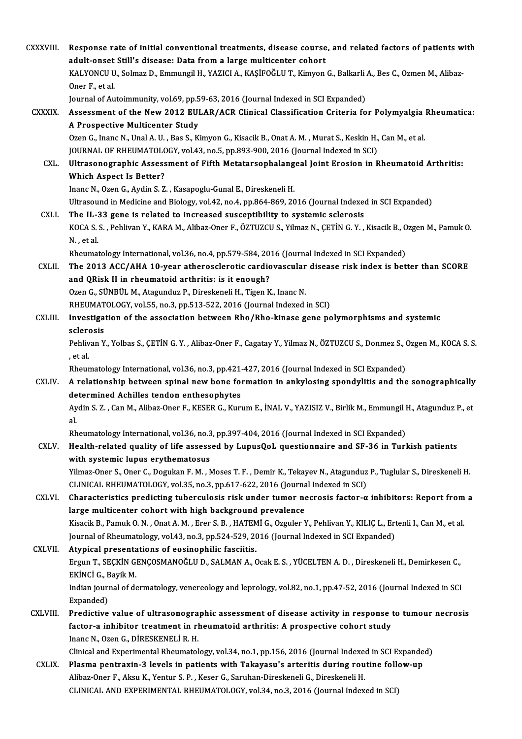| CXXXVIII.      | Response rate of initial conventional treatments, disease course, and related factors of patients with<br>adult-onset Still's disease: Data from a large multicenter cohort                       |
|----------------|---------------------------------------------------------------------------------------------------------------------------------------------------------------------------------------------------|
|                | KALYONCU U., Solmaz D., Emmungil H., YAZICI A., KAŞİFOĞLU T., Kimyon G., Balkarli A., Bes C., Ozmen M., Alibaz-<br>Oner F, et al.                                                                 |
|                | Journal of Autoimmunity, vol.69, pp.59-63, 2016 (Journal Indexed in SCI Expanded)                                                                                                                 |
| CXXXIX.        | Assessment of the New 2012 EULAR/ACR Clinical Classification Criteria for Polymyalgia Rheumatica:                                                                                                 |
|                | A Prospective Multicenter Study                                                                                                                                                                   |
|                | Ozen G., Inanc N., Unal A. U., Bas S., Kimyon G., Kisacik B., Onat A. M., Murat S., Keskin H., Can M., et al.<br>JOURNAL OF RHEUMATOLOGY, vol.43, no.5, pp.893-900, 2016 (Journal Indexed in SCI) |
| CXL.           | Ultrasonographic Assessment of Fifth Metatarsophalangeal Joint Erosion in Rheumatoid Arthritis:                                                                                                   |
|                | <b>Which Aspect Is Better?</b>                                                                                                                                                                    |
|                | Inanc N., Ozen G., Aydin S. Z., Kasapoglu-Gunal E., Direskeneli H.                                                                                                                                |
|                | Ultrasound in Medicine and Biology, vol.42, no.4, pp.864-869, 2016 (Journal Indexed in SCI Expanded)                                                                                              |
| CXLI.          | The IL-33 gene is related to increased susceptibility to systemic sclerosis                                                                                                                       |
|                | KOCA S. S., Pehlivan Y., KARA M., Alibaz-Oner F., ÖZTUZCU S., Yilmaz N., ÇETİN G. Y., Kisacik B., Ozgen M., Pamuk O.<br>N, et al.                                                                 |
|                | Rheumatology International, vol.36, no.4, pp.579-584, 2016 (Journal Indexed in SCI Expanded)                                                                                                      |
| <b>CXLII</b>   | The 2013 ACC/AHA 10-year atherosclerotic cardiovascular disease risk index is better than SCORE<br>and QRisk II in rheumatoid arthritis: is it enough?                                            |
|                | Ozen G., SÜNBÜL M., Atagunduz P., Direskeneli H., Tigen K., Inanc N.                                                                                                                              |
|                | RHEUMATOLOGY, vol.55, no.3, pp.513-522, 2016 (Journal Indexed in SCI)                                                                                                                             |
| CXLIII.        | Investigation of the association between Rho/Rho-kinase gene polymorphisms and systemic<br>sclerosis                                                                                              |
|                | Pehlivan Y., Yolbas S., ÇETİN G.Y., Alibaz-Oner F., Cagatay Y., Yilmaz N., ÖZTUZCU S., Donmez S., Ozgen M., KOCA S.S.<br>, et al.                                                                 |
|                | Rheumatology International, vol.36, no.3, pp.421-427, 2016 (Journal Indexed in SCI Expanded)                                                                                                      |
| CXLIV.         | A relationship between spinal new bone formation in ankylosing spondylitis and the sonographically<br>determined Achilles tendon enthesophytes                                                    |
|                | Aydin S. Z., Can M., Alibaz-Oner F., KESER G., Kurum E., İNAL V., YAZISIZ V., Birlik M., Emmungil H., Atagunduz P., et                                                                            |
|                | al.                                                                                                                                                                                               |
| CXLV.          | Rheumatology International, vol.36, no.3, pp.397-404, 2016 (Journal Indexed in SCI Expanded)<br>Health-related quality of life assessed by LupusQoL questionnaire and SF-36 in Turkish patients   |
|                | with systemic lupus erythematosus                                                                                                                                                                 |
|                | Yilmaz-Oner S., Oner C., Dogukan F. M., Moses T. F., Demir K., Tekayev N., Atagunduz P., Tuglular S., Direskeneli H.                                                                              |
|                | CLINICAL RHEUMATOLOGY, vol.35, no.3, pp.617-622, 2016 (Journal Indexed in SCI)                                                                                                                    |
| CXLVI.         | Characteristics predicting tuberculosis risk under tumor necrosis factor- $\alpha$ inhibitors: Report from a                                                                                      |
|                | large multicenter cohort with high background prevalence                                                                                                                                          |
|                | Kisacik B., Pamuk O. N., Onat A. M., Erer S. B., HATEMİ G., Ozguler Y., Pehlivan Y., KILIÇ L., Ertenli I., Can M., et al.                                                                         |
|                | Journal of Rheumatology, vol.43, no.3, pp.524-529, 2016 (Journal Indexed in SCI Expanded)                                                                                                         |
| <b>CXLVII</b>  | Atypical presentations of eosinophilic fasciitis.                                                                                                                                                 |
|                | Ergun T., SEÇKİN GENÇOSMANOĞLU D., SALMAN A., Ocak E. S., YÜCELTEN A. D., Direskeneli H., Demirkesen C.,<br>EKİNCİ G., Bayik M.                                                                   |
|                | Indian journal of dermatology, venereology and leprology, vol.82, no.1, pp.47-52, 2016 (Journal Indexed in SCI<br>Expanded)                                                                       |
| <b>CXLVIII</b> | Predictive value of ultrasonographic assessment of disease activity in response to tumour necrosis                                                                                                |
|                | factor-a inhibitor treatment in rheumatoid arthritis: A prospective cohort study<br>Inanc N., Ozen G., DİRESKENELİ R. H.                                                                          |
|                | Clinical and Experimental Rheumatology, vol.34, no.1, pp.156, 2016 (Journal Indexed in SCI Expanded)                                                                                              |
| <b>CXLIX</b>   | Plasma pentraxin-3 levels in patients with Takayasu's arteritis during routine follow-up                                                                                                          |
|                | Alibaz-Oner F., Aksu K., Yentur S. P., Keser G., Saruhan-Direskeneli G., Direskeneli H.                                                                                                           |
|                | CLINICAL AND EXPERIMENTAL RHEUMATOLOGY, vol.34, no.3, 2016 (Journal Indexed in SCI)                                                                                                               |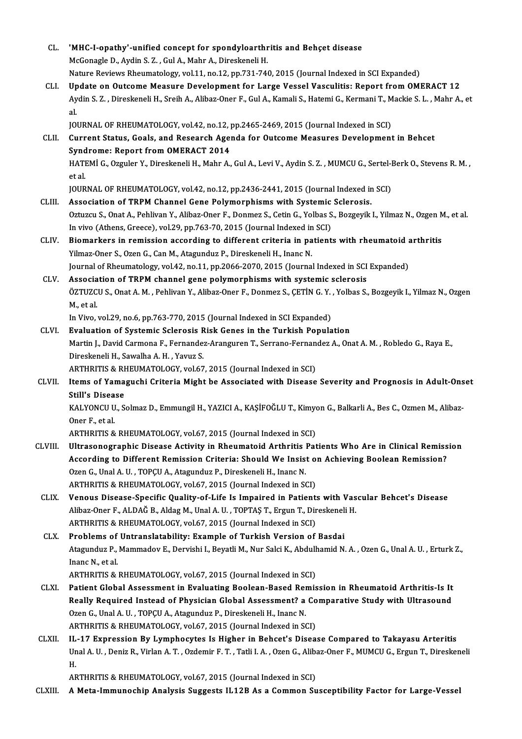| CL.          | 'MHC-I-opathy'-unified concept for spondyloarthritis and Behçet disease                                                                                                |
|--------------|------------------------------------------------------------------------------------------------------------------------------------------------------------------------|
|              | McGonagle D., Aydin S. Z., Gul A., Mahr A., Direskeneli H.                                                                                                             |
|              | Nature Reviews Rheumatology, vol.11, no.12, pp.731-740, 2015 (Journal Indexed in SCI Expanded)                                                                         |
| CLI.         | Update on Outcome Measure Development for Large Vessel Vasculitis: Report from OMERACT 12                                                                              |
|              | Aydin S. Z., Direskeneli H., Sreih A., Alibaz-Oner F., Gul A., Kamali S., Hatemi G., Kermani T., Mackie S. L., Mahr A., et                                             |
|              | al.                                                                                                                                                                    |
|              | JOURNAL OF RHEUMATOLOGY, vol.42, no.12, pp.2465-2469, 2015 (Journal Indexed in SCI)                                                                                    |
| CLII.        | Current Status, Goals, and Research Agenda for Outcome Measures Development in Behcet                                                                                  |
|              | <b>Syndrome: Report from OMERACT 2014</b>                                                                                                                              |
|              | HATEMİ G., Ozguler Y., Direskeneli H., Mahr A., Gul A., Levi V., Aydin S. Z., MUMCU G., Sertel-Berk O., Stevens R. M.,                                                 |
|              | et al.                                                                                                                                                                 |
|              | JOURNAL OF RHEUMATOLOGY, vol.42, no.12, pp.2436-2441, 2015 (Journal Indexed in SCI)                                                                                    |
| CLIII.       | Association of TRPM Channel Gene Polymorphisms with Systemic Sclerosis.                                                                                                |
|              | Oztuzcu S., Onat A., Pehlivan Y., Alibaz-Oner F., Donmez S., Cetin G., Yolbas S., Bozgeyik I., Yilmaz N., Ozgen M., et al.                                             |
|              | In vivo (Athens, Greece), vol.29, pp.763-70, 2015 (Journal Indexed in SCI)                                                                                             |
| CLIV.        | Biomarkers in remission according to different criteria in patients with rheumatoid arthritis                                                                          |
|              | Yilmaz-Oner S., Ozen G., Can M., Atagunduz P., Direskeneli H., Inanc N.                                                                                                |
|              |                                                                                                                                                                        |
| CLV.         | Journal of Rheumatology, vol.42, no.11, pp.2066-2070, 2015 (Journal Indexed in SCI Expanded)<br>Association of TRPM channel gene polymorphisms with systemic sclerosis |
|              | ÖZTUZCU S., Onat A. M., Pehlivan Y., Alibaz-Oner F., Donmez S., ÇETİN G. Y., Yolbas S., Bozgeyik I., Yilmaz N., Ozgen                                                  |
|              | M, et al.                                                                                                                                                              |
|              | In Vivo, vol.29, no.6, pp.763-770, 2015 (Journal Indexed in SCI Expanded)                                                                                              |
| CLVI.        | Evaluation of Systemic Sclerosis Risk Genes in the Turkish Population                                                                                                  |
|              |                                                                                                                                                                        |
|              | Martin J., David Carmona F., Fernandez-Aranguren T., Serrano-Fernandez A., Onat A. M., Robledo G., Raya E.,<br>Direskeneli H., Sawalha A. H., Yavuz S.                 |
|              | ARTHRITIS & RHEUMATOLOGY, vol.67, 2015 (Journal Indexed in SCI)                                                                                                        |
| CLVII.       | Items of Yamaguchi Criteria Might be Associated with Disease Severity and Prognosis in Adult-Onset                                                                     |
|              | <b>Still's Disease</b>                                                                                                                                                 |
|              | KALYONCU U., Solmaz D., Emmungil H., YAZICI A., KAŞİFOĞLU T., Kimyon G., Balkarli A., Bes C., Ozmen M., Alibaz-                                                        |
|              | Oner F, et al.                                                                                                                                                         |
|              | ARTHRITIS & RHEUMATOLOGY, vol.67, 2015 (Journal Indexed in SCI)                                                                                                        |
| CLVIII.      | Ultrasonographic Disease Activity in Rheumatoid Arthritis Patients Who Are in Clinical Remission                                                                       |
|              | According to Different Remission Criteria: Should We Insist on Achieving Boolean Remission?                                                                            |
|              | Ozen G., Unal A. U., TOPÇU A., Atagunduz P., Direskeneli H., Inanc N.                                                                                                  |
|              | ARTHRITIS & RHEUMATOLOGY, vol.67, 2015 (Journal Indexed in SCI)                                                                                                        |
| <b>CLIX</b>  | Venous Disease-Specific Quality-of-Life Is Impaired in Patients with Vascular Behcet's Disease                                                                         |
|              | Alibaz-Oner F., ALDAĞ B., Aldag M., Unal A. U., TOPTAŞ T., Ergun T., Direskeneli H.                                                                                    |
|              |                                                                                                                                                                        |
|              | ARTHRITIS & RHEUMATOLOGY, vol.67, 2015 (Journal Indexed in SCI)                                                                                                        |
| CLX.         | Problems of Untranslatability: Example of Turkish Version of Basdai                                                                                                    |
|              | Atagunduz P., Mammadov E., Dervishi I., Beyatli M., Nur Salci K., Abdulhamid N. A., Ozen G., Unal A. U., Erturk Z.,                                                    |
|              | Inanc N, et al.                                                                                                                                                        |
|              | ARTHRITIS & RHEUMATOLOGY, vol.67, 2015 (Journal Indexed in SCI)                                                                                                        |
| CLXI.        | Patient Global Assessment in Evaluating Boolean-Based Remission in Rheumatoid Arthritis-Is It                                                                          |
|              | Really Required Instead of Physician Global Assessment? a Comparative Study with Ultrasound                                                                            |
|              | Ozen G., Unal A. U., TOPÇU A., Atagunduz P., Direskeneli H., Inanc N.                                                                                                  |
|              | ARTHRITIS & RHEUMATOLOGY, vol.67, 2015 (Journal Indexed in SCI)                                                                                                        |
| <b>CLXII</b> | IL-17 Expression By Lymphocytes Is Higher in Behcet's Disease Compared to Takayasu Arteritis                                                                           |
|              | Unal A. U., Deniz R., Virlan A. T., Ozdemir F. T., Tatli I. A., Ozen G., Alibaz-Oner F., MUMCU G., Ergun T., Direskeneli                                               |
|              | Η.                                                                                                                                                                     |
|              | ARTHRITIS & RHEUMATOLOGY, vol.67, 2015 (Journal Indexed in SCI)                                                                                                        |
| CLXIII.      | A Meta-Immunochip Analysis Suggests IL12B As a Common Susceptibility Factor for Large-Vessel                                                                           |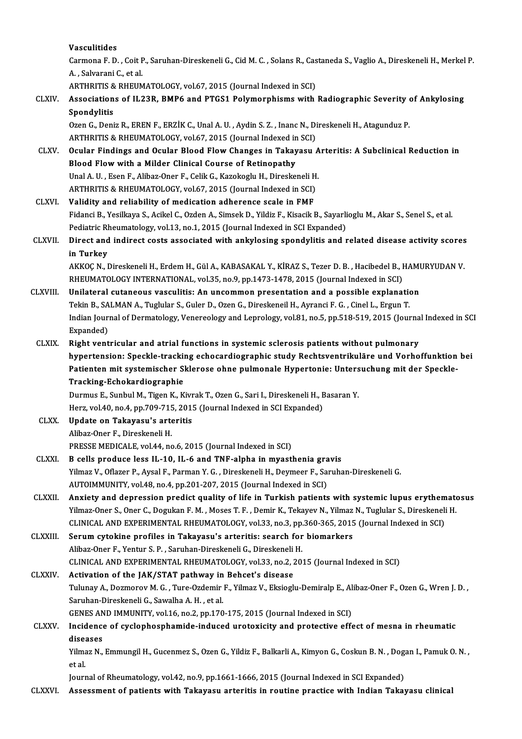Vasculitides

Vasculitides<br>Carmona F. D. , Coit P., Saruhan-Direskeneli G., Cid M. C. , Solans R., Castaneda S., Vaglio A., Direskeneli H., Merkel P.<br>A., Sakranari G. et al **Vasculitides<br>Carmona F. D. , Coit F<br>A. , Salvarani C., et al.<br>APTUPITIS & PHEIN** Carmona F. D. , Coit P., Saruhan-Direskeneli G., Cid M. C. , Solans R., Cas<br>A. , Salvarani C., et al.<br>ARTHRITIS & RHEUMATOLOGY, vol.67, 2015 (Journal Indexed in SCI)<br>Associations of H 22P, PMP6 and PTCS1 Polymouphisms with

### A. , Salvarani C., et al.<br>ARTHRITIS & RHEUMATOLOGY, vol.67, 2015 (Journal Indexed in SCI)<br>CLXIV. Associations of IL23R, BMP6 and PTGS1 Polymorphisms with Radiographic Severity of Ankylosing<br>Spondylitic ARTHRITIS & RHEUMATOLOGY, vol.67, 2015 (Journal Indexed in SCI)<br>Associations of IL23R, BMP6 and PTGS1 Polymorphisms with<br>Spondylitis Associations of IL23R, BMP6 and PTGS1 Polymorphisms with Radiographic Severity of<br>Spondylitis<br>Ozen G., Deniz R., EREN F., ERZİK C., Unal A. U. , Aydin S. Z. , Inanc N., Direskeneli H., Atagunduz P.<br>APTURITIS & PHEUMATOLOCY

Ozen G., Deniz R., EREN F., ERZİK C., Unal A. U. , Aydin S. Z. , Inanc N., Direskeneli H., Atagunduz P.<br>ARTHRITIS & RHEUMATOLOGY, vol.67, 2015 (Journal Indexed in SCI) Ozen G., Deniz R., EREN F., ERZİK C., Unal A. U. , Aydin S. Z. , Inanc N., Direskeneli H., Atagunduz P.<br>ARTHRITIS & RHEUMATOLOGY, vol.67, 2015 (Journal Indexed in SCI)<br>CLXV. Ocular Findings and Ocular Blood Flow Changes in

### ARTHRITIS & RHEUMATOLOGY, vol.67, 2015 (Journal Indexed in<br>Ocular Findings and Ocular Blood Flow Changes in Takay<br>Blood Flow with a Milder Clinical Course of Retinopathy<br>Unal A. U., Esen E. Aliber Oper E. Colik C. Karokogl Ocular Findings and Ocular Blood Flow Changes in Takayasu A<br>Blood Flow with a Milder Clinical Course of Retinopathy<br>Unal A.U., Esen F., Alibaz-Oner F., Celik G., Kazokoglu H., Direskeneli H.<br>APTUPITIS & PHEUMATOLOCY vol.67 Blood Flow with a Milder Clinical Course of Retinopathy<br>Unal A. U. , Esen F., Alibaz-Oner F., Celik G., Kazokoglu H., Direskeneli H<br>ARTHRITIS & RHEUMATOLOGY, vol.67, 2015 (Journal Indexed in SCI)<br>Volidity and reliability o

Unal A. U., Esen F., Alibaz-Oner F., Celik G., Kazokoglu H., Direskeneli H<br>ARTHRITIS & RHEUMATOLOGY, vol.67, 2015 (Journal Indexed in SCI)<br>CLXVI. Validity and reliability of medication adherence scale in FMF<br>Eidenci B. Yos ARTHRITIS & RHEUMATOLOGY, vol.67, 2015 (Journal Indexed in SCI)<br>Validity and reliability of medication adherence scale in FMF<br>Fidanci B., Yesilkaya S., Acikel C., Ozden A., Simsek D., Yildiz F., Kisacik B., Sayarlioglu M., Validity and reliability of medication adherence scale in FMF<br>Fidanci B., Yesilkaya S., Acikel C., Ozden A., Simsek D., Yildiz F., Kisacik B., Sayarli<br>Pediatric Rheumatology, vol.13, no.1, 2015 (Journal Indexed in SCI Expa Fidanci B., Yesilkaya S., Acikel C., Ozden A., Simsek D., Yildiz F., Kisacik B., Sayarlioglu M., Akar S., Senel S., et al.<br>Pediatric Rheumatology, vol.13, no.1, 2015 (Journal Indexed in SCI Expanded)<br>CLXVII. Direct and ind

### Pediatric Rheumatology, vol.13, no.1, 2015 (Journal Indexed in SCI Expanded)<br>Direct and indirect costs associated with ankylosing spondylitis and related disease activity scores<br>in Turkey<br>AKKOC N., Direskeneli H., Erdem H. Direct and indirect costs associated with ankylosing spondylitis and related disease activity scores

RHEUMATOLOGY INTERNATIONAL, vol.35, no.9, pp.1473-1478, 2015 (Journal Indexed in SCI) AKKOÇ N., Direskeneli H., Erdem H., Gül A., KABASAKAL Y., KİRAZ S., Tezer D. B., Hacibedel B., HAMI<br>RHEUMATOLOGY INTERNATIONAL, vol.35, no.9, pp.1473-1478, 2015 (Journal Indexed in SCI)<br>CLXVIII. Unilateral cutaneous vascul

- RHEUMATOLOGY INTERNATIONAL, vol.35, no.9, pp.1473-1478, 2015 (Journal Indexed in SCI)<br>Unilateral cutaneous vasculitis: An uncommon presentation and a possible explanation<br>Tekin B., SALMAN A., Tuglular S., Guler D., Ozen G. Indian Journal of Dermatology, Venereology and Leprology, vol.81, no.5, pp.518-519, 2015 (Journal Indexed in SCI<br>Expanded) Tekin B., SALMAN A., Tuglular S., Guler D., Ozen G., Direskeneil H., Ayranci F. G., Cinel L., Ergun T.
- CLXIX. Right ventricular and atrial functions in systemic sclerosis patients without pulmonary Expanded)<br>Right ventricular and atrial functions in systemic sclerosis patients without pulmonary<br>hypertension: Speckle-tracking echocardiographic study Rechtsventrikuläre und Vorhoffunktion bei<br>Patienten mit systemissber Right ventricular and atrial functions in systemic sclerosis patients without pulmonary<br>hypertension: Speckle-tracking echocardiographic study Rechtsventrikuläre und Vorhoffunktion<br>Patienten mit systemischer Sklerose ohne hypertension: Speckle-trackin<br>Patienten mit systemischer S<br>Tracking-Echokardiographie<br>Durmus E. Sunbul M. Tigen K. K Patienten mit systemischer Sklerose ohne pulmonale Hypertonie: Untersuchung mit der Speckle-<br>Tracking-Echokardiographie<br>Durmus E., Sunbul M., Tigen K., Kivrak T., Ozen G., Sari I., Direskeneli H., Basaran Y.

Tracking-Echokardiographie<br>Durmus E., Sunbul M., Tigen K., Kivrak T., Ozen G., Sari I., Direskeneli H., E<br>Herz, vol.40, no.4, pp.709-715, 2015 (Journal Indexed in SCI Expanded)<br>Undete en Tekevesu's extenitis Durmus E., Sunbul M., Tigen K., Kivr<br>Herz, vol.40, no.4, pp.709-715, 201!<br>CLXX. Update on Takayasu's arteritis

Herz, vol.40, no.4, pp.709-715<br><mark>Update on Takayasu's arte</mark><br>Alibaz-Oner F., Direskeneli H.<br>PRESSE MEDICALE vol.44, po Update on Takayasu's arteritis<br>Alibaz-Oner F., Direskeneli H.<br>PRESSE MEDICALE, vol.44, no.6, 2015 (Journal Indexed in SCI)

### Alibaz-Oner F., Direskeneli H.<br>PRESSE MEDICALE, vol.44, no.6, 2015 (Journal Indexed in SCI)<br>CLXXI. B cells produce less IL-10, IL-6 and TNF-alpha in myasthenia gravis<br>Vilmar V. Oflazor B. Avgel E. Barman V. G. Direckaneli Yilmaz V., Oflazer P., Aysal F., Parman Y. G. , Direskeneli H., Deymeer F., Saruhan-Direskeneli G.<br>AUTOIMMUNITY, vol.48, no.4, pp.201-207, 2015 (Journal Indexed in SCI) B cells produce less IL-10, IL-6 and TNF-alpha in myasthenia gra<br>Yilmaz V., Oflazer P., Aysal F., Parman Y. G. , Direskeneli H., Deymeer F., Sa<br>AUTOIMMUNITY, vol.48, no.4, pp.201-207, 2015 (Journal Indexed in SCI)<br>Anviety Yilmaz V., Oflazer P., Aysal F., Parman Y. G. , Direskeneli H., Deymeer F., Saruhan-Direskeneli G.<br>AUTOIMMUNITY, vol.48, no.4, pp.201-207, 2015 (Journal Indexed in SCI)<br>CLXXII. Anxiety and depression predict quality of lif

AUTOIMMUNITY, vol.48, no.4, pp.201-207, 2015 (Journal Indexed in SCI)<br>Anxiety and depression predict quality of life in Turkish patients with systemic lupus erythemate<br>Yilmaz-Oner S., Oner C., Dogukan F. M. , Moses T. F. , Anxiety and depression predict quality of life in Turkish patients with systemic lupus erythem<br>Yilmaz-Oner S., Oner C., Dogukan F. M. , Moses T. F. , Demir K., Tekayev N., Yilmaz N., Tuglular S., Direskeneli<br>CLINICAL AND E Yilmaz-Oner S., Oner C., Dogukan F. M., Moses T. F., Demir K., Tekayev N., Yilmaz<br>CLINICAL AND EXPERIMENTAL RHEUMATOLOGY, vol.33, no.3, pp.360-365, 2015<br>CLXXIII. Serum cytokine profiles in Takayasu's arteritis: search for

CLINICAL AND EXPERIMENTAL RHEUMATOLOGY, vol.33, no.3, pp.<br>Serum cytokine profiles in Takayasu's arteritis: search for<br>Alibaz-Oner F., Yentur S. P. , Saruhan-Direskeneli G., Direskeneli H.<br>CLINICAL AND EXPERIMENTAL PUEUMATO Serum cytokine profiles in Takayasu's arteritis: search for biomarkers<br>Alibaz-Oner F., Yentur S. P. , Saruhan-Direskeneli G., Direskeneli H.<br>CLINICAL AND EXPERIMENTAL RHEUMATOLOGY, vol.33, no.2, 2015 (Journal Indexed in SC Alibaz-Oner F., Yentur S. P., Saruhan-Direskeneli G., Direskeneli<br>CLINICAL AND EXPERIMENTAL RHEUMATOLOGY, vol.33, no.2, 2<br>CLXXIV. Activation of the JAK/STAT pathway in Behcet's disease<br>Tulynay A. Dermarov M. G. Ture Ordomi

CLINICAL AND EXPERIMENTAL RHEUMATOLOGY, vol.33, no.2, 2015 (Journal Indexed in SCI)<br>Activation of the JAK/STAT pathway in Behcet's disease<br>Tulunay A., Dozmorov M. G. , Ture-Ozdemir F., Yilmaz V., Eksioglu-Demiralp E., Alib Activation of the JAK/STAT pathway in<br>Tulunay A., Dozmorov M. G. , Ture-Ozdemir<br>Saruhan-Direskeneli G., Sawalha A. H. , et al.<br>CENES AND IMMUNITY .vol 16 no 2 nn 170 Tulunay A., Dozmorov M. G. , Ture-Ozdemir F., Yilmaz V., Eksioglu-Demiralp E., Al<br>Saruhan-Direskeneli G., Sawalha A. H. , et al.<br>GENES AND IMMUNITY, vol.16, no.2, pp.170-175, 2015 (Journal Indexed in SCI)<br>Insidence of sycl

GENES AND IMMUNITY, vol.16, no.2, pp.170-175, 2015 (Journal Indexed in SCI)

## Saruhan-Direskeneli G., Sawalha A. H. , et al.<br>GENES AND IMMUNITY, vol.16, no.2, pp.170-175, 2015 (Journal Indexed in SCI)<br>CLXXV. Incidence of cyclophosphamide-induced urotoxicity and protective effect of mesna in rheumati Incidence of cyclophosphamide-induced urotoxicity and protective effect of mesna in rheumatic<br>diseases<br>Yilmaz N., Emmungil H., Gucenmez S., Ozen G., Yildiz F., Balkarli A., Kimyon G., Coskun B. N. , Dogan I., Pamuk O. N. ,

dise:<br>Yilma<br>et al.<br>Jourr

et al.<br>Journal of Rheumatology, vol.42, no.9, pp.1661-1666, 2015 (Journal Indexed in SCI Expanded)

CLXXVI. Assessment of patients with Takayasu arteritis in routine practice with Indian Takayasu clinical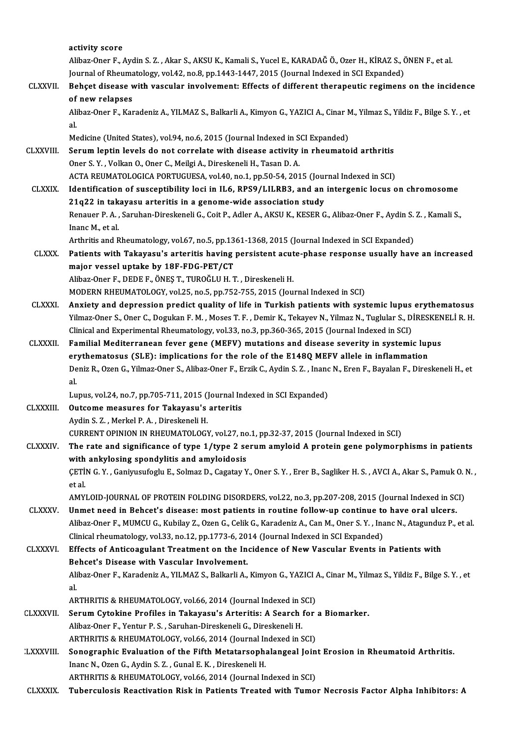|                  | activity score                                                                                                                                                                              |
|------------------|---------------------------------------------------------------------------------------------------------------------------------------------------------------------------------------------|
|                  | Alibaz-Oner F., Aydin S. Z., Akar S., AKSU K., Kamali S., Yucel E., KARADAĞ Ö., Ozer H., KİRAZ S., ÖNEN F., et al.                                                                          |
|                  | Journal of Rheumatology, vol.42, no.8, pp.1443-1447, 2015 (Journal Indexed in SCI Expanded)                                                                                                 |
| <b>CLXXVII.</b>  | Behçet disease with vascular involvement: Effects of different therapeutic regimens on the incidence                                                                                        |
|                  | of new relapses                                                                                                                                                                             |
|                  | Alibaz-Oner F., Karadeniz A., YILMAZ S., Balkarli A., Kimyon G., YAZICI A., Cinar M., Yilmaz S., Yildiz F., Bilge S. Y., et                                                                 |
|                  | al.                                                                                                                                                                                         |
|                  | Medicine (United States), vol.94, no.6, 2015 (Journal Indexed in SCI Expanded)                                                                                                              |
| <b>CLXXVIII.</b> | Serum leptin levels do not correlate with disease activity in rheumatoid arthritis                                                                                                          |
|                  | Oner S. Y., Volkan O., Oner C., Meilgi A., Direskeneli H., Tasan D. A.                                                                                                                      |
|                  | ACTA REUMATOLOGICA PORTUGUESA, vol.40, no.1, pp.50-54, 2015 (Journal Indexed in SCI)                                                                                                        |
| <b>CLXXIX</b>    | Identification of susceptibility loci in IL6, RPS9/LILRB3, and an intergenic locus on chromosome                                                                                            |
|                  | 21q22 in takayasu arteritis in a genome-wide association study                                                                                                                              |
|                  | Renauer P. A., Saruhan-Direskeneli G., Coit P., Adler A., AKSU K., KESER G., Alibaz-Oner F., Aydin S. Z., Kamali S.,                                                                        |
|                  | Inanc M, et al.                                                                                                                                                                             |
|                  | Arthritis and Rheumatology, vol.67, no.5, pp.1361-1368, 2015 (Journal Indexed in SCI Expanded)                                                                                              |
| <b>CLXXX</b>     | Patients with Takayasu's arteritis having persistent acute-phase response usually have an increased                                                                                         |
|                  | major vessel uptake by 18F-FDG-PET/CT                                                                                                                                                       |
|                  | Alibaz-Oner F., DEDE F., ÖNEŞ T., TUROĞLU H. T., Direskeneli H.                                                                                                                             |
|                  | MODERN RHEUMATOLOGY, vol.25, no.5, pp.752-755, 2015 (Journal Indexed in SCI)                                                                                                                |
| <b>CLXXXI.</b>   | Anxiety and depression predict quality of life in Turkish patients with systemic lupus erythematosus                                                                                        |
|                  | Yilmaz-Oner S., Oner C., Dogukan F. M., Moses T. F., Demir K., Tekayev N., Yilmaz N., Tuglular S., DİRESKENELİ R. H.                                                                        |
|                  | Clinical and Experimental Rheumatology, vol.33, no.3, pp.360-365, 2015 (Journal Indexed in SCI)                                                                                             |
| <b>CLXXXII</b>   | Familial Mediterranean fever gene (MEFV) mutations and disease severity in systemic lupus                                                                                                   |
|                  | erythematosus (SLE): implications for the role of the E148Q MEFV allele in inflammation                                                                                                     |
|                  | Deniz R., Ozen G., Yilmaz-Oner S., Alibaz-Oner F., Erzik C., Aydin S. Z., Inanc N., Eren F., Bayalan F., Direskeneli H., et                                                                 |
|                  | al.                                                                                                                                                                                         |
|                  | Lupus, vol.24, no.7, pp.705-711, 2015 (Journal Indexed in SCI Expanded)                                                                                                                     |
| CLXXXIII.        | Outcome measures for Takayasu's arteritis<br>Aydin S Z, Merkel P A, Direskeneli H.                                                                                                          |
|                  |                                                                                                                                                                                             |
| <b>CLXXXIV</b>   | CURRENT OPINION IN RHEUMATOLOGY, vol.27, no.1, pp.32-37, 2015 (Journal Indexed in SCI)<br>The rate and significance of type 1/type 2 serum amyloid A protein gene polymorphisms in patients |
|                  | with ankylosing spondylitis and amyloidosis                                                                                                                                                 |
|                  | ÇETİN G.Y., Ganiyusufoglu E., Solmaz D., Cagatay Y., Oner S.Y., Erer B., Sagliker H.S., AVCI A., Akar S., Pamuk O.N.,                                                                       |
|                  | et al                                                                                                                                                                                       |
|                  | AMYLOID-JOURNAL OF PROTEIN FOLDING DISORDERS, vol.22, no.3, pp.207-208, 2015 (Journal Indexed in SCI)                                                                                       |
| <b>CLXXXV</b>    | Unmet need in Behcet's disease: most patients in routine follow-up continue to have oral ulcers.                                                                                            |
|                  | Alibaz-Oner F., MUMCU G., Kubilay Z., Ozen G., Celik G., Karadeniz A., Can M., Oner S.Y., Inanc N., Atagunduz P., et al.                                                                    |
|                  | Clinical rheumatology, vol.33, no.12, pp.1773-6, 2014 (Journal Indexed in SCI Expanded)                                                                                                     |
| <b>CLXXXVI</b>   | Effects of Anticoagulant Treatment on the Incidence of New Vascular Events in Patients with                                                                                                 |
|                  | Behcet's Disease with Vascular Involvement.                                                                                                                                                 |
|                  | Alibaz-Oner F., Karadeniz A., YILMAZ S., Balkarli A., Kimyon G., YAZICI A., Cinar M., Yilmaz S., Yildiz F., Bilge S. Y., et                                                                 |
|                  | al.                                                                                                                                                                                         |
|                  | ARTHRITIS & RHEUMATOLOGY, vol.66, 2014 (Journal Indexed in SCI)                                                                                                                             |
| <b>CLXXXVII</b>  | Serum Cytokine Profiles in Takayasu's Arteritis: A Search for a Biomarker.                                                                                                                  |
|                  | Alibaz-Oner F., Yentur P. S., Saruhan-Direskeneli G., Direskeneli H.                                                                                                                        |
|                  | ARTHRITIS & RHEUMATOLOGY, vol.66, 2014 (Journal Indexed in SCI)                                                                                                                             |
| <b>LXXXVIII.</b> | Sonographic Evaluation of the Fifth Metatarsophalangeal Joint Erosion in Rheumatoid Arthritis.                                                                                              |
|                  | Inanc N., Ozen G., Aydin S. Z., Gunal E. K., Direskeneli H.                                                                                                                                 |
|                  | ARTHRITIS & RHEUMATOLOGY, vol.66, 2014 (Journal Indexed in SCI)                                                                                                                             |
| <b>CLXXXIX</b>   | Tuberculosis Reactivation Risk in Patients Treated with Tumor Necrosis Factor Alpha Inhibitors: A                                                                                           |
|                  |                                                                                                                                                                                             |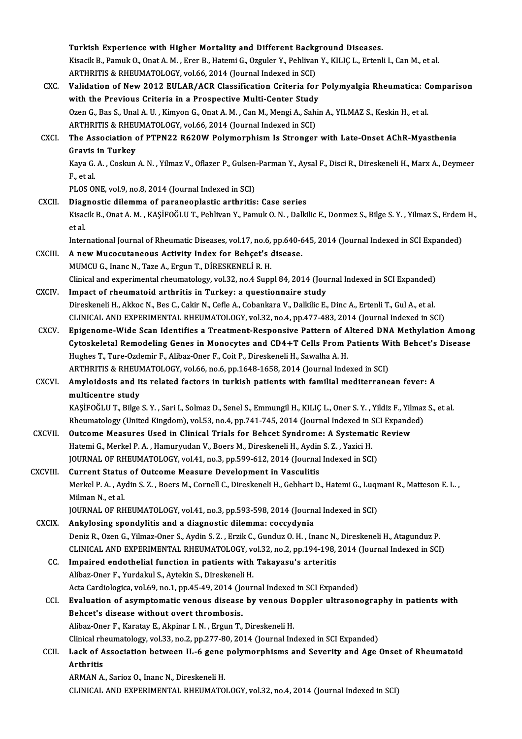Turkish Experience with Higher Mortality and Different Background Diseases. Kisacik B., Pamuk O., Onat A. M. , Erer B., Hatemi G., Ozguler Y., Pehlivan Y., KILIÇ L., Ertenli I., Can M., et al.<br>ARTHRITIS & RHEUMATOLOGY, vol.66, 2014 (Journal Indexed in SCI) Turkish Experience with Higher Mortality and Different Backg<br>Kisacik B., Pamuk O., Onat A. M. , Erer B., Hatemi G., Ozguler Y., Pehlivan<br>ARTHRITIS & RHEUMATOLOGY, vol.66, 2014 (Journal Indexed in SCI)<br>Volidation of Now 201 Kisacik B., Pamuk O., Onat A. M. , Erer B., Hatemi G., Ozguler Y., Pehlivan Y., KILIÇ L., Ertenli I., Can M., et al.<br>ARTHRITIS & RHEUMATOLOGY, vol.66, 2014 (Journal Indexed in SCI)<br>CXC. Validation of New 2012 EULAR/ACR Cla ARTHRITIS & RHEUMATOLOGY, vol.66, 2014 (Journal Indexed in SCI)<br>Validation of New 2012 EULAR/ACR Classification Criteria for<br>with the Previous Criteria in a Prospective Multi-Center Study<br>Ozen G. Bas S. Unal A. U. Kimyan G Validation of New 2012 EULAR/ACR Classification Criteria for Polymyalgia Rheumatica: C<br>with the Previous Criteria in a Prospective Multi-Center Study<br>Ozen G., Bas S., Unal A.U. , Kimyon G., Onat A. M. , Can M., Mengi A., S with the Previous Criteria in a Prospective Multi-Center Study<br>Ozen G., Bas S., Unal A. U. , Kimyon G., Onat A. M. , Can M., Mengi A., Sahin A., YILMAZ S., Keskin H., et al. CXCI. The Association of PTPN22 R620W Polymorphism Is Stronger with Late-Onset AChR-Myasthenia<br>Gravis in Turkey ARTHRITIS & RHEUMATOLOGY, vol.66, 2014 (Journal Indexed in SCI) The Association of PTPN22 R620W Polymorphism Is Stronger with Late-Onset AChR-Myasthenia<br>Gravis in Turkey<br>Kaya G. A. , Coskun A. N. , Yilmaz V., Oflazer P., Gulsen-Parman Y., Aysal F., Disci R., Direskeneli H., Marx A., De Gr<mark>avis</mark><br>Kaya G.<br>F., et al. Kaya G. A. , Coskun A. N. , Yilmaz V., Oflazer P., Gulsen<br>F., et al.<br>PLOS ONE, vol.9, no.8, 2014 (Journal Indexed in SCI)<br>Diagnostic dilemma of peranooplastic arthritic F., et al.<br>PLOS ONE, vol.9, no.8, 2014 (Journal Indexed in SCI)<br>CXCII. Diagnostic dilemma of paraneoplastic arthritis: Case series PLOS ONE, vol.9, no.8, 2014 (Journal Indexed in SCI)<br>Di<mark>agnostic dilemma of paraneoplastic arthritis: Case series</mark><br>Kisacik B., Onat A. M. , KAŞİFOĞLU T., Pehlivan Y., Pamuk O. N. , Dalkilic E., Donmez S., Bilge S. Y. , Yil **Diag**<br>Kisac<br>et al. Kisacik B., Onat A. M. , KAŞİFOĞLU T., Pehlivan Y., Pamuk O. N. , Dalkilic E., Donmez S., Bilge S. Y. , Yilmaz S., Erdem<br>et al.<br>International Journal of Rheumatic Diseases, vol.17, no.6, pp.640-645, 2014 (Journal Indexed i et al.<br>International Journal of Rheumatic Diseases, vol.17, no.6, pp.640-6<br>CXCIII. A new Mucocutaneous Activity Index for Behçet's disease.<br>MUMCU G., Inanc N., Taze A., Ergun T., DİRESKENELİ R. H. International Journal of Rheumatic Diseases, vol.17, no.6, pp.640-645, 2014 (Journal Indexed in SCI Expanded) A new Mucocutaneous Activity Index for Behçet's disease.<br>MUMCU G., Inanc N., Taze A., Ergun T., DİRESKENELİ R. H.<br>Clinical and experimental rheumatology, vol.32, no.4 Suppl 84, 2014 (Journal Indexed in SCI Expanded)<br>Impect CXCIV. Impact of rheumatoid arthritis in Turkey: a questionnaire study<br>Direskeneli H., Akkoc N., Bes C., Cakir N., Cefle A., Cobankara V., Dalkilic E., Dinc A., Ertenli T., Gul A., et al. Clinical and experimental rheumatology, vol.32, no.4 Suppl 84, 2014 (Journal Indexed in SCI Expanded)<br>Impact of rheumatoid arthritis in Turkey: a questionnaire study<br>Direskeneli H., Akkoc N., Bes C., Cakir N., Cefle A., Co CLINICAL AND EXPERIMENTAL RHEUMATOLOGY, vol.32, no.4, pp.477-483, 2014 (Journal Indexed in SCI) Direskeneli H., Akkoc N., Bes C., Cakir N., Cefle A., Cobankara V., Dalkilic E., Dinc A., Ertenli T., Gul A., et al.<br>CLINICAL AND EXPERIMENTAL RHEUMATOLOGY, vol.32, no.4, pp.477-483, 2014 (Journal Indexed in SCI)<br>CXCV. Epi CLINICAL AND EXPERIMENTAL RHEUMATOLOGY, vol.32, no.4, pp.477-483, 2014 (Journal Indexed in SCI)<br>Epigenome-Wide Scan Identifies a Treatment-Responsive Pattern of Altered DNA Methylation Among<br>Cytoskeletal Remodeling Genes i Epigenome-Wide Scan Identifies a Treatment-Responsive Pattern of A<br>Cytoskeletal Remodeling Genes in Monocytes and CD4+T Cells From I<br>Hughes T., Ture-Ozdemir F., Alibaz-Oner F., Coit P., Direskeneli H., Sawalha A. H.<br>APTUPI Cytoskeletal Remodeling Genes in Monocytes and CD4+T Cells From Patients With Behcet's Disease<br>Hughes T., Ture-Ozdemir F., Alibaz-Oner F., Coit P., Direskeneli H., Sawalha A. H. CXCVI. Amyloidosis and its related factors in turkish patients with familial mediterranean fever: A<br>multicentre study ARTHRITIS & RHEUMATOLOGY, vol.66, no.6, pp.1648-1658, 2014 (Journal Indexed in SCI) Amyloidosis and its related factors in turkish patients with familial mediterranean fever: A<br>multicentre study<br>KAŞİFOĞLU T., Bilge S.Y. , Sari I., Solmaz D., Senel S., Emmungil H., KILIÇ L., Oner S.Y. , Yildiz F., Yilmaz S multicentre study<br>KAŞİFOĞLU T., Bilge S. Y. , Sari I., Solmaz D., Senel S., Emmungil H., KILIÇ L., Oner S. Y. , Yildiz F., Yilmaz<br>Rheumatology (United Kingdom), vol.53, no.4, pp.741-745, 2014 (Journal Indexed in SCI Expand KAŞİFOĞLU T., Bilge S. Y., Sari I., Solmaz D., Senel S., Emmungil H., KILIÇ L., Oner S. Y., Yildiz F., Yili<br>Rheumatology (United Kingdom), vol.53, no.4, pp.741-745, 2014 (Journal Indexed in SCI Expande<br>CXCVII. Outcome Meas Rheumatology (United Kingdom), vol.53, no.4, pp.741-745, 2014 (Journal Indexed in Solution Measures Used in Clinical Trials for Behcet Syndrome: A Systematical Hatemi G., Merkel P. A. , Hamuryudan V., Boers M., Direskeneli Outcome Measures Used in Clinical Trials for Behcet Syndrome: A Systematic Review<br>Hatemi G., Merkel P. A. , Hamuryudan V., Boers M., Direskeneli H., Aydin S. Z. , Yazici H.<br>JOURNAL OF RHEUMATOLOGY, vol.41, no.3, pp.599-612 Hatemi G., Merkel P. A. , Hamuryudan V., Boers M., Direskeneli H., Aydin<br>JOURNAL OF RHEUMATOLOGY, vol.41, no.3, pp.599-612, 2014 (Journal<br>CXCVIII. Current Status of Outcome Measure Development in Vasculitis<br>Merkel B. A. Ay JOURNAL OF RHEUMATOLOGY, vol.41, no.3, pp.599-612, 2014 (Journal Indexed in SCI)<br>Current Status of Outcome Measure Development in Vasculitis<br>Merkel P. A. , Aydin S. Z. , Boers M., Cornell C., Direskeneli H., Gebhart D., Ha Current Status<br>Merkel P. A. , Ay<br>Milman N., et al.<br>JOUPMAL OF P. Merkel P. A. , Aydin S. Z. , Boers M., Cornell C., Direskeneli H., Gebhart D., Hatemi G., Luqr<br>Milman N., et al.<br>JOURNAL OF RHEUMATOLOGY, vol.41, no.3, pp.593-598, 2014 (Journal Indexed in SCI)<br>Ankyloging spondylitis and a Milman N., et al.<br>JOURNAL OF RHEUMATOLOGY, vol.41, no.3, pp.593-598, 2014 (Journal Indexed in SCI)<br>CXCIX. Ankylosing spondylitis and a diagnostic dilemma: coccydynia JOURNAL OF RHEUMATOLOGY, vol.41, no.3, pp.593-598, 2014 (Journal Indexed in SCI)<br><mark>Ankylosing spondylitis and a diagnostic dilemma: coccydynia</mark><br>Deniz R., Ozen G., Yilmaz-Oner S., Aydin S. Z. , Erzik C., Gunduz O. H. , Inanc Ankylosing spondylitis and a diagnostic dilemma: coccydynia<br>Deniz R., Ozen G., Yilmaz-Oner S., Aydin S. Z. , Erzik C., Gunduz O. H. , Inanc N., Direskeneli H., Atagunduz P<br>CLINICAL AND EXPERIMENTAL RHEUMATOLOGY, vol.32, no Deniz R., Ozen G., Yilmaz-Oner S., Aydin S. Z., Erzik C., Gunduz O. H., Inanc N.,<br>CLINICAL AND EXPERIMENTAL RHEUMATOLOGY, vol.32, no.2, pp.194-198,<br>CC. Impaired endothelial function in patients with Takayasu's arteritis<br>Al CLINICAL AND EXPERIMENTAL RHEUMATOLOGY, voluminative distribution in patients with<br>Alibaz-Oner F., Yurdakul S., Aytekin S., Direskeneli H. Impaired endothelial function in patients with Takayasu's arteritis<br>Alibaz-Oner F., Yurdakul S., Aytekin S., Direskeneli H.<br>Acta Cardiologica, vol.69, no.1, pp.45-49, 2014 (Journal Indexed in SCI Expanded)<br>Evaluation of as Alibaz-Oner F., Yurdakul S., Aytekin S., Direskeneli H.<br>Acta Cardiologica, vol.69, no.1, pp.45-49, 2014 (Journal Indexed in SCI Expanded)<br>CCI. Byaluation of asymptomatic venous disease by venous Doppler ultrasonography in Acta Cardiologica, vol.69, no.1, pp.45-49, 2014 (Jc)<br>Evaluation of asymptomatic venous disease<br>Behcet's disease without overt thrombosis.<br>Alibaz Oper E. Karatay E. Alminer J. N., Ergyn T. Evaluation of asymptomatic venous disease by venous D<br>Behcet's disease without overt thrombosis.<br>Alibaz-Oner F., Karatay E., Akpinar I.N. , Ergun T., Direskeneli H.<br>Clinical rhaumatalagy val 32, no 3, np 377-90, 2014 (Jaun Behcet's disease without overt thrombosis.<br>Alibaz-Oner F., Karatay E., Akpinar I. N. , Ergun T., Direskeneli H.<br>Clinical rheumatology, vol.33, no.2, pp.277-80, 2014 (Journal Indexed in SCI Expanded) Alibaz-Oner F., Karatay E., Akpinar I. N. , Ergun T., Direskeneli H.<br>Clinical rheumatology, vol.33, no.2, pp.277-80, 2014 (Journal Indexed in SCI Expanded)<br>CCII. Lack of Association between IL-6 gene polymorphisms and Seve Clinical rh<br>Lack of A<br>Arthritis<br>ARMAN A Lack of Association between IL-6 gene<br>Arthritis<br>ARMAN A., Sarioz O., Inanc N., Direskeneli H.<br>CLINICAL AND EVBERIMENTAL BUEUMATO Arthritis<br>ARMAN A., Sarioz O., Inanc N., Direskeneli H.<br>CLINICAL AND EXPERIMENTAL RHEUMATOLOGY, vol.32, no.4, 2014 (Journal Indexed in SCI)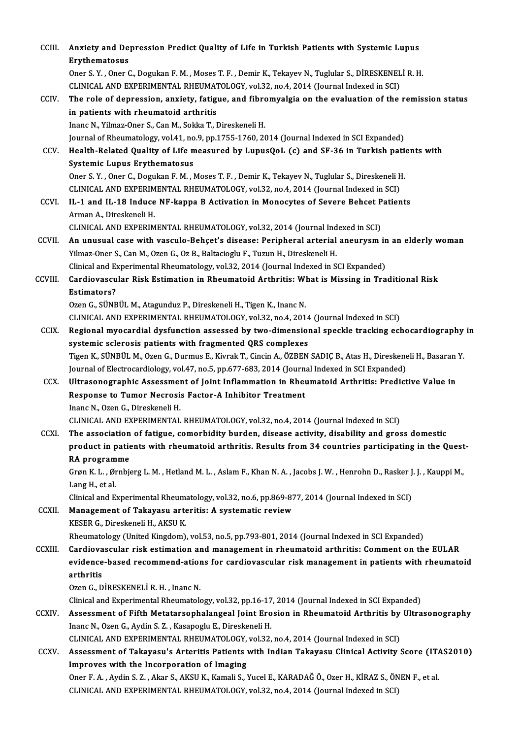| CCIII.        | Anxiety and Depression Predict Quality of Life in Turkish Patients with Systemic Lupus<br><b>Erythematosus</b>                                |
|---------------|-----------------------------------------------------------------------------------------------------------------------------------------------|
|               | Oner S.Y., Oner C., Dogukan F.M., Moses T.F., Demir K., Tekayev N., Tuglular S., DİRESKENELİ R.H.                                             |
|               | CLINICAL AND EXPERIMENTAL RHEUMATOLOGY, vol.32, no.4, 2014 (Journal Indexed in SCI)                                                           |
| CCIV.         | The role of depression, anxiety, fatigue, and fibromyalgia on the evaluation of the remission status<br>in patients with rheumatoid arthritis |
|               | Inanc N., Yilmaz-Oner S., Can M., Sokka T., Direskeneli H.                                                                                    |
|               | Journal of Rheumatology, vol.41, no.9, pp.1755-1760, 2014 (Journal Indexed in SCI Expanded)                                                   |
| CCV.          | Health-Related Quality of Life measured by LupusQoL (c) and SF-36 in Turkish patients with                                                    |
|               | <b>Systemic Lupus Erythematosus</b>                                                                                                           |
|               | Oner S. Y., Oner C., Dogukan F. M., Moses T. F., Demir K., Tekayev N., Tuglular S., Direskeneli H.                                            |
|               | CLINICAL AND EXPERIMENTAL RHEUMATOLOGY, vol.32, no.4, 2014 (Journal Indexed in SCI)                                                           |
| CCVI.         | IL-1 and IL-18 Induce NF-kappa B Activation in Monocytes of Severe Behcet Patients                                                            |
|               | Arman A., Direskeneli H.                                                                                                                      |
|               | CLINICAL AND EXPERIMENTAL RHEUMATOLOGY, vol.32, 2014 (Journal Indexed in SCI)                                                                 |
| CCVII.        | An unusual case with vasculo-Behçet's disease: Peripheral arterial aneurysm in an elderly woman                                               |
|               | Yilmaz-Oner S., Can M., Ozen G., Oz B., Baltacioglu F., Tuzun H., Direskeneli H.                                                              |
|               | Clinical and Experimental Rheumatology, vol.32, 2014 (Journal Indexed in SCI Expanded)                                                        |
| CCVIII.       | Cardiovascular Risk Estimation in Rheumatoid Arthritis: What is Missing in Traditional Risk<br><b>Estimators?</b>                             |
|               | Ozen G., SÜNBÜL M., Atagunduz P., Direskeneli H., Tigen K., Inanc N.                                                                          |
|               | CLINICAL AND EXPERIMENTAL RHEUMATOLOGY, vol.32, no.4, 2014 (Journal Indexed in SCI)                                                           |
| <b>CCIX</b>   | Regional myocardial dysfunction assessed by two-dimensional speckle tracking echocardiography in                                              |
|               | systemic sclerosis patients with fragmented QRS complexes                                                                                     |
|               | Tigen K., SÜNBÜL M., Ozen G., Durmus E., Kivrak T., Cincin A., ÖZBEN SADIÇ B., Atas H., Direskeneli H., Basaran Y.                            |
|               | Journal of Electrocardiology, vol.47, no.5, pp.677-683, 2014 (Journal Indexed in SCI Expanded)                                                |
| CCX.          | Ultrasonographic Assessment of Joint Inflammation in Rheumatoid Arthritis: Predictive Value in                                                |
|               | Response to Tumor Necrosis Factor-A Inhibitor Treatment                                                                                       |
|               | Inanc N., Ozen G., Direskeneli H.                                                                                                             |
|               | CLINICAL AND EXPERIMENTAL RHEUMATOLOGY, vol.32, no.4, 2014 (Journal Indexed in SCI)                                                           |
| <b>CCXI</b>   | The association of fatigue, comorbidity burden, disease activity, disability and gross domestic                                               |
|               | product in patients with rheumatoid arthritis. Results from 34 countries participating in the Quest-                                          |
|               | RA programme                                                                                                                                  |
|               | Grøn K. L., Ørnbjerg L. M., Hetland M. L., Aslam F., Khan N. A., Jacobs J. W., Henrohn D., Rasker J. J., Kauppi M.,                           |
|               | Lang H, et al.                                                                                                                                |
|               | Clinical and Experimental Rheumatology, vol.32, no.6, pp.869-877, 2014 (Journal Indexed in SCI)                                               |
| <b>CCXII</b>  | Management of Takayasu arteritis: A systematic review                                                                                         |
|               | KESER G., Direskeneli H., AKSU K.                                                                                                             |
|               | Rheumatology (United Kingdom), vol.53, no.5, pp.793-801, 2014 (Journal Indexed in SCI Expanded)                                               |
| <b>CCXIII</b> | Cardiovascular risk estimation and management in rheumatoid arthritis: Comment on the EULAR                                                   |
|               | evidence-based recommend-ations for cardiovascular risk management in patients with rheumatoid                                                |
|               | arthritis                                                                                                                                     |
|               | Ozen G., DİRESKENELİ R. H., Inanc N.                                                                                                          |
|               | Clinical and Experimental Rheumatology, vol.32, pp.16-17, 2014 (Journal Indexed in SCI Expanded)                                              |
| CCXIV.        | Assessment of Fifth Metatarsophalangeal Joint Erosion in Rheumatoid Arthritis by Ultrasonography                                              |
|               | Inanc N., Ozen G., Aydin S. Z., Kasapoglu E., Direskeneli H.                                                                                  |
|               | CLINICAL AND EXPERIMENTAL RHEUMATOLOGY, vol.32, no.4, 2014 (Journal Indexed in SCI)                                                           |
| <b>CCXV</b>   | Assessment of Takayasu's Arteritis Patients with Indian Takayasu Clinical Activity Score (ITAS2010)                                           |
|               | Improves with the Incorporation of Imaging                                                                                                    |
|               | Oner F. A., Aydin S. Z., Akar S., AKSU K., Kamali S., Yucel E., KARADAĞ Ö., Ozer H., KİRAZ S., ÖNEN F., et al.                                |
|               | CLINICAL AND EXPERIMENTAL RHEUMATOLOGY, vol.32, no.4, 2014 (Journal Indexed in SCI)                                                           |
|               |                                                                                                                                               |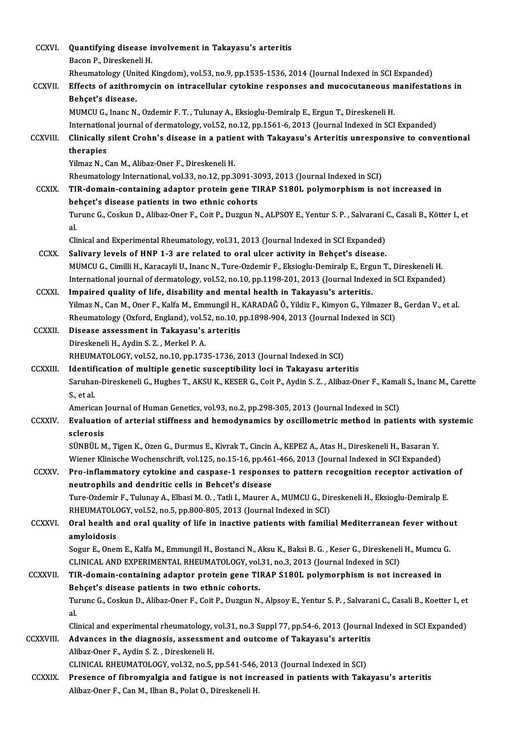| <b>CCXVI</b>    | Quantifying disease involvement in Takayasu's arteritis                                                                                                                                                  |
|-----------------|----------------------------------------------------------------------------------------------------------------------------------------------------------------------------------------------------------|
|                 | Bacon P., Direskeneli H.                                                                                                                                                                                 |
|                 | Rheumatology (United Kingdom), vol.53, no.9, pp.1535-1536, 2014 (Journal Indexed in SCI Expanded)                                                                                                        |
| CCXVII.         | Effects of azithromycin on intracellular cytokine responses and mucocutaneous manifestations in                                                                                                          |
|                 | Behçet's disease.                                                                                                                                                                                        |
|                 | MUMCU G., Inanc N., Ozdemir F. T., Tulunay A., Eksioglu-Demiralp E., Ergun T., Direskeneli H.                                                                                                            |
|                 | International journal of dermatology, vol.52, no.12, pp.1561-6, 2013 (Journal Indexed in SCI Expanded)                                                                                                   |
| <b>CCXVIII.</b> | Clinically silent Crohn's disease in a patient with Takayasu's Arteritis unresponsive to conventional<br>therapies                                                                                       |
|                 | Yilmaz N., Can M., Alibaz-Oner F., Direskeneli H.                                                                                                                                                        |
|                 | Rheumatology International, vol.33, no.12, pp.3091-3093, 2013 (Journal Indexed in SCI)                                                                                                                   |
| <b>CCXIX</b>    | TIR-domain-containing adaptor protein gene TIRAP S180L polymorphism is not increased in                                                                                                                  |
|                 | behçet's disease patients in two ethnic cohorts                                                                                                                                                          |
|                 | Turunc G., Coskun D., Alibaz-Oner F., Coit P., Duzgun N., ALPSOY E., Yentur S. P., Salvarani C., Casali B., Kötter I., et<br>al.                                                                         |
|                 | Clinical and Experimental Rheumatology, vol.31, 2013 (Journal Indexed in SCI Expanded)                                                                                                                   |
| <b>CCXX</b>     | Salivary levels of HNP 1-3 are related to oral ulcer activity in Behçet's disease.                                                                                                                       |
|                 | MUMCU G., Cimilli H., Karacayli U., Inanc N., Ture-Ozdemir F., Eksioglu-Demiralp E., Ergun T., Direskeneli H.                                                                                            |
|                 | International journal of dermatology, vol.52, no.10, pp.1198-201, 2013 (Journal Indexed in SCI Expanded)                                                                                                 |
| <b>CCXXI</b>    | Impaired quality of life, disability and mental health in Takayasu's arteritis.                                                                                                                          |
|                 | Yilmaz N., Can M., Oner F., Kalfa M., Emmungil H., KARADAĞ Ö., Yildiz F., Kimyon G., Yilmazer B., Gerdan V., et al.                                                                                      |
|                 | Rheumatology (Oxford, England), vol.52, no.10, pp.1898-904, 2013 (Journal Indexed in SCI)                                                                                                                |
| <b>CCXXII.</b>  | Disease assessment in Takayasu's arteritis                                                                                                                                                               |
|                 | Direskeneli H., Aydin S. Z., Merkel P. A.                                                                                                                                                                |
| <b>CCXXIII.</b> | RHEUMATOLOGY, vol.52, no.10, pp.1735-1736, 2013 (Journal Indexed in SCI)                                                                                                                                 |
|                 | Identification of multiple genetic susceptibility loci in Takayasu arteritis<br>Saruhan-Direskeneli G., Hughes T., AKSU K., KESER G., Coit P., Aydin S. Z., Alibaz-Oner F., Kamali S., Inanc M., Carette |
|                 | S, et al.                                                                                                                                                                                                |
|                 | American Journal of Human Genetics, vol.93, no.2, pp.298-305, 2013 (Journal Indexed in SCI)                                                                                                              |
| <b>CCXXIV</b>   | Evaluation of arterial stiffness and hemodynamics by oscillometric method in patients with systemic                                                                                                      |
|                 | sclerosis                                                                                                                                                                                                |
|                 | SÜNBÜL M., Tigen K., Ozen G., Durmus E., Kivrak T., Cincin A., KEPEZ A., Atas H., Direskeneli H., Basaran Y.                                                                                             |
|                 | Wiener Klinische Wochenschrift, vol.125, no.15-16, pp.461-466, 2013 (Journal Indexed in SCI Expanded)                                                                                                    |
| CCXXV.          | Pro-inflammatory cytokine and caspase-1 responses to pattern recognition receptor activation of                                                                                                          |
|                 | neutrophils and dendritic cells in Behcet's disease                                                                                                                                                      |
|                 | Ture-Ozdemir F., Tulunay A., Elbasi M. O., Tatli I., Maurer A., MUMCU G., Direskeneli H., Eksioglu-Demiralp E.                                                                                           |
|                 | RHEUMATOLOGY, vol.52, no.5, pp.800-805, 2013 (Journal Indexed in SCI)                                                                                                                                    |
| <b>CCXXVI</b>   | Oral health and oral quality of life in inactive patients with familial Mediterranean fever without                                                                                                      |
|                 | amyloidosis                                                                                                                                                                                              |
|                 | Sogur E., Onem E., Kalfa M., Emmungil H., Bostanci N., Aksu K., Baksi B. G., Keser G., Direskeneli H., Mumcu G.                                                                                          |
|                 | CLINICAL AND EXPERIMENTAL RHEUMATOLOGY, vol.31, no.3, 2013 (Journal Indexed in SCI)                                                                                                                      |
| <b>CCXXVII</b>  | TIR-domain-containing adaptor protein gene TIRAP S180L polymorphism is not increased in                                                                                                                  |
|                 | Behçet's disease patients in two ethnic cohorts.                                                                                                                                                         |
|                 | Turunc G., Coskun D., Alibaz-Oner F., Coit P., Duzgun N., Alpsoy E., Yentur S. P., Salvarani C., Casali B., Koetter I., et                                                                               |
|                 | al.                                                                                                                                                                                                      |
|                 | Clinical and experimental rheumatology, vol.31, no.3 Suppl 77, pp.54-6, 2013 (Journal Indexed in SCI Expanded)                                                                                           |
| CCXXVIII.       | Advances in the diagnosis, assessment and outcome of Takayasu's arteritis                                                                                                                                |
|                 | Alibaz-Oner F., Aydin S. Z., Direskeneli H.<br>CLINICAL RHEUMATOLOGY, vol.32, no.5, pp.541-546, 2013 (Journal Indexed in SCI)                                                                            |
| <b>CCXXIX</b>   | Presence of fibromyalgia and fatigue is not increased in patients with Takayasu's arteritis                                                                                                              |
|                 | Alibaz-Oner F., Can M., Ilhan B., Polat O., Direskeneli H.                                                                                                                                               |
|                 |                                                                                                                                                                                                          |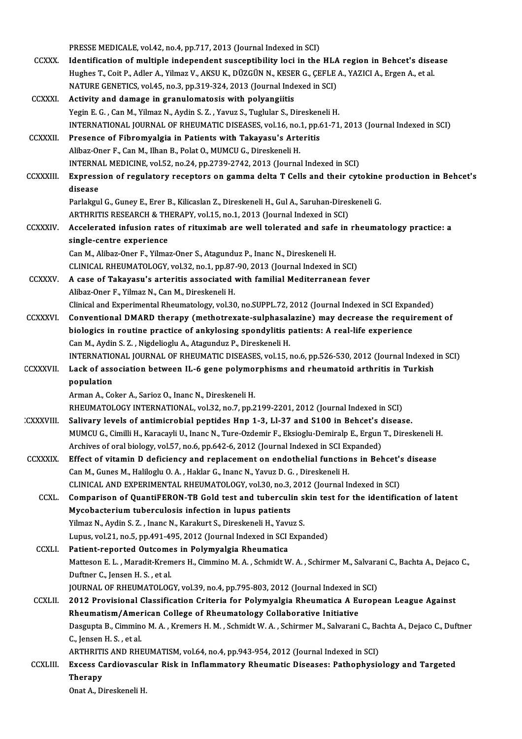|                  | PRESSE MEDICALE, vol.42, no.4, pp.717, 2013 (Journal Indexed in SCI)                                               |
|------------------|--------------------------------------------------------------------------------------------------------------------|
| <b>CCXXX</b>     | Identification of multiple independent susceptibility loci in the HLA region in Behcet's disease                   |
|                  | Hughes T., Coit P., Adler A., Yilmaz V., AKSU K., DÜZGÜN N., KESER G., ÇEFLE A., YAZICI A., Ergen A., et al.       |
|                  | NATURE GENETICS, vol.45, no.3, pp.319-324, 2013 (Journal Indexed in SCI)                                           |
| <b>CCXXXI</b>    | Activity and damage in granulomatosis with polyangiitis                                                            |
|                  | Yegin E. G., Can M., Yilmaz N., Aydin S. Z., Yavuz S., Tuglular S., Direskeneli H.                                 |
|                  | INTERNATIONAL JOURNAL OF RHEUMATIC DISEASES, vol.16, no.1, pp.61-71, 2013 (Journal Indexed in SCI)                 |
| <b>CCXXXII</b>   | Presence of Fibromyalgia in Patients with Takayasu's Arteritis                                                     |
|                  | Alibaz-Oner F., Can M., Ilhan B., Polat O., MUMCU G., Direskeneli H.                                               |
|                  | INTERNAL MEDICINE, vol.52, no.24, pp.2739-2742, 2013 (Journal Indexed in SCI)                                      |
| <b>CCXXXIII</b>  | Expression of regulatory receptors on gamma delta T Cells and their cytokine production in Behcet's                |
|                  | disease                                                                                                            |
|                  | Parlakgul G., Guney E., Erer B., Kilicaslan Z., Direskeneli H., Gul A., Saruhan-Direskeneli G.                     |
|                  | ARTHRITIS RESEARCH & THERAPY, vol.15, no.1, 2013 (Journal Indexed in SCI)                                          |
| <b>CCXXXIV</b>   | Accelerated infusion rates of rituximab are well tolerated and safe in rheumatology practice: a                    |
|                  | single-centre experience                                                                                           |
|                  | Can M., Alibaz-Oner F., Yilmaz-Oner S., Atagunduz P., Inanc N., Direskeneli H.                                     |
|                  | CLINICAL RHEUMATOLOGY, vol.32, no.1, pp.87-90, 2013 (Journal Indexed in SCI)                                       |
| CCXXXV           | A case of Takayasu's arteritis associated with familial Mediterranean fever                                        |
|                  | Alibaz-Oner F., Yilmaz N., Can M., Direskeneli H.                                                                  |
|                  | Clinical and Experimental Rheumatology, vol.30, no.SUPPL.72, 2012 (Journal Indexed in SCI Expanded)                |
| <b>CCXXXVI</b>   | Conventional DMARD therapy (methotrexate-sulphasalazine) may decrease the requirement of                           |
|                  | biologics in routine practice of ankylosing spondylitis patients: A real-life experience                           |
|                  | Can M., Aydin S. Z., Nigdelioglu A., Atagunduz P., Direskeneli H.                                                  |
|                  | INTERNATIONAL JOURNAL OF RHEUMATIC DISEASES, vol.15, no.6, pp.526-530, 2012 (Journal Indexed in SCI)               |
| <b>CCXXXVII</b>  | Lack of association between IL-6 gene polymorphisms and rheumatoid arthritis in Turkish                            |
|                  | population                                                                                                         |
|                  | Arman A., Coker A., Sarioz O., Inanc N., Direskeneli H.                                                            |
|                  | RHEUMATOLOGY INTERNATIONAL, vol.32, no.7, pp.2199-2201, 2012 (Journal Indexed in SCI)                              |
| <b>CXXXVIII.</b> | Salivary levels of antimicrobial peptides Hnp 1-3, Ll-37 and S100 in Behcet's disease.                             |
|                  | MUMCU G., Cimilli H., Karacayli U., Inanc N., Ture-Ozdemir F., Eksioglu-Demiralp E., Ergun T., Direskeneli H.      |
|                  | Archives of oral biology, vol.57, no.6, pp.642-6, 2012 (Journal Indexed in SCI Expanded)                           |
| <b>CCXXXIX</b>   | Effect of vitamin D deficiency and replacement on endothelial functions in Behcet's disease                        |
|                  | Can M., Gunes M., Haliloglu O. A., Haklar G., Inanc N., Yavuz D. G., Direskeneli H.                                |
|                  | CLINICAL AND EXPERIMENTAL RHEUMATOLOGY, vol.30, no.3, 2012 (Journal Indexed in SCI)                                |
| CCXL.            | Comparison of QuantiFERON-TB Gold test and tuberculin skin test for the identification of latent                   |
|                  | Mycobacterium tuberculosis infection in lupus patients                                                             |
|                  | Yilmaz N., Aydin S. Z., Inanc N., Karakurt S., Direskeneli H., Yavuz S.                                            |
|                  | Lupus, vol.21, no.5, pp.491-495, 2012 (Journal Indexed in SCI Expanded)                                            |
| <b>CCXLI</b>     | Patient-reported Outcomes in Polymyalgia Rheumatica                                                                |
|                  | Matteson E. L., Maradit-Kremers H., Cimmino M. A., Schmidt W. A., Schirmer M., Salvarani C., Bachta A., Dejaco C., |
|                  | Duftner C., Jensen H. S., et al.                                                                                   |
|                  | JOURNAL OF RHEUMATOLOGY, vol.39, no.4, pp.795-803, 2012 (Journal Indexed in SCI)                                   |
| <b>CCXLII</b>    | 2012 Provisional Classification Criteria for Polymyalgia Rheumatica A European League Against                      |
|                  | Rheumatism/American College of Rheumatology Collaborative Initiative                                               |
|                  | Dasgupta B., Cimmino M. A., Kremers H. M., Schmidt W. A., Schirmer M., Salvarani C., Bachta A., Dejaco C., Duftner |
|                  | C., Jensen H. S., et al.                                                                                           |
|                  | ARTHRITIS AND RHEUMATISM, vol.64, no.4, pp.943-954, 2012 (Journal Indexed in SCI)                                  |
| <b>CCXLIII.</b>  | Excess Cardiovascular Risk in Inflammatory Rheumatic Diseases: Pathophysiology and Targeted                        |
|                  | <b>Therapy</b><br>Onat A., Direskeneli H.                                                                          |
|                  |                                                                                                                    |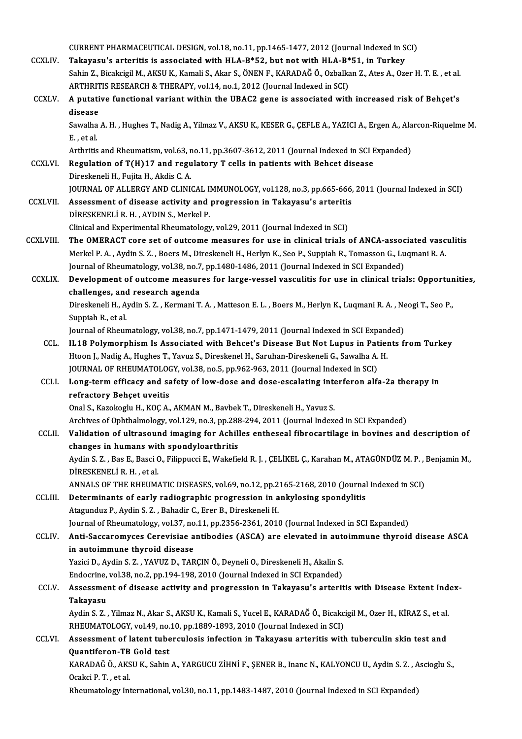CURRENTPHARMACEUTICALDESIGN,vol.18,no.11,pp.1465-1477,2012 (Journal Indexed inSCI) CURRENT PHARMACEUTICAL DESIGN, vol.18, no.11, pp.1465-1477, 2012 (Journal Indexed in S<br>CCXLIV. Takayasu's arteritis is associated with HLA-B\*52, but not with HLA-B\*51, in Turkey Sahin Z., Bicakcigil M., AKSU K., Kamali S., Akar S., ÖNEN F., KARADAĞ Ö., Ozbalkan Z., Ates A., Ozer H. T. E., et al. Takayasu's arteritis is associated with HLA-B\*52, but not with HLA-B\*<br>Sahin Z., Bicakcigil M., AKSU K., Kamali S., Akar S., ÖNEN F., KARADAĞ Ö., Ozbalka<br>ARTHRITIS RESEARCH & THERAPY, vol.14, no.1, 2012 (Journal Indexed in CCXLV. A putative functional variant within the UBAC2 gene is associated with increased risk of Behçet's<br>disease ARTHRITIS RESEARCH & THERAPY, vol.14, no.1, 2012 (Journal Indexed in SCI) A putative functional variant within the UBAC2 gene is associated with increased risk of Behçet's<br>disease<br>Sawalha A. H. , Hughes T., Nadig A., Yilmaz V., AKSU K., KESER G., ÇEFLE A., YAZICI A., Ergen A., Alarcon-Riquelme M disease<br>Sawalha<br>E. , et al.<br>Arthritic Sawalha A. H. , Hughes T., Nadig A., Yilmaz V., AKSU K., KESER G., ÇEFLE A., YAZICI A., Ergen A., Ala<br>E. , et al.<br>Arthritis and Rheumatism, vol.63, no.11, pp.3607-3612, 2011 (Journal Indexed in SCI Expanded)<br>Begylation of E., et al.<br>Arthritis and Rheumatism, vol.63, no.11, pp.3607-3612, 2011 (Journal Indexed in SCI I<br>CCXLVI. Regulation of T(H)17 and regulatory T cells in patients with Behcet disease<br>Direskeneli H., Fujita H., Akdis C. A. Arthritis and Rheumatism, vol.63, r<br>Regulation of T(H)17 and regu<br>Direskeneli H., Fujita H., Akdis C. A.<br>JOUPNAL OF ALLERCY AND CLINU Regulation of T(H)17 and regulatory T cells in patients with Behcet disease<br>Direskeneli H., Fujita H., Akdis C. A.<br>JOURNAL OF ALLERGY AND CLINICAL IMMUNOLOGY, vol.128, no.3, pp.665-666, 2011 (Journal Indexed in SCI)<br>Assess Direskeneli H., Fujita H., Akdis C. A.<br>JOURNAL OF ALLERGY AND CLINICAL IMMUNOLOGY, vol.128, no.3, pp.665-666,<br>CCXLVII. Assessment of disease activity and progression in Takayasu's arteritis Assessment of disease activity and progression in Takayasu's arteritis<br>DİRESKENELİR.H., AYDIN S., Merkel P. Clinical and Experimental Rheumatology, vol.29, 2011 (Journal Indexed in SCI) CCXLVIII. The OMERACT core set of outcome measures for use in clinical trials of ANCA-associated vasculitis Clinical and Experimental Rheumatology, vol.29, 2011 (Journal Indexed in SCI)<br>The OMERACT core set of outcome measures for use in clinical trials of ANCA-associated vasc<br>Merkel P. A. , Aydin S. Z. , Boers M., Direskeneli H The OMERACT core set of outcome measures for use in clinical trials of ANCA-assoc<br>Merkel P. A. , Aydin S. Z. , Boers M., Direskeneli H., Herlyn K., Seo P., Suppiah R., Tomasson G., Lu<br>Journal of Rheumatology, vol.38, no.7, Merkel P. A. , Aydin S. Z. , Boers M., Direskeneli H., Herlyn K., Seo P., Suppiah R., Tomasson G., Luqmani R. A.<br>Journal of Rheumatology, vol.38, no.7, pp.1480-1486, 2011 (Journal Indexed in SCI Expanded)<br>CCXLIX. Developme Journal of Rheumatology, vol.38, no.7<br>Development of outcome measur<br>challenges, and research agenda<br>Direckaneli H. Aydin S.7., Kermani T. Development of outcome measures for large-vessel vasculitis for use in clinical trials: Opportur<br>challenges, and research agenda<br>Direskeneli H., Aydin S. Z. , Kermani T. A. , Matteson E. L. , Boers M., Herlyn K., Luqmani R challenges, and research agenda<br>Direskeneli H., Aydin S. Z. , Kermani T. A. , Matteson E. L. , Boers M., Herlyn K., Luqmani R. A. , Neogi T., Seo P.,<br>Suppiah R., et al. Direskeneli H., Aydin S. Z. , Kermani T. A. , Matteson E. L. , Boers M., Herlyn K., Luqmani R. A. , Ne<br>Suppiah R., et al.<br>Journal of Rheumatology, vol.38, no.7, pp.1471-1479, 2011 (Journal Indexed in SCI Expanded)<br>II 18 Bo CCL. IL18 Polymorphism Is Associated with Behcet's Disease But Not Lupus in Patients from Turkey<br>Htoon J., Nadig A., Hughes T., Yavuz S., Direskenel H., Saruhan-Direskeneli G., Sawalha A. H. Journal of Rheumatology, vol.38, no.7, pp.1471-1479, 2011 (Journal Indexed in SCI Expand<br>IL18 Polymorphism Is Associated with Behcet's Disease But Not Lupus in Patien<br>Htoon J., Nadig A., Hughes T., Yavuz S., Direskenel H., IL18 Polymorphism Is Associated with Behcet's Disease But Not Lupus in Pat<br>Htoon J., Nadig A., Hughes T., Yavuz S., Direskenel H., Saruhan-Direskeneli G., Sawalha A.<br>JOURNAL OF RHEUMATOLOGY, vol.38, no.5, pp.962-963, 2011 CCLI. Long-termefficacy and safety of low-dose and dose-escalating interferon alfa-2a therapy in **JOURNAL OF RHEUMATOLOC**<br>Long-term efficacy and sa<br>refractory Behçet uveitis<br>Onal S. Karakaglu H. KOC A Onal S., Kazokoglu H., KOÇ A., AKMAN M., Bavbek T., Direskeneli H., Yavuz S. Archives of Ophthalmology, vol.129, no.3, pp.288-294, 2011 (Journal Indexed in SCI Expanded) CCLII. Validation of ultrasound imaging for Achilles entheseal fibrocartilage in bovines and description of Archives of Ophthalmology, vol.129, no.3, pp.288<br>Validation of ultrasound imaging for Achill<br>changes in humans with spondyloarthritis<br>Ardin S.Z., Bos E. Bossi O. Eilinnussi E. Wakafia Validation of ultrasound imaging for Achilles entheseal fibrocartilage in bovines and description of<br>changes in humans with spondyloarthritis<br>Aydin S. Z. , Bas E., Basci O., Filippucci E., Wakefield R. J. , ÇELİKEL Ç., Kar **Changes in humans wit**<br>Aydin S. Z. , Bas E., Basci C<br>DİRESKENELİ R. H. , et al.<br>ANNALS OF TUE PUEUM. Aydin S. Z. , Bas E., Basci O., Filippucci E., Wakefield R. J. , ÇELİKEL Ç., Karahan M., ATAGÜNDÜZ M. P. , .<br>DİRESKENELİ R. H. , et al.<br>ANNALS OF THE RHEUMATIC DISEASES, vol.69, no.12, pp.2165-2168, 2010 (Journal Indexed i DIRESKENELI R. H., et al.<br>ANNALS OF THE RHEUMATIC DISEASES, vol.69, no.12, pp.2165-2168, 2010 (Journal<br>CCLIII. Determinants of early radiographic progression in ankylosing spondylitis ANNALS OF THE RHEUMATIC DISEASES, vol.69, no.12, pp.2<br>Determinants of early radiographic progression in a<br>Atagunduz P., Aydin S. Z. , Bahadir C., Erer B., Direskeneli H.<br>Journal of Bhoumatology, vol.27, no.11, np.2256, 226 Determinants of early radiographic progression in ankylosing spondylitis<br>Atagunduz P., Aydin S. Z. , Bahadir C., Erer B., Direskeneli H.<br>Journal of Rheumatology, vol.37, no.11, pp.2356-2361, 2010 (Journal Indexed in SCI Ex Atagunduz P., Aydin S. Z. , Bahadir C., Erer B., Direskeneli H.<br>Journal of Rheumatology, vol.37, no.11, pp.2356-2361, 2010 (Journal Indexed in SCI Expanded)<br>CCLIV. Anti-Saccaromyces Cerevisiae antibodies (ASCA) are elevate Journal of Rheumatology, vol.37, no<br>Anti-Saccaromyces Cerevisiae a<br>in autoimmune thyroid disease<br>Yarici D. Ardin S. 7 - YAVUZ D. TAB Anti-Saccaromyces Cerevisiae antibodies (ASCA) are elevated in auto<br>in autoimmune thyroid disease<br>Yazici D., Aydin S. Z. , YAVUZ D., TARÇIN Ö., Deyneli O., Direskeneli H., Akalin S.<br>Endesrine vel 38 no 3 nn 194 198 2010 (J in autoimmune thyroid disease<br>Yazici D., Aydin S. Z. , YAVUZ D., TARÇIN Ö., Deyneli O., Direskeneli H., Akalin S.<br>Endocrine, vol.38, no.2, pp.194-198, 2010 (Journal Indexed in SCI Expanded)<br>Assessment of disease astivity a Yazici D., Aydin S. Z. , YAVUZ D., TARÇIN Ö., Deyneli O., Direskeneli H., Akalin S.<br>Endocrine, vol.38, no.2, pp.194-198, 2010 (Journal Indexed in SCI Expanded)<br>CCLV. Assessment of disease activity and progression in Takaya Endocrine, vol.38, no.2, pp.194-198, 2010 (Journal Indexed in SCI Expanded)<br>Assessment of disease activity and progression in Takayasu's arterit<br>Takayasu Assessment of disease activity and progression in Takayasu's arteritis with Disease Extent Ind<br>Takayasu<br>Aydin S. Z. , Yilmaz N., Akar S., AKSU K., Kamali S., Yucel E., KARADAĞ Ö., Bicakcigil M., Ozer H., KİRAZ S., et al.<br>R Aydin S. Z., Yilmaz N., Akar S., AKSU K., Kamali S., Yucel E., KARADAĞ Ö., Bicakcigil M., Ozer H., KİRAZ S., et al. CCLVI. Assessment of latent tuberculosis infection in Takayasu arteritis with tuberculin skin test and RHEUMATOLOGY, vol.49, no.10, pp.1889-1893, 2010 (Journal Indexed in SCI) Assessment of latent tuberculosis infection in Takayasu arteritis with tuberculin skin test and<br>Quantiferon-TB Gold test<br>KARADAĞ Ö., AKSU K., Sahin A., YARGUCU ZİHNİ F., ŞENER B., Inanc N., KALYONCU U., Aydin S. Z. , Ascio **Quantiferon-TB<br>KARADAĞ Ö., AKS<br>Ocakci P. T. , et al.**<br>Pheumatelegy Int Ocakci P. T. , et al.<br>Rheumatology International, vol.30, no.11, pp.1483-1487, 2010 (Journal Indexed in SCI Expanded)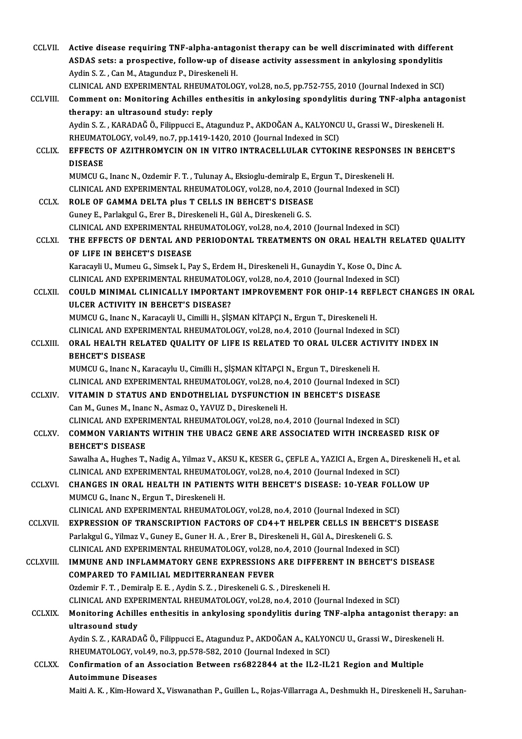| CCLVII.         | Active disease requiring TNF-alpha-antagonist therapy can be well discriminated with different<br>ASDAS sets: a prospective, follow-up of disease activity assessment in ankylosing spondylitis<br>Aydin S. Z., Can M., Atagunduz P., Direskeneli H. |
|-----------------|------------------------------------------------------------------------------------------------------------------------------------------------------------------------------------------------------------------------------------------------------|
|                 | CLINICAL AND EXPERIMENTAL RHEUMATOLOGY, vol.28, no.5, pp.752-755, 2010 (Journal Indexed in SCI)                                                                                                                                                      |
| CCLVIII.        | Comment on: Monitoring Achilles enthesitis in ankylosing spondylitis during TNF-alpha antagonist                                                                                                                                                     |
|                 | therapy: an ultrasound study: reply                                                                                                                                                                                                                  |
|                 | Aydin S. Z., KARADAĞ Ö., Filippucci E., Atagunduz P., AKDOĞAN A., KALYONCU U., Grassi W., Direskeneli H.                                                                                                                                             |
|                 | RHEUMATOLOGY, vol.49, no.7, pp.1419-1420, 2010 (Journal Indexed in SCI)                                                                                                                                                                              |
| <b>CCLIX</b>    | EFFECTS OF AZITHROMYCIN ON IN VITRO INTRACELLULAR CYTOKINE RESPONSES IN BEHCET'S<br><b>DISEASE</b>                                                                                                                                                   |
|                 | MUMCU G., Inanc N., Ozdemir F. T., Tulunay A., Eksioglu-demiralp E., Ergun T., Direskeneli H.                                                                                                                                                        |
|                 | CLINICAL AND EXPERIMENTAL RHEUMATOLOGY, vol.28, no.4, 2010 (Journal Indexed in SCI)                                                                                                                                                                  |
| <b>CCLX</b>     | ROLE OF GAMMA DELTA plus T CELLS IN BEHCET'S DISEASE                                                                                                                                                                                                 |
|                 | Guney E., Parlakgul G., Erer B., Direskeneli H., Gül A., Direskeneli G. S.                                                                                                                                                                           |
|                 | CLINICAL AND EXPERIMENTAL RHEUMATOLOGY, vol.28, no.4, 2010 (Journal Indexed in SCI)                                                                                                                                                                  |
| <b>CCLXI</b>    | THE EFFECTS OF DENTAL AND PERIODONTAL TREATMENTS ON ORAL HEALTH RELATED QUALITY                                                                                                                                                                      |
|                 | OF LIFE IN BEHCET'S DISEASE                                                                                                                                                                                                                          |
|                 | Karacayli U., Mumeu G., Simsek I., Pay S., Erdem H., Direskeneli H., Gunaydin Y., Kose O., Dinc A.                                                                                                                                                   |
| <b>CCLXII</b>   | CLINICAL AND EXPERIMENTAL RHEUMATOLOGY, vol.28, no.4, 2010 (Journal Indexed in SCI)<br>COULD MINIMAL CLINICALLY IMPORTANT IMPROVEMENT FOR OHIP-14 REFLECT CHANGES IN ORAL                                                                            |
|                 | ULCER ACTIVITY IN BEHCET'S DISEASE?                                                                                                                                                                                                                  |
|                 | MUMCU G., Inanc N., Karacayli U., Cimilli H., ŞİŞMAN KİTAPÇI N., Ergun T., Direskeneli H.                                                                                                                                                            |
|                 | CLINICAL AND EXPERIMENTAL RHEUMATOLOGY, vol.28, no.4, 2010 (Journal Indexed in SCI)                                                                                                                                                                  |
| <b>CCLXIII.</b> | ORAL HEALTH RELATED QUALITY OF LIFE IS RELATED TO ORAL ULCER ACTIVITY INDEX IN                                                                                                                                                                       |
|                 | <b>BEHCET'S DISEASE</b>                                                                                                                                                                                                                              |
|                 | MUMCU G., Inanc N., Karacaylu U., Cimilli H., ŞİŞMAN KİTAPÇI N., Ergun T., Direskeneli H.                                                                                                                                                            |
|                 | CLINICAL AND EXPERIMENTAL RHEUMATOLOGY, vol.28, no.4, 2010 (Journal Indexed in SCI)                                                                                                                                                                  |
| <b>CCLXIV</b>   | VITAMIN D STATUS AND ENDOTHELIAL DYSFUNCTION IN BEHCET'S DISEASE                                                                                                                                                                                     |
|                 | Can M., Gunes M., Inanc N., Asmaz O., YAVUZ D., Direskeneli H.                                                                                                                                                                                       |
|                 | CLINICAL AND EXPERIMENTAL RHEUMATOLOGY, vol.28, no.4, 2010 (Journal Indexed in SCI)                                                                                                                                                                  |
| <b>CCLXV</b>    | COMMON VARIANTS WITHIN THE UBAC2 GENE ARE ASSOCIATED WITH INCREASED RISK OF<br><b>BEHCET'S DISEASE</b>                                                                                                                                               |
|                 | Sawalha A., Hughes T., Nadig A., Yilmaz V., AKSU K., KESER G., CEFLE A., YAZICI A., Ergen A., Direskeneli H., et al.                                                                                                                                 |
|                 | CLINICAL AND EXPERIMENTAL RHEUMATOLOGY, vol.28, no.4, 2010 (Journal Indexed in SCI)                                                                                                                                                                  |
| <b>CCLXVI</b>   | <b>CHANGES IN ORAL HEALTH IN PATIENTS WITH BEHCET'S DISEASE: 10-YEAR FOLLOW UP</b>                                                                                                                                                                   |
|                 | MUMCU G., Inanc N., Ergun T., Direskeneli H.                                                                                                                                                                                                         |
|                 | CLINICAL AND EXPERIMENTAL RHEUMATOLOGY, vol.28, no.4, 2010 (Journal Indexed in SCI)                                                                                                                                                                  |
| <b>CCLXVII</b>  | <b>EXPRESSION OF TRANSCRIPTION FACTORS OF CD4+T HELPER CELLS IN BEHCET'S DISEASE</b>                                                                                                                                                                 |
|                 | Parlakgul G., Yilmaz V., Guney E., Guner H. A., Erer B., Direskeneli H., Gül A., Direskeneli G. S.                                                                                                                                                   |
| CCLXVIII        | CLINICAL AND EXPERIMENTAL RHEUMATOLOGY, vol.28, no.4, 2010 (Journal Indexed in SCI)<br>IMMUNE AND INFLAMMATORY GENE EXPRESSIONS ARE DIFFERENT IN BEHCET'S DISEASE                                                                                    |
|                 | <b>COMPARED TO FAMILIAL MEDITERRANEAN FEVER</b>                                                                                                                                                                                                      |
|                 | Ozdemir F. T., Demiralp E. E., Aydin S. Z., Direskeneli G. S., Direskeneli H.                                                                                                                                                                        |
|                 | CLINICAL AND EXPERIMENTAL RHEUMATOLOGY, vol.28, no.4, 2010 (Journal Indexed in SCI)                                                                                                                                                                  |
| <b>CCLXIX</b>   | Monitoring Achilles enthesitis in ankylosing spondylitis during TNF-alpha antagonist therapy: an                                                                                                                                                     |
|                 | ultrasound study                                                                                                                                                                                                                                     |
|                 | Aydin S. Z., KARADAĞ Ö., Filippucci E., Atagunduz P., AKDOĞAN A., KALYONCU U., Grassi W., Direskeneli H.                                                                                                                                             |
|                 | RHEUMATOLOGY, vol.49, no.3, pp.578-582, 2010 (Journal Indexed in SCI)                                                                                                                                                                                |
| <b>CCLXX</b>    | Confirmation of an Association Between rs6822844 at the IL2-IL21 Region and Multiple                                                                                                                                                                 |
|                 | <b>Autoimmune Diseases</b>                                                                                                                                                                                                                           |
|                 | Maiti A. K., Kim-Howard X., Viswanathan P., Guillen L., Rojas-Villarraga A., Deshmukh H., Direskeneli H., Saruhan-                                                                                                                                   |
|                 |                                                                                                                                                                                                                                                      |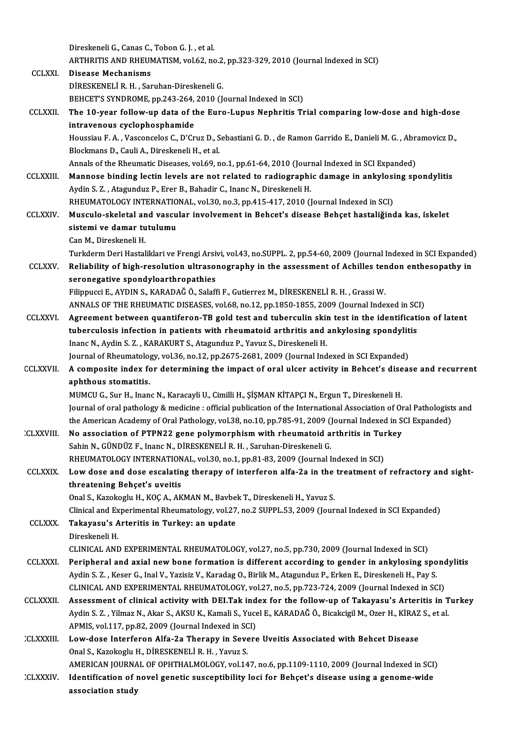|                   | Direskeneli G., Canas C., Tobon G. J., et al.                                                                                                                                                 |
|-------------------|-----------------------------------------------------------------------------------------------------------------------------------------------------------------------------------------------|
| <b>CCLXXI</b>     | ARTHRITIS AND RHEUMATISM, vol.62, no.2, pp.323-329, 2010 (Journal Indexed in SCI)<br><b>Disease Mechanisms</b>                                                                                |
|                   | DIRESKENELI R. H., Saruhan-Direskeneli G.                                                                                                                                                     |
|                   | BEHCET'S SYNDROME, pp.243-264, 2010 (Journal Indexed in SCI)                                                                                                                                  |
| <b>CCLXXII.</b>   | The 10-year follow-up data of the Euro-Lupus Nephritis Trial comparing low-dose and high-dose                                                                                                 |
|                   | intravenous cyclophosphamide                                                                                                                                                                  |
|                   | Houssiau F. A., Vasconcelos C., D'Cruz D., Sebastiani G. D., de Ramon Garrido E., Danieli M. G., Abramovicz D.,                                                                               |
|                   | Blockmans D., Cauli A., Direskeneli H., et al.                                                                                                                                                |
|                   | Annals of the Rheumatic Diseases, vol.69, no.1, pp.61-64, 2010 (Journal Indexed in SCI Expanded)                                                                                              |
| <b>CCLXXIII</b>   | Mannose binding lectin levels are not related to radiographic damage in ankylosing spondylitis                                                                                                |
|                   | Aydin S. Z., Atagunduz P., Erer B., Bahadir C., Inanc N., Direskeneli H.                                                                                                                      |
|                   | RHEUMATOLOGY INTERNATIONAL, vol.30, no.3, pp.415-417, 2010 (Journal Indexed in SCI)                                                                                                           |
| <b>CCLXXIV</b>    | Musculo-skeletal and vascular involvement in Behcet's disease Behçet hastaliğinda kas, iskelet                                                                                                |
|                   | sistemi ve damar tutulumu                                                                                                                                                                     |
|                   | Can M, Direskeneli H.                                                                                                                                                                         |
|                   | Turkderm Deri Hastaliklari ve Frengi Arsivi, vol.43, no.SUPPL. 2, pp.54-60, 2009 (Journal Indexed in SCI Expanded)                                                                            |
| <b>CCLXXV</b>     | Reliability of high-resolution ultrasonography in the assessment of Achilles tendon enthesopathy in<br>seronegative spondyloarthropathies                                                     |
|                   | Filippucci E., AYDIN S., KARADAĞ Ö., Salaffi F., Gutierrez M., DİRESKENELİ R. H., Grassi W.                                                                                                   |
|                   | ANNALS OF THE RHEUMATIC DISEASES, vol.68, no.12, pp.1850-1855, 2009 (Journal Indexed in SCI)                                                                                                  |
| <b>CCLXXVI.</b>   | Agreement between quantiferon-TB gold test and tuberculin skin test in the identification of latent                                                                                           |
|                   | tuberculosis infection in patients with rheumatoid arthritis and ankylosing spondylitis                                                                                                       |
|                   | Inanc N., Aydin S. Z., KARAKURT S., Atagunduz P., Yavuz S., Direskeneli H.                                                                                                                    |
|                   | Journal of Rheumatology, vol.36, no.12, pp.2675-2681, 2009 (Journal Indexed in SCI Expanded)                                                                                                  |
| <b>CCLXXVII</b>   | A composite index for determining the impact of oral ulcer activity in Behcet's disease and recurrent                                                                                         |
|                   | aphthous stomatitis.                                                                                                                                                                          |
|                   | MUMCU G., Sur H., Inanc N., Karacayli U., Cimilli H., ŞİŞMAN KİTAPÇI N., Ergun T., Direskeneli H.                                                                                             |
|                   | Journal of oral pathology & medicine : official publication of the International Association of Oral Pathologists and                                                                         |
|                   | the American Academy of Oral Pathology, vol.38, no.10, pp.785-91, 2009 (Journal Indexed in SCI Expanded)                                                                                      |
| <b>CLXXVIII</b> : | No association of PTPN22 gene polymorphism with rheumatoid arthritis in Turkey                                                                                                                |
|                   | Sahin N., GÜNDÜZ F., Inanc N., DİRESKENELİ R. H., Saruhan-Direskeneli G.                                                                                                                      |
| <b>CCLXXIX</b>    | RHEUMATOLOGY INTERNATIONAL, vol.30, no.1, pp.81-83, 2009 (Journal Indexed in SCI)<br>Low dose and dose escalating therapy of interferon alfa-2a in the treatment of refractory and sight-     |
|                   | threatening Behçet's uveitis                                                                                                                                                                  |
|                   | Onal S., Kazokoglu H., KOÇ A., AKMAN M., Bavbek T., Direskeneli H., Yavuz S.                                                                                                                  |
|                   | Clinical and Experimental Rheumatology, vol.27, no.2 SUPPL.53, 2009 (Journal Indexed in SCI Expanded)                                                                                         |
| <b>CCLXXX.</b>    | Takayasu's Arteritis in Turkey: an update                                                                                                                                                     |
|                   | Direskeneli H.                                                                                                                                                                                |
|                   | CLINICAL AND EXPERIMENTAL RHEUMATOLOGY, vol.27, no.5, pp.730, 2009 (Journal Indexed in SCI)                                                                                                   |
| <b>CCLXXXI</b>    | Peripheral and axial new bone formation is different according to gender in ankylosing spondylitis                                                                                            |
|                   | Aydin S. Z., Keser G., Inal V., Yazisiz V., Karadag O., Birlik M., Atagunduz P., Erken E., Direskeneli H., Pay S.                                                                             |
|                   | CLINICAL AND EXPERIMENTAL RHEUMATOLOGY, vol.27, no.5, pp.723-724, 2009 (Journal Indexed in SCI)                                                                                               |
| <b>CCLXXXII</b>   | Assessment of clinical activity with DEI Tak index for the follow-up of Takayasu's Arteritis in Turkey                                                                                        |
|                   | Aydin S. Z. , Yilmaz N., Akar S., AKSU K., Kamali S., Yucel E., KARADAĞ Ö., Bicakcigil M., Ozer H., KİRAZ S., et al.                                                                          |
|                   | APMIS, vol.117, pp.82, 2009 (Journal Indexed in SCI)                                                                                                                                          |
| <b>CLXXXIII.</b>  | Low-dose Interferon Alfa-2a Therapy in Severe Uveitis Associated with Behcet Disease                                                                                                          |
|                   | Onal S., Kazokoglu H., DİRESKENELİ R. H., Yavuz S.                                                                                                                                            |
| <b>CLXXXIV</b>    | AMERICAN JOURNAL OF OPHTHALMOLOGY, vol.147, no.6, pp.1109-1110, 2009 (Journal Indexed in SCI)<br>Identification of novel genetic susceptibility loci for Behçet's disease using a genome-wide |
|                   | association study                                                                                                                                                                             |
|                   |                                                                                                                                                                                               |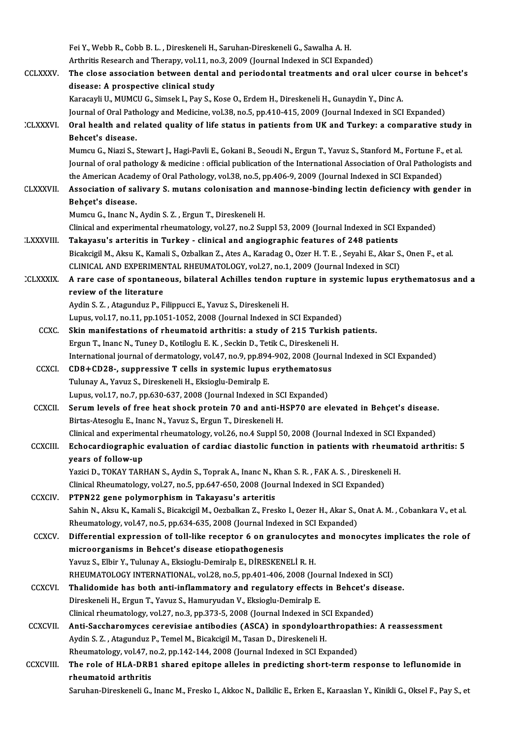Fei Y., Webb R., Cobb B. L., Direskeneli H., Saruhan-Direskeneli G., Sawalha A. H.

Fei Y., Webb R., Cobb B. L. , Direskeneli H., Saruhan-Direskeneli G., Sawalha A. H.<br>Arthritis Research and Therapy, vol.11, no.3, 2009 (Journal Indexed in SCI Expanded)<br>The class association between dental and noriodental CCLXXXV. The close association between dental and periodontal treatments and oral ulcer course in behcet's Arthritis Research and Therapy, vol.11, no<br>The close association between denta<br>disease: A prospective clinical study<br>Kanagayli II, MIMCUC, Simeak L, Bay S, K Karacayli U., MUMCU G., Simsek I., Pay S., Kose O., Erdem H., Direskeneli H., Gunaydin Y., Dinc A. Journal of Oral Pathology and Medicine, vol.38, no.5, pp.410-415, 2009 (Journal Indexed in SCI Expanded) Karacayli U., MUMCU G., Simsek I., Pay S., Kose O., Erdem H., Direskeneli H., Gunaydin Y., Dinc A.<br>Journal of Oral Pathology and Medicine, vol.38, no.5, pp.410-415, 2009 (Journal Indexed in SCI Expanded)<br>CLXXXVI. Oral heal Journal of Oral Path<br>Oral health and r<br>Behcet's disease.<br>Mumau C. Niari S. ( Oral health and related quality of life status in patients from UK and Turkey: a comparative study<br>Behcet's disease.<br>Mumcu G., Niazi S., Stewart J., Hagi-Pavli E., Gokani B., Seoudi N., Ergun T., Yavuz S., Stanford M., For Behcet's disease.<br>Mumcu G., Niazi S., Stewart J., Hagi-Pavli E., Gokani B., Seoudi N., Ergun T., Yavuz S., Stanford M., Fortune F., et al.<br>Journal of oral pathology & medicine : official publication of the International As Mumcu G., Niazi S., Stewart J., Hagi-Pavli E., Gokani B., Seoudi N., Ergun T., Yavuz S., Stanford M., Fortune F., et al.<br>Journal of oral pathology & medicine : official publication of the International Association of Oral Journal of oral pathology & medicine : official publication of the International Association of Oral Pathologists and<br>the American Academy of Oral Pathology, vol.38, no.5, pp.406-9, 2009 (Journal Indexed in SCI Expanded)<br>C the American Academy of Oral Pathology, vol.38, no.5, pp.406-9, 2009 (Journal Indexed in SCI Expanded)<br>Association of salivary S. mutans colonisation and mannose-binding lectin deficiency with ge<br>Behçet's disease. Mumcu G., Inanc N., Aydin S. Z., Ergun T., Direskeneli H. Behçet's disease.<br>Mumcu G., Inanc N., Aydin S. Z. , Ergun T., Direskeneli H.<br>Clinical and experimental rheumatology, vol.27, no.2 Suppl 53, 2009 (Journal Indexed in SCI Expanded)<br>Tekeyeey's arteritis in Turkey, , clinical Mumcu G., Inanc N., Aydin S. Z. , Ergun T., Direskeneli H.<br>Clinical and experimental rheumatology, vol.27, no.2 Suppl 53, 2009 (Journal Indexed in SCI E<br>LXXXVIII. Takayasu's arteritis in Turkey - clinical and angiographic Clinical and experimental rheumatology, vol.27, no.2 Suppl 53, 2009 (Journal Indexed in SCI Expanded)<br>Takayasu's arteritis in Turkey - clinical and angiographic features of 248 patients<br>Bicakcigil M., Aksu K., Kamali S., O Takayasu's arteritis in Turkey - clinical and angiographic features of 248 patients<br>Bicakcigil M., Aksu K., Kamali S., Ozbalkan Z., Ates A., Karadag O., Ozer H. T. E. , Seyahi E., Akar S.<br>CLINICAL AND EXPERIMENTAL RHEUMATO Bicakcigil M., Aksu K., Kamali S., Ozbalkan Z., Ates A., Karadag O., Ozer H. T. E. , Seyahi E., Akar S., Onen F., et al.<br>CLINICAL AND EXPERIMENTAL RHEUMATOLOGY, vol.27, no.1, 2009 (Journal Indexed in SCI)<br>CLXXXIX. A rare c CLINICAL AND EXPERIMEN<br>A rare case of spontane<br>review of the literature A rare case of spontaneous, bilateral Achilles tendon r<br>review of the literature<br>Aydin S. Z. , Atagunduz P., Filippucci E., Yavuz S., Direskeneli H.<br>Lunus vol 17 no 11 nn 1051 1052-2008 (Jaurnal Indexed in review of the literature<br>Aydin S. Z. , Atagunduz P., Filippucci E., Yavuz S., Direskeneli H.<br>Lupus, vol.17, no.11, pp.1051-1052, 2008 (Journal Indexed in SCI Expanded)

- CCXC. Skinmanifestations of rheumatoid arthritis: a study of 215 Turkish patients. Lupus, vol.17, no.11, pp.1051-1052, 2008 (Journal Indexed in SCI Expanded)<br>Skin manifestations of rheumatoid arthritis: a study of 215 Turkish<br>Ergun T., Inanc N., Tuney D., Kotiloglu E. K. , Seckin D., Tetik C., Direskenel Skin manifestations of rheumatoid arthritis: a study of 215 Turkish patients.<br>Ergun T., Inanc N., Tuney D., Kotiloglu E. K. , Seckin D., Tetik C., Direskeneli H.<br>International journal of dermatology, vol.47, no.9, pp.894-9 Ergun T., Inanc N., Tuney D., Kotiloglu E. K., Seckin D., Tetik C., Direskeneli I<br>International journal of dermatology, vol.47, no.9, pp.894-902, 2008 (Journ<br>CCXCI. CD8+CD28-, suppressive T cells in systemic lupus erythema
- International journal of dermatology, vol.47, no.9, pp.894<br>CD8+CD28-, suppressive T cells in systemic lupus<br>Tulunay A., Yavuz S., Direskeneli H., Eksioglu-Demiralp E. CD8+CD28-, suppressive T cells in systemic lupus erythematosus<br>Tulunay A., Yavuz S., Direskeneli H., Eksioglu-Demiralp E.<br>Lupus, vol.17, no.7, pp.630-637, 2008 (Journal Indexed in SCI Expanded) Tulunay A., Yavuz S., Direskeneli H., Eksioglu-Demiralp E.<br>Lupus, vol.17, no.7, pp.630-637, 2008 (Journal Indexed in SCI Expanded)<br>CCXCII. Serum levels of free heat shock protein 70 and anti-HSP70 are elevated in Behçet's
- Lupus, vol.17, no.7, pp.630-637, 2008 (Journal Indexed in SC<br>Serum levels of free heat shock protein 70 and anti-H<br>Birtas-Atesoglu E., Inanc N., Yavuz S., Ergun T., Direskeneli H.<br>Clinical and experimental rhoumatelogy, yo Serum levels of free heat shock protein 70 and anti-HSP70 are elevated in Behçet's disease<br>Birtas-Atesoglu E., Inanc N., Yavuz S., Ergun T., Direskeneli H.<br>Clinical and experimental rheumatology, vol.26, no.4 Suppl 50, 200 Birtas-Atesoglu E., Inanc N., Yavuz S., Ergun T., Direskeneli H.<br>Clinical and experimental rheumatology, vol.26, no.4 Suppl 50, 2008 (Journal Indexed in SCI Expanded)<br>CCXCIII. Echocardiographic evaluation of cardiac diasto
- Clinical and experime<br>Echocardiographic<br>years of follow-up<br>Yerisi D. TOKAY TAPI Echocardiographic evaluation of cardiac diastolic function in patients with rheuma<br>years of follow-up<br>Yazici D., TOKAY TARHAN S., Aydin S., Toprak A., Inanc N., Khan S. R. , FAK A. S. , Direskeneli H.<br>Clinical Bhaumatalagy years of follow-up<br>Yazici D., TOKAY TARHAN S., Aydin S., Toprak A., Inanc N., Khan S. R. , FAK A. S. , Direskene<br>Clinical Rheumatology, vol.27, no.5, pp.647-650, 2008 (Journal Indexed in SCI Expanded)<br>PTPN22, sone polymorp
	-
	-
- Yazici D., TOKAY TARHAN S., Aydin S., Toprak A., Inanc N., K<br>Clinical Rheumatology, vol.27, no.5, pp.647-650, 2008 (Jou:<br>CCXCIV. PTPN22 gene polymorphism in Takayasu's arteritis<br>Sobin N. Akay K. Kamali S. Bioakairil M. Oar PTPN22 gene polymorphism in Takayasu's arteritis<br>Sahin N., Aksu K., Kamali S., Bicakcigil M., Oezbalkan Z., Fresko I., Oezer H., Akar S., Onat A. M. , Cobankara V., et al. PTPN22 gene polymorphism in Takayasu's arteritis<br>Sahin N., Aksu K., Kamali S., Bicakcigil M., Oezbalkan Z., Fresko I., Oezer H., Akar S., (<br>Rheumatology, vol.47, no.5, pp.634-635, 2008 (Journal Indexed in SCI Expanded)<br>Dif

CCXCV. Differential expression of toll-like receptor 6 on granulocytes and monocytes implicates the role of microorganisms in Behcet's disease etiopathogenesis Rheumatology, vol.47, no.5, pp.634-635, 2008 (Journal Index<br>Differential expression of toll-like receptor 6 on gran<br>microorganisms in Behcet's disease etiopathogenesis<br>Yayuz S. Elbir V. Tulunay A. Eksiasku Domiraln E. DipE Yavuz S., Elbir Y., Tulunay A., Eksioglu-Demiralp E., DİRESKENELİ R. H. microorganisms in Behcet's disease etiopathogenesis<br>Yavuz S., Elbir Y., Tulunay A., Eksioglu-Demiralp E., DİRESKENELİ R. H.<br>RHEUMATOLOGY INTERNATIONAL, vol.28, no.5, pp.401-406, 2008 (Journal Indexed in SCI)<br>Thalidamide ha Yavuz S., Elbir Y., Tulunay A., Eksioglu-Demiralp E., DİRESKENELİ R. H.<br>RHEUMATOLOGY INTERNATIONAL, vol.28, no.5, pp.401-406, 2008 (Journal Indexed in SCI)<br>CCXCVI. Thalidomide has both anti-inflammatory and regulatory effe

- RHEUMATOLOGY INTERNATIONAL, vol.28, no.5, pp.401-406, 2008 (Jou<br>Thalidomide has both anti-inflammatory and regulatory effects<br>Direskeneli H., Ergun T., Yavuz S., Hamuryudan V., Eksioglu-Demiralp E.<br>Clinical rhaumatalagy vo Thalidomide has both anti-inflammatory and regulatory effects in Behcet's d<br>Direskeneli H., Ergun T., Yavuz S., Hamuryudan V., Eksioglu-Demiralp E.<br>Clinical rheumatology, vol.27, no.3, pp.373-5, 2008 (Journal Indexed in SC Direskeneli H., Ergun T., Yavuz S., Hamuryudan V., Eksioglu-Demiralp E.<br>Clinical rheumatology, vol.27, no.3, pp.373-5, 2008 (Journal Indexed in SCI Expanded)<br>CCXCVII. Anti-Saccharomyces cerevisiae antibodies (ASCA) in spon
- Clinical rheumatology, vol.27, no.3, pp.373-5, 2008 (Journal Indexed in Soldies (Ascharomyces cerevisiae antibodies (ASCA) in spondyloar<br>Aydin S. Z. , Atagunduz P., Temel M., Bicakcigil M., Tasan D., Direskeneli H.<br>Pheumat Anti-Saccharomyces cerevisiae antibodies (ASCA) in spondyloarthropatl<br>Aydin S. Z. , Atagunduz P., Temel M., Bicakcigil M., Tasan D., Direskeneli H.<br>Rheumatology, vol.47, no.2, pp.142-144, 2008 (Journal Indexed in SCI Expan Aydin S. Z. , Atagunduz P., Temel M., Bicakcigil M., Tasan D., Direskeneli H.<br>Rheumatology, vol.47, no.2, pp.142-144, 2008 (Journal Indexed in SCI Expanded)<br>CCXCVIII. The role of HLA-DRB1 shared epitope alleles in pred
- rheumatoid arthritis

Saruhan-Direskeneli G., Inanc M., Fresko I., Akkoc N., Dalkilic E., Erken E., Karaaslan Y., Kinikli G., Oksel F., Pay S., et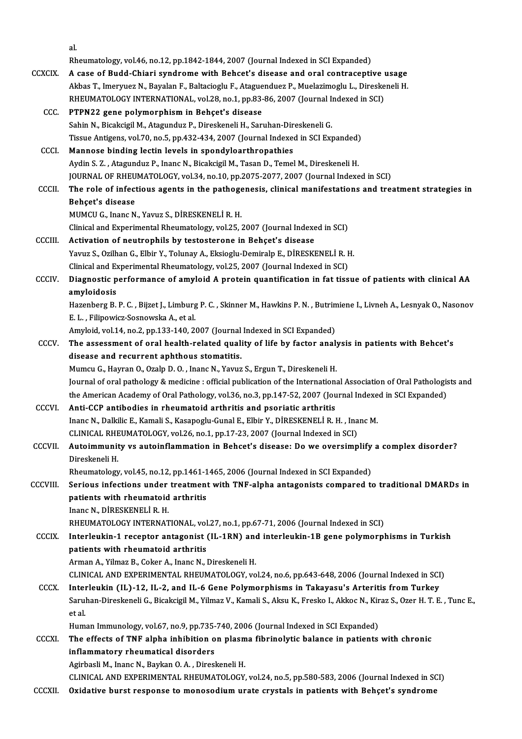al. al.<br>Rheumatology, vol.46, no.12, pp.1842-1844, 2007 (Journal Indexed in SCI Expanded) CCXCIX. A case of Budd-Chiari syndrome with Behcet's disease and oral contraceptive usage Rheumatology, vol.46, no.12, pp.1842-1844, 2007 (Journal Indexed in SCI Expanded)<br>A case of Budd-Chiari syndrome with Behcet's disease and oral contraceptive usage<br>Akbas T., Imeryuez N., Bayalan F., Baltacioglu F., Ataguen A case of Budd-Chiari syndrome with Behcet's disease and oral contraceptive to Akbas T., Imeryuez N., Bayalan F., Baltacioglu F., Ataguenduez P., Muelazimoglu L., Direske<br>RHEUMATOLOGY INTERNATIONAL, vol.28, no.1, pp.83-86, RHEUMATOLOGY INTERNATIONAL, vol.28, no.1, pp.83-86, 2007 (Journal Indexed in SCI)<br>CCC. PTPN22 gene polymorphism in Behçet's disease RHEUMATOLOGY INTERNATIONAL, vol.28, no.1, pp.83-86, 2007 (Journal In<br>PTPN22 gene polymorphism in Behçet's disease<br>Sahin N., Bicakcigil M., Atagunduz P., Direskeneli H., Saruhan-Direskeneli G.<br>Tissue Antisens, vol 70, no 5, Tissue Antigens, vol.70, no.5, pp.432-434, 2007 (Journal Indexed in SCI Expanded)<br>Mannose binding lectin levels in spondyloarthropathies Sahin N., Bicakcigil M., Atagunduz P., Direskeneli H., Saruhan-Dir<br>Tissue Antigens, vol.70, no.5, pp.432-434, 2007 (Journal Indexed<br>CCCI. Mannose binding lectin levels in spondyloarthropathies<br>Ardin S.7. Atagunduz P. Jaape Aydin S. Z., Atagunduz P., Inanc N., Bicakcigil M., Tasan D., Temel M., Direskeneli H. Mannose binding lectin levels in spondyloarthropathies<br>Aydin S. Z. , Atagunduz P., Inanc N., Bicakcigil M., Tasan D., Temel M., Direskeneli H.<br>JOURNAL OF RHEUMATOLOGY, vol.34, no.10, pp.2075-2077, 2007 (Journal Indexed in CCCII. The role of infectious agents in the pathogenesis, clinical manifestations and treatment strategies in<br>Behcet's disease **JOURNAL OF RHEU<br>The role of infect<br>Behçet's disease<br>MUMCU C. Inane N** MUMCUG., InancN.,Yavuz S.,DİRESKENELİR.H. Behçet's disease<br>MUMCU G., Inanc N., Yavuz S., DİRESKENELİ R. H.<br>Clinical and Experimental Rheumatology, vol.25, 2007 (Journal Indexed in SCI)<br>Activation of neutronbile by testesterane in Behest's disease. MUMCU G., Inanc N., Yavuz S., DİRESKENELİ R. H.<br>Clinical and Experimental Rheumatology, vol.25, 2007 (Journal Indexe<br>CCCIII. Activation of neutrophils by testosterone in Behçet's disease<br>Varuz S. Qrilhan G. Elbin V. Tolung Clinical and Experimental Rheumatology, vol.25, 2007 (Journal Indexed in SCI)<br>Activation of neutrophils by testosterone in Behçet's disease<br>Yavuz S., Ozilhan G., Elbir Y., Tolunay A., Eksioglu-Demiralp E., DİRESKENELİ R. H Activation of neutrophils by testosterone in Behçet's disease<br>Yavuz S., Ozilhan G., Elbir Y., Tolunay A., Eksioglu-Demiralp E., DİRESKENELİ R. I<br>Clinical and Experimental Rheumatology, vol.25, 2007 (Journal Indexed in SCI) Yavuz S., Ozilhan G., Elbir Y., Tolunay A., Eksioglu-Demiralp E., DİRESKENELİ R. H.<br>Clinical and Experimental Rheumatology, vol.25, 2007 (Journal Indexed in SCI)<br>CCCIV. Diagnostic performance of amyloid A protein quantific Clinical and Ex<br>Diagnostic p<br>amyloidosis<br>Hagaphara B Diagnostic performance of amyloid A protein quantification in fat tissue of patients with clinical AA<br>amyloidosis<br>Hazenberg B. P. C. , Bijzet J., Limburg P. C. , Skinner M., Hawkins P. N. , Butrimiene I., Livneh A., Lesnya amyloidosis<br>Hazenberg B. P. C. , Bijzet J., Limburg P. C. , Skinner M., Hawkins P. N. , Butrimiene I., Livneh A., Lesnyak O., Nasonov<br>E. L. , Filipowicz-Sosnowska A., et al. Amyloid, vol.14, no.2, pp.133-140, 2007 (Journal Indexed in SCI Expanded) E. L. , Filipowicz-Sosnowska A., et al.<br>Amyloid, vol.14, no.2, pp.133-140, 2007 (Journal Indexed in SCI Expanded)<br>CCCV. The assessment of oral health-related quality of life by factor analysis in patients with Behcet's<br>dis Amyloid, vol.14, no.2, pp.133-140, 2007 (Journal<br>The assessment of oral health-related quali<br>disease and recurrent aphthous stomatitis.<br>Mumeu C. Houren O. Oralp D. O. Jaane N. Vouus The assessment of oral health-related quality of life by factor analy<br>disease and recurrent aphthous stomatitis.<br>Mumcu G., Hayran O., Ozalp D. O. , Inanc N., Yavuz S., Ergun T., Direskeneli H.<br>Journal of oral pathology & m disease and recurrent aphthous stomatitis.<br>Mumcu G., Hayran O., Ozalp D. O. , Inanc N., Yavuz S., Ergun T., Direskeneli H.<br>Journal of oral pathology & medicine : official publication of the International Association of Ora Mumcu G., Hayran O., Ozalp D. O. , Inanc N., Yavuz S., Ergun T., Direskeneli H.<br>Journal of oral pathology & medicine : official publication of the International Association of Oral Pathologi<br>the American Academy of Oral Pa the American Academy of Oral Pathology, vol.36, no.3, pp.147-52, 2007 (Journal Indexed in SCI Expanded)<br>CCCVI. Anti-CCP antibodies in rheumatoid arthritis and psoriatic arthritis the American Academy of Oral Pathology, vol.36, no.3, pp.147-52, 2007 (Journal Indexe<br>Anti-CCP antibodies in rheumatoid arthritis and psoriatic arthritis<br>Inanc N., Dalkilic E., Kamali S., Kasapoglu-Gunal E., Elbir Y., DİRE Anti-CCP antibodies in rheumatoid arthritis and psoriatic arthritis<br>Inanc N., Dalkilic E., Kamali S., Kasapoglu-Gunal E., Elbir Y., DİRESKENELİ R. H. , Ina<br>CLINICAL RHEUMATOLOGY, vol.26, no.1, pp.17-23, 2007 (Journal Index Inanc N., Dalkilic E., Kamali S., Kasapoglu-Gunal E., Elbir Y., DİRESKENELİ R. H. , Inanc M.<br>CLINICAL RHEUMATOLOGY, vol.26, no.1, pp.17-23, 2007 (Journal Indexed in SCI)<br>CCCVII. Autoimmunity vs autoinflammation in Behcet's CLINICAL RHE<br>**Autoimmunit**<br>Direskeneli H.<br>Pheumatelogu Autoimmunity vs autoinflammation in Behcet's disease: Do we oversimplify<br>Direskeneli H.<br>Rheumatology, vol.45, no.12, pp.1461-1465, 2006 (Journal Indexed in SCI Expanded)<br>Serious infections under treatment with TNE alpha an Direskeneli H.<br>Rheumatology, vol.45, no.12, pp.1461-1465, 2006 (Journal Indexed in SCI Expanded)<br>CCCVIII. Serious infections under treatment with TNF-alpha antagonists compared to traditional DMARDs in Rheumatology, vol.45, no.12, pp.1461-1<br>Serious infections under treatment<br>patients with rheumatoid arthritis<br>Inane N. Dingskypuri p. u Serious infections under<br>patients with rheumatoid<br>Inanc N., DİRESKENELİ R. H.<br>PHEIMATOLOCY INTERNAT patients with rheumatoid arthritis<br>Inanc N., DİRESKENELİ R. H.<br>RHEUMATOLOGY INTERNATIONAL, vol.27, no.1, pp.67-71, 2006 (Journal Indexed in SCI)<br>Interlevkin 1 resenter antasenist (H. 1PN) and interlevkin 1P sene pelymernl Inanc N., DİRESKENELİ R. H.<br>RHEUMATOLOGY INTERNATIONAL, vol.27, no.1, pp.67-71, 2006 (Journal Indexed in SCI)<br>CCCIX. Interleukin-1 receptor antagonist (IL-1RN) and interleukin-1B gene polymorphisms in Turkish<br>nationts with RHEUMATOLOGY INTERNATIONAL, vol<br>Interleukin-1 receptor antagonist<br>patients with rheumatoid arthritis<br>Arman A. Vilmaz B. Colsor A. Inans N. I Interleukin-1 receptor antagonist (IL-1RN) and<br>patients with rheumatoid arthritis<br>Arman A., Yilmaz B., Coker A., Inanc N., Direskeneli H.<br>CUNICAL AND EXPERIMENTAL RUEUMATOLOCY vo patients with rheumatoid arthritis<br>Arman A., Yilmaz B., Coker A., Inanc N., Direskeneli H.<br>CLINICAL AND EXPERIMENTAL RHEUMATOLOGY, vol.24, no.6, pp.643-648, 2006 (Journal Indexed in SCI)<br>Interlevkin (U.) 12, U. 2, and U. 6 Arman A., Yilmaz B., Coker A., Inanc N., Direskeneli H.<br>CLINICAL AND EXPERIMENTAL RHEUMATOLOGY, vol.24, no.6, pp.643-648, 2006 (Journal Indexed in SCI<br>CCCX. Interleukin (IL)-12, IL-2, and IL-6 Gene Polymorphisms in Takayas CLINICAL AND EXPERIMENTAL RHEUMATOLOGY, vol.24, no.6, pp.643-648, 2006 (Journal Indexed in SCI)<br>Interleukin (IL)-12, IL-2, and IL-6 Gene Polymorphisms in Takayasu's Arteritis from Turkey<br>Saruhan-Direskeneli G., Bicakcigil Interleukin (IL)-12, IL-2, and IL-6 Gene Polymorphisms in Takayasu's Arteritis from Turkey<br>Saruhan-Direskeneli G., Bicakcigil M., Yilmaz V., Kamali S., Aksu K., Fresko I., Akkoc N., Kiraz S., Ozer H. T. E<br>et al. Saruhan-Direskeneli G., Bicakcigil M., Yilmaz V., Kamali S., Aksu K., Fresko I., Akkoc N., Kir<br>et al.<br>Human Immunology, vol.67, no.9, pp.735-740, 2006 (Journal Indexed in SCI Expanded)<br>The effects of TNE alpha inhibition o et al.<br>Human Immunology, vol.67, no.9, pp.735-740, 2006 (Journal Indexed in SCI Expanded)<br>CCCXI. The effects of TNF alpha inhibition on plasma fibrinolytic balance in patients with chronic<br>inflammatary rhoumatical disarder Human Immunology, vol.67, no.9, pp.735-740, 2006 (Journal Indexed in SCI Expanded)<br>The effects of TNF alpha inhibition on plasma fibrinolytic balance in patients<br>inflammatory rheumatical disorders<br>Agirbasli M., Inanc N., B The effects of TNF alpha inhibition on plasm<br>inflammatory rheumatical disorders<br>Agirbasli M., Inanc N., Baykan O.A. , Direskeneli H.<br>CLINICAL AND EXPERIMENTAL BHEUMATOLOCY CLINICAL AND EXPERIMENTAL RHEUMATOLOGY, vol.24, no.5, pp.580-583, 2006 (Journal Indexed in SCI) CCCXII. Oxidative burst response to monosodium urate crystals in patients with Behçet's syndrome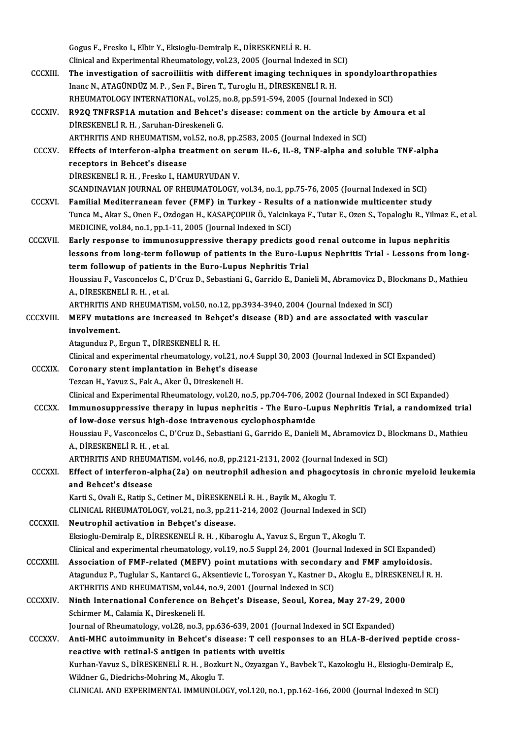Gogus F.,Fresko I.,Elbir Y.,Eksioglu-DemiralpE.,DİRESKENELİR.H. Gogus F., Fresko I., Elbir Y., Eksioglu-Demiralp E., DİRESKENELİ R. H.<br>Clinical and Experimental Rheumatology, vol.23, 2005 (Journal Indexed in SCI)<br>The investigation of secreilijtis with different imaging techniques in su Gogus F., Fresko I., Elbir Y., Eksioglu-Demiralp E., DİRESKENELİ R. H.<br>Clinical and Experimental Rheumatology, vol.23, 2005 (Journal Indexed in SCI)<br>CCCXIII. The investigation of sacroiliitis with different imaging techniq Clinical and Experimental Rheumatology, vol.23, 2005 (Journal Indexed in S<br>The investigation of sacroiliitis with different imaging techniques i<br>Inanc N., ATAGÜNDÜZ M. P., Sen F., Biren T., Turoglu H., DİRESKENELİ R. H.<br>PH The investigation of sacroiliitis with different imaging techniques in spondyloart<br>Inanc N., ATAGÜNDÜZ M. P. , Sen F., Biren T., Turoglu H., DİRESKENELİ R. H.<br>RHEUMATOLOGY INTERNATIONAL, vol.25, no.8, pp.591-594, 2005 (Jou Inanc N., ATAGÜNDÜZ M. P. , Sen F., Biren T., Turoglu H., DİRESKENELİ R. H.<br>RHEUMATOLOGY INTERNATIONAL, vol.25, no.8, pp.591-594, 2005 (Journal Indexed in SCI)<br>CCCXIV. R92Q TNFRSF1A mutation and Behcet's disease: comment o RHEUMATOLOGY INTERNATIONAL, vol.25, no.8, pp.591-594, 2005 (Journal Indexed in SCI)<br>R92Q TNFRSF1A mutation and Behcet's disease: comment on the article by Amou<br>DIRESKENELI R. H. , Saruhan-Direskeneli G.<br>ARTHRITIS AND RHEUM R92Q TNFRSF1A mutation and Behcet's disease: comment on the article by<br>DIRESKENELI R. H. , Saruhan-Direskeneli G.<br>ARTHRITIS AND RHEUMATISM, vol.52, no.8, pp.2583, 2005 (Journal Indexed in SCI)<br>Effects of interforan alpha t DİRESKENELİ R. H. , Saruhan-Direskeneli G.<br>ARTHRITIS AND RHEUMATISM, vol.52, no.8, pp.2583, 2005 (Journal Indexed in SCI)<br>CCCXV. Effects of interferon-alpha treatment on serum IL-6, IL-8, TNF-alpha and soluble TNF-alpha<br>re ARTHRITIS AND RHEUMATISM, ve<br>Effects of interferon-alpha tre<br>receptors in Behcet's disease<br>Dipeckenel i.p. u. Enecke L.HAI Effects of interferon-alpha treatment on se<br>receptors in Behcet's disease<br>DİRESKENELİ R. H. , Fresko I., HAMURYUDAN V.<br>SCANDINAVIAN JOUPNAL OF PHEUMATOLOCY receptors in Behcet's disease<br>DİRESKENELİ R. H. , Fresko I., HAMURYUDAN V.<br>SCANDINAVIAN JOURNAL OF RHEUMATOLOGY, vol.34, no.1, pp.75-76, 2005 (Journal Indexed in SCI) CCCXVI. Familial Mediterranean fever (FMF) in Turkey - Results of a nationwide multicenter study SCANDINAVIAN JOURNAL OF RHEUMATOLOGY, vol.34, no.1, pp.75-76, 2005 (Journal Indexed in SCI)<br>Familial Mediterranean fever (FMF) in Turkey - Results of a nationwide multicenter study<br>Tunca M., Akar S., Onen F., Ozdogan H., K Familial Mediterranean fever (FMF) in Turkey - Results<br>Tunca M., Akar S., Onen F., Ozdogan H., KASAPÇOPUR Ö., Yalcink<br>MEDICINE, vol.84, no.1, pp.1-11, 2005 (Journal Indexed in SCI)<br>Ferly reepense to immunesynnressive there Tunca M., Akar S., Onen F., Ozdogan H., KASAPÇOPUR Ö., Yalcinkaya F., Tutar E., Ozen S., Topaloglu R., Yilmaz<br>MEDICINE, vol.84, no.1, pp.1-11, 2005 (Journal Indexed in SCI)<br>CCCXVII. Early response to immunosuppressive ther MEDICINE, vol.84, no.1, pp.1-11, 2005 (Journal Indexed in SCI)<br>Early response to immunosuppressive therapy predicts good renal outcome in lupus nephritis<br>lessons from long-term followup of patients in the Euro-Lupus Nephri Early response to immunosuppressive therapy predicts goo<br>lessons from long-term followup of patients in the Euro-Lup<br>term followup of patients in the Euro-Lupus Nephritis Trial<br>Haussiau E. Vassenseles C. D'Cuuz D. Sebestio lessons from long-term followup of patients in the Euro-Lupus Nephritis Trial - Lessons from long-<br>term followup of patients in the Euro-Lupus Nephritis Trial<br>Houssiau F., Vasconcelos C., D'Cruz D., Sebastiani G., Garrido term followup of patients in the Euro-Lupus Nephritis Trial<br>Houssiau F., Vasconcelos C., D'Cruz D., Sebastiani G., Garrido E., Dani<br>A., DİRESKENELİ R. H. , et al. Houssiau F., Vasconcelos C., D'Cruz D., Sebastiani G., Garrido E., Danieli M., Abramovicz D., Blockmans D., Mathieu CCCXVIII. MEFV mutations are increased in Behçet's disease (BD) and are associated with vascular involvement. ARTHRITIS AND RHEUMATISM, vol.50, no.12, pp.3934-3940, 2004 (Journal Indexed in SCI) Atagunduz P., Ergun T., DİRESKENELİR.H. involvement.<br>Atagunduz P., Ergun T., DİRESKENELİ R. H.<br>Clinical and experimental rheumatology, vol.21, no.4 Suppl 30, 2003 (Journal Indexed in SCI Expanded)<br>Conspany stant implantation in Bobat's disease. CCCXIX. Coronary stent implantation in Behet's disease<br>Tezcan H., Yavuz S., Fak A., Aker Ü., Direskeneli H. Clinical and experimental rheumatology, vol.21, n<br>Coronary stent implantation in Behet's dise<br>Tezcan H., Yavuz S., Fak A., Aker Ü., Direskeneli H.<br>Clinical and Eunerimental Bheumatology, vol.20, r Clinical and Experimental Rheumatology, vol.20, no.5, pp.704-706, 2002 (Journal Indexed in SCI Expanded) Tezcan H., Yavuz S., Fak A., Aker Ü., Direskeneli H.<br>Clinical and Experimental Rheumatology, vol.20, no.5, pp.704-706, 2002 (Journal Indexed in SCI Expanded)<br>CCCXX. Immunosuppressive therapy in lupus nephritis - The Euro-L Clinical and Experimental Rheumatology, vol.20, no.5, pp.704-706, 200<br>Immunosuppressive therapy in lupus nephritis - The Euro-Lup<br>of low-dose versus high-dose intravenous cyclophosphamide<br>Houssiau E. Vessenseles C. D'Cruz Immunosuppressive therapy in lupus nephritis - The Euro-Lupus Nephritis Trial, a randomized trial<br>of low-dose versus high-dose intravenous cyclophosphamide<br>Houssiau F., Vasconcelos C., D'Cruz D., Sebastiani G., Garrido E., of low-dose versus high-dose intravenous cyclophosphamide<br>Houssiau F., Vasconcelos C., D'Cruz D., Sebastiani G., Garrido E., Danieli M., Abramovicz D., Blockmans D., Mathieu<br>A., DİRESKENELİ R. H. , et al. Houssiau F., Vasconcelos C., D'Cruz D., Sebastiani G., Garrido E., Danieli M., Abramovicz D., I<br>A., DİRESKENELİ R. H. , et al.<br>ARTHRITIS AND RHEUMATISM, vol.46, no.8, pp.2121-2131, 2002 (Journal Indexed in SCI)<br>Effect of i A., DİRESKENELİ R. H. , et al.<br>ARTHRITIS AND RHEUMATISM, vol.46, no.8, pp.2121-2131, 2002 (Journal Indexed in SCI)<br>CCCXXI. Effect of interferon-alpha(2a) on neutrophil adhesion and phagocytosis in chronic myeloid leukemia<br> ARTHRITIS AND RHEUM<br>Effect of interferon-a<br>and Behcet's disease<br>Karti S. Ovali E. Batin S. Effect of interferon-alpha(2a) on neutrophil adhesion and phagocy<br>and Behcet's disease<br>Karti S., Ovali E., Ratip S., Cetiner M., DİRESKENELİ R. H. , Bayik M., Akoglu T.<br>CLINICAL BHEUMATOLOCY .val 31 no 3 nn 311 314 3003 (J and Behcet's disease<br>Karti S., Ovali E., Ratip S., Cetiner M., DİRESKENELİ R. H. , Bayik M., Akoglu T.<br>CLINICAL RHEUMATOLOGY, vol.21, no.3, pp.211-214, 2002 (Journal Indexed in SCI) CCCXXII. Neutrophil activation in Behçet's disease. CLINICAL RHEUMATOLOGY, vol.21, no.3, pp.211-214, 2002 (Journal Indexed in SCI)<br>Neutrophil activation in Behçet's disease.<br>Eksioglu-Demiralp E., DİRESKENELİ R. H. , Kibaroglu A., Yavuz S., Ergun T., Akoglu T.<br>Clinical and e Neutrophil activation in Behçet's disease.<br>Eksioglu-Demiralp E., DİRESKENELİ R. H. , Kibaroglu A., Yavuz S., Ergun T., Akoglu T.<br>Clinical and experimental rheumatology, vol.19, no.5 Suppl 24, 2001 (Journal Indexed in SCI E Eksioglu-Demiralp E., DİRESKENELİ R. H. , Kibaroglu A., Yavuz S., Ergun T., Akoglu T.<br>Clinical and experimental rheumatology, vol.19, no.5 Suppl 24, 2001 (Journal Indexed in SCI Expanded<br>CCCXXIII. Association of FMF-relate Clinical and experimental rheumatology, vol.19, no.5 Suppl 24, 2001 (Journal Indexed in SCI Expanded)<br>Association of FMF-related (MEFV) point mutations with secondary and FMF amyloidosis.<br>Atagunduz P., Tuglular S., Kantarc Association of FMF-related (MEFV) point mutations with secondary<br>Atagunduz P., Tuglular S., Kantarci G., Aksentievic I., Torosyan Y., Kastner D.,<br>ARTHRITIS AND RHEUMATISM, vol.44, no.9, 2001 (Journal Indexed in SCI)<br>Ninth Atagunduz P., Tuglular S., Kantarci G., Aksentievic I., Torosyan Y., Kastner D., Akoglu E., DİRESKE.<br>ARTHRITIS AND RHEUMATISM, vol.44, no.9, 2001 (Journal Indexed in SCI)<br>CCCXXIV. Ninth International Conference on Behçet's ARTHRITIS AND RHEUMATISM, vol.44, no.9, 2001 (Journal Indexed in SCI)<br>Ninth International Conference on Behçet's Disease, Seoul, Korea,<br>Schirmer M., Calamia K., Direskeneli H. Ninth International Conference on Behcet's Disease, Seoul, Korea, May 27-29, 2000 Schirmer M., Calamia K., Direskeneli H.<br>Journal of Rheumatology, vol.28, no.3, pp.636-639, 2001 (Journal Indexed in SCI Expanded)<br>CCCXXV. Anti-MHC autoimmunity in Behcet's disease: T cell responses to an HLA-B-derived pept Journal of Rheumatology, vol.28, no.3, pp.636-639, 2001 (Journal Indexed in SCI Expanded) Anti-MHC autoimmunity in Behcet's disease: T cell responses to an HLA-B-derived peptide cros:<br>reactive with retinal-S antigen in patients with uveitis<br>Kurhan-Yavuz S., DİRESKENELİ R. H. , Bozkurt N., Ozyazgan Y., Bavbek T. reactive with retinal-S antigen in patients with uveitis<br>Kurhan-Yavuz S., DİRESKENELİ R. H. , Bozkurt N., Ozyazgan Y., Bavbek T., Kazokoglu H., Eksioglu-Demiralı<br>Wildner G., Diedrichs-Mohring M., Akoglu T.<br>CLINICAL AND EXP Kurhan-Yavuz S., DİRESKENELİ R.H., Bozkurt N., Ozyazgan Y., Bavbek T., Kazokoglu H., Eksioglu-Demiralp E.,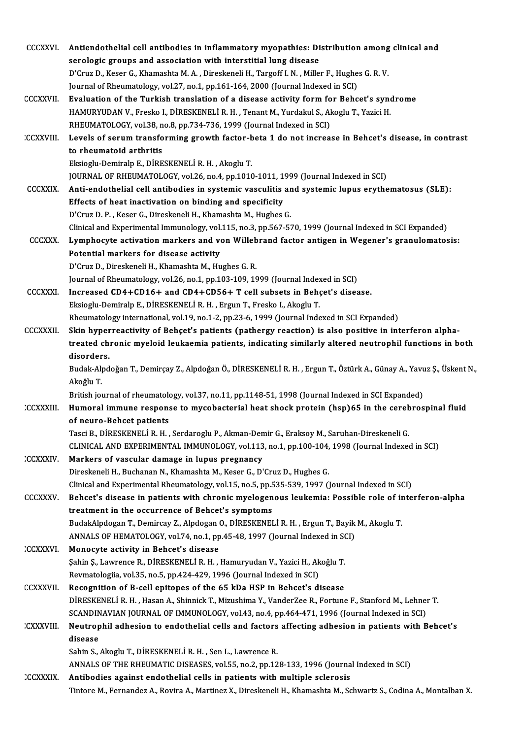| <b>CCCXXVI</b>   | Antiendothelial cell antibodies in inflammatory myopathies: Distribution among clinical and                                |
|------------------|----------------------------------------------------------------------------------------------------------------------------|
|                  | serologic groups and association with interstitial lung disease                                                            |
|                  | D'Cruz D., Keser G., Khamashta M. A., Direskeneli H., Targoff I. N., Miller F., Hughes G. R. V.                            |
|                  | Journal of Rheumatology, vol.27, no.1, pp.161-164, 2000 (Journal Indexed in SCI)                                           |
| <b>CCCXXVII</b>  | Evaluation of the Turkish translation of a disease activity form for Behcet's syndrome                                     |
|                  | HAMURYUDAN V., Fresko I., DİRESKENELİ R. H. , Tenant M., Yurdakul S., Akoglu T., Yazici H.                                 |
|                  | RHEUMATOLOGY, vol.38, no.8, pp.734-736, 1999 (Journal Indexed in SCI)                                                      |
| <b>CCXXVIII.</b> | Levels of serum transforming growth factor-beta 1 do not increase in Behcet's disease, in contrast                         |
|                  | to rheumatoid arthritis                                                                                                    |
|                  | Eksioglu-Demiralp E., DİRESKENELİ R. H., Akoglu T.                                                                         |
|                  | JOURNAL OF RHEUMATOLOGY, vol.26, no.4, pp.1010-1011, 1999 (Journal Indexed in SCI)                                         |
| <b>CCCXXIX</b>   | Anti-endothelial cell antibodies in systemic vasculitis and systemic lupus erythematosus (SLE):                            |
|                  | Effects of heat inactivation on binding and specificity                                                                    |
|                  | D'Cruz D. P., Keser G., Direskeneli H., Khamashta M., Hughes G.                                                            |
|                  | Clinical and Experimental Immunology, vol.115, no.3, pp.567-570, 1999 (Journal Indexed in SCI Expanded)                    |
| <b>CCCXXX</b>    | Lymphocyte activation markers and von Willebrand factor antigen in Wegener's granulomatosis:                               |
|                  | Potential markers for disease activity                                                                                     |
|                  | D'Cruz D., Direskeneli H., Khamashta M., Hughes G. R.                                                                      |
|                  | Journal of Rheumatology, vol.26, no.1, pp.103-109, 1999 (Journal Indexed in SCI)                                           |
| <b>CCCXXXI</b>   | Increased CD4+CD16+ and CD4+CD56+ T cell subsets in Behçet's disease.                                                      |
|                  | Eksioglu-Demiralp E., DİRESKENELİ R. H., Ergun T., Fresko I., Akoglu T.                                                    |
|                  | Rheumatology international, vol.19, no.1-2, pp.23-6, 1999 (Journal Indexed in SCI Expanded)                                |
| <b>CCCXXXII</b>  | Skin hyperreactivity of Behçet's patients (pathergy reaction) is also positive in interferon alpha-                        |
|                  | treated chronic myeloid leukaemia patients, indicating similarly altered neutrophil functions in both                      |
|                  | disorders.                                                                                                                 |
|                  | Budak-Alpdoğan T., Demirçay Z., Alpdoğan Ö., DİRESKENELİ R. H., Ergun T., Öztürk A., Günay A., Yavuz Ş., Üskent N.,        |
|                  | Akoğlu T.                                                                                                                  |
|                  | British journal of rheumatology, vol.37, no.11, pp.1148-51, 1998 (Journal Indexed in SCI Expanded)                         |
| CCXXXIII.        | Humoral immune response to mycobacterial heat shock protein (hsp)65 in the cerebrospinal fluid<br>of neuro-Behcet patients |
|                  | Tasci B., DİRESKENELİ R.H., Serdaroglu P., Akman-Demir G., Eraksoy M., Saruhan-Direskeneli G.                              |
|                  | CLINICAL AND EXPERIMENTAL IMMUNOLOGY, vol.113, no.1, pp.100-104, 1998 (Journal Indexed in SCI)                             |
| <b>CCXXXIV</b>   | Markers of vascular damage in lupus pregnancy                                                                              |
|                  | Direskeneli H., Buchanan N., Khamashta M., Keser G., D'Cruz D., Hughes G.                                                  |
|                  | Clinical and Experimental Rheumatology, vol.15, no.5, pp.535-539, 1997 (Journal Indexed in SCI)                            |
| <b>CCCXXXV</b>   | Behcet's disease in patients with chronic myelogenous leukemia: Possible role of interferon-alpha                          |
|                  | treatment in the occurrence of Behcet's symptoms                                                                           |
|                  | BudakAlpdogan T., Demircay Z., Alpdogan O., DİRESKENELİ R. H., Ergun T., Bayik M., Akoglu T.                               |
|                  | ANNALS OF HEMATOLOGY, vol.74, no.1, pp.45-48, 1997 (Journal Indexed in SCI)                                                |
| CCXXXVI.         | Monocyte activity in Behcet's disease                                                                                      |
|                  | Şahin Ş., Lawrence R., DİRESKENELİ R. H., Hamuryudan V., Yazici H., Akoğlu T.                                              |
|                  | Revmatologiia, vol.35, no.5, pp.424-429, 1996 (Journal Indexed in SCI)                                                     |
| <b>CCXXXVII</b>  | Recognition of B-cell epitopes of the 65 kDa HSP in Behcet's disease                                                       |
|                  | DİRESKENELİ R. H., Hasan A., Shinnick T., Mizushima Y., VanderZee R., Fortune F., Stanford M., Lehner T.                   |
|                  | SCANDINAVIAN JOURNAL OF IMMUNOLOGY, vol.43, no.4, pp.464-471, 1996 (Journal Indexed in SCI)                                |
| :CXXXVIII        | Neutrophil adhesion to endothelial cells and factors affecting adhesion in patients with Behcet's                          |
|                  | disease                                                                                                                    |
|                  | Sahin S., Akoglu T., DİRESKENELİ R. H., Sen L., Lawrence R.                                                                |
|                  | ANNALS OF THE RHEUMATIC DISEASES, vol.55, no.2, pp.128-133, 1996 (Journal Indexed in SCI)                                  |
| CCXXXIX.         | Antibodies against endothelial cells in patients with multiple sclerosis                                                   |
|                  | Tintore M., Fernandez A., Rovira A., Martinez X., Direskeneli H., Khamashta M., Schwartz S., Codina A., Montalban X.       |
|                  |                                                                                                                            |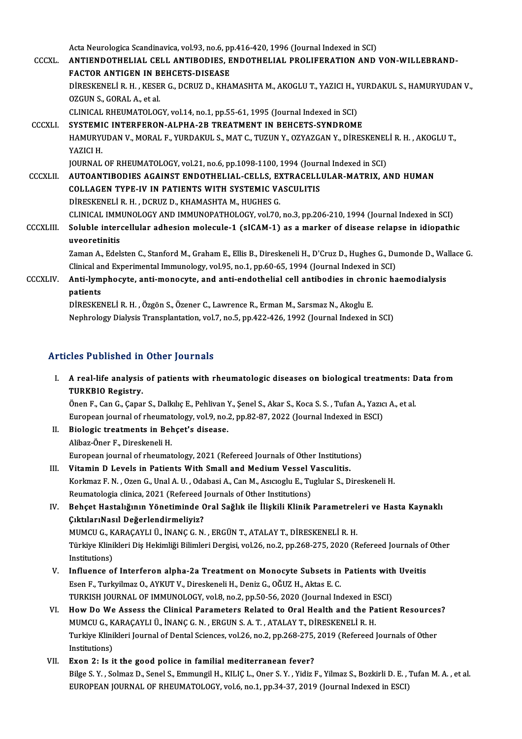Acta Neurologica Scandinavica, vol.93, no.6, pp.416-420, 1996 (Journal Indexed in SCI)<br>ANTIENDOTUELLAL CELL ANTIPODIES, ENDOTUELLAL PROLIEERATION AND

CCCXL. ANTIENDOTHELIAL CELL ANTIBODIES, ENDOTHELIAL PROLIFERATION AND VON-WILLEBRAND-<br>FACTOR ANTIGEN IN BEHCETS-DISEASE Acta Neurologica Scandinavica, vol.93, no.6, p<sub>I</sub><br>ANTIENDOTHELIAL CELL ANTIBODIES, E<br>FACTOR ANTIGEN IN BEHCETS-DISEASE<br>DIRESVENELLE H. H. KESER G. DCPUZ D. KHA ANTIENDOTHELIAL CELL ANTIBODIES, ENDOTHELIAL PROLIFERATION AND VON-WILLEBRAND-<br>FACTOR ANTIGEN IN BEHCETS-DISEASE<br>DİRESKENELİ R. H. , KESER G., DCRUZ D., KHAMASHTA M., AKOGLU T., YAZICI H., YURDAKUL S., HAMURYUDAN V.,<br>OZCUN **FACTOR ANTIGEN IN B<br>DIRESKENELI R. H. , KESE<br>OZGUN S., GORAL A., et al.<br>CLINICAL PHEUMATOLOC** DİRESKENELİ R. H. , KESER G., DCRUZ D., KHAMASHTA M., AKOGLU T., YAZICI H., YAZICI H., YAZICI H., YAZICI H., Y<br>OZGUN S., GORAL A., et al.<br>CLINICAL RHEUMATOLOGY, vol.14, no.1, pp.55-61, 1995 (Journal Indexed in SCI)<br>SYSTEMI OZGUN S., GORAL A., et al.<br>CLINICAL RHEUMATOLOGY, vol.14, no.1, pp.55-61, 1995 (Journal Indexed in SCI)<br>CCCXLI. SYSTEMIC INTERFERON-ALPHA-2B TREATMENT IN BEHCETS-SYNDROME<br>HAMIPVIDAN V. MORAL E. VIPDAKIJ S. MAT.C. TUZUN V. CLINICAL RHEUMATOLOGY, vol.14, no.1, pp.55-61, 1995 (Journal Indexed in SCI)<br>SYSTEMIC INTERFERON-ALPHA-2B TREATMENT IN BEHCETS-SYNDROME<br>HAMURYUDAN V., MORAL F., YURDAKUL S., MAT C., TUZUN Y., OZYAZGAN Y., DİRESKENELİ R. H. <mark>SYSTEMI</mark><br>HAMURYI<br>YAZICI H.<br>IOUPNAI HAMURYUDAN V., MORAL F., YURDAKUL S., MAT C., TUZUN Y., OZYAZGAN Y., DİRESKENEL<br>YAZICI H.<br>JOURNAL OF RHEUMATOLOGY, vol.21, no.6, pp.1098-1100, 1994 (Journal Indexed in SCI)<br>AUTOANTIBODIES ACAINST ENDOTHELIAL CELLS, EYTBACE YAZICI H.<br>JOURNAL OF RHEUMATOLOGY, vol.21, no.6, pp.1098-1100, 1994 (Journal Indexed in SCI)<br>CCCXLII. AUTOANTIBODIES AGAINST ENDOTHELIAL-CELLS, EXTRACELLULAR-MATRIX, AND HUMAN JOURNAL OF RHEUMATOLOGY, vol.21, no.6, pp.1098-1100, 1994 (Journ<br>AUTOANTIBODIES AGAINST ENDOTHELIAL-CELLS, EXTRACELL<br>COLLAGEN TYPE-IV IN PATIENTS WITH SYSTEMIC VASCULITIS<br>DIPESVENELLE H. DCPUZ D. VHAMASHTA M. HUCHES C AUTOANTIBODIES AGAINST ENDOTHELIAL-CELLS, EX<br>COLLAGEN TYPE-IV IN PATIENTS WITH SYSTEMIC VA<br>DİRESKENELİ R. H. , DCRUZ D., KHAMASHTA M., HUGHES G.<br>CLINICAL IMMINOLOCY AND IMMINOBATHOLOCY vel 70 COLLAGEN TYPE-IV IN PATIENTS WITH SYSTEMIC VASCULITIS<br>DİRESKENELİ R. H. , DCRUZ D., KHAMASHTA M., HUGHES G.<br>CLINICAL IMMUNOLOGY AND IMMUNOPATHOLOGY, vol.70, no.3, pp.206-210, 1994 (Journal Indexed in SCI)<br>Seluble intersell DIRESKENELI R. H., DCRUZ D., KHAMASHTA M., HUGHES G.<br>CLINICAL IMMUNOLOGY AND IMMUNOPATHOLOGY, vol.70, no.3, pp.206-210, 1994 (Journal Indexed in SCI)<br>CCCXLIII. Soluble intercellular adhesion molecule-1 (sICAM-1) as a marke CLINICAL IMM<br>Soluble inter<br>uveoretinitis<br>Zaman A. Edol Soluble intercellular adhesion molecule-1 (sICAM-1) as a marker of disease relapse in idiopathic<br>uveoretinitis<br>Zaman A., Edelsten C., Stanford M., Graham E., Ellis B., Direskeneli H., D'Cruz D., Hughes G., Dumonde D., Wall uveoretinitis<br>Zaman A., Edelsten C., Stanford M., Graham E., Ellis B., Direskeneli H., D'Cruz D., Hughes G., Du<br>Clinical and Experimental Immunology, vol.95, no.1, pp.60-65, 1994 (Journal Indexed in SCI)<br>Anti-lumphoeyte, a Zaman A., Edelsten C., Stanford M., Graham E., Ellis B., Direskeneli H., D'Cruz D., Hughes G., Dumonde D., Wa<br>Clinical and Experimental Immunology, vol.95, no.1, pp.60-65, 1994 (Journal Indexed in SCI)<br>CCCXLIV. Anti-lympho Clinical ar<br><mark>Anti-lym</mark><br>patients<br>DipESKE! Anti-lymphocyte, anti-monocyte, and anti-endothelial cell antibodies in chro<br>patients<br>DİRESKENELİ R. H. , Özgön S., Özener C., Lawrence R., Erman M., Sarsmaz N., Akoglu E.<br>Naphrology Dialysis Transplantation val 7, no 5, n

patients<br>DIRESKENELI R. H. , Özgön S., Özener C., Lawrence R., Erman M., Sarsmaz N., Akoglu E.<br>Nephrology Dialysis Transplantation, vol.7, no.5, pp.422-426, 1992 (Journal Indexed in SCI)

#### Articles Published in Other Journals

rticles Published in Other Journals<br>I. A real-life analysis of patients with rheumatologic diseases on biological treatments: Data from<br>TIIRKRIO Begistry A real-life analysis<br>A real-life analysis<br>TURKBIO Registry. A real-life analysis of patients with rheumatologic diseases on biological treatments: D<br>TURKBIO Registry.<br>Önen F., Can G., Çapar S., Dalkılıç E., Pehlivan Y., Şenel S., Akar S., Koca S. S. , Tufan A., Yazıcı A., et al<br>Eur

TURKBIO Registry.<br>Önen F., Can G., Çapar S., Dalkılıç E., Pehlivan Y., Şenel S., Akar S., Koca S. S. , Tufan A., Yazıc<br>European journal of rheumatology, vol.9, no.2, pp.82-87, 2022 (Journal Indexed in ESCI)<br>Pielogia treatm Önen F., Can G., Çapar S., Dalkılıç E., Pehlivan Y., Şenel S., Akar S., Koca S. S. , Tufan A., Yazıcı A., et al.<br>European journal of rheumatology, vol.9, no.2, pp.82-87, 2022 (Journal Indexed in ESCI)<br>II. Biologic trea

- European journal of rheumat<br>Biologic treatments in Bel<br>Alibaz-Öner F., Direskeneli H.<br>European journal of rheumat Biologic treatments in Behçet's disease.<br>Alibaz-Öner F., Direskeneli H.<br>European journal of rheumatology, 2021 (Refereed Journals of Other Institutions)<br>Vitamin D. Lavels in Batianta With Small and Medium Vessal Vesculitie Alibaz-Öner F., Direskeneli H.<br>European journal of rheumatology, 2021 (Refereed Journals of Other Institution<br>III. Vitamin D Levels in Patients With Small and Medium Vessel Vasculitis.<br>Kerlings E.N., Ozen G. Unal A.U., Ode
- III. Vitamin D Levels in Patients With Small and Medium Vessel Vasculitis.<br>Korkmaz F. N. , Ozen G., Unal A. U. , Odabasi A., Can M., Asıcıoglu E., Tuglular S., Direskeneli H. Vitamin D Levels in Patients With Small and Medium Vessel V<br>Korkmaz F. N. , Ozen G., Unal A. U. , Odabasi A., Can M., Asıcıoglu E., Tu<br>Reumatologia clinica, 2021 (Refereed Journals of Other Institutions)<br>Poheet Hastalığını
- IV. Behçet Hastalığının Yönetiminde Oral Sağlık ile İlişkili Klinik Parametreleri ve Hasta Kaynaklı Reumatologia clinica, 2021 (Refereed)<br>Behçet Hastalığının Yönetiminde C<br>ÇıktılarıNasıl Değerlendirmeliyiz?<br>MUMCU C. KARACAYLLÜ, İNANC C.N MUMCUG.,KARAÇAYLIÜ., İNANÇG.N. ,ERGÜNT.,ATALAYT.,DİRESKENELİR.H. ÇıktılarıNasıl Değerlendirmeliyiz?<br>MUMCU G., KARAÇAYLI Ü., İNANÇ G. N. , ERGÜN T., ATALAY T., DİRESKENELİ R. H.<br>Türkiye Klinikleri Diş Hekimliği Bilimleri Dergisi, vol.26, no.2, pp.268-275, 2020 (Refereed Journals of Other MUMCU G., K<br>Türkiye Klini<br>Institutions)<br>Institutions Türkiye Klinikleri Diş Hekimliği Bilimleri Dergisi, vol.26, no.2, pp.268-275, 2020 (Refereed Journals of<br>Institutions)<br>V. Influence of Interferon alpha-2a Treatment on Monocyte Subsets in Patients with Uveitis<br>Feen E. Turk
- Institutions)<br>Influence of Interferon alpha-2a Treatment on Monocyte Subsets in<br>Esen F., Turkyilmaz O., AYKUT V., Direskeneli H., Deniz G., OĞUZ H., Aktas E. C.<br>TURKISH JOURNAL OF IMMUNOLOCY, vel 8, no.2, nn 50,56,2020 (Jo Influence of Interferon alpha-2a Treatment on Monocyte Subsets in Patients with<br>Esen F., Turkyilmaz O., AYKUT V., Direskeneli H., Deniz G., OĞUZ H., Aktas E. C.<br>TURKISH JOURNAL OF IMMUNOLOGY, vol.8, no.2, pp.50-56, 2020 (J Esen F., Turkyilmaz O., AYKUT V., Direskeneli H., Deniz G., OĞUZ H., Aktas E. C.<br>TURKISH JOURNAL OF IMMUNOLOGY, vol.8, no.2, pp.50-56, 2020 (Journal Indexed in ESCI)<br>VI. How Do We Assess the Clinical Parameters Related to
- TURKISH JOURNAL OF IMMUNOLOGY, vol.8, no.2, pp.50-56, 2020 (Journal Indexed in ESCI)<br>How Do We Assess the Clinical Parameters Related to Oral Health and the Patien<br>MUMCU G., KARAÇAYLI Ü., İNANÇ G. N. , ERGUN S. A. T. , ATA How Do We Assess the Clinical Parameters Related to Oral Health and the Patient Resource:<br>MUMCU G., KARAÇAYLI Ü., İNANÇ G. N. , ERGUN S. A. T. , ATALAY T., DİRESKENELİ R. H.<br>Turkiye Klinikleri Journal of Dental Sciences, v Turkiye Klinikleri Journal of Dental Sciences, vol.26, no.2, pp.268-275, 2019 (Refereed Journals of Other Institutions)
- VII. Exon 2: Is it the good police in familial mediterranean fever? Institutions)<br><mark>Exon 2: Is it the good police in familial mediterranean fever?</mark><br>Bilge S.Y. , Solmaz D., Senel S., Emmungil H., KILIÇ L., Oner S.Y. , Yidiz F., Yilmaz S., Bozkirli D. E. , Tufan M. A. , et al.<br>EUROPEAN JOUPNA Exon 2: Is it the good police in familial mediterranean fever?<br>Bilge S. Y. , Solmaz D., Senel S., Emmungil H., KILIÇ L., Oner S. Y. , Yidiz F., Yilmaz S., Bozkirli D. E. , '<br>EUROPEAN JOURNAL OF RHEUMATOLOGY, vol.6, no.1, p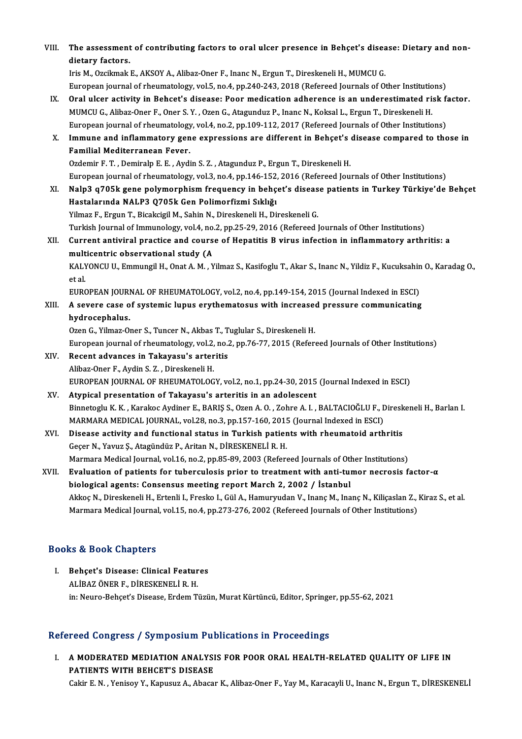| VIII. | The assessment of contributing factors to oral ulcer presence in Behçet's disease: Dietary and non-                         |
|-------|-----------------------------------------------------------------------------------------------------------------------------|
|       | dietary factors                                                                                                             |
|       | Iris M., Ozcikmak E., AKSOY A., Alibaz-Oner F., Inanc N., Ergun T., Direskeneli H., MUMCU G.                                |
|       | European journal of rheumatology, vol.5, no.4, pp.240-243, 2018 (Refereed Journals of Other Institutions)                   |
| IX.   | Oral ulcer activity in Behcet's disease: Poor medication adherence is an underestimated risk factor.                        |
|       | MUMCU G., Alibaz-Oner F., Oner S. Y., Ozen G., Atagunduz P., Inanc N., Koksal L., Ergun T., Direskeneli H.                  |
|       | European journal of rheumatology, vol.4, no.2, pp.109-112, 2017 (Refereed Journals of Other Institutions)                   |
| Х.    | Immune and inflammatory gene expressions are different in Behçet's disease compared to those in                             |
|       | Familial Mediterranean Fever.                                                                                               |
|       | Ozdemir F. T., Demiralp E. E., Aydin S. Z., Atagunduz P., Ergun T., Direskeneli H.                                          |
|       | European journal of rheumatology, vol.3, no.4, pp.146-152, 2016 (Refereed Journals of Other Institutions)                   |
| XI.   | Nalp3 q705k gene polymorphism frequency in behçet's disease patients in Turkey Türkiye'de Behçet                            |
|       | Hastalarında NALP3 Q705k Gen Polimorfizmi Sıklığı                                                                           |
|       | Yilmaz F., Ergun T., Bicakcigil M., Sahin N., Direskeneli H., Direskeneli G.                                                |
|       | Turkish Journal of Immunology, vol.4, no.2, pp.25-29, 2016 (Refereed Journals of Other Institutions)                        |
| XII.  | Current antiviral practice and course of Hepatitis B virus infection in inflammatory arthritis: a                           |
|       | multicentric observational study (A                                                                                         |
|       | KALYONCU U., Emmungil H., Onat A. M., Yilmaz S., Kasifoglu T., Akar S., Inanc N., Yildiz F., Kucuksahin O., Karadag O.,     |
|       | et al.                                                                                                                      |
|       | EUROPEAN JOURNAL OF RHEUMATOLOGY, vol.2, no.4, pp.149-154, 2015 (Journal Indexed in ESCI)                                   |
| XIII. | A severe case of systemic lupus erythematosus with increased pressure communicating                                         |
|       | hydrocephalus.                                                                                                              |
|       | Ozen G., Yilmaz-Oner S., Tuncer N., Akbas T., Tuglular S., Direskeneli H.                                                   |
|       | European journal of rheumatology, vol.2, no.2, pp.76-77, 2015 (Refereed Journals of Other Institutions)                     |
| XIV.  | Recent advances in Takayasu's arteritis                                                                                     |
|       | Alibaz-Oner F., Aydin S. Z., Direskeneli H.                                                                                 |
|       | EUROPEAN JOURNAL OF RHEUMATOLOGY, vol.2, no.1, pp.24-30, 2015 (Journal Indexed in ESCI)                                     |
| XV.   | Atypical presentation of Takayasu's arteritis in an adolescent                                                              |
|       | Binnetoglu K. K., Karakoc Aydiner E., BARIŞ S., Ozen A. O., Zohre A. I., BALTACIOĞLU F., Direskeneli H., Barlan I.          |
|       | MARMARA MEDICAL JOURNAL, vol.28, no.3, pp.157-160, 2015 (Journal Indexed in ESCI)                                           |
| XVI.  | Disease activity and functional status in Turkish patients with rheumatoid arthritis                                        |
|       | Geçer N., Yavuz Ş., Atagündüz P., Aritan N., DİRESKENELİ R. H.                                                              |
|       | Marmara Medical Journal, vol.16, no.2, pp.85-89, 2003 (Refereed Journals of Other Institutions)                             |
| XVII. | Evaluation of patients for tuberculosis prior to treatment with anti-tumor necrosis factor- $\alpha$                        |
|       | biological agents: Consensus meeting report March 2, 2002 / İstanbul                                                        |
|       | Akkoç N., Direskeneli H., Ertenli I., Fresko I., Gül A., Hamuryudan V., Inanç M., Inanç N., Kiliçaslan Z., Kiraz S., et al. |
|       | Marmara Medical Journal, vol.15, no.4, pp.273-276, 2002 (Refereed Journals of Other Institutions)                           |

#### Books&Book Chapters

Ooks & Book Chapters<br>I. Behçet's Disease: Clinical Features<br>ALIBAZÖNER E DIRESSENELLE H 19 & DOOR GREPCOP<br>Behçet's Disease: Clinical Featur<br>ALİBAZ ÖNER F., DİRESKENELİ R. H.<br>in: Neuro Behçet's Disease Erdem T. ALİBAZ ÖNER F., DİRESKENELİ R. H.<br>in: Neuro-Behçet's Disease, Erdem Tüzün, Murat Kürtüncü, Editor, Springer, pp.55-62, 2021

#### Refereed Congress / Symposium Publications in Proceedings

efereed Congress / Symposium Publications in Proceedings<br>I. A MODERATED MEDIATION ANALYSIS FOR POOR ORAL HEALTH-RELATED QUALITY OF LIFE IN PATIENTS WITH BEHCET'S DISEASE<br>PATIENTS WITH BEHCET'S DISEASE<br>Cakir E.N., Vanicar V., Kanucuz A., Abacar PATIENTS WITH BEHCET'S DISEASE<br>Cakir E.N. , Yenisoy Y., Kapusuz A., Abacar K., Alibaz-Oner F., Yay M., Karacayli U., Inanc N., Ergun T., DİRESKENELİ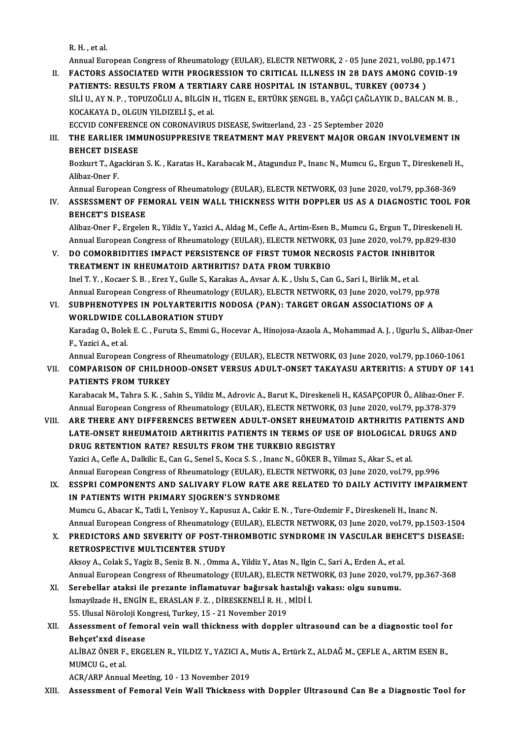R.H. ,etal.

Annual European Congress of Rheumatology (EULAR), ELECTR NETWORK, 2 - 05 June 2021, vol.80, pp.1471

R. H. , et al.<br>Annual European Congress of Rheumatology (EULAR), ELECTR NETWORK, 2 - 05 June 2021, vol.80, pp.1471<br>II. FACTORS ASSOCIATED WITH PROGRESSION TO CRITICAL ILLNESS IN 28 DAYS AMONG COVID-19<br>RATIENTS: RESULTS ERO Annual European Congress of Rheumatology (EULAR), ELECTR NETWORK, 2 - 05 June 2021, vol.80, <mark>1</mark><br>FACTORS ASSOCIATED WITH PROGRESSION TO CRITICAL ILLNESS IN 28 DAYS AMONG CO<br>PATIENTS: RESULTS FROM A TERTIARY CARE HOSPITAL IN FACTORS ASSOCIATED WITH PROGRESSION TO CRITICAL ILLNESS IN 28 DAYS AMONG COVID-19<br>PATIENTS: RESULTS FROM A TERTIARY CARE HOSPITAL IN ISTANBUL, TURKEY (00734 )<br>SİLİ U., AY N. P. , TOPUZOĞLU A., BİLGİN H., TİGEN E., ERTÜRK Ş PATIENTS: RESULTS FROM A TERTIARY CARE HOSPITAL IN ISTANBUL, TURKEY (00734 )<br>SİLİ U., AY N. P. , TOPUZOĞLU A., BİLGİN H., TİGEN E., ERTÜRK ŞENGEL B., YAĞÇI ÇAĞLAYIK D., BALCA<br>KOCAKAYA D., OLGUN YILDIZELİ Ş., et al. SİLİ U., AY N. P. , TOPUZOĞLU A., BİLGİN H., TİGEN E., ERTÜRK ŞENGEL B., YAĞÇI ÇAĞLAYIK D., BALCAN M. B. ,

ECCVID CONFERENCE ON CORONAVIRUS DISEASE, Switzerland, 23 - 25 September 2020

### III. THE EARLIER IMMUNOSUPPRESIVE TREATMENT MAY PREVENT MAJOR ORGAN INVOLVEMENT IN<br>BEHCET DISEASE THE EARLIER IMMUNOSUPPRESIVE TREATMENT MAY PREVENT MAJOR ORGAN INVOLVEMENT IN<br>BEHCET DISEASE<br>Bozkurt T., Agackiran S. K. , Karatas H., Karabacak M., Atagunduz P., Inanc N., Mumcu G., Ergun T., Direskeneli H.,<br>Alibaz Oper E

**BEHCET DISI<br>Bozkurt T., Aga<br>Alibaz-Oner F.<br>Annual Eurone** Bozkurt T., Agackiran S. K. , Karatas H., Karabacak M., Atagunduz P., Inanc N., Mumcu G., Ergun T., Direskeneli H<br>Alibaz-Oner F.<br>Annual European Congress of Rheumatology (EULAR), ELECTR NETWORK, 03 June 2020, vol.79, pp.36

Annual European Congress of Rheumatology (EULAR), ELECTR NETWORK, 03 June 2020, vol.79, pp.368-369

Alibaz-Oner F.<br>Annual European Congress of Rheumatology (EULAR), ELECTR NETWORK, 03 June 2020, vol.79, pp.368-369<br>IV. ASSESSMENT OF FEMORAL VEIN WALL THICKNESS WITH DOPPLER US AS A DIAGNOSTIC TOOL FOR<br>BEHCET'S DISEASE ASSESSMENT OF FEMORAL VEIN WALL THICKNESS WITH DOPPLER US AS A DIAGNOSTIC TOOL FO<br>BEHCET'S DISEASE<br>Alibaz-Oner F., Ergelen R., Yildiz Y., Yazici A., Aldag M., Cefle A., Artim-Esen B., Mumcu G., Ergun T., Direskeneli H.<br>Ann

BEHCET'S DISEASE<br>Alibaz-Oner F., Ergelen R., Yildiz Y., Yazici A., Aldag M., Cefle A., Artim-Esen B., Mumcu G., Ergun T., Direskeneli E<br>Annual European Congress of Rheumatology (EULAR), ELECTR NETWORK, 03 June 2020, vol.79 Alibaz-Oner F., Ergelen R., Yildiz Y., Yazici A., Aldag M., Cefle A., Artim-Esen B., Mumcu G., Ergun T., Diresk<br>Annual European Congress of Rheumatology (EULAR), ELECTR NETWORK, 03 June 2020, vol.79, pp.829<br>V. DO COMORBIDI

# Annual European Congress of Rheumatology (EULAR), ELECTR NETWORK, 03 June 2020, vol.79, pp.829-830<br>V. DO COMORBIDITIES IMPACT PERSISTENCE OF FIRST TUMOR NECROSIS FACTOR INHIBITOR<br>TREATMENT IN RHEUMATOID ARTHRITIS? DATA FRO

Inel T.Y., Kocaer S.B., Erez Y., Gulle S., Karakas A., Avsar A.K., Uslu S., Can G., Sari I., Birlik M., et al. TREATMENT IN RHEUMATOID ARTHRITIS? DATA FROM TURKBIO<br>Inel T. Y. , Kocaer S. B. , Erez Y., Gulle S., Karakas A., Avsar A. K. , Uslu S., Can G., Sari I., Birlik M., et al.<br>Annual European Congress of Rheumatology (EULAR), EL Inel T. Y. , Kocaer S. B. , Erez Y., Gulle S., Karakas A., Avsar A. K. , Uslu S., Can G., Sari I., Birlik M., et al.<br>Annual European Congress of Rheumatology (EULAR), ELECTR NETWORK, 03 June 2020, vol.79, pp.97<br>VI. SUBPHEN

## Annual European Congress of Rheumatology<br>SUBPHENOTYPES IN POLYARTERITIS N<br>WORLDWIDE COLLABORATION STUDY<br>Karadag O. Bolak E.C., Euruta S. Emmi C. H SUBPHENOTYPES IN POLYARTERITIS NODOSA (PAN): TARGET ORGAN ASSOCIATIONS OF A<br>WORLDWIDE COLLABORATION STUDY<br>Karadag O., Bolek E. C. , Furuta S., Emmi G., Hocevar A., Hinojosa-Azaola A., Mohammad A. J. , Ugurlu S., Alibaz-One

WORLDWIDE<br>Karadag O., Bolel<br>F., Yazici A., et al.<br>Annual Europear Karadag O., Bolek E. C. , Furuta S., Emmi G., Hocevar A., Hinojosa-Azaola A., Mohammad A. J. , Ugurlu S., Alibaz-One<br>F., Yazici A., et al.<br>Annual European Congress of Rheumatology (EULAR), ELECTR NETWORK, 03 June 2020, vol

### F., Yazici A., et al.<br>Annual European Congress of Rheumatology (EULAR), ELECTR NETWORK, 03 June 2020, vol.79, pp.1060-1061<br>VII. COMPARISON OF CHILDHOOD-ONSET VERSUS ADULT-ONSET TAKAYASU ARTERITIS: A STUDY OF 141<br>RATIEN Annual European Congress o<br>COMPARISON OF CHILDHO<br>PATIENTS FROM TURKEY COMPARISON OF CHILDHOOD-ONSET VERSUS ADULT-ONSET TAKAYASU ARTERITIS: A STUDY OF 1<br>PATIENTS FROM TURKEY<br>Karabacak M., Tahra S. K. , Sahin S., Yildiz M., Adrovic A., Barut K., Direskeneli H., KASAPÇOPUR Ö., Alibaz-Oner F.<br>An

PATI<mark>ENTS FROM TURKEY</mark><br>Karabacak M., Tahra S. K. , Sahin S., Yildiz M., Adrovic A., Barut K., Direskeneli H., KASAPÇOPUR Ö., Alibaz-Oner<br>Annual European Congress of Rheumatology (EULAR), ELECTR NETWORK, 03 June 2020, vol.7 Karabacak M., Tahra S. K. , Sahin S., Yildiz M., Adrovic A., Barut K., Direskeneli H., KASAPÇOPUR Ö., Alibaz-Oner F.<br>Annual European Congress of Rheumatology (EULAR), ELECTR NETWORK, 03 June 2020, vol.79, pp.378-379<br>VIII.

#### Annual European Congress of Rheumatology (EULAR), ELECTR NETWORK, 03 June 2020, vol.79, pp.378-379<br>ARE THERE ANY DIFFERENCES BETWEEN ADULT-ONSET RHEUMATOID ARTHRITIS PATIENTS ANI<br>LATE-ONSET RHEUMATOID ARTHRITIS PATIENTS IN VIII. ARE THERE ANY DIFFERENCES BETWEEN ADULT-ONSET RHEUMATOID ARTHRITIS PATIENTS AND LATE-ONSET RHEUMATOID ARTHRITIS PATIENTS IN TERMS OF USE OF BIOLOGICAL DRUGS AND DRUG RETENTION RATE? RESULTS FROM THE TURKBIO REGISTRY Yazici A., Cefle A., Dalkilic E., Can G., Senel S., Koca S. S., Inanc N., GÖKER B., Yilmaz S., Akar S., et al.

Annual European Congress of Rheumatology (EULAR), ELECTR NETWORK, 03 June 2020, vol.79, pp.996 Yazici A., Cefle A., Dalkilic E., Can G., Senel S., Koca S. S. , Inanc N., GÖKER B., Yilmaz S., Akar S., et al.<br>Annual European Congress of Rheumatology (EULAR), ELECTR NETWORK, 03 June 2020, vol.79, pp.996<br>IX. ESSPRI COMP

## Annual European Congress of Rheumatology (EULAR), ELECTRIS<br>ESSPRI COMPONENTS AND SALIVARY FLOW RATE ARE<br>IN PATIENTS WITH PRIMARY SJOGREN'S SYNDROME ESSPRI COMPONENTS AND SALIVARY FLOW RATE ARE RELATED TO DAILY ACTIVITY IMPAI<br>IN PATIENTS WITH PRIMARY SJOGREN'S SYNDROME<br>Mumcu G., Abacar K., Tatli I., Yenisoy Y., Kapusuz A., Cakir E. N. , Ture-Ozdemir F., Direskeneli H.,

IN PATIENTS WITH PRIMARY SJOGREN'S SYNDROME<br>Mumcu G., Abacar K., Tatli I., Yenisoy Y., Kapusuz A., Cakir E. N. , Ture-Ozdemir F., Direskeneli H., Inanc N.<br>Annual European Congress of Rheumatology (EULAR), ELECTR NETWORK, 0 Mumcu G., Abacar K., Tatli I., Yenisoy Y., Kapusuz A., Cakir E. N. , Ture-Ozdemir F., Direskeneli H., Inanc N.<br>Annual European Congress of Rheumatology (EULAR), ELECTR NETWORK, 03 June 2020, vol.79, pp.1503-1504<br>X. PREDICT

Annual European Congress of Rheumatology<br>PREDICTORS AND SEVERITY OF POST-T<br>RETROSPECTIVE MULTICENTER STUDY PREDICTORS AND SEVERITY OF POST-THROMBOTIC SYNDROME IN VASCULAR BEHO<br>RETROSPECTIVE MULTICENTER STUDY<br>Aksoy A., Colak S., Yagiz B., Seniz B. N. , Omma A., Yildiz Y., Atas N., Ilgin C., Sari A., Erden A., et al.<br>Annual Europ

RETROSPECTIVE MULTICENTER STUDY<br>Aksoy A., Colak S., Yagiz B., Seniz B. N. , Omma A., Yildiz Y., Atas N., Ilgin C., Sari A., Erden A., et al.<br>Annual European Congress of Rheumatology (EULAR), ELECTR NETWORK, 03 June 2020, v Aksoy A., Colak S., Yagiz B., Seniz B. N. , Omma A., Yildiz Y., Atas N., Ilgin C., Sari A., Erden A., et al<br>Annual European Congress of Rheumatology (EULAR), ELECTR NETWORK, 03 June 2020, vol.<br>XI. Serebellar ataksi ile pre

Annual European Congress of Rheumatology (EULAR), ELECTR NETWORK, 03 June 2020, vol.79, pp.367-368<br>Serebellar ataksi ile prezante inflamatuvar bağırsak hastalığı vakası: olgu sunumu.<br>İsmayilzade H., ENGİN E., ERASLAN F. Z. XI. Serebellar ataksi ile prezante inflamatuvar bağırsak hastalığı vakası: olgu sunumu. Ismayilzade H., ENGIN E., ERASLAN F. Z. , DIRESKENELI R. H. , MIDI I.<br>55. Ulusal Nöroloji Kongresi, Turkey, 15 - 21 November 2019<br>XII. Assessment of femoral vein wall thickness with doppler ultrasound can be a diagnost

## 55. Ulusal Nöroloji Kongresi, Turkey, 15 - 21 November 2019<br>Assessment of femoral vein wall thickness with dopple<br>Behçet'xxd disease Assessment of femoral vein wall thickness with doppler ultrasound can be a diagnostic tool fo<br>Behçet'xxd disease<br>ALİBAZ ÖNER F., ERGELEN R., YILDIZ Y., YAZICI A., Mutis A., Ertürk Z., ALDAĞ M., ÇEFLE A., ARTIM ESEN B.,<br>MUM

Behçet'xxd dis<br>ALİBAZ ÖNER F.<br>MUMCU G., et al.<br>ACP (APP Annus ALİBAZ ÖNER F., ERGELEN R., YILDIZ Y., YAZICI A., I<br>MUMCU G., et al.<br>ACR/ARP Annual Meeting, 10 - 13 November 2019<br>Assessment of Eemeral Vein Well Thiskness v

MUMCU G., et al.<br>ACR/ARP Annual Meeting, 10 - 13 November 2019<br>XIII. Assessment of Femoral Vein Wall Thickness with Doppler Ultrasound Can Be a Diagnostic Tool for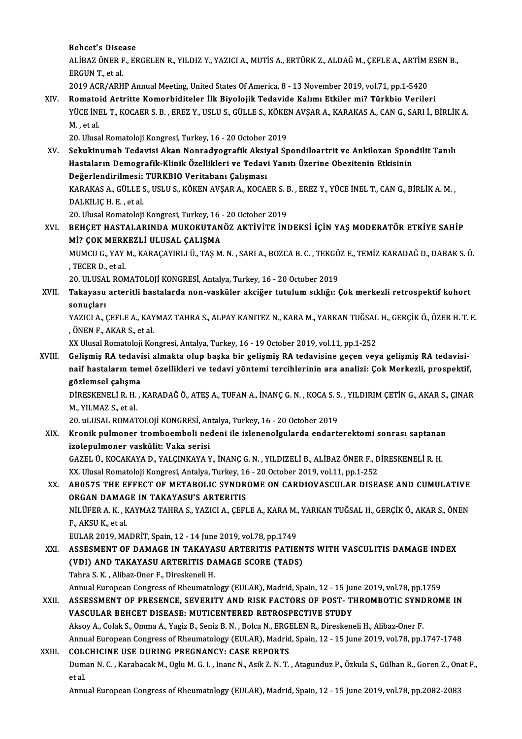Behcet's Disease

Behcet's Disease<br>ALİBAZ ÖNER F., ERGELEN R., YILDIZ Y., YAZICI A., MUTİS A., ERTÜRK Z., ALDAĞ M., ÇEFLE A., ARTİM ESEN B.,<br>ERGUN T. et al Behcet's Disea<br>ALIBAZ ÖNER F<br>ERGUN T., et al.<br>2010 ACB (ABH ALİBAZ ÖNER F., ERGELEN R., YILDIZ Y., YAZICI A., MUTİS A., ERTÜRK Z., ALDAĞ M., ÇEFLE A., ARTİM I<br>ERGUN T., et al.<br>2019 ACR/ARHP Annual Meeting, United States Of America, 8 - 13 November 2019, vol.71, pp.1-5420<br>Bomataid A

ERGUN T., et al.<br>2019 ACR/ARHP Annual Meeting, United States Of America, 8 - 13 November 2019, vol.71, pp.1-5420<br>XIV. Romatoid Artritte Komorbiditeler İlk Biyolojik Tedavide Kalımı Etkiler mi? Türkbio Verileri 2019 ACR/ARHP Annual Meeting, United States Of America, 8 - 13 November 2019, vol.71, pp.1-5420<br>Romatoid Artritte Komorbiditeler İlk Biyolojik Tedavide Kalımı Etkiler mi? Türkbio Verileri<br>YÜCE İNEL T., KOCAER S. B. , EREZ Romato<br>YÜCE İNI<br>M. , et al.<br>20. Uhrea YÜCE İNEL T., KOCAER S. B. , EREZ Y., USLU S., GÜLLE S., KÖKE<br>M. , et al.<br>20. Ulusal Romatoloji Kongresi, Turkey, 16 - 20 October 2019<br>Sekukinumah Todovisi Akan Nonrodvografik Aksival Sr

M. , et al.<br>20. Ulusal Romatoloji Kongresi, Turkey, 16 - 20 October 2019<br>XV. Sekukinumab Tedavisi Akan Nonradyografik Aksiyal Spondiloartrit ve Ankilozan Spondilit Tanılı<br>Hastaların Domagrafik Klinik Özellikleri ve Ted 20. Ulusal Romatoloji Kongresi, Turkey, 16 - 20 October 2019<br>Sekukinumab Tedavisi Akan Nonradyografik Aksiyal Spondiloartrit ve Ankilozan Spon<br>Hastaların Demografik-Klinik Özellikleri ve Tedavi Yanıtı Üzerine Obezitenin Et Sekukinumab Tedavisi Akan Nonradyografik Aksiy<br>Hastaların Demografik-Klinik Özellikleri ve Tedav<br>Değerlendirilmesi: TURKBIO Veritabanı Çalışması<br>KARAKAS A CÜLLES HELLS KÖKEN AKSAR A KOCAL Hastaların Demografik-Klinik Özellikleri ve Tedavi Yanıtı Üzerine Obezitenin Etkisinin<br>Değerlendirilmesi: TURKBIO Veritabanı Çalışması<br>KARAKAS A., GÜLLE S., USLU S., KÖKEN AVŞAR A., KOCAER S. B. , EREZ Y., YÜCE İNEL T., CA Değerlendirilmesi: TURKBIO Veritabanı Çalışması

KARAKAS A., GÜLLE S., USLU S., KÖKEN AVŞAR A., KOCAER S. I<br>DALKILIÇ H. E. , et al.<br>20. Ulusal Romatoloji Kongresi, Turkey, 16 - 20 October 2019<br>REHCET HASTALARINDA MUKOKUTANÖZ AKTİVİTE İNI

#### XVI. BEHÇET HASTALARINDA MUKOKUTANÖZ AKTİVİTE İNDEKSİ İÇİN YAŞ MODERATÖR ETKİYE SAHİP<br>Mİ? ÇOK MERKEZLİ ULUSAL ÇALIŞMA 20. Ulusal Romatoloji Kongresi, Turkey, 16<br>BEHÇET HASTALARINDA MUKOKUTAN<br>Mİ? ÇOK MERKEZLİ ULUSAL ÇALIŞMA<br>MUMCU C. YAY M. KARACAYIRLI Ü. TAS M BEHÇET HASTALARINDA MUKOKUTANÖZ AKTİVİTE İNDEKSİ İÇİN YAŞ MODERATÖR ETKİYE SAHİP<br>Mİ? ÇOK MERKEZLİ ULUSAL ÇALIŞMA<br>MUMCU G., YAY M., KARAÇAYIRLI Ü., TAŞ M. N. , SARI A., BOZCA B. C. , TEKGÖZ E., TEMİZ KARADAĞ D., DABAK S. Ö.

MI? ÇOK MERK<br>MUMCU G., YAY<br>, TECER D., et al.<br>20. HUSAL RON MUMCU G., YAY M., KARAÇAYIRLI Ü., TAŞ M. N. , SARI A., BOZCA B. C. , TEKGÖ<br>, TECER D., et al.<br>20. ULUSAL ROMATOLOJİ KONGRESİ, Antalya, Turkey, 16 - 20 October 2019<br>Takayaay, artaritli hastalarda nan yaskülar aksiğen tutulu

, TECER D., et al.<br>20. ULUSAL ROMATOLOJİ KONGRESİ, Antalya, Turkey, 16 - 20 October 2019<br>XVII. Takayasu arteritli hastalarda non-vasküler akciğer tutulum sıklığı: Çok merkezli retrospektif kohort<br>20. urtları 20. ULUSA<br><mark>Takayasu</mark><br>sonuçları<br><sup>VAZICLA</sup> ( Takayasu arteritli hastalarda non-vasküler akciğer tutulum sıklığı: Çok merkezli retrospektif kohort<br>sonuçları<br>YAZICI A., ÇEFLE A., KAYMAZ TAHRA S., ALPAY KANITEZ N., KARA M., YARKAN TUĞSAL H., GERÇİK Ö., ÖZER H. T. E.<br>ÖNE

sonuçları<br>YAZICI A., ÇEFLE A., KAYMAZ TAHRA S., ALPAY KANITEZ N., KARA M., YARKAN TUĞSAI<br>, ÖNEN F., AKAR S., et al.<br>XX Ulusal Romatoloji Kongresi, Antalya, Turkey, 16 - 19 October 2019, vol.11, pp.1-252 YAZICI A., ÇEFLE A., KAYMAZ TAHRA S., ALPAY KANITEZ N., KARA M., YARKAN TUĞSAL H., GERÇİK Ö., ÖZER H. T. E.

XX Ulusal Romatoloji Kongresi, Antalya, Turkey, 16 - 19 October 2019, vol.11, pp.1-252,<br>XVIII. Gelişmiş RA tedavisi almakta olup başka bir gelişmiş RA tedavisine geçen veya gelişmiş RA tedavisi-<br>Tajf baştaların temel ö naif hastaların temel özellikleri ve tedavi yöntemi tercihlerinin ara analizi: Çok Merkezli, prospektif, gözlemsel çalışma Gelişmiş RA tedavi<br>naif hastaların ten<br>gözlemsel çalışma<br>niprevrarı i p. u naif hastaların temel özellikleri ve tedavi yöntemi tercihlerinin ara analizi: Çok Merkezli, prospektif,<br>gözlemsel çalışma<br>DİRESKENELİ R. H. , KARADAĞ Ö., ATEŞ A., TUFAN A., İNANÇ G. N. , KOCA S. S. , YILDIRIM ÇETİN G., AK

M.,YILMAZ S.,etal. DİRESKENELİ R. H. , KARADAĞ Ö., ATEŞ A., TUFAN A., İNANÇ G. N. , KOCA S. S<br>M., YILMAZ S., et al.<br>20. uLUSAL ROMATOLOJİ KONGRESİ, Antalya, Turkey, 16 - 20 October 2019<br>Kranik pulmanar trambasımbali nadani ile izlananalayıla

20. uLUSAL ROMATOLOJİ KONGRESİ, Antalya, Turkey, 16 - 20 October 2019

XIX. Kronik pulmoner tromboemboli nedeni ile izlenenolgularda endarterektomi sonrası saptanan Kronik pulmoner tromboemboli nedeni ile izlenenolgularda endarterektomi sonrası saptanar<br>izolepulmoner vaskülit: Vaka serisi<br>GAZEL Ü., KOCAKAYA D., YALÇINKAYA Y., İNANÇ G. N. , YILDIZELİ B., ALİBAZ ÖNER F., DİRESKENELİ R.

izolepulmoner vaskülit: Vaka serisi<br>GAZEL Ü., KOCAKAYA D., YALÇINKAYA Y., İNANÇ G. N. , YILDIZELİ B., ALİBAZ ÖNER F., D<br>XX. Ulusal Romatoloji Kongresi, Antalya, Turkey, 16 - 20 October 2019, vol.11, pp.1-252<br>AROEZE TUE EEE GAZEL Ü., KOCAKAYA D., YALÇINKAYA Y., İNANÇ G. N. , YILDIZELİ B., ALİBAZ ÖNER F., DİRESKENELİ R. H.<br>XX. Ulusal Romatoloji Kongresi, Antalya, Turkey, 16 - 20 October 2019, vol.11, pp.1-252<br>XX. AB0575 THE EFFECT OF METAB

XX. Ulusal Romatoloji Kongresi, Antalya, Turkey, 16<br>AB0575 THE EFFECT OF METABOLIC SYNDR<br>ORGAN DAMAGE IN TAKAYASU'S ARTERITIS<br>NU ÜEER A K. KAYMAZ TAHRA S. VAZICLA, GEEL AB0575 THE EFFECT OF METABOLIC SYNDROME ON CARDIOVASCULAR DISEASE AND CUMULATIVE<br>ORGAN DAMAGE IN TAKAYASU'S ARTERITIS<br>NİLÜFER A. K. , KAYMAZ TAHRA S., YAZICI A., ÇEFLE A., KARA M., YARKAN TUĞSAL H., GERÇİK Ö., AKAR S., ÖNE

**ORGAN DAMAC<br>NILÜFER A. K. , K<br>F., AKSU K., et al.<br>EULAR 2019, MA** NİLÜFER A. K. , KAYMAZ TAHRA S., YAZICI A., ÇEFLE A., KARA M.,<br>F., AKSU K., et al.<br>EULAR 2019, MADRİT, Spain, 12 - 14 June 2019, vol.78, pp.1749<br>ASSESMENT OF DAMACE IN TAKAYASU ARTERITIS RATIE F., AKSU K., et al.<br>EULAR 2019, MADRIT, Spain, 12 - 14 June 2019, vol.78, pp.1749<br>XXI. ASSESMENT OF DAMAGE IN TAKAYASU ARTERITIS PATIENTS WITH VASCULITIS DAMAGE INDEX

EULAR 2019, MADRİT, Spain, 12 - 14 June 2019, vol.78, pp.1749<br>ASSESMENT OF DAMAGE IN TAKAYASU ARTERITIS PATIEN<br>(VDI) AND TAKAYASU ARTERITIS DAMAGE SCORE (TADS)<br>Tabra S.K., Alibaz Opar E. Direckanali H ASSESMENT OF DAMAGE IN TAKAYA<br>(VDI) AND TAKAYASU ARTERITIS DA<br>Tahra S.K., Alibaz-Oner F., Direskeneli H.<br>Annual Euronean Congress of Bhoumatal (VDI) AND TAKAYASU ARTERITIS DAMAGE SCORE (TADS)<br>Tahra S. K., Alibaz-Oner F., Direskeneli H.<br>Annual European Congress of Rheumatology (EULAR), Madrid, Spain, 12 - 15 June 2019, vol.78, pp.1759<br>ASSESSMENT OF PRESENCE, SEVER

### Tahra S. K. , Alibaz-Oner F., Direskeneli H.<br>Annual European Congress of Rheumatology (EULAR), Madrid, Spain, 12 - 15 June 2019, vol.78, pp.1759<br>XXII. ASSESSMENT OF PRESENCE, SEVERITY AND RISK FACTORS OF POST- THROMBOT Annual European Congress of Rheumatology (EULAR), Madrid, Spain, 12 - 15 June<br>ASSESSMENT OF PRESENCE, SEVERITY AND RISK FACTORS OF POST-TI<br>VASCULAR BEHCET DISEASE: MUTICENTERED RETROSPECTIVE STUDY<br>Alsou A. Colak S. Omma A. XXII. ASSESSMENT OF PRESENCE, SEVERITY AND RISK FACTORS OF POST- THROMBOTIC SYNDROME IN<br>VASCULAR BEHCET DISEASE: MUTICENTERED RETROSPECTIVE STUDY<br>Aksoy A., Colak S., Omma A., Yagiz B., Seniz B. N., Bolca N., ERGELEN R., Di

Annual European Congress of Rheumatology (EULAR), Madrid, Spain, 12 - 15 June 2019, vol.78, pp.1747-1748 Aksoy A., Colak S., Omma A., Yagiz B., Seniz B. N. , Bolca N., ERGI<br>Annual European Congress of Rheumatology (EULAR), Madrid<br>XXIII. COLCHICINE USE DURING PREGNANCY: CASE REPORTS

Duman N. C. , Karabacak M., Oglu M. G. I. , Inanc N., Asik Z. N. T. , Atagunduz P., Özkula S., Gülhan R., Goren Z., Onat F.,<br>et al. COLO<br>Dum<br>et al.

Annual European Congress of Rheumatology (EULAR), Madrid, Spain, 12 - 15 June 2019, vol.78, pp.2082-2083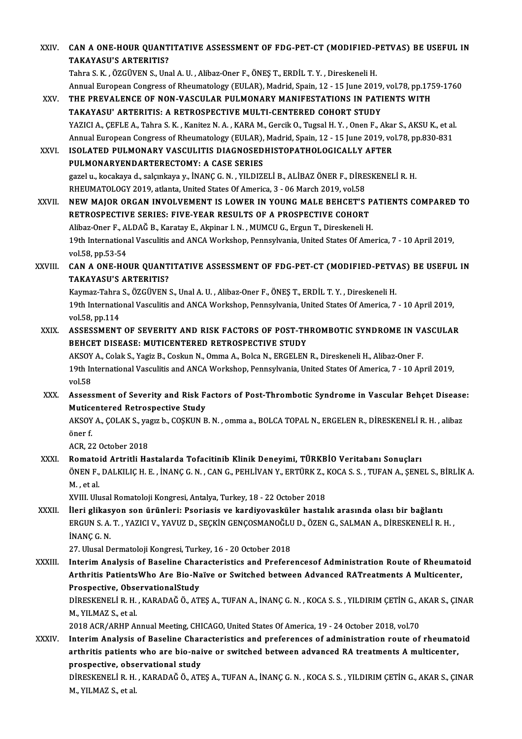| XXIV.         | CAN A ONE-HOUR QUANTITATIVE ASSESSMENT OF FDG-PET-CT (MODIFIED-PETVAS) BE USEFUL IN<br><b>TAKAYASU'S ARTERITIS?</b>                                                                                                                                      |
|---------------|----------------------------------------------------------------------------------------------------------------------------------------------------------------------------------------------------------------------------------------------------------|
|               | Tahra S. K., ÖZGÜVEN S., Unal A. U., Alibaz-Oner F., ÖNEŞ T., ERDİL T. Y., Direskeneli H.                                                                                                                                                                |
| XXV.          | Annual European Congress of Rheumatology (EULAR), Madrid, Spain, 12 - 15 June 2019, vol.78, pp.1759-1760<br>THE PREVALENCE OF NON-VASCULAR PULMONARY MANIFESTATIONS IN PATIENTS WITH<br>TAKAYASU' ARTERITIS: A RETROSPECTIVE MULTI-CENTERED COHORT STUDY |
|               | YAZICI A., ÇEFLE A., Tahra S. K., Kanitez N. A., KARA M., Gercik O., Tugsal H. Y., Onen F., Akar S., AKSU K., et al.<br>Annual European Congress of Rheumatology (EULAR), Madrid, Spain, 12 - 15 June 2019, vol.78, pp.830-831                           |
| XXVI.         | ISOLATED PULMONARY VASCULITIS DIAGNOSEDHISTOPATHOLOGICALLY AFTER                                                                                                                                                                                         |
|               | PULMONARYENDARTERECTOMY: A CASE SERIES                                                                                                                                                                                                                   |
|               | gazel u., kocakaya d., salçınkaya y., İNANÇ G. N., YILDIZELİ B., ALİBAZ ÖNER F., DİRESKENELİ R. H.<br>RHEUMATOLOGY 2019, atlanta, United States Of America, 3 - 06 March 2019, vol.58                                                                    |
| XXVII.        | NEW MAJOR ORGAN INVOLVEMENT IS LOWER IN YOUNG MALE BEHCET'S PATIENTS COMPARED TO<br>RETROSPECTIVE SERIES: FIVE-YEAR RESULTS OF A PROSPECTIVE COHORT                                                                                                      |
|               | Alibaz-Oner F., ALDAĞ B., Karatay E., Akpinar I. N., MUMCU G., Ergun T., Direskeneli H.                                                                                                                                                                  |
|               | 19th International Vasculitis and ANCA Workshop, Pennsylvania, United States Of America, 7 - 10 April 2019,<br>vol 58, pp 53-54                                                                                                                          |
| XXVIII.       | CAN A ONE-HOUR QUANTITATIVE ASSESSMENT OF FDG-PET-CT (MODIFIED-PETVAS) BE USEFUL IN<br><b>TAKAYASU'S ARTERITIS?</b>                                                                                                                                      |
|               | Kaymaz-Tahra S., ÖZGÜVEN S., Unal A. U., Alibaz-Oner F., ÖNEŞ T., ERDİL T. Y., Direskeneli H.                                                                                                                                                            |
|               | 19th International Vasculitis and ANCA Workshop, Pennsylvania, United States Of America, 7 - 10 April 2019,<br>vol 58, pp 114                                                                                                                            |
| XXIX.         | ASSESSMENT OF SEVERITY AND RISK FACTORS OF POST-THROMBOTIC SYNDROME IN VASCULAR                                                                                                                                                                          |
|               | BEHCET DISEASE: MUTICENTERED RETROSPECTIVE STUDY                                                                                                                                                                                                         |
|               | AKSOY A., Colak S., Yagiz B., Coskun N., Omma A., Bolca N., ERGELEN R., Direskeneli H., Alibaz-Oner F.                                                                                                                                                   |
|               | 19th International Vasculitis and ANCA Workshop, Pennsylvania, United States Of America, 7 - 10 April 2019,<br>vol 58                                                                                                                                    |
| XXX.          | Assessment of Severity and Risk Factors of Post-Thrombotic Syndrome in Vascular Behçet Disease:<br><b>Muticentered Retrospective Study</b>                                                                                                               |
|               | AKSOY A., ÇOLAK S., yagız b., COŞKUN B. N., omma a., BOLCA TOPAL N., ERGELEN R., DİRESKENELİ R. H., alibaz<br>öner f.                                                                                                                                    |
|               | ACR, 22 October 2018                                                                                                                                                                                                                                     |
| XXXI.         | Romatoid Artritli Hastalarda Tofacitinib Klinik Deneyimi, TÜRKBİO Veritabanı Sonuçları                                                                                                                                                                   |
|               | ÖNEN F., DALKILIÇ H. E., İNANÇ G. N., CAN G., PEHLİVAN Y., ERTÜRK Z., KOCA S. S., TUFAN A., ŞENEL S., BİRLİK A.<br>M, et al.                                                                                                                             |
|               | XVIII. Ulusal Romatoloji Kongresi, Antalya, Turkey, 18 - 22 October 2018                                                                                                                                                                                 |
| XXXII.        | İleri glikasyon son ürünleri: Psoriasis ve kardiyovasküler hastalık arasında olası bir bağlantı                                                                                                                                                          |
|               | ERGUN S. A. T., YAZICI V., YAVUZ D., SEÇKİN GENÇOSMANOĞLU D., ÖZEN G., SALMAN A., DİRESKENELİ R. H.,<br>INANÇ G. N.                                                                                                                                      |
|               | 27. Ulusal Dermatoloji Kongresi, Turkey, 16 - 20 October 2018                                                                                                                                                                                            |
| <b>XXXIII</b> | Interim Analysis of Baseline Characteristics and Preferencesof Administration Route of Rheumatoid                                                                                                                                                        |
|               | Arthritis PatientsWho Are Bio-Naïve or Switched between Advanced RATreatments A Multicenter,                                                                                                                                                             |
|               | Prospective, ObservationalStudy                                                                                                                                                                                                                          |
|               | DİRESKENELİ R. H., KARADAĞ Ö., ATEŞ A., TUFAN A., İNANÇ G. N., KOCA S. S., YILDIRIM ÇETİN G., AKAR S., ÇINAR<br>M., YILMAZ S., et al.                                                                                                                    |
|               | 2018 ACR/ARHP Annual Meeting, CHICAGO, United States Of America, 19 - 24 October 2018, vol.70                                                                                                                                                            |
| <b>XXXIV</b>  | Interim Analysis of Baseline Characteristics and preferences of administration route of rheumatoid                                                                                                                                                       |
|               | arthritis patients who are bio-naive or switched between advanced RA treatments A multicenter,                                                                                                                                                           |
|               | prospective, observational study                                                                                                                                                                                                                         |
|               | DİRESKENELİ R. H., KARADAĞ Ö., ATEŞ A., TUFAN A., İNANÇ G. N., KOCA S. S., YILDIRIM ÇETİN G., AKAR S., ÇINAR<br>M, YILMAZ S, et al.                                                                                                                      |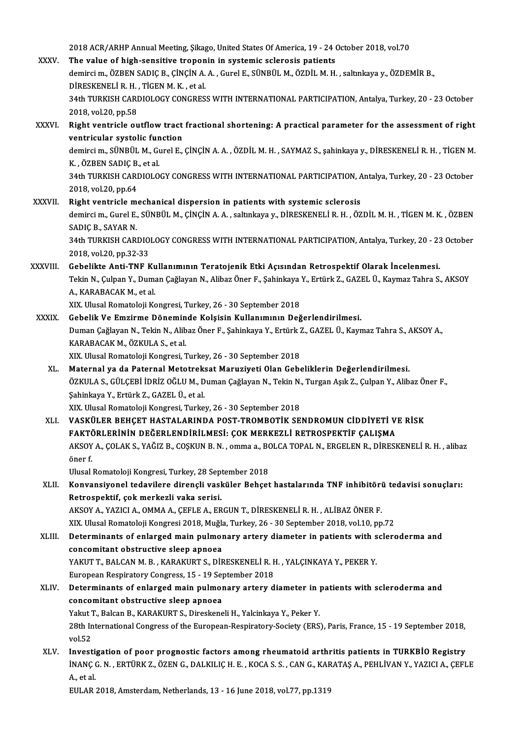2018 ACR/ARHP Annual Meeting, Şikago, United States Of America, 19 - 24 October 2018, vol.70<br>The value of high sensitive tranenin in systemis selenesis patients

2018 ACR/ARHP Annual Meeting, Şikago, United States Of America, 19 - 24 (2018 ACR/ARHP Annual Meeting, Şikago, United States Of America, 19 - 24 (2018)<br>Anningi m. ÖZREN SARIC R. Cincin A.A., Cunal E. Sünrüt M. ÖZRIL M.H 2018 ACR/ARHP Annual Meeting, Şikago, United States Of America, 19 - 24 October 2018, vol.70<br>The value of high-sensitive troponin in systemic sclerosis patients<br>demirci m., ÖZBEN SADIÇ B., ÇİNÇİN A. A. , Gurel E., SÜNBÜL M The value of high-sensitive troponin in systemic sclerosis patients<br>demirci m., ÖZBEN SADIÇ B., ÇİNÇİN A. A. , Gurel E., SÜNBÜL M., ÖZDİL M. H. , saltınkaya y., ÖZDEMİR B.,<br>DİRESKENELİ R. H. . TİGEN M. K. . et al. 34th TURKISH CARDIOLOGY CONGRESS WITH INTERNATIONAL PARTICIPATION, Antalya, Turkey, 20 - 23 October 2018,vol.20,pp.58 34th TURKISH CARDIOLOGY CONGRESS WITH INTERNATIONAL PARTICIPATION, Antalya, Turkey, 20 - 23 October<br>2018, vol.20, pp.58<br>XXXVI. Right ventricle outflow tract fractional shortening: A practical parameter for the assessment o 2018, vol.20, pp.58<br>Right ventricle outflow tract<br>ventricular systolic function<br>demirgi m. SÜNPÜL M. Curel F

Right ventricle outflow tract fractional shortening: A practical parameter for the assessment of right<br>ventricular systolic function<br>demirci m., SÜNBÜL M., Gurel E., ÇİNÇİN A.A. , ÖZDİL M. H. , SAYMAZ S., şahinkaya y., DİR **ventricular systolic fun<br>demirci m., SÜNBÜL M., G.<br>K. , ÖZBEN SADIÇ B., et al.**<br>24th TURKISH CARDIQLO

demirci m., SÜNBÜL M., Gurel E., ÇİNÇİN A. A. , ÖZDİL M. H. , SAYMAZ S., şahinkaya y., DİRESKENELİ R. H. , TİGEN M.<br>K. , ÖZBEN SADIÇ B., et al.<br>34th TURKISH CARDIOLOGY CONGRESS WITH INTERNATIONAL PARTICIPATION, Antalya, Tu K. , ÖZBEN SADIÇ B., et al.<br>34th TURKISH CARDIOLOGY CONGRESS WITH INTERNATIONAL PARTICIPATION, Antalya, Turkey, 20 - 23 October<br>2018. vol.20. pp.64

XXXVII. Right ventricle mechanical dispersion in patients with systemic sclerosis 2018, vol.20, pp.64<br>Right ventricle mechanical dispersion in patients with systemic sclerosis<br>demirci m., Gurel E., SÜNBÜL M., ÇİNÇİN A. A. , saltınkaya y., DİRESKENELİ R. H. , ÖZDİL M. H. , TİGEN M. K. , ÖZBEN<br>SADIÇ P. SA Right ventricle m<br>demirci m., Gurel E.,<br>SADIÇ B., SAYAR N.<br>24th TURKISH CARI demirci m., Gurel E., SÜNBÜL M., ÇİNÇİN A. A. , saltınkaya y., DİRESKENELİ R. H. , ÖZDİL M. H. , TİGEN M. K. , ÖZBEN<br>SADIÇ B., SAYAR N.<br>34th TURKISH CARDIOLOGY CONGRESS WITH INTERNATIONAL PARTICIPATION, Antalya, Turkey, 20 SADIÇ B., SAYAR N.<br>34th TURKISH CARDIOLOGY CONGRESS WITH INTERNATIONAL PARTICIPATION, Antalya, Turkey, 20 - 23 October<br>2018, vol.20, pp.32-33

XXXVIII. Gebelikte Anti-TNF Kullanımının Teratojenik Etki Açısından Retrospektif Olarak İncelenmesi. 2018, vol.20, pp.32-33<br>Gebelikte Anti-TNF Kullanımının Teratojenik Etki Açısından Retrospektif Olarak İncelenmesi.<br>Tekin N., Çulpan Y., Duman Çağlayan N., Alibaz Öner F., Şahinkaya Y., Ertürk Z., GAZEL Ü., Kaymaz Tahra S., Gebelikte Anti-TNF Ku<br>Tekin N., Çulpan Y., Duma<br>A., KARABACAK M., et al.<br>YIY. Hlugal Parmatalaji Ka Tekin N., Çulpan Y., Duman Çağlayan N., Alibaz Öner F., Şahinkaya<br>A., KARABACAK M., et al.<br>XIX. Ulusal Romatoloji Kongresi, Turkey, 26 - 30 September 2018<br>Cobelik V.e Emgirme Döneminde Kelsisin Kullanımının Değ A., KARABACAK M., et al.<br>XIX. Ulusal Romatoloji Kongresi, Turkey, 26 - 30 September 2018<br>XXXIX. Gebelik Ve Emzirme Döneminde Kolşisin Kullanımının Değerlendirilmesi.

- XIX. Ulusal Romatoloji Kongresi, Turkey, 26 30 September 2018<br>Gebelik Ve Emzirme Döneminde Kolşisin Kullanımının Değerlendirilmesi.<br>Duman Çağlayan N., Tekin N., Alibaz Öner F., Şahinkaya Y., Ertürk Z., GAZEL Ü., Kaymaz T Gebelik Ve Emzirme Dönemin<br>Duman Çağlayan N., Tekin N., Alib<br>KARABACAK M., ÖZKULA S., et al.<br>YIY Hlusal Pemateleji Kengresi Duman Çağlayan N., Tekin N., Alibaz Öner F., Şahinkaya Y., Ertürk 2<br>KARABACAK M., ÖZKULA S., et al.<br>XIX. Ulusal Romatoloji Kongresi, Turkey, 26 - 30 September 2018<br>Matarnal ve da Batarnal Matatrakaat Marugiyati Olan Caba KARABACAK M., ÖZKULA S., et al.<br>XIX. Ulusal Romatoloji Kongresi, Turkey, 26 - 30 September 2018<br>XL. Maternal ya da Paternal Metotreksat Maruziyeti Olan Gebeliklerin Değerlendirilmesi.
	- XIX. Ulusal Romatoloji Kongresi, Turkey, 26 30 September 2018<br>Maternal ya da Paternal Metotreksat Maruziyeti Olan Gebeliklerin Değerlendirilmesi.<br>ÖZKULA S., GÜLÇEBİ İDRİZ OĞLU M., Duman Çağlayan N., Tekin N., Turgan Aşık Maternal ya da Paternal Metotrek:<br>ÖZKULA S., GÜLÇEBİ İDRİZ OĞLU M., D<br>Şahinkaya Y., Ertürk Z., GAZEL Ü., et al.<br>YIY. Ulusal Bamataleji Kangresi, Turka ÖZKULA S., GÜLÇEBİ İDRİZ OĞLU M., Duman Çağlayan N., Tekin N.<br>Şahinkaya Y., Ertürk Z., GAZEL Ü., et al.<br>XIX. Ulusal Romatoloji Kongresi, Turkey, 26 - 30 September 2018<br>VASKÜLER REHCET HASTALARINDA ROST TROMBOTİK SE Şahinkaya Y., Ertürk Z., GAZEL Ü., et al.<br>XIX. Ulusal Romatoloji Kongresi, Turkey, 26 - 30 September 2018<br>XLI. VASKÜLER BEHÇET HASTALARINDA POST-TROMBOTİK SENDROMUN CİDDİYETİ VE RİSK<br>RAKTÖRI FRİNİN DEĞERI ENDİRİL MESİ.

XIX. Ulusal Romatoloji Kongresi, Turkey, 26 - 30 September 2018<br>VASKÜLER BEHÇET HASTALARINDA POST-TROMBOTİK SENDROMUN CİDDİYETİ V<br>FAKTÖRLERİNİN DEĞERLENDİRİLMESİ: ÇOK MERKEZLİ RETROSPEKTİF ÇALIŞMA<br>AKSOV A, ÇOLAK S, VAĞIZ B VASKÜLER BEHÇET HASTALARINDA POST-TROMBOTİK SENDROMUN CİDDİYETİ VE RİSK<br>FAKTÖRLERİNİN DEĞERLENDİRİLMESİ: ÇOK MERKEZLİ RETROSPEKTİF ÇALIŞMA<br>AKSOY A., ÇOLAK S., YAĞIZ B., COŞKUN B. N. , omma a., BOLCA TOPAL N., ERGELEN R., D **FAKT<br>AKSOY<br>öner f.**<br>Uhreal AKSOY A., ÇOLAK S., YAĞIZ B., COŞKUN B. N. , omma a., B(<br>öner f.<br>Ulusal Romatoloji Kongresi, Turkey, 28 September 2018<br>Konvensivenel tedevilere dirensli vesküler Behset

öner f.<br>Ulusal Romatoloji Kongresi, Turkey, 28 September 2018<br>XLII. Konvansiyonel tedavilere dirençli vasküler Behçet hastalarında TNF inhibitörü tedavisi sonuçları:<br>Retreenektif, sek merkerli yaka serisi. Ulusal Romatoloji Kongresi, Turkey, 28 Sep<br>Konvansiyonel tedavilere dirençli vasl<br>Retrospektif, çok merkezli vaka serisi.<br>AKSOV A. VAZICLA, QMMA A. CEELE A. ER Konvansiyonel tedavilere dirençli vasküler Behçet hastalarında TNF inhibitöri<br>Retrospektif, çok merkezli vaka serisi.<br>AKSOY A., YAZICI A., OMMA A., ÇEFLE A., ERGUN T., DİRESKENELİ R. H. , ALİBAZ ÖNER F.<br>YIY Husal Bematelej Retrospektif, çok merkezli vaka serisi.<br>AKSOY A., YAZICI A., OMMA A., ÇEFLE A., ERGUN T., DİRESKENELİ R. H. , ALİBAZ ÖNER F.<br>XIX. Ulusal Romatoloji Kongresi 2018, Muğla, Turkey, 26 - 30 September 2018, vol.10, pp.72<br>Determ

AKSOY A., YAZICI A., OMMA A., ÇEFLE A., ERGUN T., DİRESKENELİ R. H. , ALİBAZ ÖNER F.<br>XIX. Ulusal Romatoloji Kongresi 2018, Muğla, Turkey, 26 - 30 September 2018, vol.10, pp.72<br>XLIII. Determinants of enlarged main pulmo XIX. Ulusal Romatoloji Kongresi 2018, Muğla<br>Determinants of enlarged main pulmor<br>concomitant obstructive sleep apnoea<br>VAKUTT EALCAN M. B., KARAKURTS, DİR Determinants of enlarged main pulmonary artery diameter in patients with s<br>concomitant obstructive sleep apnoea<br>YAKUT T., BALCAN M. B. , KARAKURT S., DİRESKENELİ R. H. , YALÇINKAYA Y., PEKER Y.<br>European Bespiratory Congres concomitant obstructive sleep apnoea<br>YAKUT T., BALCAN M. B. , KARAKURT S., DİRESKENELİ R. I<br>European Respiratory Congress, 15 - 19 September 2018<br>Determinants of anlarged main nulmanary artary d YAKUT T., BALCAN M. B. , KARAKURT S., DİRESKENELİ R. H. , YALÇINKAYA Y., PEKER Y.<br>European Respiratory Congress, 15 - 19 September 2018<br>XLIV. Determinants of enlarged main pulmonary artery diameter in patients with sclerod

- European Respiratory Congress, 15 19 Sep<br>Determinants of enlarged main pulmor<br>concomitant obstructive sleep apnoea<br>Velut T. Polsen B. KARAKURT S. Direckens Determinants of enlarged main pulmonary artery diameter in proncomitant obstructive sleep apnoea<br>Yakut T., Balcan B., KARAKURT S., Direskeneli H., Yalcinkaya Y., Peker Y.<br>28th International Congress of the European Bespira concomitant obstructive sleep apnoea<br>Yakut T., Balcan B., KARAKURT S., Direskeneli H., Yalcinkaya Y., Peker Y.<br>28th International Congress of the European-Respiratory-Society (ERS), Paris, France, 15 - 19 September 2018,<br>v Yakut T., Balcan B., KARAKURT S., Direskeneli H., Yalcinkaya Y., Peker Y. 28th International Congress of the European-Respiratory-Society (ERS), Paris, France, 15 - 19 September 2018,<br>
XLV. Investigation of poor prognostic factors among rheumatoid arthritis patients in TURKBİO Registry<br>
INANC C.
- İNANÇ G. N. , ERTÜRK Z., ÖZEN G., DALKILIÇ H. E. , KOCA S. S. , CAN G., KARATAŞ A., PEHLİVAN Y., YAZICI A., ÇEFLE<br>A., et al. **Investi<br>İNANÇ (**<br>A., et al.<br>EULAR

EULAR 2018, Amsterdam, Netherlands, 13 - 16 June 2018, vol.77, pp.1319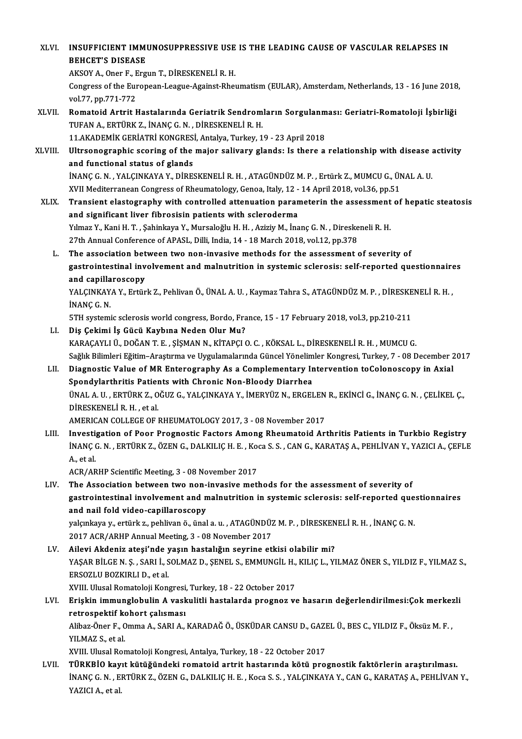| XLVI.   | INSUFFICIENT IMMUNOSUPPRESSIVE USE IS THE LEADING CAUSE OF VASCULAR RELAPSES IN<br><b>BEHCET'S DISEASE</b>                                                                                                            |
|---------|-----------------------------------------------------------------------------------------------------------------------------------------------------------------------------------------------------------------------|
|         | AKSOY A., Oner F., Ergun T., DİRESKENELİ R. H.<br>Congress of the European-League-Against-Rheumatism (EULAR), Amsterdam, Netherlands, 13 - 16 June 2018,                                                              |
|         | vol 77, pp 771-772                                                                                                                                                                                                    |
| XLVII.  | Romatoid Artrit Hastalarında Geriatrik Sendromların Sorgulanması: Geriatri-Romatoloji İşbirliği<br>TUFAN A., ERTÜRK Z., İNANÇ G. N., DİRESKENELİ R. H.                                                                |
|         | 11.AKADEMİK GERİATRİ KONGRESİ, Antalya, Turkey, 19 - 23 April 2018                                                                                                                                                    |
| XLVIII. | Ultrsonographic scoring of the major salivary glands: Is there a relationship with disease activity                                                                                                                   |
|         | and functional status of glands                                                                                                                                                                                       |
|         | İNANÇ G. N., YALÇINKAYA Y., DİRESKENELİ R. H., ATAGÜNDÜZ M. P., Ertürk Z., MUMCU G., ÜNAL A. U.<br>XVII Mediterranean Congress of Rheumatology, Genoa, Italy, 12 - 14 April 2018, vol.36, pp.51                       |
| XLIX.   | Transient elastography with controlled attenuation parameterin the assessment of hepatic steatosis                                                                                                                    |
|         | and significant liver fibrosisin patients with scleroderma                                                                                                                                                            |
|         | Yılmaz Y., Kani H. T. , Şahinkaya Y., Mursaloğlu H. H. , Aziziy M., İnanç G. N. , Direskeneli R. H.                                                                                                                   |
|         | 27th Annual Conference of APASL, Dilli, India, 14 - 18 March 2018, vol.12, pp.378                                                                                                                                     |
| L.      | The association between two non-invasive methods for the assessment of severity of                                                                                                                                    |
|         | gastrointestinal involvement and malnutrition in systemic sclerosis: self-reported questionnaires                                                                                                                     |
|         | and capillaroscopy                                                                                                                                                                                                    |
|         | YALÇINKAYA Y., Ertürk Z., Pehlivan Ö., ÜNAL A. U., Kaymaz Tahra S., ATAGÜNDÜZ M. P., DİRESKENELİ R. H.,                                                                                                               |
|         | INANÇ G N                                                                                                                                                                                                             |
| LI.     | 5TH systemic sclerosis world congress, Bordo, France, 15 - 17 February 2018, vol.3, pp.210-211<br>Diş Çekimi İş Gücü Kaybına Neden Olur Mu?                                                                           |
|         | KARAÇAYLI Ü., DOĞAN T. E., ŞİŞMAN N., KİTAPÇI O. C., KÖKSAL L., DİRESKENELİ R. H., MUMCU G.                                                                                                                           |
|         | Sağlık Bilimleri Eğitim-Araştırma ve Uygulamalarında Güncel Yönelimler Kongresi, Turkey, 7 - 08 December 2017                                                                                                         |
| LII.    | Diagnostic Value of MR Enterography As a Complementary Intervention toColonoscopy in Axial                                                                                                                            |
|         | Spondylarthritis Patients with Chronic Non-Bloody Diarrhea                                                                                                                                                            |
|         | ÜNAL A. U., ERTÜRK Z., OĞUZ G., YALÇINKAYA Y., İMERYÜZ N., ERGELEN R., EKİNCİ G., İNANÇ G. N., ÇELİKEL Ç.,                                                                                                            |
|         | DİRESKENELİ R. H., et al.                                                                                                                                                                                             |
|         | AMERICAN COLLEGE OF RHEUMATOLOGY 2017, 3 - 08 November 2017                                                                                                                                                           |
| LIII.   | Investigation of Poor Prognostic Factors Among Rheumatoid Arthritis Patients in Turkbio Registry<br>INANÇ G. N. , ERTÜRK Z., ÖZEN G., DALKILIÇ H. E. , Koca S. S. , CAN G., KARATAŞ A., PEHLIVAN Y., YAZICI A., ÇEFLE |
|         | A, et al.                                                                                                                                                                                                             |
|         | ACR/ARHP Scientific Meeting, 3 - 08 November 2017                                                                                                                                                                     |
| LIV.    | The Association between two non-invasive methods for the assessment of severity of<br>gastrointestinal involvement and malnutrition in systemic sclerosis: self-reported questionnaires                               |
|         | and nail fold video-capillaroscopy                                                                                                                                                                                    |
|         | yalçınkaya y., ertürk z., pehlivan ö., ünal a. u. , ATAGÜNDÜZ M. P. , DİRESKENELİ R. H. , İNANÇ G. N.                                                                                                                 |
|         | 2017 ACR/ARHP Annual Meeting, 3 - 08 November 2017                                                                                                                                                                    |
| LV.     | Ailevi Akdeniz ateşi'nde yaşın hastalığın seyrine etkisi olabilir mi?                                                                                                                                                 |
|         | YAŞAR BİLGE N. Ş. , SARI İ., SOLMAZ D., ŞENEL S., EMMUNGİL H., KILIÇ L., YILMAZ ÖNER S., YILDIZ F., YILMAZ S.,                                                                                                        |
|         | ERSOZLU BOZKIRLI D., et al.                                                                                                                                                                                           |
|         | XVIII. Ulusal Romatoloji Kongresi, Turkey, 18 - 22 October 2017                                                                                                                                                       |
| LVI.    | Erişkin immunglobulin A vaskulitli hastalarda prognoz ve hasarın değerlendirilmesi:Çok merkezli                                                                                                                       |
|         | retrospektif kohort çalısması                                                                                                                                                                                         |
|         | Alibaz-Öner F., Omma A., SARI A., KARADAĞ Ö., ÜSKÜDAR CANSU D., GAZEL Ü., BES C., YILDIZ F., Öksüz M. F.,                                                                                                             |
|         | YILMAZ S, et al.                                                                                                                                                                                                      |
| LVII.   | XVIII. Ulusal Romatoloji Kongresi, Antalya, Turkey, 18 - 22 October 2017<br>TÜRKBİO kayıt kütüğündeki romatoid artrit hastarında kötü prognostik faktörlerin araştırılması.                                           |
|         | INANÇ G. N., ERTÜRK Z., ÖZEN G., DALKILIÇ H. E., Koca S. S., YALÇINKAYA Y., CAN G., KARATAŞ A., PEHLİVAN Y.,                                                                                                          |
|         | YAZICI A., et al.                                                                                                                                                                                                     |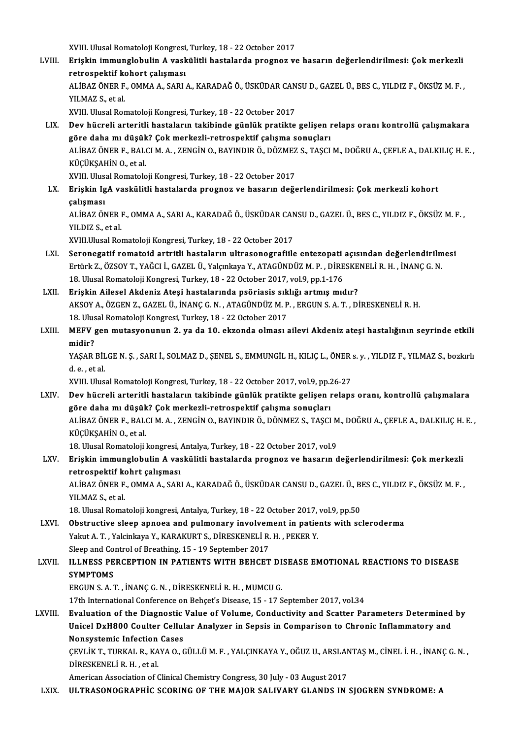XVIII. Ulusal Romatoloji Kongresi, Turkey, 18 - 22 October 2017<br>Erickin immunglobulin A veskülitli bastalarda prognas ve

LVIII. Erişkin immunglobulin A vaskülitli hastalarda prognoz ve hasarın değerlendirilmesi: Çok merkezli retrospektif kohort calısması XVIII. Ulusal Romatoloji Kongresi,<br>Erişkin immunglobulin A vask<br>retrospektif kohort çalışması<br>ALİBAZ ÖNER E. OMMA A. SARL Erişkin immunglobulin A vaskülitli hastalarda prognoz ve hasarın değerlendirilmesi: Çok merkezli<br>retrospektif kohort çalışması<br>ALİBAZ ÖNER F., OMMA A., SARI A., KARADAĞ Ö., ÜSKÜDAR CANSU D., GAZEL Ü., BES C., YILDIZ F., ÖK retrospektif ko<br>ALİBAZ ÖNER F.<br>YILMAZ S., et al.<br>YVIII. Ulusal Bor ALİBAZ ÖNER F., OMMA A., SARI A., KARADAĞ Ö., ÜSKÜDAR CAN<br>YILMAZ S., et al.<br>XVIII. Ulusal Romatoloji Kongresi, Turkey, 18 - 22 October 2017<br>Dav büsreli arteritli bastaların takibinde günlük pratikte

- YILMAZ S., et al.<br>XVIII. Ulusal Romatoloji Kongresi, Turkey, 18 22 October 2017<br>LIX. Dev hücreli arteritli hastaların takibinde günlük pratikte gelişen relaps oranı kontrollü çalışmakara<br>Göre daha mı düşül:2 Cek merk XVIII. Ulusal Romatoloji Kongresi, Turkey, 18 - 22 October 2017<br>Dev hücreli arteritli hastaların takibinde günlük pratikte gelişen ı<br>göre daha mı düşük? Çok merkezli-retrospektif çalışma sonuçları<br>ALİPAZÖNER E. RALCI M.A., Dev hücreli arteritli hastaların takibinde günlük pratikte gelişen relaps oranı kontrollü çalışmakara<br>göre daha mı düşük? Çok merkezli-retrospektif çalışma sonuçları<br>ALİBAZ ÖNER F., BALCI M. A. , ZENGİN O., BAYINDIR Ö., DÖ göre daha mı düşük<br>ALİBAZ ÖNER F., BAL<br>KÜÇÜKŞAHİN O., et al.<br>YVIII. Illucal Bamatala ALİBAZ ÖNER F., BALCI M. A. , ZENGİN O., BAYINDIR Ö., DÖZMEZ<br>KÜÇÜKŞAHİN O., et al.<br>XVIII. Ulusal Romatoloji Kongresi, Turkey, 18 - 22 October 2017<br>Friekin IsA veskülitli bastalarda prospes ve basarın değe KÜÇÜKŞAHİN O., et al.<br>XVIII. Ulusal Romatoloji Kongresi, Turkey, 18 - 22 October 2017<br>LX. Erişkin IgA vaskülitli hastalarda prognoz ve hasarın değerlendirilmesi: Çok merkezli kohort<br>çalışması XVIII. Ulusal Romatoloji Kongresi, Turkey, 18 - 22 October 2017
	- -

Erişkin IgA vaskülitli hastalarda prognoz ve hasarın değerlendirilmesi: Çok merkezli kohort<br>çalışması<br>ALİBAZ ÖNER F., OMMA A., SARI A., KARADAĞ Ö., ÜSKÜDAR CANSU D., GAZEL Ü., BES C., YILDIZ F., ÖKSÜZ M. F. ,<br>YU DIZ S. et <mark>çalışması</mark><br>ALİBAZ ÖNER I<br>YILDIZ S., et al.<br>YVIII Ulusal Baı ALİBAZ ÖNER F., OMMA A., SARI A., KARADAĞ Ö., ÜSKÜDAR CAN<br>YILDIZ S., et al.<br>XVIII.Ulusal Romatoloji Kongresi, Turkey, 18 - 22 October 2017<br>Senenegatif romatoid antritli besteların ultrasonografiile

- YILDIZ S., et al.<br>XVIII.Ulusal Romatoloji Kongresi, Turkey, 18 22 October 2017<br>LXI. Seronegatif romatoid artritli hastaların ultrasonografiile entezopati açısından değerlendirilmesi<br>Futink Z. ÖZSOV T. VAČCLİ, GAZEL Ü. Vo XVIII.Ulusal Romatoloji Kongresi, Turkey, 18 - 22 October 2017<br>Seronegatif romatoid artritli hastaların ultrasonografiile entezopati açısından değerlendirilm<br>Ertürk Z., ÖZSOY T., YAĞCI İ., GAZEL Ü., Yalçınkaya Y., ATAGÜNDÜ Seronegatif romatoid artritli hastaların ultrasonografiile entezopati<br>Ertürk Z., ÖZSOY T., YAĞCI İ., GAZEL Ü., Yalçınkaya Y., ATAGÜNDÜZ M. P. , DİRE<br>18. Ulusal Romatoloji Kongresi, Turkey, 18 - 22 October 2017, vol.9, pp.1 Ertürk Z., ÖZSOY T., YAĞCI İ., GAZEL Ü., Yalçınkaya Y., ATAGÜNDÜZ M. P. , DİRESKE<br>18. Ulusal Romatoloji Kongresi, Turkey, 18 - 22 October 2017, vol.9, pp.1-176<br>LXII. Erişkin Ailesel Akdeniz Ateşi hastalarında psöriasis sık
- 18. Ulusal Romatoloji Kongresi, Turkey, 18 22 October 2017, vol.9, pp.1-176<br>Erişkin Ailesel Akdeniz Ateşi hastalarında psöriasis sıklığı artmış mıdır?<br>AKSOY A., ÖZGEN Z., GAZEL Ü., İNANÇ G.N. , ATAGÜNDÜZ M. P. , ERGUN S. Erişkin Ailesel Akdeniz Ateşi hastalarında psöriasis sık<br>AKSOY A., ÖZGEN Z., GAZEL Ü., İNANÇ G. N. , ATAGÜNDÜZ M. P<br>18. Ulusal Romatoloji Kongresi, Turkey, 18 - 22 October 2017<br>MEEV gen mutasyonunun 2. va da 10. oktorda ol AKSOY A., ÖZGEN Z., GAZEL Ü., İNANÇ G. N. , ATAGÜNDÜZ M. P. , ERGUN S. A. T. , DİRESKENELİ R. H.<br>18. Ulusal Romatoloji Kongresi, Turkey, 18 - 22 October 2017<br>LXIII. MEFV gen mutasyonunun 2. ya da 10. ekzonda olması ail
- 18. Ulus<br>**MEFV**<br>midir?<br>v^S^P MEFV gen mutasyonunun 2. ya da 10. ekzonda olması ailevi Akdeniz ateşi hastalığının seyrinde etkili<br>midir?<br>YAŞAR BİLGE N. Ş. , SARI İ., SOLMAZ D., ŞENEL S., EMMUNGİL H., KILIÇ L., ÖNER s. y. , YILDIZ F., YILMAZ S., bozkırl

mi<mark>dir?</mark><br>YAŞAR BİL<br>d. e. , et al.<br>YVIII. Ube YAŞAR BİLGE N. Ş. , SARI İ., SOLMAZ D., ŞENEL S., EMMUNGİL H., KILIÇ L., ÖNER :<br>d. e. , et al.<br>XVIII. Ulusal Romatoloji Kongresi, Turkey, 18 - 22 October 2017, vol.9, pp.26-27<br>Dev büsreli arteritli bastaların takibinde gün

d. e. , et al.<br>XVIII. Ulusal Romatoloji Kongresi, Turkey, 18 - 22 October 2017, vol.9, pp.26-27<br>LXIV. Dev hücreli arteritli hastaların takibinde günlük pratikte gelişen relaps oranı, kontrollü çalışmalara XVIII. Ulusal Romatoloji Kongresi, Turkey, 18 - 22 October 2017, vol.9, pp.2<br>Dev hücreli arteritli hastaların takibinde günlük pratikte gelişen ı<br>göre daha mı düşük? Çok merkezli-retrospektif çalışma sonuçları<br>ALİPAZÖNER E ALİBAZ ÖNER F., BALCI M. A. , ZENGİN O., BAYINDIR Ö., DÖNMEZ S., TAŞCI M., DOĞRU A., ÇEFLE A., DALKILIÇ H. E. ,<br>KÜCÜKSAHİN O., et al göre daha mı düşük<br>ALİBAZ ÖNER F., BAL<br>KÜÇÜKŞAHİN O., et al.<br>18 Hhusal Bamatalan l ALİBAZ ÖNER F., BALCI M. A. , ZENGİN O., BAYINDIR Ö., DÖNMEZ S., TAŞCI M<br>KÜÇÜKŞAHİN O., et al.<br>18. Ulusal Romatoloji kongresi, Antalya, Turkey, 18 - 22 October 2017, vol.9<br>Erickin immunglobulin A voekülitli bastalarda prog

#### LXV. Erişkin immunglobulin A vaskülitli hastalarda prognoz ve hasarın değerlendirilmesi: Çokmerkezli 18. Ulusal Romatoloji kongresi, *1*<br>Erişkin immunglobulin A vas<br>retrospektif kohrt çalışması<br>ALİPAZÖNER E. QMMA A, SAR Erişkin immunglobulin A vaskülitli hastalarda prognoz ve hasarın değerlendirilmesi: Çok merkezli<br>retrospektif kohrt çalışması<br>ALİBAZ ÖNER F., OMMA A., SARI A., KARADAĞ Ö., ÜSKÜDAR CANSU D., GAZEL Ü., BES C., YILDIZ F., ÖKS

retrospektif ko<br>ALİBAZ ÖNER F.<br>YILMAZ S., et al.<br>19. Ulusal Boma ALİBAZ ÖNER F., OMMA A., SARI A., KARADAĞ Ö., ÜSKÜDAR CANSU D., GAZEL Ü., BI<br>YILMAZ S., et al.<br>18. Ulusal Romatoloji kongresi, Antalya, Turkey, 18 - 22 October 2017, vol.9, pp.50<br>Obstrustive sleep annoes and pulmenary invo

YILMAZ S., et al.<br>18. Ulusal Romatoloji kongresi, Antalya, Turkey, 18 - 22 October 2017, vol.9, pp.50<br>LXVI. Obstructive sleep apnoea and pulmonary involvement in patients with scleroderma<br>Vakut A. T. Vakinkaya V. KARAKURTS 18. Ulusal Romatoloji kongresi, Antalya, Turkey, 18 - 22 October 2017,<br>Obstructive sleep apnoea and pulmonary involvement in patie<br>Yakut A. T. , Yalcinkaya Y., KARAKURT S., DİRESKENELİ R. H. , PEKER Y.<br>Sleep and Control of Obstructive sleep apnoea and pulmonary involvem<br>Yakut A. T. , Yalcinkaya Y., KARAKURT S., DİRESKENELİ R.<br>Sleep and Control of Breathing, 15 - 19 September 2017<br>U. UNESS RERCERTION IN BATIENTS WITH REHCET

#### LXVI . ILLNESS PERCEPTION IN PATIENTSWITH BEHCET DISEASE EMOTIONAL REACTIONS TO DISEASE Sleep and Co<br>ILLNESS PE<br>SYMPTOMS<br>ERCUNS A ILLNESS PERCEPTION IN PATIENTS WITH BEHCET DI<br>SYMPTOMS<br>ERGUN S. A. T. , İNANÇ G. N. , DİRESKENELİ R. H. , MUMCU G.<br>17th International Conference en Behect's Disease, 15, 17, S SYMPTOMS<br>ERGUN S. A. T. , İNANÇ G. N. , DİRESKENELİ R. H. , MUMCU G.<br>17th International Conference on Behçet's Disease, 15 - 17 September 2017, vol.34

#### ERGUN S. A. T., İNANÇ G. N., DİRESKENELİ R. H., MUMCU G.<br>17th International Conference on Behçet's Disease, 15 - 17 September 2017, vol.34<br>17th International Conference on Behçet's Disease, 15 - 17 September 2017, vol.34<br>1 17th International Conference on Behçet's Disease, 15 - 17 September 2017, vol.34<br>Evaluation of the Diagnostic Value of Volume, Conductivity and Scatter Parameters Determined<br>Unicel DxH800 Coulter Cellular Analyzer in Seps Evaluation of the Diagnostic<br>Unicel DxH800 Coulter Cellul<br>Nonsystemic Infection Cases<br>CEVU IV T TURVAL B VAVA O G Unicel DxH800 Coulter Cellular Analyzer in Sepsis in Comparison to Chronic Inflammatory and<br>Nonsystemic Infection Cases<br>ÇEVLİK T., TURKAL R., KAYA O., GÜLLÜ M. F. , YALÇINKAYA Y., OĞUZ U., ARSLANTAŞ M., CİNEL İ. H. , İNANÇ Nonsystemic Infection<br>ÇEVLİK T., TURKAL R., KA<br>DİRESKENELİ R. H. , et al.<br>American Accesistion of (

CEVLİK T., TURKAL R., KAYA O., GÜLLÜ M. F. , YALÇINKAYA Y., OĞUZ U., ARSLAN<br>DİRESKENELİ R. H. , et al.<br>American Association of Clinical Chemistry Congress, 30 July - 03 August 2017<br>III TRASONOCRARHIC SCORINC OF THE MAJOR S

DİRESKENELİ R. H. , et al.<br>American Association of Clinical Chemistry Congress, 30 July - 03 August 2017<br>LXIX. ULTRASONOGRAPHİC SCORING OF THE MAJOR SALIVARY GLANDS IN SJOGREN SYNDROME: A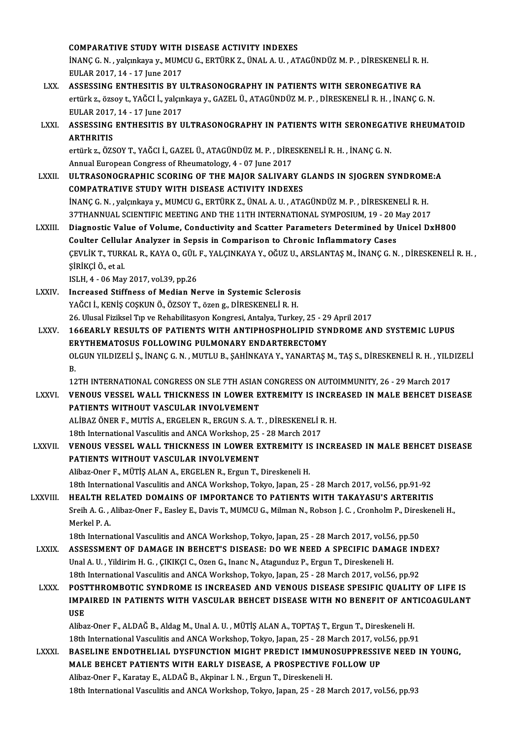|               | <b>COMPARATIVE STUDY WITH DISEASE ACTIVITY INDEXES</b>                                                                                                                         |
|---------------|--------------------------------------------------------------------------------------------------------------------------------------------------------------------------------|
|               | İNANÇ G. N., yalçınkaya y., MUMCU G., ERTÜRK Z., ÜNAL A. U., ATAGÜNDÜZ M. P., DİRESKENELİ R. H.<br>EULAR 2017, 14 - 17 June 2017                                               |
| LXX.          | ASSESSING ENTHESITIS BY ULTRASONOGRAPHY IN PATIENTS WITH SERONEGATIVE RA                                                                                                       |
|               | ertürk z., özsoy t., YAĞCI İ., yalçınkaya y., GAZEL Ü., ATAGÜNDÜZ M. P., DİRESKENELİ R. H., İNANÇ G. N.                                                                        |
|               | EULAR 2017, 14 - 17 June 2017                                                                                                                                                  |
| LXXI.         | ASSESSING ENTHESITIS BY ULTRASONOGRAPHY IN PATIENTS WITH SERONEGATIVE RHEUMATOID<br><b>ARTHRITIS</b>                                                                           |
|               | ertürk z., ÖZSOY T., YAĞCI İ., GAZEL Ü., ATAGÜNDÜZ M. P., DİRESKENELİ R. H., İNANÇ G. N.                                                                                       |
|               | Annual European Congress of Rheumatology, 4 - 07 June 2017                                                                                                                     |
| <b>LXXII.</b> | ULTRASONOGRAPHIC SCORING OF THE MAJOR SALIVARY GLANDS IN SJOGREN SYNDROME:A                                                                                                    |
|               | COMPATRATIVE STUDY WITH DISEASE ACTIVITY INDEXES                                                                                                                               |
|               | İNANÇ G. N., yalçınkaya y., MUMCU G., ERTÜRK Z., ÜNAL A. U., ATAGÜNDÜZ M. P., DİRESKENELİ R. H.                                                                                |
|               | 37THANNUAL SCIENTIFIC MEETING AND THE 11TH INTERNATIONAL SYMPOSIUM, 19 - 20 May 2017                                                                                           |
| LXXIII.       | Diagnostic Value of Volume, Conductivity and Scatter Parameters Determined by Unicel DxH800<br>Coulter Cellular Analyzer in Sepsis in Comparison to Chronic Inflammatory Cases |
|               | ÇEVLİK T., TURKAL R., KAYA O., GÜL F., YALÇINKAYA Y., OĞUZ U., ARSLANTAŞ M., İNANÇ G. N., DİRESKENELİ R. H.,                                                                   |
|               | ŞİRİKÇİ Ö, et al.                                                                                                                                                              |
|               | ISLH, 4 - 06 May 2017, vol 39, pp.26                                                                                                                                           |
| <b>LXXIV</b>  | Increased Stiffness of Median Nerve in Systemic Sclerosis                                                                                                                      |
|               | YAĞCI İ., KENİŞ COŞKUN Ö., ÖZSOY T., özen g., DİRESKENELİ R. H.                                                                                                                |
|               | 26. Ulusal Fiziksel Tıp ve Rehabilitasyon Kongresi, Antalya, Turkey, 25 - 29 April 2017                                                                                        |
| LXXV.         | <b>166EARLY RESULTS OF PATIENTS WITH ANTIPHOSPHOLIPID SYNDROME AND SYSTEMIC LUPUS</b>                                                                                          |
|               | <b>ERYTHEMATOSUS FOLLOWING PULMONARY ENDARTERECTOMY</b>                                                                                                                        |
|               | OLGUN YILDIZELİ Ş., İNANÇ G. N., MUTLU B., ŞAHİNKAYA Y., YANARTAŞ M., TAŞ S., DİRESKENELİ R. H., YILDIZELİ                                                                     |
|               | В.<br>12TH INTERNATIONAL CONGRESS ON SLE 7TH ASIAN CONGRESS ON AUTOIMMUNITY, 26 - 29 March 2017                                                                                |
| <b>LXXVI</b>  | VENOUS VESSEL WALL THICKNESS IN LOWER EXTREMITY IS INCREASED IN MALE BEHCET DISEASE                                                                                            |
|               | PATIENTS WITHOUT VASCULAR INVOLVEMENT                                                                                                                                          |
|               | ALİBAZ ÖNER F., MUTİS A., ERGELEN R., ERGUN S. A. T., DİRESKENELİ R. H.                                                                                                        |
|               | 18th International Vasculitis and ANCA Workshop, 25 - 28 March 2017                                                                                                            |
| <b>LXXVII</b> | VENOUS VESSEL WALL THICKNESS IN LOWER EXTREMITY IS INCREASED IN MALE BEHCET DISEASE<br>PATIENTS WITHOUT VASCULAR INVOLVEMENT                                                   |
|               | Alibaz-Oner F., MÜTİŞ ALAN A., ERGELEN R., Ergun T., Direskeneli H.                                                                                                            |
|               | 18th International Vasculitis and ANCA Workshop, Tokyo, Japan, 25 - 28 March 2017, vol.56, pp.91-92                                                                            |
| LXXVIII.      | HEALTH RELATED DOMAINS OF IMPORTANCE TO PATIENTS WITH TAKAYASU'S ARTERITIS                                                                                                     |
|               | Sreih A. G., Alibaz-Oner F., Easley E., Davis T., MUMCU G., Milman N., Robson J. C., Cronholm P., Direskeneli H.,                                                              |
|               | Merkel P.A.                                                                                                                                                                    |
|               | 18th International Vasculitis and ANCA Workshop, Tokyo, Japan, 25 - 28 March 2017, vol.56, pp.50                                                                               |
| <b>LXXIX</b>  | ASSESSMENT OF DAMAGE IN BEHCET'S DISEASE: DO WE NEED A SPECIFIC DAMAGE INDEX?                                                                                                  |
|               | Unal A. U., Yildirim H. G., ÇIKIKÇI C., Ozen G., Inanc N., Atagunduz P., Ergun T., Direskeneli H.                                                                              |
|               | 18th International Vasculitis and ANCA Workshop, Tokyo, Japan, 25 - 28 March 2017, vol 56, pp.92                                                                               |
| <b>LXXX</b>   | POSTTHROMBOTIC SYNDROME IS INCREASED AND VENOUS DISEASE SPESIFIC QUALITY OF LIFE IS<br>IMPAIRED IN PATIENTS WITH VASCULAR BEHCET DISEASE WITH NO BENEFIT OF ANTICOAGULANT      |
|               | <b>USE</b>                                                                                                                                                                     |
|               | Alibaz-Oner F., ALDAĞ B., Aldag M., Unal A. U., MÜTİŞ ALAN A., TOPTAŞ T., Ergun T., Direskeneli H.                                                                             |
|               | 18th International Vasculitis and ANCA Workshop, Tokyo, Japan, 25 - 28 March 2017, vol.56, pp.91                                                                               |
| <b>LXXXI</b>  | BASELINE ENDOTHELIAL DYSFUNCTION MIGHT PREDICT IMMUNOSUPPRESSIVE NEED IN YOUNG,                                                                                                |
|               | MALE BEHCET PATIENTS WITH EARLY DISEASE, A PROSPECTIVE FOLLOW UP                                                                                                               |
|               | Alibaz-Oner F., Karatay E., ALDAĞ B., Akpinar I. N., Ergun T., Direskeneli H.                                                                                                  |
|               | 18th International Vasculitis and ANCA Workshop, Tokyo, Japan, 25 - 28 March 2017, vol 56, pp.93                                                                               |
|               |                                                                                                                                                                                |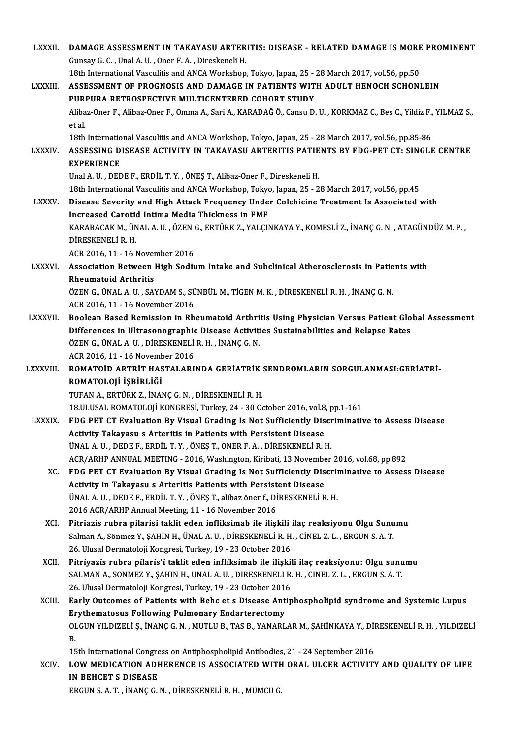| <b>LXXXII</b>   | DAMAGE ASSESSMENT IN TAKAYASU ARTERITIS: DISEASE - RELATED DAMAGE IS MORE PROMINENT                                                                               |
|-----------------|-------------------------------------------------------------------------------------------------------------------------------------------------------------------|
|                 | Gunsay G. C., Unal A. U., Oner F. A., Direskeneli H.                                                                                                              |
|                 | 18th International Vasculitis and ANCA Workshop, Tokyo, Japan, 25 - 28 March 2017, vol.56, pp.50                                                                  |
| LXXXIII.        | ASSESSMENT OF PROGNOSIS AND DAMAGE IN PATIENTS WITH ADULT HENOCH SCHONLEIN                                                                                        |
|                 | PURPURA RETROSPECTIVE MULTICENTERED COHORT STUDY                                                                                                                  |
|                 | Alibaz-Oner F., Alibaz-Oner F., Omma A., Sari A., KARADAĞ Ö., Cansu D. U., KORKMAZ C., Bes C., Yildiz F., YILMAZ S.,                                              |
|                 | et al.                                                                                                                                                            |
|                 | 18th International Vasculitis and ANCA Workshop, Tokyo, Japan, 25 - 28 March 2017, vol.56, pp.85-86                                                               |
| <b>LXXXIV</b>   | ASSESSING DISEASE ACTIVITY IN TAKAYASU ARTERITIS PATIENTS BY FDG-PET CT: SINGLE CENTRE                                                                            |
|                 | <b>EXPERIENCE</b>                                                                                                                                                 |
|                 | Unal A. U., DEDE F., ERDİL T. Y., ÖNEŞ T., Alibaz-Oner F., Direskeneli H.                                                                                         |
|                 | 18th International Vasculitis and ANCA Workshop, Tokyo, Japan, 25 - 28 March 2017, vol.56, pp.45                                                                  |
| <b>LXXXV</b>    | Disease Severity and High Attack Frequency Under Colchicine Treatment Is Associated with                                                                          |
|                 | Increased Carotid Intima Media Thickness in FMF                                                                                                                   |
|                 | KARABACAK M., ÜNAL A. U., ÖZEN G., ERTÜRK Z., YALÇINKAYA Y., KOMESLİ Z., İNANÇ G. N., ATAGÜNDÜZ M. P.,<br>DİRESKENELİ R.H.                                        |
|                 | ACR 2016, 11 - 16 November 2016                                                                                                                                   |
| <b>LXXXVI.</b>  | Association Between High Sodium Intake and Subclinical Atherosclerosis in Patients with                                                                           |
|                 | <b>Rheumatoid Arthritis</b>                                                                                                                                       |
|                 | ÖZEN G., ÜNAL A. U., SAYDAM S., SÜNBÜL M., TİGEN M. K., DİRESKENELİ R. H., İNANÇ G. N.                                                                            |
|                 | ACR 2016, 11 - 16 November 2016                                                                                                                                   |
| <b>LXXXVII.</b> | Boolean Based Remission in Rheumatoid Arthritis Using Physician Versus Patient Global Assessment                                                                  |
|                 | Differences in Ultrasonographic Disease Activities Sustainabilities and Relapse Rates                                                                             |
|                 | ÖZEN G., ÜNAL A. U., DİRESKENELİ R. H., İNANÇ G. N.                                                                                                               |
|                 | ACR 2016, 11 - 16 November 2016                                                                                                                                   |
| <b>LXXXVIII</b> | ROMATOID ARTRIT HASTALARINDA GERIATRIK SENDROMLARIN SORGULANMASI:GERIATRI-                                                                                        |
|                 | ROMATOLOJİ İŞBİRLİĞİ                                                                                                                                              |
|                 | TUFAN A., ERTÜRK Z., İNANÇ G. N., DİRESKENELİ R. H.                                                                                                               |
|                 | 18 ULUSAL ROMATOLOJİ KONGRESİ, Turkey, 24 - 30 October 2016, vol.8, pp.1-161                                                                                      |
| <b>LXXXIX</b>   | FDG PET CT Evaluation By Visual Grading Is Not Sufficiently Discriminative to Assess Disease                                                                      |
|                 | Activity Takayasu s Arteritis in Patients with Persistent Disease                                                                                                 |
|                 | ÜNAL A.U., DEDE F., ERDİL T.Y., ÖNEŞ T., ONER F.A., DİRESKENELİ R.H.                                                                                              |
|                 | ACR/ARHP ANNUAL MEETING - 2016, Washington, Kiribati, 13 November 2016, vol.68, pp.892                                                                            |
| XC.             | FDG PET CT Evaluation By Visual Grading Is Not Sufficiently Discriminative to Assess Disease<br>Activity in Takayasu s Arteritis Patients with Persistent Disease |
|                 | ÜNAL A. U., DEDE F., ERDİL T. Y., ÖNEŞ T., alibaz öner f., DİRESKENELİ R. H.                                                                                      |
|                 | 2016 ACR/ARHP Annual Meeting, 11 - 16 November 2016                                                                                                               |
| XCI.            | Pitriazis rubra pilarisi taklit eden infliksimab ile ilişkili ilaç reaksiyonu Olgu Sunumu                                                                         |
|                 | Salman A., Sönmez Y., ŞAHİN H., ÜNAL A. U., DİRESKENELİ R. H., CİNEL Z. L., ERGUN S. A. T.                                                                        |
|                 | 26. Ulusal Dermatoloji Kongresi, Turkey, 19 - 23 October 2016                                                                                                     |
| XCII.           | Pitriyazis rubra pilaris'i taklit eden infliksimab ile ilişkili ilaç reaksiyonu: Olgu sunumu                                                                      |
|                 | SALMAN A., SÖNMEZ Y., ŞAHİN H., ÜNAL A. U., DİRESKENELİ R. H., CİNEL Z. L., ERGUN S. A. T.                                                                        |
|                 | 26. Ulusal Dermatoloji Kongresi, Turkey, 19 - 23 October 2016                                                                                                     |
| XCIII.          | Early Outcomes of Patients with Behc et s Disease Antiphospholipid syndrome and Systemic Lupus                                                                    |
|                 | <b>Erythematosus Following Pulmonary Endarterectomy</b>                                                                                                           |
|                 | OLGUN YILDIZELİ Ş., İNANÇ G. N., MUTLU B., TAS B., YANARLAR M., ŞAHİNKAYA Y., DİRESKENELİ R. H., YILDIZELİ                                                        |
|                 | <b>B.</b>                                                                                                                                                         |
|                 | 15th International Congress on Antiphospholipid Antibodies, 21 - 24 September 2016                                                                                |
| <b>XCIV</b>     | LOW MEDICATION ADHERENCE IS ASSOCIATED WITH ORAL ULCER ACTIVITY AND QUALITY OF LIFE                                                                               |
|                 |                                                                                                                                                                   |
|                 | IN BEHCET S DISEASE<br>ERGUN S. A. T., İNANÇ G. N., DİRESKENELİ R. H., MUMCU G.                                                                                   |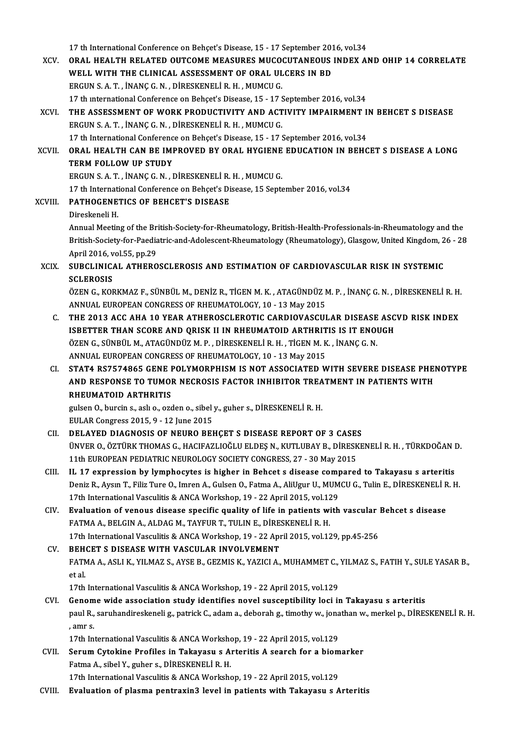- 17 th International Conference on Behçet's Disease, 15 17 September 2016, vol.34 17 th International Conference on Behçet's Disease, 15 - 17 September 2016, vol.34<br>XCV. ORAL HEALTH RELATED OUTCOME MEASURES MUCOCUTANEOUS INDEX AND OHIP 14 CORRELATE 17 th International Conference on Behçet's Disease, 15 - 17 September 201<br>ORAL HEALTH RELATED OUTCOME MEASURES MUCOCUTANEOUS<br>WELL WITH THE CLINICAL ASSESSMENT OF ORAL ULCERS IN BD ORAL HEALTH RELATED OUTCOME MEASURES MUCO<br>WELL WITH THE CLINICAL ASSESSMENT OF ORAL UL<br>ERGUN S. A. T. , İNANÇ G. N. , DİRESKENELİ R. H. , MUMCU G.<br>17 th international Conference on Beheat's Disease 15 , 17 8 WELL WITH THE CLINICAL ASSESSMENT OF ORAL ULCERS IN BD<br>ERGUN S. A. T., İNANÇ G. N., DİRESKENELİ R. H., MUMCU G.<br>17 th international Conference on Behçet's Disease, 15 - 17 September 2016, vol.34 ERGUN S. A. T. , İNANÇ G. N. , DİRESKENELİ R. H. , MUMCU G.<br>17 th international Conference on Behçet's Disease, 15 - 17 September 2016, vol.34<br>XCVI. THE ASSESSMENT OF WORK PRODUCTIVITY AND ACTIVITY IMPAIRMENT IN BEHCET S D ERGUNS.A.T. , İNANÇG.N. ,DİRESKENELİR.H. ,MUMCUG. THE ASSESSMENT OF WORK PRODUCTIVITY AND ACTIVITY IMPAIRMENT I<br>ERGUN S. A. T. , İNANÇ G. N. , DİRESKENELİ R. H. , MUMCU G.<br>17 th International Conference on Behçet's Disease, 15 - 17 September 2016, vol.34<br>ORAL HEALTH CAN B XCVII. ORAL HEALTH CAN BE IMPROVED BY ORAL HYGIENE EDUCATION IN BEHCET S DISEASE A LONG<br>TERM FOLLOW UP STUDY 17 th International Conference on Behcet's Disease, 15 - 17 September 2016, vol.34 ORAL HEALTH CAN BE IMPROVED BY ORAL HYGIENE<br>TERM FOLLOW UP STUDY<br>ERGUN S. A. T. , İNANÇ G. N. , DİRESKENELİ R. H. , MUMCU G.<br>17 th International Conference on Bebest'e Disease, 15 Sents TERM FOLLOW UP STUDY<br>ERGUN S. A. T. , İNANÇ G. N. , DİRESKENELİ R. H. , MUMCU G.<br>17 th International Conference on Behçet's Disease, 15 September 2016, vol.34<br>RATHOCENETICS OF REHCET'S DISEASE ERGUN S. A. T., İNANÇ G. N., DİRESKENELİ R.<br>17 th International Conference on Behçet's Di<br>XCVIII. PATHOGENETICS OF BEHCET'S DISEASE 17 th Internati<br>PATHOGENE<br>Direskeneli H.<br>Annual Meetin PATHOGENETICS OF BEHCET'S DISEASE<br>Direskeneli H.<br>Annual Meeting of the British-Society-for-Rheumatology, British-Health-Professionals-in-Rheumatology and the<br>British Society for Peedistrie and Adelessant Bhoumatology (Bhou Direskeneli H.<br>Annual Meeting of the British-Society-for-Rheumatology, British-Health-Professionals-in-Rheumatology and the<br>British-Society-for-Paediatric-and-Adolescent-Rheumatology (Rheumatology), Glasgow, United Kingdom Annual Meeting of the Br<br>British-Society-for-Paedia<br>April 2016, vol.55, pp.29<br>SUBCLINICAL ATHERO XCIX. SUBCLINICAL ATHEROSCLEROSIS AND ESTIMATION OF CARDIOVASCULAR RISK IN SYSTEMIC<br>SCLEROSIS April 2016, vol.55, pp.29 SUBCLINICAL ATHEROSCLEROSIS AND ESTIMATION OF CARDIOVASCULAR RISK IN SYSTEMIC<br>SCLEROSIS<br>ÖZEN G., KORKMAZ F., SÜNBÜL M., DENİZ R., TİGEN M. K. , ATAGÜNDÜZ M. P. , İNANÇ G. N. , DİRESKENELİ R. H.<br>ANNUAL EUROBEAN CONCRESS OF SCLEROSIS<br>ÖZEN G., KORKMAZ F., SÜNBÜL M., DENİZ R., TİGEN M. K. , ATAGÜNDÜZ I<br>ANNUAL EUROPEAN CONGRESS OF RHEUMATOLOGY, 10 - 13 May 2015<br>THE 2013 ACC AHA 10 YEAR ATHEROSCI EROTIC CARDIOVASCUI ÖZEN G., KORKMAZ F., SÜNBÜL M., DENİZ R., TİGEN M. K. , ATAGÜNDÜZ M. P. , İNANÇ G. N. , DİRESKENELİ R. H.<br>ANNUAL EUROPEAN CONGRESS OF RHEUMATOLOGY, 10 - 13 May 2015<br>C. THE 2013 ACC AHA 10 YEAR ATHEROSCLEROTIC CARDIOVASCULA ANNUAL EUROPEAN CONGRESS OF RHEUMATOLOGY, 10 - 13 May 2015<br>THE 2013 ACC AHA 10 YEAR ATHEROSCLEROTIC CARDIOVASCULAR DISEASE ASC<br>ISBETTER THAN SCORE AND QRISK II IN RHEUMATOID ARTHRITIS IS IT ENOUGH<br>ÖZEN C SÜNRÜL M. ATACÜNDÜ THE 2013 ACC AHA 10 YEAR ATHEROSCLEROTIC CARDIOVASCULAR DISEASE<br>ISBETTER THAN SCORE AND QRISK II IN RHEUMATOID ARTHRITIS IS IT ENOI<br>ÖZEN G., SÜNBÜL M., ATAGÜNDÜZ M. P. , DİRESKENELİ R. H. , TİGEN M. K. , İNANÇ G. N.<br>ANNIJA ISBETTER THAN SCORE AND QRISK II IN RHEUMATOID ARTHRIT<br>ÖZEN G., SÜNBÜL M., ATAGÜNDÜZ M. P. , DİRESKENELİ R. H. , TİGEN M. K<br>ANNUAL EUROPEAN CONGRESS OF RHEUMATOLOGY, 10 - 13 May 2015<br>STATA BSZEZAREE CENE BOLYMORBHISM IS NO ÖZEN G., SÜNBÜL M., ATAGÜNDÜZ M. P. , DİRESKENELİ R. H. , TİGEN M. K. , İNANÇ G. N.<br>ANNUAL EUROPEAN CONGRESS OF RHEUMATOLOGY, 10 - 13 May 2015<br>CI. STAT4 RS7574865 GENE POLYMORPHISM IS NOT ASSOCIATED WITH SEVERE DISEASE PHE ANNUAL EUROPEAN CONGRESS OF RHEUMATOLOGY, 10 - 13 May 2015<br>STAT4 RS7574865 GENE POLYMORPHISM IS NOT ASSOCIATED WITH SEVERE DISEASE PHEI<br>AND RESPONSE TO TUMOR NECROSIS FACTOR INHIBITOR TREATMENT IN PATIENTS WITH<br>RHEIMATOID STAT4 RS7574865 GENE I<br>AND RESPONSE TO TUMOI<br>RHEUMATOID ARTHRITIS AND RESPONSE TO TUMOR NECROSIS FACTOR INHIBITOR TREA<br>RHEUMATOID ARTHRITIS<br>gulsen O., burcin s., aslı o., ozden o., sibel y., guher s., DİRESKENELİ R. H.<br>EIILAP Congress 2015-0, 12 June 2015 RHEUMATOID ARTHRITIS<br>gulsen O., burcin s., aslı o., ozden o., sibel<br>EULAR Congress 2015, 9 - 12 June 2015<br>DELAVED DIACNOSIS OE NEUPO PEL gulsen O., burcin s., aslı o., ozden o., sibel y., guher s., DİRESKENELİ R. H.<br>EULAR Congress 2015, 9 - 12 June 2015<br>CII. DELAYED DIAGNOSIS OF NEURO BEHÇET S DISEASE REPORT OF 3 CASES<br>UNIVER O. ÖZTÜRK THOMAS G. HACIFAZI IQ EULAR Congress 2015, 9 - 12 June 2015<br>DELAYED DIAGNOSIS OF NEURO BEHÇET S DISEASE REPORT OF 3 CASES<br>ÜNVER O., ÖZTÜRK THOMAS G., HACIFAZLIOĞLU ELDEŞ N., KUTLUBAY B., DİRESKENELİ R. H. , TÜRKDOĞAN D.<br>11th European Replatric DELAYED DIAGNOSIS OF NEURO BEHÇET S DISEASE REPORT OF 3 CASE:<br>ÜNVER O., ÖZTÜRK THOMAS G., HACIFAZLIOĞLU ELDEŞ N., KUTLUBAY B., DİRESK<br>11th EUROPEAN PEDIATRIC NEUROLOGY SOCIETY CONGRESS, 27 - 30 May 2015<br>II. 17. avrussalar UNVER O., ÖZTÜRK THOMAS G., HACIFAZLIOĞLU ELDEŞ N., KUTLUBAY B., DİRESKENELİ R. H., TÜRKDOĞAN I<br>11th EUROPEAN PEDIATRIC NEUROLOGY SOCIETY CONGRESS, 27 - 30 May 2015<br>CIII. IL 17 expression by lymphocytes is higher in Behcet 11th EUROPEAN PEDIATRIC NEUROLOGY SOCIETY CONGRESS, 27 - 30 May 2015<br>IL 17 expression by lymphocytes is higher in Behcet s disease compared to Takayasu s arteritis<br>Deniz R., Aysın T., Filiz Ture O., Imren A., Gulsen O., Fa IL 17 expression by lymphocytes is higher in Behcet s disease comp<br>Deniz R., Aysın T., Filiz Ture O., Imren A., Gulsen O., Fatma A., AliUgur U., MUM<br>17th International Vasculitis & ANCA Workshop, 19 - 22 April 2015, vol.12 Deniz R., Aysın T., Filiz Ture O., Imren A., Gulsen O., Fatma A., AliUgur U., MUMCU G., Tulin E., DİRESKENELİ R<br>17th International Vasculitis & ANCA Workshop, 19 - 22 April 2015, vol.129<br>CIV. Evaluation of venous disease s 17th International Vasculitis & ANCA Workshop, 19 - 22 April 2015, vol.12<br>**Evaluation of venous disease specific quality of life in patients with FATMA A., BELGIN A., ALDAG M., TAYFUR T., TULIN E., DİRESKENELİ R. H.**<br>17th CIV. Evaluation of venous disease specific quality of life in patients with vascular Behcet s disease<br>FATMA A., BELGIN A., ALDAG M., TAYFUR T., TULIN E., DİRESKENELİ R. H.<br>17th International Vasculitis & ANCA Workshop, 19 FATMA A., BELGIN A., ALDAG M., TAYFUR T., TULIN E., DIREST 17th International Vasculitis & ANCA Workshop, 19 - 22 Apr<br>CV. BEHCET S DISEASE WITH VASCULAR INVOLVEMENT 17th International Vasculitis & ANCA Workshop, 19 - 22 April 2015, vol.129, pp.45-256<br>BEHCET S DISEASE WITH VASCULAR INVOLVEMENT<br>FATMA A., ASLI K., YILMAZ S., AYSE B., GEZMIS K., YAZICI A., MUHAMMET C., YILMAZ S., FATIH Y. **BEH**<br>FATN<br>et al.<br>17th FATMA A., ASLI K., YILMAZ S., AYSE B., GEZMIS K., YAZICI A., MUHAMMET C.,<br>et al.<br>17th International Vasculitis & ANCA Workshop, 19 - 22 April 2015, vol.129<br>Conome wide association study identifies noval sussentibility logi et al.<br>17th International Vasculitis & ANCA Workshop, 19 - 22 April 2015, vol.129<br>CVI. Genome wide association study identifies novel susceptibility loci in Takayasu s arteritis 17th International Vasculitis & ANCA Workshop, 19 - 22 April 2015, vol.129<br>Genome wide association study identifies novel susceptibility loci in Takayasu s arteritis<br>paul R., saruhandireskeneli g., patrick C., adam a., deb Genom<br>paul R.,<br>, amr s.<br>17th In paul R., saruhandireskeneli g., patrick C., adam a., deborah g., timothy w., jona<br>17th International Vasculitis & ANCA Workshop, 19 - 22 April 2015, vol.129<br>Serum Gutekine Prefiles in Teksyeev e Antenitis A seereb for a bi
	- , amr s.<br>17th International Vasculitis & ANCA Workshop, 19 22 April 2015, vol.129<br>CVII. Serum Cytokine Profiles in Takayasu s Arteritis A search for a biomarker<br>Fetme A sibel Y, suber e DiRESVENELLE H, H 17th International Vasculitis & ANCA Workshow<br>Serum Cytokine Profiles in Takayasu s A.<br>Fatma A., sibel Y., guher s., DİRESKENELİ R. H.<br>17th International Vasculitie & ANCA Werksho Serum Cytokine Profiles in Takayasu s Arteritis A search for a biom<br>Fatma A., sibel Y., guher s., DİRESKENELİ R. H.<br>17th International Vasculitis & ANCA Workshop, 19 - 22 April 2015, vol.129<br>Evaluation of plasma pontrovin<sup></sup> Fatma A., sibel Y., guher s., DİRESKENELİ R. H.<br>17th International Vasculitis & ANCA Workshop, 19 - 22 April 2015, vol.129<br>CVIII. Evaluation of plasma pentraxin3 level in patients with Takayasu s Arteritis
	-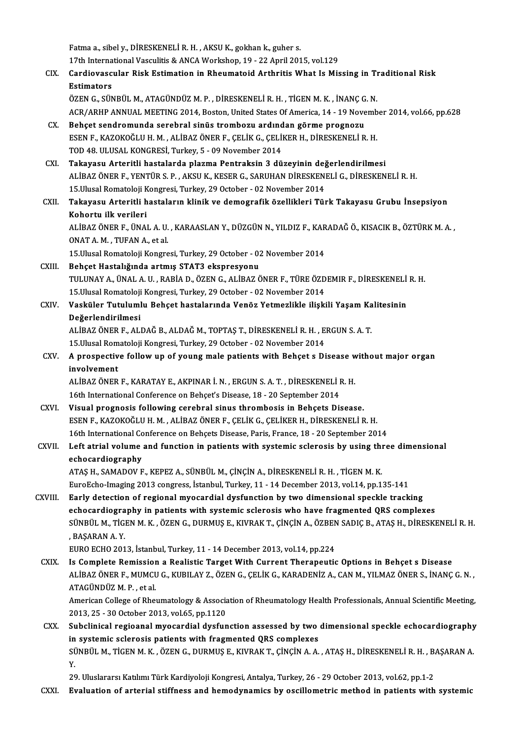Fatma a., sibely., DİRESKENELİR.H., AKSUK., gokhank., guher s. 17th International Vasculitis & ANCA Workshop, 19 - 22 April 2015, vol.129 Fatma a., sibel y., DİRESKENELİ R. H. , AKSU K., gokhan k., guher s.<br>17th International Vasculitis & ANCA Workshop, 19 - 22 April 2015, vol.129<br>CIX. Cardiovascular Risk Estimation in Rheumatoid Arthritis What Is Missin 17th Interna<br>Cardiovasc<br>Estimators<br>ÖZEN C. SÜN Cardiovascular Risk Estimation in Rheumatoid Arthritis What Is Missing in Th<br>Estimators<br>ÖZEN G., SÜNBÜL M., ATAGÜNDÜZ M. P. , DİRESKENELİ R. H. , TİGEN M. K. , İNANÇ G. N.<br>ACR (ARHR ANNIJAL MEETING 2014, Pastan United Stat Estimators<br>ÖZEN G., SÜNBÜL M., ATAGÜNDÜZ M. P. , DİRESKENELİ R. H. , TİGEN M. K. , İNANÇ G. N.<br>ACR/ARHP ANNUAL MEETING 2014, Boston, United States Of America, 14 - 19 November 2014, vol.66, pp.628 ÖZEN G., SÜNBÜL M., ATAGÜNDÜZ M. P., DİRESKENELİ R. H., TİGEN M. K., İNANÇ G<br>ACR/ARHP ANNUAL MEETING 2014, Boston, United States Of America, 14 - 19 Nove<br>CX. Behçet sendromunda serebral sinüs trombozu ardından görme progno ESEN F., KAZOKOĞLU H. M. , ALİBAZ ÖNER F., ÇELİK G., ÇELİKER H., DİRESKENELİ R. H.<br>TOD 48. ULUSAL KONGRESİ. Turkey. 5 - 09 November 2014 Behçet sendromunda serebral sinüs trombozu ardınd<br>ESEN F., KAZOKOĞLU H. M. , ALİBAZ ÖNER F., ÇELİK G., ÇELİ<br>TOD 48. ULUSAL KONGRESİ, Turkey, 5 - 09 November 2014<br>Takayası: Artaritli bastalarda plarma Bantraksin 3 dü ESEN F., KAZOKOĞLU H. M. , ALİBAZ ÖNER F., ÇELİK G., ÇELİKER H., DİRESKENELİ R. H.<br>TOD 48. ULUSAL KONGRESİ, Turkey, 5 - 09 November 2014<br>CXI. Takayasu Arteritli hastalarda plazma Pentraksin 3 düzeyinin değerlendirilmes ALİBAZ ÖNER F., YENTÜR S. P. , AKSU K., KESER G., SARUHAN DİRESKENELİ G., DİRESKENELİ R. H.<br>15.Ulusal Romatoloji Kongresi, Turkey, 29 October - 02 November 2014 Takayasu Arteritli hastalarda plazma Pentraksin 3 düzeyinin değ<br>ALİBAZ ÖNER F., YENTÜR S. P. , AKSU K., KESER G., SARUHAN DİRESKEN<br>15.Ulusal Romatoloji Kongresi, Turkey, 29 October - 02 November 2014<br>Takayasu Artaritli has ALİBAZ ÖNER F., YENTÜR S. P. , AKSU K., KESER G., SARUHAN DİRESKENELİ G., DİRESKENELİ R. H.<br>15.Ulusal Romatoloji Kongresi, Turkey, 29 October - 02 November 2014<br>CXII. Takayasu Arteritli hastaların klinik ve demografik 15.Ulusal Romatoloji K<br><mark>Takayasu Arteritli h</mark><br>Kohortu ilk verileri<br>ALIPAZÖNER E. ÜNA Takayasu Arteritli hastaların klinik ve demografik özellikleri Türk Takayasu Grubu İnsepsiyon<br>Kohortu ilk verileri<br>ALİBAZ ÖNER F., ÜNAL A. U. , KARAASLAN Y., DÜZGÜN N., YILDIZ F., KARADAĞ Ö., KISACIK B., ÖZTÜRK M. A. ,<br>ONA Kohortu ilk verileri<br>ALİBAZ ÖNER F., ÜNAL A. U.<br>ONAT A. M. , TUFAN A., et al.<br>15 Illusal Bemataleji Kengre ALİBAZ ÖNER F., ÜNAL A. U. , KARAASLAN Y., DÜZGÜN N., YILDIZ F., KAR<br>ONAT A. M. , TUFAN A., et al.<br>15.Ulusal Romatoloji Kongresi, Turkey, 29 October - 02 November 2014<br>Beheet Hastalığında artmış STAT3 akannesyanın ONAT A. M. , TUFAN A., et al.<br>15.Ulusal Romatoloji Kongresi, Turkey, 29 October - 02 November 2014<br>CXIII. Behçet Hastalığında artmış STAT3 ekspresyonu TULUNAYA.,ÜNALA.U. ,RABİAD.,ÖZENG.,ALİBAZÖNERF.,TÜREÖZDEMIRF.,DİRESKENELİR.H. Behçet Hastalığında artmış STAT3 ekspresyonu<br>TULUNAY A., ÜNAL A. U. , RABİA D., ÖZEN G., ALİBAZ ÖNER F., TÜRE ÖZD<br>15.Ulusal Romatoloji Kongresi, Turkey, 29 October - 02 November 2014<br>Vesküler Tutulumlu Behest hastalarında CXIV. Vasküler Tutulumlu Behçet hastalarında Venöz Yetmezlikle ilişkili Yaşam Kalitesinin<br>Değerlendirilmesi 15.Ulusal Romatoloji<br>Vasküler Tutuluml<br>Değerlendirilmesi<br>ALİPAZ ÖNER E. ALI Vasküler Tutulumlu Behçet hastalarında Venöz Yetmezlikle ilişkili Yaşam Ka<br>Değerlendirilmesi<br>ALİBAZ ÖNER F., ALDAĞ B., ALDAĞ M., TOPTAŞ T., DİRESKENELİ R. H. , ERGUN S. A. T.<br>15 Ulusal Bamatalaji Kangresi Turkay 29 Ostabar Değerlendirilmesi<br>ALİBAZ ÖNER F., ALDAĞ B., ALDAĞ M., TOPTAŞ T., DİRESKENELİ R. H. , E<br>15.Ulusal Romatoloji Kongresi, Turkey, 29 October - 02 November 2014<br>A nrasnestive follow un of voung male patients with Behset s Di ALİBAZ ÖNER F., ALDAĞ B., ALDAĞ M., TOPTAŞ T., DİRESKENELİ R. H. , ERGUN S. A. T.<br>15.Ulusal Romatoloji Kongresi, Turkey, 29 October - 02 November 2014<br>CXV. A prospective follow up of young male patients with Behçet s D 15.Ulusal Romatoloji Kongresi, Turkey, 29 October - 02 November 2014<br>A prospective follow up of young male patients with Behçet s D<br>involvement A prospective follow up of young male patients with Behçet s Disease w<br>involvement<br>ALİBAZ ÖNER F., KARATAY E., AKPINAR İ. N. , ERGUN S. A. T. , DİRESKENELİ R. H.<br>16th International Conference en Beheat's Disease 19 – 20 Se ALİBAZ ÖNER F., KARATAY E., AKPINAR İ. N. , ERGUN S. A. T. , DİRESKENELİ R. H.<br>16th International Conference on Behçet's Disease, 18 - 20 September 2014 ALIBAZ ÖNER F., KARATAY E., AKPINAR I. N., ERGUN S. A. T., DIRESKENELI R. H.<br>16th International Conference on Behçet's Disease, 18 - 20 September 2014<br>CXVI. Visual prognosis following cerebral sinus thrombosis in Behçets D 16th International Conference on Behçet's Disease, 18 - 20 September 2014<br>Visual prognosis following cerebral sinus thrombosis in Behçets Disease.<br>ESEN F., KAZOKOĞLU H. M. , ALİBAZ ÖNER F., ÇELİK G., ÇELİKER H., DİRESKENEL Visual prognosis following cerebral sinus thrombosis in Behçets Disease.<br>ESEN F., KAZOKOĞLU H. M. , ALİBAZ ÖNER F., ÇELİK G., ÇELİKER H., DİRESKENELİ R. H.<br>16th International Conference on Behçets Disease, Paris, France, 1 ESEN F., KAZOKOĞLU H. M. , ALİBAZ ÖNER F., ÇELİK G., ÇELİKER H., DİRESKENELİ R. H.<br>16th International Conference on Behçets Disease, Paris, France, 18 - 20 September 2014<br>CXVII. Left atrial volume and function in patients 16th International Co<br>Left atrial volume<br>echocardiography<br>ATAS H SAMADOVE Left atrial volume and function in patients with systemic sclerosis by using thi<br>echocardiography<br>ATAŞ H., SAMADOV F., KEPEZ A., SÜNBÜL M., ÇİNÇİN A., DİRESKENELİ R. H. , TİGEN M. K.<br>EuneEshe Imasina 2012 sensuses İstanbul echocardiography<br>ATAŞ H., SAMADOV F., KEPEZ A., SÜNBÜL M., ÇİNÇİN A., DİRESKENELİ R. H. , TİGEN M. K.<br>EuroEcho-Imaging 2013 congress, İstanbul, Turkey, 11 - 14 December 2013, vol.14, pp.135-141 CXVIII. Early detection of regional myocardial dysfunction by two dimensional speckle tracking echocardiography in patients with systemic sclerosis who have fragmented QRS complexes Early detection of regional myocardial dysfunction by two dimensional speckle tracking<br>echocardiography in patients with systemic sclerosis who have fragmented QRS complexes<br>SÜNBÜL M., TİGEN M. K. , ÖZEN G., DURMUŞ E., KIV e<mark>chocardiogra</mark><br>SÜNBÜL M., TİGI<br>, BAŞARAN A. Y.<br>FURO FCHO 201 SÜNBÜL M., TİGEN M. K. , ÖZEN G., DURMUŞ E., KIVRAK T., ÇİNÇİN A., ÖZBEN<br>, BAŞARAN A. Y.<br>EURO ECHO 2013, İstanbul, Turkey, 11 - 14 December 2013, vol.14, pp.224<br>Is Complate Bomission a Boalistia Tarast With Current Therape BAŞARAN A. Y.<br>EURO ECHO 2013, İstanbul, Turkey, 11 - 14 December 2013, vol.14, pp.224<br>CXIX. Is Complete Remission a Realistic Target With Current Therapeutic Options in Behçet s Disease<br>ALIPAZ ÖNER E, MIMCU C, KURU AV Z, Ö EURO ECHO 2013, İstanbul, Turkey, 11 - 14 December 2013, vol.14, pp.224<br>Is Complete Remission a Realistic Target With Current Therapeutic Options in Behçet s Disease<br>ALİBAZ ÖNER F., MUMCU G., KUBILAY Z., ÖZEN G., ÇELİK G., Is Complete Remission<br>ALİBAZ ÖNER F., MUMCL<br>ATAGÜNDÜZ M. P. , et al.<br>Amerisan College of Phei ALİBAZ ÖNER F., MUMCU G., KUBILAY Z., ÖZEN G., ÇELİK G., KARADENİZ A., CAN M., YILMAZ ÖNER S., İNANÇ G. N. ,<br>ATAGÜNDÜZ M. P. , et al.<br>American College of Rheumatology & Association of Rheumatology Health Professionals, Ann ATAGÜNDÜZ M. P. , et al.<br>American College of Rheumatology & Association of Rheumatology Health Professionals, Annual Scientific Meeting,<br>2013, 25 - 30 October 2013, vol.65, pp.1120 American College of Rheumatology & Association of Rheumatology Health Professionals, Annual Scientific Meeting,<br>2013, 25 - 30 October 2013, vol.65, pp.1120<br>CXX. Subclinical regioanal myocardial dysfunction assessed by two 2013, 25 - 30 October 2013, vol.65, pp.1120<br>Subclinical regioanal myocardial dysfunction assessed by two<br>in systemic sclerosis patients with fragmented QRS complexes<br>SÜNPÜLM TICEN M K. ÖZEN C. DUPMUS E. KWPAK T. CINCIN A.A Subclinical regioanal myocardial dysfunction assessed by two dimensional speckle echocardiography<br>in systemic sclerosis patients with fragmented QRS complexes<br>SÜNBÜL M., TİGEN M. K. , ÖZEN G., DURMUŞ E., KIVRAK T., ÇİNÇİN in<br>Sl<br>20 SÜNBÜL M., TİGEN M. K. , ÖZEN G., DURMUŞ E., KIVRAK T., ÇİNÇİN A. A. , ATAŞ H., DİRESKENELİ R. H. , B.<br>Y.<br>29. Uluslararsı Katılımı Türk Kardiyoloji Kongresi, Antalya, Turkey, 26 - 29 October 2013, vol.62, pp.1-2<br>Evaluation Y.<br>29. Uluslararsı Katılımı Türk Kardiyoloji Kongresi, Antalya, Turkey, 26 - 29 October 2013, vol.62, pp.1-2<br>CXXI. Evaluation of arterial stiffness and hemodynamics by oscillometric method in patients with systemic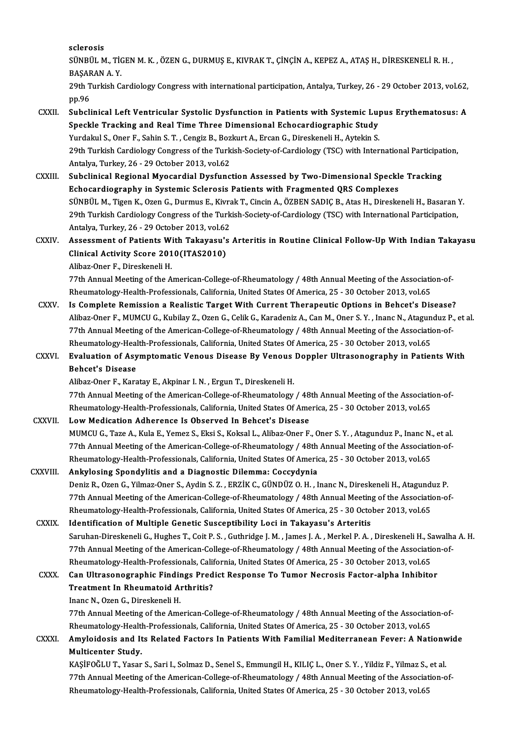sclerosis

SCİerosis<br>SÜNBÜL M., TİGEN M. K. , ÖZEN G., DURMUŞ E., KIVRAK T., ÇİNÇİN A., KEPEZ A., ATAŞ H., DİRESKENELİ R. H. ,<br>RASARAN A. Y sclerosis<br>SÜNBÜL M., Tİ(<br>BAŞARAN A. Y.<br>20th Turkish G SÜNBÜL M., TİGEN M. K. , ÖZEN G., DURMUŞ E., KIVRAK T., ÇİNÇİN A., KEPEZ A., ATAŞ H., DİRESKENELİ R. H. ,<br>BAŞARAN A. Y.<br>29th Turkish Cardiology Congress with international participation, Antalya, Turkey, 26 - 29 October 20

BAŞAF<br>29th T<br>pp.96<br>Subali 29th Turkish Cardiology Congress with international participation, Antalya, Turkey, 26 - 29 October 2013, vol.62,<br>pp.96<br>CXXII. Subclinical Left Ventricular Systolic Dysfunction in Patients with Systemic Lupus Erythematosus

#### pp.96<br>Subclinical Left Ventricular Systolic Dysfunction in Patients with Systemic Lu<sub>l</sub><br>Speckle Tracking and Real Time Three Dimensional Echocardiographic Study<br><sup>Vurdalpul S. Oper E. Sabin S.T. Congiz B. Boglaut A. Ercan G</sup> Subclinical Left Ventricular Systolic Dysfunction in Patients with Systemic Lup<br>Speckle Tracking and Real Time Three Dimensional Echocardiographic Study<br>Yurdakul S., Oner F., Sahin S. T. , Cengiz B., Bozkurt A., Ercan G., Speckle Tracking and Real Time Three Dimensional Echocardiographic Study<br>Yurdakul S., Oner F., Sahin S. T. , Cengiz B., Bozkurt A., Ercan G., Direskeneli H., Aytekin S.<br>29th Turkish Cardiology Congress of the Turkish-Socie Yurdakul S., Oner F., Sahin S. T. , Cengiz B., Boz<br>29th Turkish Cardiology Congress of the Turk<br>Antalya, Turkey, 26 - 29 October 2013, vol.62<br>Subelinisal Bogional Muosardial Dusfung 29th Turkish Cardiology Congress of the Turkish-Society-of-Cardiology (TSC) with International Participat<br>Antalya, Turkey, 26 - 29 October 2013, vol.62<br>CXXIII. Subclinical Regional Myocardial Dysfunction Assessed by Two-Di

Antalya, Turkey, 26 - 29 October 2013, vol.62<br>Subclinical Regional Myocardial Dysfunction Assessed by Two-Dimensional Speckl<br>Echocardiography in Systemic Sclerosis Patients with Fragmented QRS Complexes<br>S<sup>UNDIU M.</sup> Tigen K Subclinical Regional Myocardial Dysfunction Assessed by Two-Dimensional Speckle Tracking<br>Echocardiography in Systemic Sclerosis Patients with Fragmented QRS Complexes<br>SÜNBÜL M., Tigen K., Ozen G., Durmus E., Kivrak T., Cin Echocardiography in Systemic Sclerosis Patients with Fragmented QRS Complexes<br>SÜNBÜL M., Tigen K., Ozen G., Durmus E., Kivrak T., Cincin A., ÖZBEN SADIÇ B., Atas H., Direskeneli H., Basaran<br>29th Turkish Cardiology Congress SÜNBÜL M., Tigen K., Ozen G., Durmus E., Kivra<br>29th Turkish Cardiology Congress of the Turk<br>Antalya, Turkey, 26 - 29 October 2013, vol.62<br>Assessment of Patients With Takawaw's 29th Turkish Cardiology Congress of the Turkish-Society-of-Cardiology (TSC) with International Participation,<br>Antalya, Turkey, 26 - 29 October 2013, vol.62<br>CXXIV. Assessment of Patients With Takayasu's Arteritis in Routine

Antalya, Turkey, 26 - 29 October 2013, vol.62<br>Assessment of Patients With Takayasu's<br>Clinical Activity Score 2010(ITAS2010)<br>Alibaz-Oner F., Direskeneli H. Assessment of Patients With Takayasu's Arteritis in Routine Clinical Follow-Up With Indian Takayasu Clinical Activity Score 2010(ITAS2010)<br>Alibaz-Oner F., Direskeneli H.<br>77th Annual Meeting of the American-College-of-Rheumatology / 48th Annual Meeting of the Association-of-<br>Pheumatology Heelth Professionals Colifornia Un

Alibaz-Oner F., Direskeneli H.<br>77th Annual Meeting of the American-College-of-Rheumatology / 48th Annual Meeting of the Association<br>Rheumatology-Health-Professionals, California, United States Of America, 25 - 30 October 2 77th Annual Meeting of the American-College-of-Rheumatology / 48th Annual Meeting of the Association-of-<br>Rheumatology-Health-Professionals, California, United States Of America, 25 - 30 October 2013, vol.65<br>CXXV. Is Comple

- Rheumatology-Health-Professionals, California, United States Of America, 25 30 October 2013, vol.65<br>Is Complete Remission a Realistic Target With Current Therapeutic Options in Behcet's Disease?<br>Alibaz-Oner F., MUMCU G., Is Complete Remission a Realistic Target With Current Therapeutic Options in Behcet's Disease<br>Alibaz-Oner F., MUMCU G., Kubilay Z., Ozen G., Celik G., Karadeniz A., Can M., Oner S. Y. , Inanc N., Atagunduz P.<br>77th Annual M Alibaz-Oner F., MUMCU G., Kubilay Z., Ozen G., Celik G., Karadeniz A., Can M., Oner S. Y. , Inanc N., Atagun<br>77th Annual Meeting of the American-College-of-Rheumatology / 48th Annual Meeting of the Association<br>Rheumatology 77th Annual Meeting of the American-College-of-Rheumatology / 48th Annual Meeting of the Association-of-<br>Rheumatology-Health-Professionals, California, United States Of America, 25 - 30 October 2013, vol.65<br>CXXVI. Evaluati
- Rheumatology-Health-Professionals, California, United States Of America, 25 30 October 2013, vol.65<br>Evaluation of Asymptomatic Venous Disease By Venous Doppler Ultrasonography in Patie<br>Behcet's Disease<br>Alibaz-Oner F., Ka Evaluation of Asymptomatic Venous Disease By Venous Doppler Ultrasonography in Patients With

Behcet's Disease<br>Alibaz-Oner F., Karatay E., Akpinar I. N. , Ergun T., Direskeneli H.<br>77th Annual Meeting of the American-College-of-Rheumatology / 48th Annual Meeting of the Association-of-<br>Pheumatology Heelth Professiona Alibaz-Oner F., Karatay E., Akpinar I. N. , Ergun T., Direskeneli H.<br>77th Annual Meeting of the American-College-of-Rheumatology / 48th Annual Meeting of the Association<br>Rheumatology-Health-Professionals, California, Unite 77th Annual Meeting of the American-College-of-Rheumatology / 48<br>Rheumatology-Health-Professionals, California, United States Of Ame<br>CXXVII. Low Medication Adherence Is Observed In Behcet's Disease<br>MUMCU C. Tage A. Kule E.

Rheumatology-Health-Professionals, California, United States Of America, 25 - 30 October 2013, vol.65<br>Low Medication Adherence Is Observed In Behcet's Disease<br>MUMCU G., Taze A., Kula E., Yemez S., Eksi S., Koksal L., Aliba Low Medication Adherence Is Observed In Behcet's Disease<br>MUMCU G., Taze A., Kula E., Yemez S., Eksi S., Koksal L., Alibaz-Oner F., Oner S. Y. , Atagunduz P., Inanc N., et al.<br>77th Annual Meeting of the American-College-of-MUMCU G., Taze A., Kula E., Yemez S., Eksi S., Koksal L., Alibaz-Oner F., Oner S. Y. , Atagunduz P., Inanc N.<br>77th Annual Meeting of the American-College-of-Rheumatology / 48th Annual Meeting of the Association<br>Rheumatolog 77th Annual Meeting of the American-College-of-Rheumatology / 48th<br>Rheumatology-Health-Professionals, California, United States Of Americ<br>CXXVIII. Ankylosing Spondylitis and a Diagnostic Dilemma: Coccydynia<br>Donin B. Oran C

Rheumatology-Health-Professionals, California, United States Of America, 25 - 30 October 2013, vol.65<br>Ankylosing Spondylitis and a Diagnostic Dilemma: Coccydynia<br>Deniz R., Ozen G., Yilmaz-Oner S., Aydin S. Z. , ERZİK C., G Ankylosing Spondylitis and a Diagnostic Dilemma: Coccydynia<br>Deniz R., Ozen G., Yilmaz-Oner S., Aydin S. Z. , ERZİK C., GÜNDÜZ O. H. , Inanc N., Direskeneli H., Atagunduz P<br>77th Annual Meeting of the American-College-of-Rhe Deniz R., Ozen G., Yilmaz-Oner S., Aydin S. Z. , ERZİK C., GÜNDÜZ O. H. , Inanc N., Direskeneli H., Atagundu<br>77th Annual Meeting of the American-College-of-Rheumatology / 48th Annual Meeting of the Association<br>Rheumatology 77th Annual Meeting of the American-College-of-Rheumatology / 48th Annual Meeting of the Association-of-<br>Rheumatology-Health-Professionals, California, United States Of America, 25 - 30 October 2013, vol.65<br>CXXIX. Identifi

Rheumatology-Health-Professionals, California, United States Of America, 25 - 30 October 2013, vol.65<br>Identification of Multiple Genetic Susceptibility Loci in Takayasu's Arteritis<br>Saruhan-Direskeneli G., Hughes T., Coit P Identification of Multiple Genetic Susceptibility Loci in Takayasu's Arteritis<br>Saruhan-Direskeneli G., Hughes T., Coit P. S. , Guthridge J. M. , James J. A. , Merkel P. A. , Direskeneli H., Sawalh<br>77th Annual Meeting of th Saruhan-Direskeneli G., Hughes T., Coit P. S. , Guthridge J. M. , James J. A. , Merkel P. A. , Direskeneli H., Sa<br>77th Annual Meeting of the American-College-of-Rheumatology / 48th Annual Meeting of the Association<br>Rheumat 77th Annual Meeting of the American-College-of-Rheumatology / 48th Annual Meeting of the Association<br>Rheumatology-Health-Professionals, California, United States Of America, 25 - 30 October 2013, vol.65<br>CXXX. Can Ultrasono

### Rheumatology-Health-Professionals, Calif<br>Can Ultrasonographic Findings Pred<br>Treatment In Rheumatoid Arthritis?<br>Inane N. Ozan C. Direckaneli H Can Ultrasonographic Findings Predict Response To Tumor Necrosis Factor-alpha Inhibitor<br>Treatment In Rheumatoid Arthritis?<br>Inanc N., Ozen G., Direskeneli H.

Treatment In Rheumatoid Arthritis?<br>Inanc N., Ozen G., Direskeneli H.<br>77th Annual Meeting of the American-College-of-Rheumatology / 48th Annual Meeting of the Association-of-<br>Pheumatology Health Professionals Colifornia Uni Inanc N., Ozen G., Direskeneli H.<br>77th Annual Meeting of the American-College-of-Rheumatology / 48th Annual Meeting of the Association<br>Rheumatology-Health-Professionals, California, United States Of America, 25 - 30 Octobe 77th Annual Meeting of the American-College-of-Rheumatology / 48th Annual Meeting of the Association-of-<br>Rheumatology-Health-Professionals, California, United States Of America, 25 - 30 October 2013, vol.65<br>CXXXI. Amyloido

## Rheumatology-Health-Professionals, California, United States Of America, 25 - 30 October 2013, vol.65<br>Amyloidosis and Its Related Factors In Patients With Familial Mediterranean Fever: A Nationy<br>Multicenter Study.<br>KAŞİFOĞL Amyloidosis and Its Related Factors In Patients With Familial Mediterranean Fever: A Nationv<br>Multicenter Study.<br>KAŞİFOĞLU T., Yasar S., Sari I., Solmaz D., Senel S., Emmungil H., KILIÇ L., Oner S.Y. , Yildiz F., Yilmaz S.,

Multicenter Study.<br>KAŞİFOĞLU T., Yasar S., Sari I., Solmaz D., Senel S., Emmungil H., KILIÇ L., Oner S. Y. , Yildiz F., Yilmaz S., et al.<br>77th Annual Meeting of the American-College-of-Rheumatology / 48th Annual Meeting of KAŞİFOĞLU T., Yasar S., Sari I., Solmaz D., Senel S., Emmungil H., KILIÇ L., Oner S. Y. , Yildiz F., Yilmaz S.,<br>77th Annual Meeting of the American-College-of-Rheumatology / 48th Annual Meeting of the Associat<br>Rheumatology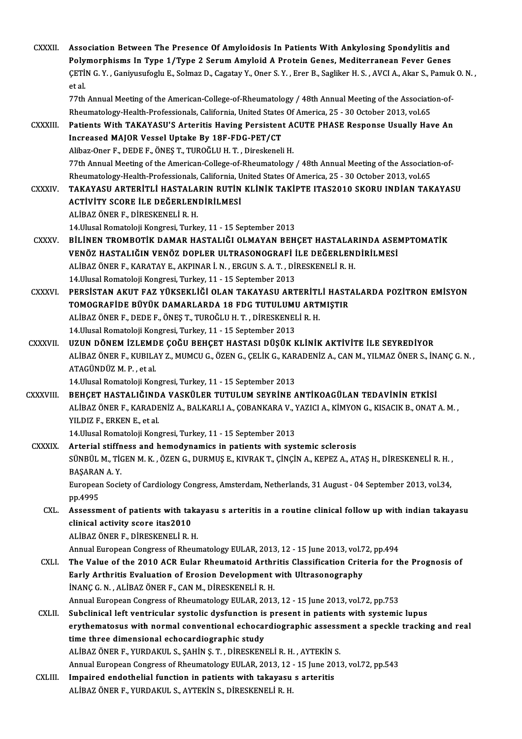| <b>CXXXII</b>  | Association Between The Presence Of Amyloidosis In Patients With Ankylosing Spondylitis and<br>Polymorphisms In Type 1/Type 2 Serum Amyloid A Protein Genes, Mediterranean Fever Genes<br>ÇETİN G.Y., Ganiyusufoglu E., Solmaz D., Cagatay Y., Oner S.Y., Erer B., Sagliker H.S., AVCI A., Akar S., Pamuk O.N., |
|----------------|-----------------------------------------------------------------------------------------------------------------------------------------------------------------------------------------------------------------------------------------------------------------------------------------------------------------|
|                | et al.<br>77th Annual Meeting of the American-College-of-Rheumatology / 48th Annual Meeting of the Association-of-<br>Rheumatology-Health-Professionals, California, United States Of America, 25 - 30 October 2013, vol.65                                                                                     |
| CXXXIII.       | Patients With TAKAYASU'S Arteritis Having Persistent ACUTE PHASE Response Usually Have An<br>Increased MAJOR Vessel Uptake By 18F-FDG-PET/CT<br>Alibaz-Oner F., DEDE F., ÖNEŞ T., TUROĞLU H. T., Direskeneli H.                                                                                                 |
| <b>CXXXIV</b>  | 77th Annual Meeting of the American-College-of-Rheumatology / 48th Annual Meeting of the Association-of-<br>Rheumatology-Health-Professionals, California, United States Of America, 25 - 30 October 2013, vol.65<br>TAKAYASU ARTERİTLİ HASTALARIN RUTİN KLİNİK TAKİPTE ITAS2010 SKORU INDİAN TAKAYASU          |
|                | ACTIVITY SCORE ILE DEĞERLENDIRILMESI<br>ALİBAZ ÖNER F., DİRESKENELİ R.H.<br>14. Ulusal Romatoloji Kongresi, Turkey, 11 - 15 September 2013                                                                                                                                                                      |
| <b>CXXXV</b>   | BİLİNEN TROMBOTİK DAMAR HASTALIĞI OLMAYAN BEHÇET HASTALARINDA ASEMPTOMATİK<br>VENÖZ HASTALIĞIN VENÖZ DOPLER ULTRASONOGRAFİ İLE DEĞERLENDİRİLMESİ<br>ALİBAZ ÖNER F., KARATAY E., AKPINAR İ. N., ERGUN S. A. T., DİRESKENELİ R. H.                                                                                |
| <b>CXXXVI</b>  | 14. Ulusal Romatoloji Kongresi, Turkey, 11 - 15 September 2013<br>PERSISTAN AKUT FAZ YÜKSEKLIĞI OLAN TAKAYASU ARTERITLI HASTALARDA POZITRON EMISYON<br>TOMOGRAFİDE BÜYÜK DAMARLARDA 18 FDG TUTULUMU ARTMIŞTIR                                                                                                   |
|                | ALİBAZ ÖNER F., DEDE F., ÖNEŞ T., TUROĞLU H. T., DİRESKENELİ R. H.<br>14. Ulusal Romatoloji Kongresi, Turkey, 11 - 15 September 2013                                                                                                                                                                            |
| <b>CXXXVII</b> | UZUN DÖNEM İZLEMDE ÇOĞU BEHÇET HASTASI DÜŞÜK KLİNİK AKTİVİTE İLE SEYREDİYOR<br>ALİBAZ ÖNER F., KUBILAY Z., MUMCU G., ÖZEN G., ÇELİK G., KARADENİZ A., CAN M., YILMAZ ÖNER S., İNANÇ G. N.,<br>ATAGÜNDÜZ M.P., et al.                                                                                            |
| CXXXVIII.      | 14. Ulusal Romatoloji Kongresi, Turkey, 11 - 15 September 2013<br>BEHÇET HASTALIĞINDA VASKÜLER TUTULUM SEYRİNE ANTİKOAGÜLAN TEDAVİNİN ETKİSİ<br>ALİBAZ ÖNER F., KARADENİZ A., BALKARLI A., ÇOBANKARA V., YAZICI A., KİMYON G., KISACIK B., ONAT A. M.,<br>YILDIZ F, ERKEN E, et al.                             |
|                | 14. Ulusal Romatoloji Kongresi, Turkey, 11 - 15 September 2013                                                                                                                                                                                                                                                  |
| <b>CXXXIX</b>  | Arterial stiffness and hemodynamics in patients with systemic sclerosis                                                                                                                                                                                                                                         |
|                | SÜNBÜL M., TIGEN M. K., ÖZEN G., DURMUŞ E., KIVRAK T., ÇİNÇİN A., KEPEZ A., ATAŞ H., DİRESKENELİ R. H.,<br>BAŞARAN A.Y.                                                                                                                                                                                         |
|                | European Society of Cardiology Congress, Amsterdam, Netherlands, 31 August - 04 September 2013, vol.34,<br>pp 4995                                                                                                                                                                                              |
| CXL.           | Assessment of patients with takayasu s arteritis in a routine clinical follow up with indian takayasu<br>clinical activity score itas2010<br>ALİBAZ ÖNER F., DİRESKENELİ R.H.                                                                                                                                   |
| <b>CXLI</b>    | Annual European Congress of Rheumatology EULAR, 2013, 12 - 15 June 2013, vol 72, pp.494<br>The Value of the 2010 ACR Eular Rheumatoid Arthritis Classification Criteria for the Prognosis of<br>Early Arthritis Evaluation of Erosion Development with Ultrasonography                                          |
|                | INANÇ G. N., ALIBAZ ÖNER F., CAN M., DIRESKENELI R. H.<br>Annual European Congress of Rheumatology EULAR, 2013, 12 - 15 June 2013, vol.72, pp.753                                                                                                                                                               |
| CXLII.         | Subclinical left ventricular systolic dysfunction is present in patients with systemic lupus<br>erythematosus with normal conventional echocardiographic assessment a speckle tracking and real<br>time three dimensional echocardiographic study                                                               |
|                | ALİBAZ ÖNER F., YURDAKUL S., ŞAHİN Ş. T., DİRESKENELİ R. H., AYTEKİN S.                                                                                                                                                                                                                                         |
|                | Annual European Congress of Rheumatology EULAR, 2013, 12 - 15 June 2013, vol.72, pp.543                                                                                                                                                                                                                         |
| CXLIII.        | Impaired endothelial function in patients with takayasu s arteritis<br>ALİBAZ ÖNER F., YURDAKUL S., AYTEKİN S., DİRESKENELİ R. H.                                                                                                                                                                               |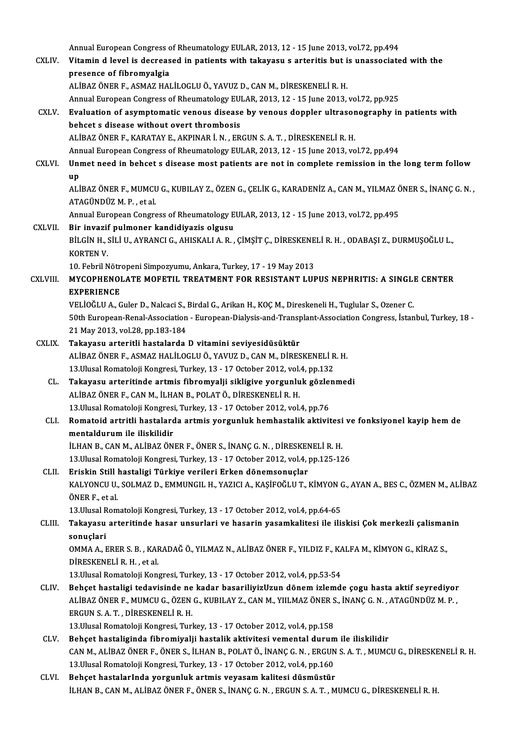- Annual European Congress of Rheumatology EULAR, 2013, 12 15 June 2013, vol.72, pp.494<br>Vitamin d lovel is deeneesed in nationts with takaway a antenitis but is unassociate CXLIV. Vitamin d level is decreased in patients with takayasu s arteritis but is unassociated with the Annual European Congress c<br>Vitamin d level is decreas<br>presence of fibromyalgia<br>ALIBAZ ÖNER E. ASMAZ HAL ALİBAZÖNERF.,ASMAZHALİLOGLUÖ.,YAVUZD.,CANM.,DİRESKENELİR.H. presence of fibromyalgia<br>ALİBAZ ÖNER F., ASMAZ HALİLOGLU Ö., YAVUZ D., CAN M., DİRESKENELİ R. H.<br>Annual European Congress of Rheumatology EULAR, 2013, 12 - 15 June 2013, vol.72, pp.925<br>Evaluation of acumptamatia vapous dia ALIBAZ ÖNER F., ASMAZ HALILOGLU Ö., YAVUZ D., CAN M., DIRESKENELI R. H.<br>Annual European Congress of Rheumatology EULAR, 2013, 12 - 15 June 2013, vol.72, pp.925<br>CXLV. Evaluation of asymptomatic venous disease by venous dopp Annual European Congress of Rheumatology EU!<br>Evaluation of asymptomatic venous disease<br>behcet s disease without overt thrombosis<br>ALIPAZ ÖNER E, KARATAV E, AKRINAR LN, ER Evaluation of asymptomatic venous disease by venous doppler ultrasor<br>behcet s disease without overt thrombosis<br>ALİBAZ ÖNER F., KARATAY E., AKPINAR İ. N. , ERGUN S. A. T. , DİRESKENELİ R. H.<br>Annual European Congress of Phou behcet s disease without overt thrombosis<br>ALİBAZ ÖNER F., KARATAY E., AKPINAR İ. N. , ERGUN S. A. T. , DİRESKENELİ R. H.<br>Annual European Congress of Rheumatology EULAR, 2013, 12 - 15 June 2013, vol.72, pp.494<br>Unmet need in ALİBAZ ÖNER F., KARATAY E., AKPINAR İ. N. , ERGUN S. A. T. , DİRESKENELİ R. H.<br>Annual European Congress of Rheumatology EULAR, 2013, 12 - 15 June 2013, vol.72, pp.494<br>CXLVI. Unmet need in behcet s disease most patients are Anr<br>Uni<br>up<br>Ali Unmet need in behcet s disease most patients are not in complete remission in the long term follow<br>up<br>ALİBAZ ÖNER F., MUMCU G., KUBILAY Z., ÖZEN G., ÇELİK G., KARADENİZ A., CAN M., YILMAZ ÖNER S., İNANÇ G. N. ,<br>ATACÜNDÜZ M up<br>ALİBAZ ÖNER F., MUMCU G., KUBILAY Z., ÖZEN G., ÇELİK G., KARADENİZ A., CAN M., YILMAZ ÖNER S., İNANÇ G. N. ,<br>ATAGÜNDÜZ M. P. , et al. ALİBAZ ÖNER F., MUMCU G., KUBILAY Z., ÖZEN G., ÇELİK G., KARADENİZ A., CAN M., YILMAZ Ö<br>ATAGÜNDÜZ M. P. , et al.<br>Annual European Congress of Rheumatology EULAR, 2013, 12 - 15 June 2013, vol.72, pp.495<br>Bir invesif pulmonos ATAGÜNDÜZ M. P. , et al.<br>Annual European Congress of Rheumatology E<br>CXLVII. Bir invazif pulmoner kandidiyazis olgusu Annual European Congress of Rheumatology EULAR, 2013, 12 - 15 June 2013, vol.72, pp.495<br>Bir invazif pulmoner kandidiyazis olgusu<br>BİLGİN H., SİLİ U., AYRANCI G., AHISKALI A. R. , ÇİMŞİT Ç., DİRESKENELİ R. H. , ODABAŞI Z., D Bir invazif<br>BİLGİN H., :<br>KORTEN V.<br>10. Febril N BİLGİN H., SİLİ U., AYRANCI G., AHISKALI A. R. , ÇİMŞİT Ç., DİRESKENE<br>KORTEN V.<br>10. Febril Nötropeni Simpozyumu, Ankara, Turkey, 17 - 19 May 2013<br>MYCORHENOL ATE MOEETU, TREATMENT EOR RESISTANT LUI CXLVI I. MYCOPHENOLATEMOFETIL TREATMENT FOR RESISTANT LUPUS NEPHRITIS: A SINGLE CENTER 10. Febril Nötropeni Simpozyumu, Ankara, Turkey, 17 - 19 May 2013<br>MYCOPHENOLATE MOFETIL TREATMENT FOR RESISTANT LUPUS NEPHRITIS: A SINGLI<br>EXPERIENCE<br>VELIOĞLU A., Guler D., Nalcaci S., Birdal G., Arikan H., KOÇ M., Diresken MYCOPHENOLATE MOFETIL TREATMENT FOR RESISTANT LUPUS NEPHRITIS: A SINGLI<br>EXPERIENCE<br>VELİOĞLU A., Guler D., Nalcaci S., Birdal G., Arikan H., KOÇ M., Direskeneli H., Tuglular S., Ozener C.<br>50th European Banal Association - E 50th European-Renal-Association - European-Dialysis-and-Transplant-Association Congress, İstanbul, Turkey, 18 -21May2013,vol.28,pp.183-184 CXLIX. Takayasu arteritli hastalarda D vitamini seviyesidüsüktür ALİBAZÖNERF.,ASMAZHALİLOGLUÖ.,YAVUZD.,CANM.,DİRESKENELİR.H. Takayasu arteritli hastalarda D vitamini seviyesidüsüktür<br>ALİBAZ ÖNER F., ASMAZ HALİLOGLU Ö., YAVUZ D., CAN M., DİRESKENELİ R<br>13.Ulusal Romatoloji Kongresi, Turkey, 13 - 17 October 2012, vol.4, pp.132<br>Takayasu arteritində CL. Takayasu arteritinde artmis fibromyalji sikligive yorgunluk gözlenmedi 13.Ulusal Romatoloji Kongresi, Turkey, 13 - 17 October 2012, vol.<br>Takayasu arteritinde artmis fibromyalji sikligive yorgunlu<br>ALİBAZ ÖNER F., CAN M., İLHAN B., POLAT Ö., DİRESKENELİ R. H.<br>12 Ulusal Bamatalaji Kangresi Turke Takayasu arteritinde artmis fibromyalji sikligive yorgunluk gözle:<br>ALİBAZ ÖNER F., CAN M., İLHAN B., POLAT Ö., DİRESKENELİ R. H.<br>13.Ulusal Romatoloji Kongresi, Turkey, 13 - 17 October 2012, vol.4, pp.76<br>Bomatoid artnitli h CLI. Romatoid artritli hastalarda artmis yorgunluk hemhastalik aktivitesi ve fonksiyonel kayip hemde 13.Ulusal Romatoloji Kongresi<br>Romatoid artritli hastalard<br>mentaldurum ile iliskilidir<br>iluan B. CAN M. AliBAZÖN Romatoid artritli hastalarda artmis yorgunluk hemhastalik aktivitesi<br>mentaldurum ile iliskilidir<br>İLHAN B., CAN M., ALİBAZ ÖNER F., ÖNER S., İNANÇ G. N. , DİRESKENELİ R. H.<br>12 Husal Bemateleji Kengresi Turkey, 12 , 17 Osteb 13.Ulusal Romatoloji Kongresi, Turkey, 13 - 17 October 2012, vol.4, pp.125-126<br>Eriskin Still hastaligi Türkiye verileri Erken dönemsonuçlar ILHAN B., CAN M., ALIBAZ ÖNER F., ÖNER S., İNANÇ G. N., DİRESKEN<br>13.Ulusal Romatoloji Kongresi, Turkey, 13 - 17 October 2012, vol.4, <sub>1</sub><br>CLII. Eriskin Still hastaligi Türkiye verileri Erken dönemsonuçlar<br>24.UYONCU U. SOLMA 13.Ulusal Romatoloji Kongresi, Turkey, 13 - 17 October 2012, vol.4, pp.125-126<br>Eriskin Still hastaligi Türkiye verileri Erken dönemsonuçlar<br>KALYONCU U., SOLMAZ D., EMMUNGIL H., YAZICI A., KAŞİFOĞLU T., KİMYON G., AYAN A., Eriskin Still<br>KALYONCU U.,<br>ÖNER F., et al.<br>13 Ulusel Born KALYONCU U., SOLMAZ D., EMMUNGIL H., YAZICI A., KAŞİFOĞLU T., KİMYON (<br>ÖNER F., et al.<br>13.Ulusal Romatoloji Kongresi, Turkey, 13 - 17 October 2012, vol.4, pp.64-65<br>Takayasy, artaritində basar ynsurlari və basarin yasamkali ÖNER F., et al.<br>13.Ulusal Romatoloji Kongresi, Turkey, 13 - 17 October 2012, vol.4, pp.64-65<br>CLIII. Takayasu arteritinde hasar unsurlari ve hasarin yasamkalitesi ile iliskisi Çok merkezli çalismanin<br>sonuslari 13.Ulusal Romatoloji Kongresi, Turkey, 13 - 17 October 2012, vol.4, pp.64-65<br>Takayasu arteritinde hasar unsurlari ve hasarin yasamkalitesi ile ili<br>sonuclari
	- Takayasu arteritinde hasar unsurlari ve hasarin yasamkalitesi ile iliskisi Çok merkezli çalismaı<br>sonuçlari<br>OMMA A., ERER S. B. , KARADAĞ Ö., YILMAZ N., ALİBAZ ÖNER F., YILDIZ F., KALFA M., KİMYON G., KİRAZ S.,<br>DİRESKENELLE DİRESKENELİ R. H. , et al.<br>13.Ulusal Romatoloji Kongresi, Turkey, 13 - 17 October 2012, vol.4, pp.53-54 0MMA A., ERER S. B., KARADAĞ Ö., YILMAZ N., ALİBAZ ÖNER F., YILDIZ F., KALFA M., KİMYON G., KİRAZ S.,

- DİRESKENELİ R. H. , et al.<br>13.Ulusal Romatoloji Kongresi, Turkey, 13 17 October 2012, vol.4, pp.53-54<br>CLIV. Behçet hastaligi tedavisinde ne kadar basariliyizUzun dönem izlemde çogu hasta aktif seyrediyor<br>ALIPAZÖNDÜZ M. P 13.Ulusal Romatoloji Kongresi, Turkey, 13 - 17 October 2012, vol.4, pp.53-54<br>Behçet hastaligi tedavisinde ne kadar basariliyizUzun dönem izlemde çogu hasta aktif seyrediyor<br>ALİBAZ ÖNER F., MUMCU G., ÖZEN G., KUBILAY Z., CA Behçet hastaligi tedavisinde ne<br>ALİBAZ ÖNER F., MUMCU G., ÖZEN<br>ERGUN S. A. T. , DİRESKENELİ R. H.<br>12 Ulusal Bamatalaji Kanarasi Turl ALİBAZ ÖNER F., MUMCU G., ÖZEN G., KUBILAY Z., CAN M., YIILMAZ ÖNER S., İNANÇ G. N. , ATAGÜNDÜZ M. P. ,<br>ERGUN S. A. T. , DİRESKENELİ R. H.<br>13.Ulusal Romatoloji Kongresi, Turkey, 13 - 17 October 2012, vol.4, pp.158
- CLV. Behçet hastaliginda fibromiyalji hastalik aktivitesi vemental durumile iliskilidir 13.Ulusal Romatoloji Kongresi, Turkey, 13 - 17 October 2012, vol.4, pp.158<br>Behçet hastaliginda fibromiyalji hastalik aktivitesi vemental durum ile iliskilidir<br>CAN M., ALİBAZ ÖNER F., ÖNER S., İLHAN B., POLAT Ö., İNANÇ G. N Behçet hastaliginda fibromiyalji hastalik aktivitesi vemental durum<br>CAN M., ALİBAZ ÖNER F., ÖNER S., İLHAN B., POLAT Ö., İNANÇ G. N. , ERGUN<br>13.Ulusal Romatoloji Kongresi, Turkey, 13 - 17 October 2012, vol.4, pp.160<br>Beheet CAN M., ALİBAZ ÖNER F., ÖNER S., İLHAN B., POLAT Ö., İNANÇ G. N., ERGUN<br>13.Ulusal Romatoloji Kongresi, Turkey, 13 - 17 October 2012, vol.4, pp.160<br>CLVI. Behçet hastalarInda yorgunluk artmis veyasam kalitesi düsmüstür<br>11 HA
- 13.Ulusal Romatoloji Kongresi, Turkey, 13 17 October 2012, vol.4, pp.160<br>Behçet hastalarInda yorgunluk artmis veyasam kalitesi düsmüstür<br>İLHAN B., CAN M., ALİBAZ ÖNER F., ÖNER S., İNANÇ G. N. , ERGUN S. A. T. , MUMCU G.,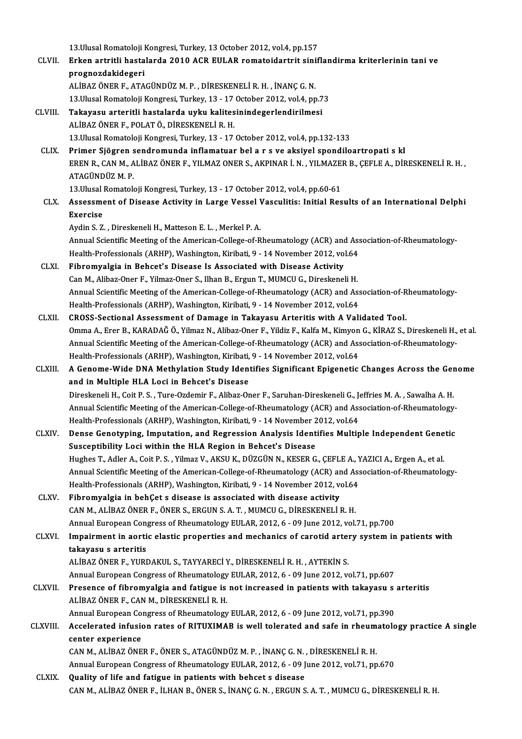13.Ulusal Romatoloji Kongresi, Turkey, 13 October 2012, vol.4, pp.157<br>Erken entritli beetalarda 2010 ACP EULAR remateidentrit einif

- 13.Ulusal Romatoloji Kongresi, Turkey, 13 October 2012, vol.4, pp.157<br>CLVII. Erken artritli hastalarda 2010 ACR EULAR romatoidartrit siniflandirma kriterlerinin tani ve 13.Ulusal Romatoloji l<br>Erken artritli hasta<br>prognozdakidegeri<br>ALIBAZ ÖNER E. ATA Erken artritli hastalarda 2010 ACR EULAR romatoidartrit sini<br>prognozdakidegeri<br>ALİBAZ ÖNER F., ATAGÜNDÜZ M. P. , DİRESKENELİ R. H. , İNANÇ G. N.<br>12 Husel Bemeteleji Kengresi Turkey 12 , 17 Osteber 2012 vol 4 ,nn prognozdakidegeri<br>ALİBAZ ÖNER F., ATAGÜNDÜZ M. P. , DİRESKENELİ R. H. , İNANÇ G. N.<br>13.Ulusal Romatoloji Kongresi, Turkey, 13 - 17 October 2012, vol.4, pp.73
	-
- CLVIII. Takayasu arteritli hastalarda uyku kalitesinindegerlendirilmesi ALİBAZÖNERF.,POLATÖ.,DİRESKENELİR.H. 13. Ulusal Romatoloji Kongresi, Turkey, 13 - 17 October 2012, vol.4, pp.132-133
	- CLIX. Primer Sjögren sendromunda inflamatuar bel a r s ve aksiyel spondiloartropati s kl 13.Ulusal Romatoloji Kongresi, Turkey, 13 - 17 October 2012, vol.4, pp.132-133<br>Primer Sjögren sendromunda inflamatuar bel a r s ve aksiyel spondiloartropati s kl<br>EREN R., CAN M., ALİBAZ ÖNER F., YILMAZ ONER S., AKPINAR İ. Pri<mark>mer Sjögren</mark><br>EREN R., CAN M., A<br>ATAGÜNDÜZ M. P.<br>12 Ulucal Bomatok EREN R., CAN M., ALİBAZ ÖNER F., YILMAZ ONER S., AKPINAR İ. N. , YILMAZE!<br>ATAGÜNDÜZ M. P.<br>13.Ulusal Romatoloji Kongresi, Turkey, 13 - 17 October 2012, vol.4, pp.60-61<br>Assessment of Disease Astivity in Large Vessel Vessulit

ATAGÜNDÜZ M. P.<br>13.Ulusal Romatoloji Kongresi, Turkey, 13 - 17 October 2012, vol.4, pp.60-61<br>CLX. Assessment of Disease Activity in Large Vessel Vasculitis: Initial Results of an International Delphi 13.Ulusal<br>Assessme<br>Exercise<br>Audin S.Z Assessment of Disease Activity in Large Vessel **V**<br>Exercise<br>Aydin S. Z. , Direskeneli H., Matteson E. L. , Merkel P. A.<br>Annual Scientific Meeting of the American College of P.

Exercise<br>Aydin S. Z. , Direskeneli H., Matteson E. L. , Merkel P. A.<br>Annual Scientific Meeting of the American-College-of-Rheumatology (ACR) and Association-of-Rheumatology-<br>Heelth Prefessionals (APHP), Weebington, Viribat Aydin S. Z. , Direskeneli H., Matteson E. L. , Merkel P. A.<br>Annual Scientific Meeting of the American-College-of-Rheumatology (ACR) and Ass<br>Health-Professionals (ARHP), Washington, Kiribati, 9 - 14 November 2012, vol.64<br>Ei Annual Scientific Meeting of the American-College-of-Rheumatology (ACR) and<br>Health-Professionals (ARHP), Washington, Kiribati, 9 - 14 November 2012, vo<br>CLXI. Fibromyalgia in Behcet's Disease Is Associated with Disease Acti

- Health-Professionals (ARHP), Washington, Kiribati, 9 14 November 2012, vol.64<br>Fibromyalgia in Behcet's Disease Is Associated with Disease Activity<br>Can M., Alibaz-Oner F., Yilmaz-Oner S., Ilhan B., Ergun T., MUMCU G., Dir Fibromyalgia in Behcet's Disease Is Associated with Disease Activity<br>Can M., Alibaz-Oner F., Yilmaz-Oner S., Ilhan B., Ergun T., MUMCU G., Direskeneli H.<br>Annual Scientific Meeting of the American-College-of-Rheumatology (A Can M., Alibaz-Oner F., Yilmaz-Oner S., Ilhan B., Ergun T., MUMCU G., Direskeneli H.<br>Annual Scientific Meeting of the American-College-of-Rheumatology (ACR) and Ass<br>Health-Professionals (ARHP), Washington, Kiribati, 9 - 14 Annual Scientific Meeting of the American-College-of-Rheumatology (ACR) and Association-of-R<br>Health-Professionals (ARHP), Washington, Kiribati, 9 - 14 November 2012, vol.64<br>CLXII. CROSS-Sectional Assessment of Damage in Ta
- Health-Professionals (ARHP), Washington, Kiribati, 9 14 November 2012, vol.64<br>CROSS-Sectional Assessment of Damage in Takayasu Arteritis with A Validated Tool.<br>Omma A., Erer B., KARADAĞ Ö., Yilmaz N., Alibaz-Oner F., Yil CROSS-Sectional Assessment of Damage in Takayasu Arteritis with A Validated Tool.<br>Omma A., Erer B., KARADAĞ Ö., Yilmaz N., Alibaz-Oner F., Yildiz F., Kalfa M., Kimyon G., KİRAZ S., Direskeneli H.,<br>Annual Scientific Meeting Omma A., Erer B., KARADAĞ Ö., Yilmaz N., Alibaz-Oner F., Yildiz F., Kalfa M., Kimyon<br>Annual Scientific Meeting of the American-College-of-Rheumatology (ACR) and Ass<br>Health-Professionals (ARHP), Washington, Kiribati, 9 - 14 Annual Scientific Meeting of the American-College-of-Rheumatology (ACR) and Association-of-Rheumatology-<br>Health-Professionals (ARHP), Washington, Kiribati, 9 - 14 November 2012, vol.64<br>CLXIII. A Genome-Wide DNA Methylation
- Health-Professionals (ARHP), Washington, Kiribati,<br>A Genome-Wide DNA Methylation Study Ident<br>and in Multiple HLA Loci in Behcet's Disease<br>Direckanali H. Ceit B.S., Ture Ordemin E. Aliber Or A Genome-Wide DNA Methylation Study Identifies Significant Epigenetic Changes Across the Ger<br>and in Multiple HLA Loci in Behcet's Disease<br>Direskeneli H., Coit P.S., Ture-Ozdemir F., Alibaz-Oner F., Saruhan-Direskeneli G., and in Multiple HLA Loci in Behcet's Disease<br>Direskeneli H., Coit P. S. , Ture-Ozdemir F., Alibaz-Oner F., Saruhan-Direskeneli G., Jeffries M. A. , Sawalha A. H.<br>Annual Scientific Meeting of the American-College-of-Rheumat Direskeneli H., Coit P. S. , Ture-Ozdemir F., Alibaz-Oner F., Saruhan-Direskeneli G., J.<br>Annual Scientific Meeting of the American-College-of-Rheumatology (ACR) and Ass<br>Health-Professionals (ARHP), Washington, Kiribati, 9 Annual Scientific Meeting of the American-College-of-Rheumatology (ACR) and Association-of-Rheumatology-<br>Health-Professionals (ARHP), Washington, Kiribati, 9 - 14 November 2012, vol.64<br>CLXIV. Dense Genotyping, Imputation,
- Health-Professionals (ARHP), Washington, Kiribati, 9 14 November 2012, vol.64<br>Dense Genotyping, Imputation, and Regression Analysis Identifies Multiple Independent Genetic<br>Susceptibility Loci within the HLA Region in Beh Dense Genotyping, Imputation, and Regression Analysis Identifies Multiple Independent Gene<br>Susceptibility Loci within the HLA Region in Behcet's Disease<br>Hughes T., Adler A., Coit P. S. , Yilmaz V., AKSU K., DÜZGÜN N., KESE Susceptibility Loci within the HLA Region in Behcet's Disease<br>Hughes T., Adler A., Coit P. S. , Yilmaz V., AKSU K., DÜZGÜN N., KESER G., ÇEFLE A., YAZICI A., Ergen A., et al.<br>Annual Scientific Meeting of the American-Colle Hughes T., Adler A., Coit P. S. , Yilmaz V., AKSU K., DÜZGÜN N., KESER G., ÇEFLE A., Y<br>Annual Scientific Meeting of the American-College-of-Rheumatology (ACR) and Ass<br>Health-Professionals (ARHP), Washington, Kiribati, 9 - Annual Scientific Meeting of the American-College-of-Rheumatology (ACR) ar<br>Health-Professionals (ARHP), Washington, Kiribati, 9 - 14 November 2012, ve<br>CLXV. Fibromyalgia in behÇet s disease is associated with disease activ
- Health-Professionals (ARHP), Washington, Kiribati, 9 14 November 2012, vol.64<br>Fibromyalgia in behÇet s disease is associated with disease activity<br>CAN M., ALİBAZ ÖNER F., ÖNER S., ERGUN S. A. T. , MUMCU G., DİRESKENELİ R Fibromyalgia in behÇet s disease is associated with disease activity<br>CAN M., ALİBAZ ÖNER F., ÖNER S., ERGUN S. A. T. , MUMCU G., DİRESKENELİ R. H.<br>Annual European Congress of Rheumatology EULAR, 2012, 6 - 09 June 2012, vol

CAN M., ALIBAZ ÖNER F., ÖNER S., ERGUN S. A. T. , MUMCU G., DIRESKENELI R. H.<br>Annual European Congress of Rheumatology EULAR, 2012, 6 - 09 June 2012, vol.71, pp.700<br>CLXVI. Impairment in aortic elastic properties and mechan Annual European Con<br>Impairment in aorti<br>takayasu s arteritis<br>ALIPAZÖNER E VURL ALİBAZÖNERF.,YURDAKUL S.,TAYYARECİY.,DİRESKENELİR.H. ,AYTEKİNS. takayasu s arteritis<br>ALİBAZ ÖNER F., YURDAKUL S., TAYYARECİ Y., DİRESKENELİ R. H. , AYTEKİN S.<br>Annual European Congress of Rheumatology EULAR, 2012, 6 - 09 June 2012, vol.71, pp.607<br>Presense of fihromualsia and fatisue is

- ALİBAZ ÖNER F., YURDAKUL S., TAYYARECİ Y., DİRESKENELİ R. H. , AYTEKİN S.<br>Annual European Congress of Rheumatology EULAR, 2012, 6 09 June 2012, vol.71, pp.607<br>CLXVII. Presence of fibromyalgia and fatigue is not increased Annual European Congress of Rheumatology<br>Presence of fibromyalgia and fatigue is<br>ALİBAZ ÖNER F., CAN M., DİRESKENELİ R. H.<br>Annual European Congress of Pheumatology Presence of fibromyalgia and fatigue is not increased in patients with takayasu s<br>ALİBAZ ÖNER F., CAN M., DİRESKENELİ R. H.<br>Annual European Congress of Rheumatology EULAR, 2012, 6 - 09 June 2012, vol.71, pp.390<br>Accelerated
	-
- ALİBAZ ÖNER F., CAN M., DİRESKENELİ R. H.<br>Annual European Congress of Rheumatology EULAR, 2012, 6 09 June 2012, vol.71, pp.390<br>CLXVIII. Accelerated infusion rates of RITUXIMAB is well tolerated and safe in rheumatolo Annual European Congress of Rheumatology EULAR, 2012, 6 - 09 June 2012, vol.71, pp.390<br>Accelerated infusion rates of RITUXIMAB is well tolerated and safe in rheumatolo<br>center experience Accelerated infusion rates of RITUXIMAB is well tolerated and safe in rheum<br>center experience<br>CAN M., ALİBAZ ÖNER F., ÖNER S., ATAGÜNDÜZ M. P. , İNANÇ G. N. , DİRESKENELİ R. H.<br>Annual European Congress of Pheumatelogy EUI center experience<br>CAN M., ALİBAZ ÖNER F., ÖNER S., ATAGÜNDÜZ M. P. , İNANÇ G. N. , DİRESKENELİ R. H.<br>Annual European Congress of Rheumatology EULAR, 2012, 6 - 09 June 2012, vol.71, pp.670<br>Quality of life and fatisue in pat

CAN M., ALIBAZ ÖNER F., ÖNER S., ATAGÜNDÜZ M. P., İNANÇ G. N.<br>Annual European Congress of Rheumatology EULAR, 2012, 6 - 09 J<br>CLXIX. Quality of life and fatigue in patients with behcet s disease Annual European Congress of Rheumatology EULAR, 2012, 6 - 09 June 2012, vol.71, pp.670<br>Quality of life and fatigue in patients with behcet s disease<br>CAN M., ALİBAZ ÖNER F., İLHAN B., ÖNER S., İNANÇ G. N. , ERGUN S. A. T. ,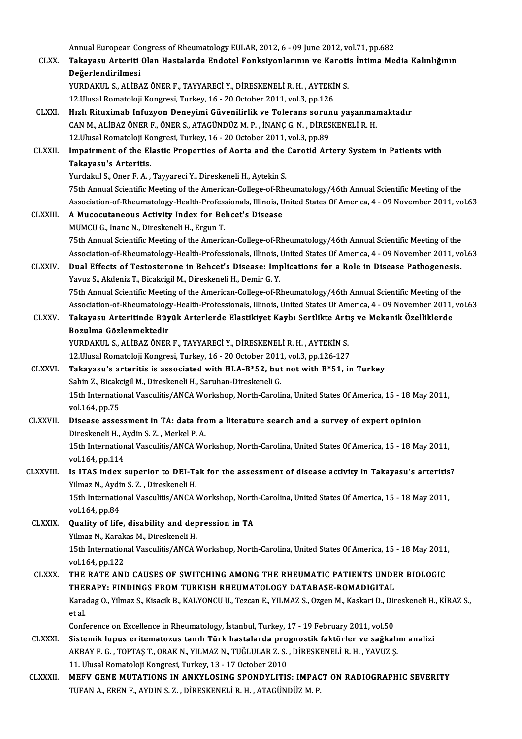|                 | Annual European Congress of Rheumatology EULAR, 2012, 6 - 09 June 2012, vol.71, pp.682                                                                      |
|-----------------|-------------------------------------------------------------------------------------------------------------------------------------------------------------|
| <b>CLXX</b>     | Takayasu Arteriti Olan Hastalarda Endotel Fonksiyonlarının ve Karotis İntima Media Kalınlığının                                                             |
|                 | Değerlendirilmesi                                                                                                                                           |
|                 | YURDAKUL S., ALİBAZ ÖNER F., TAYYARECİ Y., DİRESKENELİ R. H., AYTEKİN S.                                                                                    |
|                 | 12. Ulusal Romatoloji Kongresi, Turkey, 16 - 20 October 2011, vol.3, pp.126                                                                                 |
| <b>CLXXI</b>    | Hızlı Rituximab Infuzyon Deneyimi Güvenilirlik ve Tolerans sorunu yaşanmamaktadır                                                                           |
|                 | CAN M., ALİBAZ ÖNER F., ÖNER S., ATAGÜNDÜZ M. P., İNANÇ G. N., DİRESKENELİ R. H.                                                                            |
|                 | 12. Ulusal Romatoloji Kongresi, Turkey, 16 - 20 October 2011, vol.3, pp.89                                                                                  |
| <b>CLXXII</b>   | Impairment of the Elastic Properties of Aorta and the Carotid Artery System in Patients with                                                                |
|                 | Takayasu's Arteritis.                                                                                                                                       |
|                 | Yurdakul S., Oner F. A., Tayyareci Y., Direskeneli H., Aytekin S.                                                                                           |
|                 | 75th Annual Scientific Meeting of the American-College-of-Rheumatology/46th Annual Scientific Meeting of the                                                |
|                 | Association-of-Rheumatology-Health-Professionals, Illinois, United States Of America, 4 - 09 November 2011, vol.63                                          |
| <b>CLXXIII.</b> | A Mucocutaneous Activity Index for Behcet's Disease                                                                                                         |
|                 | MUMCU G., Inanc N., Direskeneli H., Ergun T.                                                                                                                |
|                 | 75th Annual Scientific Meeting of the American-College-of-Rheumatology/46th Annual Scientific Meeting of the                                                |
|                 | Association-of-Rheumatology-Health-Professionals, Illinois, United States Of America, 4 - 09 November 2011, vol.63                                          |
| <b>CLXXIV</b>   | Dual Effects of Testosterone in Behcet's Disease: Implications for a Role in Disease Pathogenesis.                                                          |
|                 | Yavuz S., Akdeniz T., Bicakcigil M., Direskeneli H., Demir G.Y.                                                                                             |
|                 | 75th Annual Scientific Meeting of the American-College-of-Rheumatology/46th Annual Scientific Meeting of the                                                |
|                 | Association-of-Rheumatology-Health-Professionals, Illinois, United States Of America, 4 - 09 November 2011, vol.63                                          |
| CLXXV.          | Takayasu Arteritinde Büyük Arterlerde Elastikiyet Kaybı Sertlikte Artış ve Mekanik Özelliklerde                                                             |
|                 | Bozulma Gözlenmektedir                                                                                                                                      |
|                 | YURDAKUL S., ALİBAZ ÖNER F., TAYYARECİ Y., DİRESKENELİ R. H., AYTEKİN S.<br>12. Ulusal Romatoloji Kongresi, Turkey, 16 - 20 October 2011, vol.3, pp.126-127 |
| <b>CLXXVI.</b>  | Takayasu's arteritis is associated with HLA-B*52, but not with B*51, in Turkey                                                                              |
|                 | Sahin Z., Bicakcigil M., Direskeneli H., Saruhan-Direskeneli G.                                                                                             |
|                 | 15th International Vasculitis/ANCA Workshop, North-Carolina, United States Of America, 15 - 18 May 2011,                                                    |
|                 | vol 164, pp 75                                                                                                                                              |
| <b>CLXXVII.</b> | Disease assessment in TA: data from a literature search and a survey of expert opinion                                                                      |
|                 | Direskeneli H., Aydin S. Z., Merkel P. A.                                                                                                                   |
|                 | 15th International Vasculitis/ANCA Workshop, North-Carolina, United States Of America, 15 - 18 May 2011,                                                    |
|                 | vol 164, pp 114                                                                                                                                             |
| CLXXVIII.       | Is ITAS index superior to DEI-Tak for the assessment of disease activity in Takayasu's arteritis?                                                           |
|                 | Yilmaz N., Aydin S. Z., Direskeneli H.                                                                                                                      |
|                 | 15th International Vasculitis/ANCA Workshop, North-Carolina, United States Of America, 15 - 18 May 2011,                                                    |
|                 | vol 164, pp 84                                                                                                                                              |
| CLXXIX.         | Quality of life, disability and depression in TA                                                                                                            |
|                 | Yilmaz N., Karakas M., Direskeneli H.                                                                                                                       |
|                 | 15th International Vasculitis/ANCA Workshop, North-Carolina, United States Of America, 15 - 18 May 2011,                                                    |
|                 | vol 164, pp 122                                                                                                                                             |
| <b>CLXXX</b>    | THE RATE AND CAUSES OF SWITCHING AMONG THE RHEUMATIC PATIENTS UNDER BIOLOGIC                                                                                |
|                 | THERAPY: FINDINGS FROM TURKISH RHEUMATOLOGY DATABASE-ROMADIGITAL                                                                                            |
|                 | Karadag O., Yilmaz S., Kisacik B., KALYONCU U., Tezcan E., YILMAZ S., Ozgen M., Kaskari D., Direskeneli H., KİRAZ S.,                                       |
|                 | et al<br>Conference on Excellence in Rheumatology, İstanbul, Turkey, 17 - 19 February 2011, vol.50                                                          |
| <b>CLXXXI</b>   | Sistemik lupus eritematozus tanılı Türk hastalarda prognostik faktörler ve sağkalım analizi                                                                 |
|                 | AKBAY F. G., TOPTAS T., ORAK N., YILMAZ N., TUĞLULAR Z. S., DİRESKENELİ R. H., YAVUZ Ş.                                                                     |
|                 | 11. Ulusal Romatoloji Kongresi, Turkey, 13 - 17 October 2010                                                                                                |
| <b>CLXXXII</b>  | MEFV GENE MUTATIONS IN ANKYLOSING SPONDYLITIS: IMPACT ON RADIOGRAPHIC SEVERITY                                                                              |
|                 | TUFAN A., EREN F., AYDIN S. Z., DİRESKENELİ R. H., ATAGÜNDÜZ M. P.                                                                                          |
|                 |                                                                                                                                                             |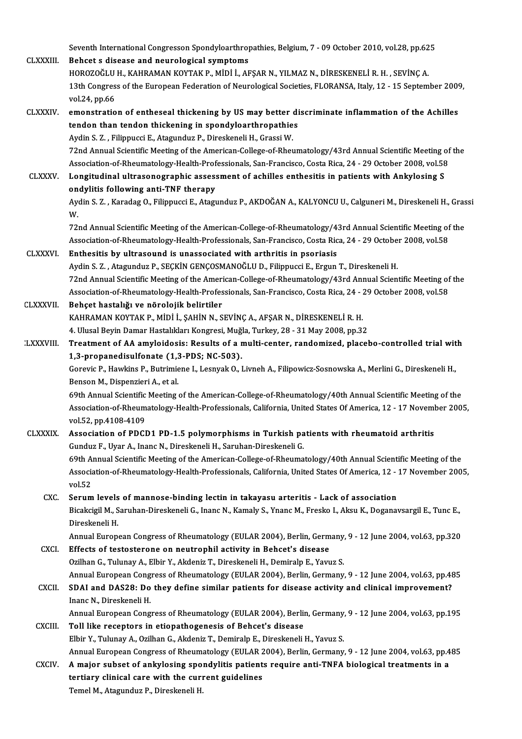Seventh International Congresson Spondyloarthropathies, Belgium, 7 - 09 October 2010, vol.28, pp.625<br>Rebect a diasase and nouvelegies! sumptems

Seventh International Congresson Spondyloarthroughtand CLXXXIII.<br>CLXXXIII. Behcet s disease and neurological symptoms Seventh International Congresson Spondyloarthropathies, Belgium, 7 - 09 October 2010, vol.28, pp.62<br>Behcet s disease and neurological symptoms<br>HOROZOĞLU H., KAHRAMAN KOYTAK P., MİDİ İ., AFŞAR N., YILMAZ N., DİRESKENELİ R. Behcet s disease and neurological symptoms<br>HOROZOĞLU H., KAHRAMAN KOYTAK P., MİDİ İ., AFŞAR N., YILMAZ N., DİRESKENELİ R. H. , SEVİNÇ A.<br>13th Congress of the European Federation of Neurological Societies, FLORANSA, Italy, HOROZOĞLU<br>13th Congres<br>vol.24, pp.66<br>emenstratio 13th Congress of the European Federation of Neurological Societies, FLORANSA, Italy, 12 - 15 September 2009<br>vol.24, pp.66<br>CLXXXIV. emonstration of entheseal thickening by US may better discriminate inflammation of the Achi

#### vol.24, pp.66<br>emonstration of entheseal thickening by US may better di<br>tendon than tendon thickening in spondyloarthropathies<br>Avdin S.Z., Filippucci E. Ategundus B. Direckeneli H. Cressi W. tendon than tendon thickening in spondyloarthropathies<br>Aydin S. Z., Filippucci E., Atagunduz P., Direskeneli H., Grassi W. 72nd Annual Scientific Meeting of the American-College-of-Rheumatology/43rd Annual Scientific Meeting of the Aydin S. Z. , Filippucci E., Atagunduz P., Direskeneli H., Grassi W.<br>72nd Annual Scientific Meeting of the American-College-of-Rheumatology/43rd Annual Scientific Meeting of<br>Association-of-Rheumatology-Health-Professionals The American-College-of-Rheumatology/43rd Annual Scientific Meeting Constantion-of-Rheumatology-Health-Professionals, San-Francisco, Costa Rica, 24 - 29 October 2008, vol.58<br>CLXXXV. Longitudinal ultrasonographic assessment

Association-of-Rheumatology-Health-Prof<br>Longitudinal ultrasonographic asses:<br>ondylitis following anti-TNF therapy<br>Aydin S.Z., Karadas O. Filinnussi E. Atom Longitudinal ultrasonographic assessment of achilles enthesitis in patients with Ankylosing S<br>ondylitis following anti-TNF therapy<br>Aydin S. Z. , Karadag O., Filippucci E., Atagunduz P., AKDOĞAN A., KALYONCU U., Calguneri M

on<br>Ay<br>W. Aydin S. Z. , Karadag O., Filippucci E., Atagunduz P., AKDOĞAN A., KALYONCU U., Calguneri M., Direskeneli H., Gras<br>W.<br>72nd Annual Scientific Meeting of the American-College-of-Rheumatology/43rd Annual Scientific Meeting of

W.<br>72nd Annual Scientific Meeting of the American-College-of-Rheumatology/43rd Annual Scientific Meeting of<br>Association-of-Rheumatology-Health-Professionals, San-Francisco, Costa Rica, 24 - 29 October 2008, vol.58<br>Enthesit T2nd Annual Scientific Meeting of the American-College-of-Rheumatology/4:<br>Association-of-Rheumatology-Health-Professionals, San-Francisco, Costa Ric<br>CLXXXVI. Enthesitis by ultrasound is unassociated with arthritis in psori

#### Association-of-Rheumatology-Health-Professionals, San-Francisco, Costa Rica, 24 - 29 October 2008, vol.58<br>Enthesitis by ultrasound is unassociated with arthritis in psoriasis<br>Aydin S. Z. , Atagunduz P., SECKİN GENCOSMANOĞL Enthesitis by ultrasound is unassociated with arthritis in psoriasis<br>Aydin S. Z. , Atagunduz P., SEÇKİN GENÇOSMANOĞLU D., Filippucci E., Ergun T., Direskeneli H.<br>72nd Annual Scientific Meeting of the American-College-of-Rh Aydin S. Z. , Atagunduz P., SEÇKİN GENÇOSMANOĞLU D., Filippucci E., Ergun T., Direskeneli H.<br>72nd Annual Scientific Meeting of the American-College-of-Rheumatology/43rd Annual Scientific Meeting of<br>Association-of-Rheumatol T2nd Annual Scientific Meeting of the Ameri<br>Association-of-Rheumatology-Health-Profes<br>CLXXXVII. Behçet hastalığı ve nörolojik belirtiler<br>EAHPAMAN FOVTAF B. Mini i. SAHIN N. S

### Association-of-Rheumatology-Health-Professionals, San-Francisco, Costa Rica, 24 - 29 October 2008, vol.58<br>Behçet hastalığı ve nörolojik belirtiler<br>KAHRAMAN KOYTAK P., MİDİ İ., ŞAHİN N., SEVİNÇ A., AFŞAR N., DİRESKENELİ R. Behçet hastalığı ve nörolojik belirtiler<br>KAHRAMAN KOYTAK P., MİDİ İ., ŞAHİN N., SEVİNÇ A., AFŞAR N., DİRESKENELİ R. H.<br>4. Ulusal Beyin Damar Hastalıkları Kongresi, Muğla, Turkey, 28 - 31 May 2008, pp.32<br>Treatment of A.A am KAHRAMAN KOYTAK P., MİDİ İ., ŞAHİN N., SEVİNÇ A., AFŞAR N., DİRESKENELİ R. H.<br>4. Ulusal Beyin Damar Hastalıkları Kongresi, Muğla, Turkey, 28 - 31 May 2008, pp.32<br>2. LXXXVIII. Treatment of AA amyloidosis: Results of a multi

4. Ulusal Beyin Damar Hastalıkları Kongresi, Muğ.<br>Treatment of AA amyloidosis: Results of a r<br>1,3-propanedisulfonate (1,3-PDS; NC-503).<br>Coreyie B. Haydine B. Butrimiana L. Lesnyak O. 1 Treatment of AA amyloidosis: Results of a multi-center, randomized, placebo-controlled trial wit<br>1,3-propanedisulfonate (1,3-PDS; NC-503).<br>Gorevic P., Hawkins P., Butrimiene I., Lesnyak O., Livneh A., Filipowicz-Sosnowska

1,3-propanedisulfonate (1,3-PDS; NC-503).<br>Gorevic P., Hawkins P., Butrimiene I., Lesnyak O., Livneh A., Filipowicz-Sosnowska A., Merlini G., Direskeneli H.,<br>Benson M., Dispenzieri A., et al.

69th Annual Scientific Meeting of the American-College-of-Rheumatology/40th Annual Scientific Meeting of the Benson M., Dispenzieri A., et al.<br>69th Annual Scientific Meeting of the American-College-of-Rheumatology/40th Annual Scientific Meeting of the<br>Association-of-Rheumatology-Health-Professionals, California, United States Of vol.52,pp.4108-4109 Association-of-Rheumatology-Health-Professionals, California, United States Of America, 12 - 17 Novem<br>vol.52, pp.4108-4109<br>CLXXXIX. Association of PDCD1 PD-1.5 polymorphisms in Turkish patients with rheumatoid arthritis<br>Cu

### Association of PDCD1 PD-1.5 polymorphisms in Turkish patients with rheumatoid arthritis Gunduz F., Uyar A., Inanc N., Direskeneli H., Saruhan-Direskeneli G. Association of PDCD1 PD-1.5 polymorphisms in Turkish patients with rheumatoid arthritis<br>Gunduz F., Uyar A., Inanc N., Direskeneli H., Saruhan-Direskeneli G.<br>69th Annual Scientific Meeting of the American-College-of-Rheumat

Gunduz F., Uyar A., Inanc N., Direskeneli H., Saruhan-Direskeneli G.<br>69th Annual Scientific Meeting of the American-College-of-Rheumatology/40th Annual Scientific Meeting of the<br>Association-of-Rheumatology-Health-Professio 69th A<br>Associa<br>vol.52<br>Serum Association-of-Rheumatology-Health-Professionals, California, United States Of America, 12 -<br>vol.52<br>CXC. Serum levels of mannose-binding lectin in takayasu arteritis - Lack of association<br>Picolation Bingleigi M. Seruhan Di

### vol.52<br>Serum levels of mannose-binding lectin in takayasu arteritis - Lack of association<br>Bicakcigil M., Saruhan-Direskeneli G., Inanc N., Kamaly S., Ynanc M., Fresko I., Aksu K., Doganavsargil E., Tunc E.,<br>Direskeneli H Serum levels<br>Bicakcigil M., S<br>Direskeneli H.<br>Annual Euron Bicakcigil M., Saruhan-Direskeneli G., Inanc N., Kamaly S., Ynanc M., Fresko I., Aksu K., Doganavsargil E., Tunc E.,<br>Direskeneli H.<br>Annual European Congress of Rheumatology (EULAR 2004), Berlin, Germany, 9 - 12 June 2004, Direskeneli H.<br>Annual European Congress of Rheumatology (EULAR 2004), Berlin, Germ<br>CXCI. Effects of testosterone on neutrophil activity in Behcet's disease<br>Quilban G. Tulunay A. Elbir Y. Algenis T. Direckaneli H. Demiraln

Annual European Congress of Rheumatology (EULAR 2004), Berlin, Germany.<br>Effects of testosterone on neutrophil activity in Behcet's disease<br>Ozilhan G., Tulunay A., Elbir Y., Akdeniz T., Direskeneli H., Demiralp E., Yavuz S. Effects of testosterone on neutrophil activity in Behcet's disease<br>Ozilhan G., Tulunay A., Elbir Y., Akdeniz T., Direskeneli H., Demiralp E., Yavuz S.<br>Annual European Congress of Rheumatology (EULAR 2004), Berlin, Germany, Ozilhan G., Tulunay A., Elbir Y., Akdeniz T., Direskeneli H., Demiralp E., Yavuz S.<br>Annual European Congress of Rheumatology (EULAR 2004), Berlin, Germany, 9 - 12 June 2004, vol.63, pp.48<br>CXCII. SDAI and DAS28: Do they def

### Annual European Cong<br>SDAI and DAS28: Do<br>Inanc N., Direskeneli H.<br>Annual European Cong SDAI and DAS28: Do they define similar patients for disease activity and clinical improvement?<br>Inanc N., Direskeneli H.<br>Annual European Congress of Rheumatology (EULAR 2004), Berlin, Germany, 9 - 12 June 2004, vol.63, pp.1 Inanc N., Direskeneli H.<br>Annual European Congress of Rheumatology (EULAR 2004), Berlin<br>CXCIII. Toll like receptors in etiopathogenesis of Behcet's disease

Annual European Congress of Rheumatology (EULAR 2004), Berlin, Germany<br>Toll like receptors in etiopathogenesis of Behcet's disease<br>Elbir Y., Tulunay A., Ozilhan G., Akdeniz T., Demiralp E., Direskeneli H., Yavuz S.<br>Annual

Toll like receptors in etiopathogenesis of Behcet's disease<br>Elbir Y., Tulunay A., Ozilhan G., Akdeniz T., Demiralp E., Direskeneli H., Yavuz S.<br>Annual European Congress of Rheumatology (EULAR 2004), Berlin, Germany, 9 - 12

Elbir Y., Tulunay A., Ozilhan G., Akdeniz T., Demiralp E., Direskeneli H., Yavuz S.<br>Annual European Congress of Rheumatology (EULAR 2004), Berlin, Germany, 9 - 12 June 2004, vol.63, pp.4<br>CXCIV. A major subset of ankylosing Annual European Congress of Rheumatology (EULAR 2<br>A major subset of ankylosing spondylitis patient<br>tertiary clinical care with the current guidelines<br>Tamel M. Atagundur P. Dinaskaneli H. A major subset of ankylosing spondylitis patients require anti-TNFA biological treatments in a tertiary clinical care with the current guidelines<br>Temel M., Atagunduz P., Direskeneli H.